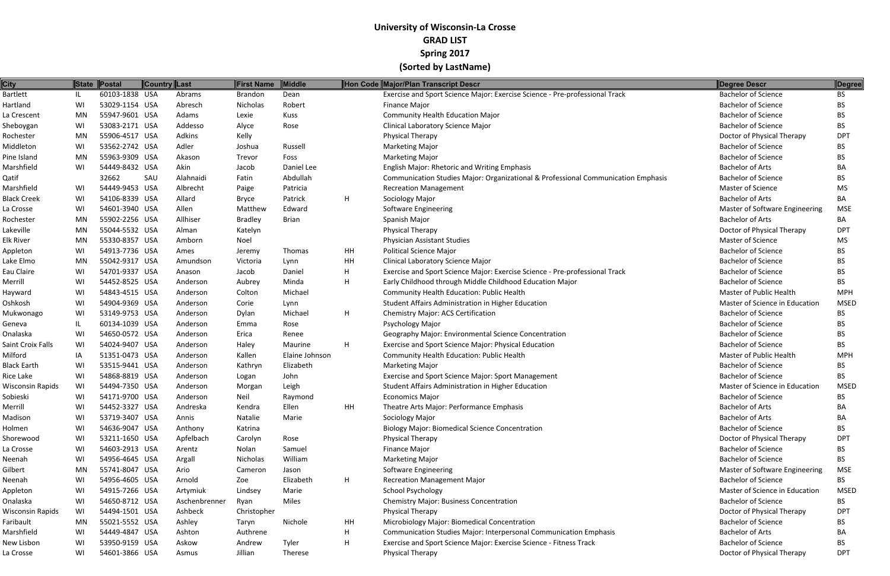| 60103-1838 USA<br><b>Bachelor of Science</b><br>Abrams<br><b>Brandon</b><br>Dean<br>Exercise and Sport Science Major: Exercise Science - Pre-professional Track<br><b>BS</b><br>IL<br>53029-1154 USA<br>Robert<br><b>Bachelor of Science</b><br>WI<br>Abresch<br>Nicholas<br>Finance Major<br><b>BS</b><br>55947-9601 USA<br>Adams<br><b>Bachelor of Science</b><br>MN<br>Lexie<br>Kuss<br><b>Community Health Education Major</b><br>BS.<br>53083-2171 USA<br><b>Clinical Laboratory Science Major</b><br><b>Bachelor of Science</b><br>WI<br>Addesso<br>Alyce<br>BS.<br>Rose<br>55906-4517 USA<br>Kelly<br>Adkins<br><b>Physical Therapy</b><br>Doctor of Physical Therapy<br><b>DPT</b><br>MN<br>WI<br>53562-2742 USA<br>Adler<br><b>Bachelor of Science</b><br>Joshua<br>Russell<br><b>Marketing Major</b><br>BS.<br>55963-9309 USA<br>Foss<br><b>Bachelor of Science</b><br>MN<br>Akason<br><b>Marketing Major</b><br>BS.<br>Trevor<br>Akin<br><b>Bachelor of Arts</b><br>WI<br>54449-8432 USA<br>Daniel Lee<br><b>English Major: Rhetoric and Writing Emphasis</b><br>Jacob<br>BA<br>32662<br>SAU<br>Abdullah<br>Communication Studies Major: Organizational & Professional Communication Emphasis<br><b>Bachelor of Science</b><br>Alahnaidi<br>Fatin<br>BS.<br>54449-9453 USA<br>Albrecht<br>Master of Science<br>WI<br>Patricia<br><b>MS</b><br>Paige<br><b>Recreation Management</b><br>WI<br>54106-8339 USA<br>Allard<br>Patrick<br>H<br><b>Bachelor of Arts</b><br>Sociology Major<br>BA<br><b>Bryce</b><br>54601-3940 USA<br>Allen<br>Master of Software Engineering<br>WI<br>Matthew<br>Edward<br><b>Software Engineering</b><br><b>MSE</b><br>55902-2256 USA<br>Allhiser<br><b>Bachelor of Arts</b><br>MN<br><b>Bradley</b><br><b>Brian</b><br>Spanish Major<br>BA<br>55044-5532 USA<br>Physical Therapy<br>Doctor of Physical Therapy<br>MN<br>Alman<br><b>DPT</b><br>Katelyn<br>55330-8357 USA<br>Master of Science<br>MN<br>Amborn<br>Noel<br><b>Physician Assistant Studies</b><br><b>MS</b><br>WI<br>54913-7736 USA<br>HH<br><b>Political Science Major</b><br><b>Bachelor of Science</b><br>Thomas<br>Ames<br>BS.<br>Jeremy<br>55042-9317 USA<br>HH<br><b>Clinical Laboratory Science Major</b><br><b>Bachelor of Science</b><br>MN<br>Amundson<br>Victoria<br>Lynn<br>BS.<br>54701-9337 USA<br>Daniel<br>Exercise and Sport Science Major: Exercise Science - Pre-professional Track<br><b>Bachelor of Science</b><br>WI<br>H<br><b>BS</b><br>Jacob<br>Anason<br>54452-8525 USA<br>H<br>Early Childhood through Middle Childhood Education Major<br><b>Bachelor of Science</b><br>WI<br>Aubrey<br>Minda<br>BS.<br>Anderson<br>WI<br>54843-4515 USA<br>Michael<br><b>Community Health Education: Public Health</b><br>Master of Public Health<br><b>MPH</b><br>Anderson<br>Colton<br>WI<br>54904-9369 USA<br>Student Affairs Administration in Higher Education<br>Master of Science in Education<br><b>MSED</b><br>Anderson<br>Corie<br>Lynn<br>53149-9753 USA<br>H<br><b>Bachelor of Science</b><br>WI<br>Michael<br><b>Chemistry Major: ACS Certification</b><br>BS.<br>Anderson<br>Dylan<br><b>Bachelor of Science</b><br>IL<br>60134-1039 USA<br>Psychology Major<br>Anderson<br>Rose<br>BS.<br>Emma<br>54650-0572 USA<br>WI<br>Geography Major: Environmental Science Concentration<br><b>Bachelor of Science</b><br>Anderson<br>Erica<br><b>BS</b><br>Renee<br>H<br>WI<br>54024-9407 USA<br>Maurine<br>Exercise and Sport Science Major: Physical Education<br><b>Bachelor of Science</b><br>BS.<br>Anderson<br>Haley<br>51351-0473 USA<br>IA<br>Kallen<br>Elaine Johnson<br><b>Community Health Education: Public Health</b><br>Master of Public Health<br><b>MPH</b><br>Anderson<br>53515-9441 USA<br><b>Bachelor of Science</b><br>WI<br>Elizabeth<br><b>Marketing Major</b><br>BS.<br>Anderson<br>Kathryn<br>54868-8819 USA<br><b>Bachelor of Science</b><br><b>BS</b><br>WI<br>John<br>Exercise and Sport Science Major: Sport Management<br>Anderson<br>Logan<br>54494-7350 USA<br>Leigh<br>Master of Science in Education<br>WI<br>Student Affairs Administration in Higher Education<br><b>MSED</b><br>Anderson<br>Morgan<br><b>BS</b><br>WI<br>54171-9700 USA<br>Neil<br><b>Bachelor of Science</b><br><b>Economics Major</b><br>Anderson<br>Raymond<br>54452-3327 USA<br>Ellen<br>HH<br>Theatre Arts Major: Performance Emphasis<br><b>Bachelor of Arts</b><br>BA<br>WI<br>Andreska<br>Kendra<br>53719-3407 USA<br><b>Bachelor of Arts</b><br>WI<br>Annis<br>Natalie<br>Marie<br>Sociology Major<br>BA<br>54636-9047 USA<br><b>Bachelor of Science</b><br>WI<br>Katrina<br><b>Biology Major: Biomedical Science Concentration</b><br><b>BS</b><br>Anthony<br>WI<br>53211-1650 USA<br>Apfelbach<br>Rose<br>Physical Therapy<br>Doctor of Physical Therapy<br><b>DPT</b><br>Carolyn<br>54603-2913 USA<br>WI<br>Samuel<br>Finance Major<br><b>Bachelor of Science</b><br>Arentz<br>Nolan<br>BS.<br>William<br><b>Bachelor of Science</b><br>WI<br>54956-4645 USA<br>Nicholas<br><b>Marketing Major</b><br>Argall<br>BS.<br>55741-8047 USA<br><b>Software Engineering</b><br>Master of Software Engineering<br>MN<br>Ario<br>Cameron<br>Jason<br><b>MSE</b><br>H<br><b>Bachelor of Science</b><br>WI<br>54956-4605 USA<br>Elizabeth<br><b>Recreation Management Major</b><br>BS<br>Arnold<br>Zoe<br>WI<br>54915-7266 USA<br>Marie<br><b>School Psychology</b><br>Master of Science in Education<br><b>MSED</b><br>Artymiuk<br>Lindsey<br><b>Bachelor of Science</b><br>WI<br>54650-8712 USA<br>Aschenbrenner<br>Miles<br><b>Chemistry Major: Business Concentration</b><br>BS.<br>Ryan<br>WI<br>54494-1501 USA<br>Ashbeck<br><b>Physical Therapy</b><br>Doctor of Physical Therapy<br><b>DPT</b><br>Wisconsin Rapids<br>Christopher<br>Microbiology Major: Biomedical Concentration<br><b>Bachelor of Science</b><br>55021-5552 USA<br>Ashley<br>Nichole<br>HH<br>MN<br>BS.<br>Taryn<br>54449-4847 USA<br>H<br>Communication Studies Major: Interpersonal Communication Emphasis<br><b>Bachelor of Arts</b><br>WI<br>Ashton<br>Authrene<br>ВA<br>WI<br>53950-9159 USA<br>Askow<br>Andrew<br>Tyler<br>H<br>Exercise and Sport Science Major: Exercise Science - Fitness Track<br><b>Bachelor of Science</b><br><b>BS</b><br>54601-3866 USA | <b>City</b>             |    | State Postal | Country Last |       | First Name | <b>Middle</b> | Hon Code Major/Plan Transcript Descr | Degree Descr               | Degree     |
|-----------------------------------------------------------------------------------------------------------------------------------------------------------------------------------------------------------------------------------------------------------------------------------------------------------------------------------------------------------------------------------------------------------------------------------------------------------------------------------------------------------------------------------------------------------------------------------------------------------------------------------------------------------------------------------------------------------------------------------------------------------------------------------------------------------------------------------------------------------------------------------------------------------------------------------------------------------------------------------------------------------------------------------------------------------------------------------------------------------------------------------------------------------------------------------------------------------------------------------------------------------------------------------------------------------------------------------------------------------------------------------------------------------------------------------------------------------------------------------------------------------------------------------------------------------------------------------------------------------------------------------------------------------------------------------------------------------------------------------------------------------------------------------------------------------------------------------------------------------------------------------------------------------------------------------------------------------------------------------------------------------------------------------------------------------------------------------------------------------------------------------------------------------------------------------------------------------------------------------------------------------------------------------------------------------------------------------------------------------------------------------------------------------------------------------------------------------------------------------------------------------------------------------------------------------------------------------------------------------------------------------------------------------------------------------------------------------------------------------------------------------------------------------------------------------------------------------------------------------------------------------------------------------------------------------------------------------------------------------------------------------------------------------------------------------------------------------------------------------------------------------------------------------------------------------------------------------------------------------------------------------------------------------------------------------------------------------------------------------------------------------------------------------------------------------------------------------------------------------------------------------------------------------------------------------------------------------------------------------------------------------------------------------------------------------------------------------------------------------------------------------------------------------------------------------------------------------------------------------------------------------------------------------------------------------------------------------------------------------------------------------------------------------------------------------------------------------------------------------------------------------------------------------------------------------------------------------------------------------------------------------------------------------------------------------------------------------------------------------------------------------------------------------------------------------------------------------------------------------------------------------------------------------------------------------------------------------------------------------------------------------------------------------------------------------------------------------------------------------------------------------------------------------------------------------------------------------------------------------------------------------------------------------------------------------------------------------------------------------------------------------------------------------------------------------------------------------------------------------------------------------------------------------------------------------------------------------------------------------------------------------------------------------------------------------------------------------------------------------------------------------------------------------------------------------------------------------------------------------------------------------------------------------------------------------------------------------------------------------------------------------------------------------------------------------------------------------------------------------------------------------------------------------------------------------------------------------------------------------------------------------------------------------------------------------------------------------------------------------------------------------------------------------------------------------------------------------------------------------------------------------------------------------------------------------------------------------------------------------------------------------------------------|-------------------------|----|--------------|--------------|-------|------------|---------------|--------------------------------------|----------------------------|------------|
|                                                                                                                                                                                                                                                                                                                                                                                                                                                                                                                                                                                                                                                                                                                                                                                                                                                                                                                                                                                                                                                                                                                                                                                                                                                                                                                                                                                                                                                                                                                                                                                                                                                                                                                                                                                                                                                                                                                                                                                                                                                                                                                                                                                                                                                                                                                                                                                                                                                                                                                                                                                                                                                                                                                                                                                                                                                                                                                                                                                                                                                                                                                                                                                                                                                                                                                                                                                                                                                                                                                                                                                                                                                                                                                                                                                                                                                                                                                                                                                                                                                                                                                                                                                                                                                                                                                                                                                                                                                                                                                                                                                                                                                                                                                                                                                                                                                                                                                                                                                                                                                                                                                                                                                                                                                                                                                                                                                                                                                                                                                                                                                                                                                                                                                                                                                                                                                                                                                                                                                                                                                                                                                                                                                                                                                                             | <b>Bartlett</b>         |    |              |              |       |            |               |                                      |                            |            |
|                                                                                                                                                                                                                                                                                                                                                                                                                                                                                                                                                                                                                                                                                                                                                                                                                                                                                                                                                                                                                                                                                                                                                                                                                                                                                                                                                                                                                                                                                                                                                                                                                                                                                                                                                                                                                                                                                                                                                                                                                                                                                                                                                                                                                                                                                                                                                                                                                                                                                                                                                                                                                                                                                                                                                                                                                                                                                                                                                                                                                                                                                                                                                                                                                                                                                                                                                                                                                                                                                                                                                                                                                                                                                                                                                                                                                                                                                                                                                                                                                                                                                                                                                                                                                                                                                                                                                                                                                                                                                                                                                                                                                                                                                                                                                                                                                                                                                                                                                                                                                                                                                                                                                                                                                                                                                                                                                                                                                                                                                                                                                                                                                                                                                                                                                                                                                                                                                                                                                                                                                                                                                                                                                                                                                                                                             | Hartland                |    |              |              |       |            |               |                                      |                            |            |
|                                                                                                                                                                                                                                                                                                                                                                                                                                                                                                                                                                                                                                                                                                                                                                                                                                                                                                                                                                                                                                                                                                                                                                                                                                                                                                                                                                                                                                                                                                                                                                                                                                                                                                                                                                                                                                                                                                                                                                                                                                                                                                                                                                                                                                                                                                                                                                                                                                                                                                                                                                                                                                                                                                                                                                                                                                                                                                                                                                                                                                                                                                                                                                                                                                                                                                                                                                                                                                                                                                                                                                                                                                                                                                                                                                                                                                                                                                                                                                                                                                                                                                                                                                                                                                                                                                                                                                                                                                                                                                                                                                                                                                                                                                                                                                                                                                                                                                                                                                                                                                                                                                                                                                                                                                                                                                                                                                                                                                                                                                                                                                                                                                                                                                                                                                                                                                                                                                                                                                                                                                                                                                                                                                                                                                                                             | La Crescent             |    |              |              |       |            |               |                                      |                            |            |
|                                                                                                                                                                                                                                                                                                                                                                                                                                                                                                                                                                                                                                                                                                                                                                                                                                                                                                                                                                                                                                                                                                                                                                                                                                                                                                                                                                                                                                                                                                                                                                                                                                                                                                                                                                                                                                                                                                                                                                                                                                                                                                                                                                                                                                                                                                                                                                                                                                                                                                                                                                                                                                                                                                                                                                                                                                                                                                                                                                                                                                                                                                                                                                                                                                                                                                                                                                                                                                                                                                                                                                                                                                                                                                                                                                                                                                                                                                                                                                                                                                                                                                                                                                                                                                                                                                                                                                                                                                                                                                                                                                                                                                                                                                                                                                                                                                                                                                                                                                                                                                                                                                                                                                                                                                                                                                                                                                                                                                                                                                                                                                                                                                                                                                                                                                                                                                                                                                                                                                                                                                                                                                                                                                                                                                                                             | Sheboygan               |    |              |              |       |            |               |                                      |                            |            |
|                                                                                                                                                                                                                                                                                                                                                                                                                                                                                                                                                                                                                                                                                                                                                                                                                                                                                                                                                                                                                                                                                                                                                                                                                                                                                                                                                                                                                                                                                                                                                                                                                                                                                                                                                                                                                                                                                                                                                                                                                                                                                                                                                                                                                                                                                                                                                                                                                                                                                                                                                                                                                                                                                                                                                                                                                                                                                                                                                                                                                                                                                                                                                                                                                                                                                                                                                                                                                                                                                                                                                                                                                                                                                                                                                                                                                                                                                                                                                                                                                                                                                                                                                                                                                                                                                                                                                                                                                                                                                                                                                                                                                                                                                                                                                                                                                                                                                                                                                                                                                                                                                                                                                                                                                                                                                                                                                                                                                                                                                                                                                                                                                                                                                                                                                                                                                                                                                                                                                                                                                                                                                                                                                                                                                                                                             | Rochester               |    |              |              |       |            |               |                                      |                            |            |
|                                                                                                                                                                                                                                                                                                                                                                                                                                                                                                                                                                                                                                                                                                                                                                                                                                                                                                                                                                                                                                                                                                                                                                                                                                                                                                                                                                                                                                                                                                                                                                                                                                                                                                                                                                                                                                                                                                                                                                                                                                                                                                                                                                                                                                                                                                                                                                                                                                                                                                                                                                                                                                                                                                                                                                                                                                                                                                                                                                                                                                                                                                                                                                                                                                                                                                                                                                                                                                                                                                                                                                                                                                                                                                                                                                                                                                                                                                                                                                                                                                                                                                                                                                                                                                                                                                                                                                                                                                                                                                                                                                                                                                                                                                                                                                                                                                                                                                                                                                                                                                                                                                                                                                                                                                                                                                                                                                                                                                                                                                                                                                                                                                                                                                                                                                                                                                                                                                                                                                                                                                                                                                                                                                                                                                                                             | Middleton               |    |              |              |       |            |               |                                      |                            |            |
|                                                                                                                                                                                                                                                                                                                                                                                                                                                                                                                                                                                                                                                                                                                                                                                                                                                                                                                                                                                                                                                                                                                                                                                                                                                                                                                                                                                                                                                                                                                                                                                                                                                                                                                                                                                                                                                                                                                                                                                                                                                                                                                                                                                                                                                                                                                                                                                                                                                                                                                                                                                                                                                                                                                                                                                                                                                                                                                                                                                                                                                                                                                                                                                                                                                                                                                                                                                                                                                                                                                                                                                                                                                                                                                                                                                                                                                                                                                                                                                                                                                                                                                                                                                                                                                                                                                                                                                                                                                                                                                                                                                                                                                                                                                                                                                                                                                                                                                                                                                                                                                                                                                                                                                                                                                                                                                                                                                                                                                                                                                                                                                                                                                                                                                                                                                                                                                                                                                                                                                                                                                                                                                                                                                                                                                                             | Pine Island             |    |              |              |       |            |               |                                      |                            |            |
|                                                                                                                                                                                                                                                                                                                                                                                                                                                                                                                                                                                                                                                                                                                                                                                                                                                                                                                                                                                                                                                                                                                                                                                                                                                                                                                                                                                                                                                                                                                                                                                                                                                                                                                                                                                                                                                                                                                                                                                                                                                                                                                                                                                                                                                                                                                                                                                                                                                                                                                                                                                                                                                                                                                                                                                                                                                                                                                                                                                                                                                                                                                                                                                                                                                                                                                                                                                                                                                                                                                                                                                                                                                                                                                                                                                                                                                                                                                                                                                                                                                                                                                                                                                                                                                                                                                                                                                                                                                                                                                                                                                                                                                                                                                                                                                                                                                                                                                                                                                                                                                                                                                                                                                                                                                                                                                                                                                                                                                                                                                                                                                                                                                                                                                                                                                                                                                                                                                                                                                                                                                                                                                                                                                                                                                                             | Marshfield              |    |              |              |       |            |               |                                      |                            |            |
|                                                                                                                                                                                                                                                                                                                                                                                                                                                                                                                                                                                                                                                                                                                                                                                                                                                                                                                                                                                                                                                                                                                                                                                                                                                                                                                                                                                                                                                                                                                                                                                                                                                                                                                                                                                                                                                                                                                                                                                                                                                                                                                                                                                                                                                                                                                                                                                                                                                                                                                                                                                                                                                                                                                                                                                                                                                                                                                                                                                                                                                                                                                                                                                                                                                                                                                                                                                                                                                                                                                                                                                                                                                                                                                                                                                                                                                                                                                                                                                                                                                                                                                                                                                                                                                                                                                                                                                                                                                                                                                                                                                                                                                                                                                                                                                                                                                                                                                                                                                                                                                                                                                                                                                                                                                                                                                                                                                                                                                                                                                                                                                                                                                                                                                                                                                                                                                                                                                                                                                                                                                                                                                                                                                                                                                                             | Qatif                   |    |              |              |       |            |               |                                      |                            |            |
|                                                                                                                                                                                                                                                                                                                                                                                                                                                                                                                                                                                                                                                                                                                                                                                                                                                                                                                                                                                                                                                                                                                                                                                                                                                                                                                                                                                                                                                                                                                                                                                                                                                                                                                                                                                                                                                                                                                                                                                                                                                                                                                                                                                                                                                                                                                                                                                                                                                                                                                                                                                                                                                                                                                                                                                                                                                                                                                                                                                                                                                                                                                                                                                                                                                                                                                                                                                                                                                                                                                                                                                                                                                                                                                                                                                                                                                                                                                                                                                                                                                                                                                                                                                                                                                                                                                                                                                                                                                                                                                                                                                                                                                                                                                                                                                                                                                                                                                                                                                                                                                                                                                                                                                                                                                                                                                                                                                                                                                                                                                                                                                                                                                                                                                                                                                                                                                                                                                                                                                                                                                                                                                                                                                                                                                                             | Marshfield              |    |              |              |       |            |               |                                      |                            |            |
|                                                                                                                                                                                                                                                                                                                                                                                                                                                                                                                                                                                                                                                                                                                                                                                                                                                                                                                                                                                                                                                                                                                                                                                                                                                                                                                                                                                                                                                                                                                                                                                                                                                                                                                                                                                                                                                                                                                                                                                                                                                                                                                                                                                                                                                                                                                                                                                                                                                                                                                                                                                                                                                                                                                                                                                                                                                                                                                                                                                                                                                                                                                                                                                                                                                                                                                                                                                                                                                                                                                                                                                                                                                                                                                                                                                                                                                                                                                                                                                                                                                                                                                                                                                                                                                                                                                                                                                                                                                                                                                                                                                                                                                                                                                                                                                                                                                                                                                                                                                                                                                                                                                                                                                                                                                                                                                                                                                                                                                                                                                                                                                                                                                                                                                                                                                                                                                                                                                                                                                                                                                                                                                                                                                                                                                                             | <b>Black Creek</b>      |    |              |              |       |            |               |                                      |                            |            |
|                                                                                                                                                                                                                                                                                                                                                                                                                                                                                                                                                                                                                                                                                                                                                                                                                                                                                                                                                                                                                                                                                                                                                                                                                                                                                                                                                                                                                                                                                                                                                                                                                                                                                                                                                                                                                                                                                                                                                                                                                                                                                                                                                                                                                                                                                                                                                                                                                                                                                                                                                                                                                                                                                                                                                                                                                                                                                                                                                                                                                                                                                                                                                                                                                                                                                                                                                                                                                                                                                                                                                                                                                                                                                                                                                                                                                                                                                                                                                                                                                                                                                                                                                                                                                                                                                                                                                                                                                                                                                                                                                                                                                                                                                                                                                                                                                                                                                                                                                                                                                                                                                                                                                                                                                                                                                                                                                                                                                                                                                                                                                                                                                                                                                                                                                                                                                                                                                                                                                                                                                                                                                                                                                                                                                                                                             | La Crosse               |    |              |              |       |            |               |                                      |                            |            |
|                                                                                                                                                                                                                                                                                                                                                                                                                                                                                                                                                                                                                                                                                                                                                                                                                                                                                                                                                                                                                                                                                                                                                                                                                                                                                                                                                                                                                                                                                                                                                                                                                                                                                                                                                                                                                                                                                                                                                                                                                                                                                                                                                                                                                                                                                                                                                                                                                                                                                                                                                                                                                                                                                                                                                                                                                                                                                                                                                                                                                                                                                                                                                                                                                                                                                                                                                                                                                                                                                                                                                                                                                                                                                                                                                                                                                                                                                                                                                                                                                                                                                                                                                                                                                                                                                                                                                                                                                                                                                                                                                                                                                                                                                                                                                                                                                                                                                                                                                                                                                                                                                                                                                                                                                                                                                                                                                                                                                                                                                                                                                                                                                                                                                                                                                                                                                                                                                                                                                                                                                                                                                                                                                                                                                                                                             | Rochester               |    |              |              |       |            |               |                                      |                            |            |
|                                                                                                                                                                                                                                                                                                                                                                                                                                                                                                                                                                                                                                                                                                                                                                                                                                                                                                                                                                                                                                                                                                                                                                                                                                                                                                                                                                                                                                                                                                                                                                                                                                                                                                                                                                                                                                                                                                                                                                                                                                                                                                                                                                                                                                                                                                                                                                                                                                                                                                                                                                                                                                                                                                                                                                                                                                                                                                                                                                                                                                                                                                                                                                                                                                                                                                                                                                                                                                                                                                                                                                                                                                                                                                                                                                                                                                                                                                                                                                                                                                                                                                                                                                                                                                                                                                                                                                                                                                                                                                                                                                                                                                                                                                                                                                                                                                                                                                                                                                                                                                                                                                                                                                                                                                                                                                                                                                                                                                                                                                                                                                                                                                                                                                                                                                                                                                                                                                                                                                                                                                                                                                                                                                                                                                                                             | Lakeville               |    |              |              |       |            |               |                                      |                            |            |
|                                                                                                                                                                                                                                                                                                                                                                                                                                                                                                                                                                                                                                                                                                                                                                                                                                                                                                                                                                                                                                                                                                                                                                                                                                                                                                                                                                                                                                                                                                                                                                                                                                                                                                                                                                                                                                                                                                                                                                                                                                                                                                                                                                                                                                                                                                                                                                                                                                                                                                                                                                                                                                                                                                                                                                                                                                                                                                                                                                                                                                                                                                                                                                                                                                                                                                                                                                                                                                                                                                                                                                                                                                                                                                                                                                                                                                                                                                                                                                                                                                                                                                                                                                                                                                                                                                                                                                                                                                                                                                                                                                                                                                                                                                                                                                                                                                                                                                                                                                                                                                                                                                                                                                                                                                                                                                                                                                                                                                                                                                                                                                                                                                                                                                                                                                                                                                                                                                                                                                                                                                                                                                                                                                                                                                                                             | <b>Elk River</b>        |    |              |              |       |            |               |                                      |                            |            |
|                                                                                                                                                                                                                                                                                                                                                                                                                                                                                                                                                                                                                                                                                                                                                                                                                                                                                                                                                                                                                                                                                                                                                                                                                                                                                                                                                                                                                                                                                                                                                                                                                                                                                                                                                                                                                                                                                                                                                                                                                                                                                                                                                                                                                                                                                                                                                                                                                                                                                                                                                                                                                                                                                                                                                                                                                                                                                                                                                                                                                                                                                                                                                                                                                                                                                                                                                                                                                                                                                                                                                                                                                                                                                                                                                                                                                                                                                                                                                                                                                                                                                                                                                                                                                                                                                                                                                                                                                                                                                                                                                                                                                                                                                                                                                                                                                                                                                                                                                                                                                                                                                                                                                                                                                                                                                                                                                                                                                                                                                                                                                                                                                                                                                                                                                                                                                                                                                                                                                                                                                                                                                                                                                                                                                                                                             | Appleton                |    |              |              |       |            |               |                                      |                            |            |
|                                                                                                                                                                                                                                                                                                                                                                                                                                                                                                                                                                                                                                                                                                                                                                                                                                                                                                                                                                                                                                                                                                                                                                                                                                                                                                                                                                                                                                                                                                                                                                                                                                                                                                                                                                                                                                                                                                                                                                                                                                                                                                                                                                                                                                                                                                                                                                                                                                                                                                                                                                                                                                                                                                                                                                                                                                                                                                                                                                                                                                                                                                                                                                                                                                                                                                                                                                                                                                                                                                                                                                                                                                                                                                                                                                                                                                                                                                                                                                                                                                                                                                                                                                                                                                                                                                                                                                                                                                                                                                                                                                                                                                                                                                                                                                                                                                                                                                                                                                                                                                                                                                                                                                                                                                                                                                                                                                                                                                                                                                                                                                                                                                                                                                                                                                                                                                                                                                                                                                                                                                                                                                                                                                                                                                                                             | Lake Elmo               |    |              |              |       |            |               |                                      |                            |            |
|                                                                                                                                                                                                                                                                                                                                                                                                                                                                                                                                                                                                                                                                                                                                                                                                                                                                                                                                                                                                                                                                                                                                                                                                                                                                                                                                                                                                                                                                                                                                                                                                                                                                                                                                                                                                                                                                                                                                                                                                                                                                                                                                                                                                                                                                                                                                                                                                                                                                                                                                                                                                                                                                                                                                                                                                                                                                                                                                                                                                                                                                                                                                                                                                                                                                                                                                                                                                                                                                                                                                                                                                                                                                                                                                                                                                                                                                                                                                                                                                                                                                                                                                                                                                                                                                                                                                                                                                                                                                                                                                                                                                                                                                                                                                                                                                                                                                                                                                                                                                                                                                                                                                                                                                                                                                                                                                                                                                                                                                                                                                                                                                                                                                                                                                                                                                                                                                                                                                                                                                                                                                                                                                                                                                                                                                             | Eau Claire              |    |              |              |       |            |               |                                      |                            |            |
|                                                                                                                                                                                                                                                                                                                                                                                                                                                                                                                                                                                                                                                                                                                                                                                                                                                                                                                                                                                                                                                                                                                                                                                                                                                                                                                                                                                                                                                                                                                                                                                                                                                                                                                                                                                                                                                                                                                                                                                                                                                                                                                                                                                                                                                                                                                                                                                                                                                                                                                                                                                                                                                                                                                                                                                                                                                                                                                                                                                                                                                                                                                                                                                                                                                                                                                                                                                                                                                                                                                                                                                                                                                                                                                                                                                                                                                                                                                                                                                                                                                                                                                                                                                                                                                                                                                                                                                                                                                                                                                                                                                                                                                                                                                                                                                                                                                                                                                                                                                                                                                                                                                                                                                                                                                                                                                                                                                                                                                                                                                                                                                                                                                                                                                                                                                                                                                                                                                                                                                                                                                                                                                                                                                                                                                                             | Merrill                 |    |              |              |       |            |               |                                      |                            |            |
|                                                                                                                                                                                                                                                                                                                                                                                                                                                                                                                                                                                                                                                                                                                                                                                                                                                                                                                                                                                                                                                                                                                                                                                                                                                                                                                                                                                                                                                                                                                                                                                                                                                                                                                                                                                                                                                                                                                                                                                                                                                                                                                                                                                                                                                                                                                                                                                                                                                                                                                                                                                                                                                                                                                                                                                                                                                                                                                                                                                                                                                                                                                                                                                                                                                                                                                                                                                                                                                                                                                                                                                                                                                                                                                                                                                                                                                                                                                                                                                                                                                                                                                                                                                                                                                                                                                                                                                                                                                                                                                                                                                                                                                                                                                                                                                                                                                                                                                                                                                                                                                                                                                                                                                                                                                                                                                                                                                                                                                                                                                                                                                                                                                                                                                                                                                                                                                                                                                                                                                                                                                                                                                                                                                                                                                                             | Hayward                 |    |              |              |       |            |               |                                      |                            |            |
|                                                                                                                                                                                                                                                                                                                                                                                                                                                                                                                                                                                                                                                                                                                                                                                                                                                                                                                                                                                                                                                                                                                                                                                                                                                                                                                                                                                                                                                                                                                                                                                                                                                                                                                                                                                                                                                                                                                                                                                                                                                                                                                                                                                                                                                                                                                                                                                                                                                                                                                                                                                                                                                                                                                                                                                                                                                                                                                                                                                                                                                                                                                                                                                                                                                                                                                                                                                                                                                                                                                                                                                                                                                                                                                                                                                                                                                                                                                                                                                                                                                                                                                                                                                                                                                                                                                                                                                                                                                                                                                                                                                                                                                                                                                                                                                                                                                                                                                                                                                                                                                                                                                                                                                                                                                                                                                                                                                                                                                                                                                                                                                                                                                                                                                                                                                                                                                                                                                                                                                                                                                                                                                                                                                                                                                                             | Oshkosh                 |    |              |              |       |            |               |                                      |                            |            |
|                                                                                                                                                                                                                                                                                                                                                                                                                                                                                                                                                                                                                                                                                                                                                                                                                                                                                                                                                                                                                                                                                                                                                                                                                                                                                                                                                                                                                                                                                                                                                                                                                                                                                                                                                                                                                                                                                                                                                                                                                                                                                                                                                                                                                                                                                                                                                                                                                                                                                                                                                                                                                                                                                                                                                                                                                                                                                                                                                                                                                                                                                                                                                                                                                                                                                                                                                                                                                                                                                                                                                                                                                                                                                                                                                                                                                                                                                                                                                                                                                                                                                                                                                                                                                                                                                                                                                                                                                                                                                                                                                                                                                                                                                                                                                                                                                                                                                                                                                                                                                                                                                                                                                                                                                                                                                                                                                                                                                                                                                                                                                                                                                                                                                                                                                                                                                                                                                                                                                                                                                                                                                                                                                                                                                                                                             | Mukwonago               |    |              |              |       |            |               |                                      |                            |            |
|                                                                                                                                                                                                                                                                                                                                                                                                                                                                                                                                                                                                                                                                                                                                                                                                                                                                                                                                                                                                                                                                                                                                                                                                                                                                                                                                                                                                                                                                                                                                                                                                                                                                                                                                                                                                                                                                                                                                                                                                                                                                                                                                                                                                                                                                                                                                                                                                                                                                                                                                                                                                                                                                                                                                                                                                                                                                                                                                                                                                                                                                                                                                                                                                                                                                                                                                                                                                                                                                                                                                                                                                                                                                                                                                                                                                                                                                                                                                                                                                                                                                                                                                                                                                                                                                                                                                                                                                                                                                                                                                                                                                                                                                                                                                                                                                                                                                                                                                                                                                                                                                                                                                                                                                                                                                                                                                                                                                                                                                                                                                                                                                                                                                                                                                                                                                                                                                                                                                                                                                                                                                                                                                                                                                                                                                             | Geneva                  |    |              |              |       |            |               |                                      |                            |            |
|                                                                                                                                                                                                                                                                                                                                                                                                                                                                                                                                                                                                                                                                                                                                                                                                                                                                                                                                                                                                                                                                                                                                                                                                                                                                                                                                                                                                                                                                                                                                                                                                                                                                                                                                                                                                                                                                                                                                                                                                                                                                                                                                                                                                                                                                                                                                                                                                                                                                                                                                                                                                                                                                                                                                                                                                                                                                                                                                                                                                                                                                                                                                                                                                                                                                                                                                                                                                                                                                                                                                                                                                                                                                                                                                                                                                                                                                                                                                                                                                                                                                                                                                                                                                                                                                                                                                                                                                                                                                                                                                                                                                                                                                                                                                                                                                                                                                                                                                                                                                                                                                                                                                                                                                                                                                                                                                                                                                                                                                                                                                                                                                                                                                                                                                                                                                                                                                                                                                                                                                                                                                                                                                                                                                                                                                             | Onalaska                |    |              |              |       |            |               |                                      |                            |            |
|                                                                                                                                                                                                                                                                                                                                                                                                                                                                                                                                                                                                                                                                                                                                                                                                                                                                                                                                                                                                                                                                                                                                                                                                                                                                                                                                                                                                                                                                                                                                                                                                                                                                                                                                                                                                                                                                                                                                                                                                                                                                                                                                                                                                                                                                                                                                                                                                                                                                                                                                                                                                                                                                                                                                                                                                                                                                                                                                                                                                                                                                                                                                                                                                                                                                                                                                                                                                                                                                                                                                                                                                                                                                                                                                                                                                                                                                                                                                                                                                                                                                                                                                                                                                                                                                                                                                                                                                                                                                                                                                                                                                                                                                                                                                                                                                                                                                                                                                                                                                                                                                                                                                                                                                                                                                                                                                                                                                                                                                                                                                                                                                                                                                                                                                                                                                                                                                                                                                                                                                                                                                                                                                                                                                                                                                             | Saint Croix Falls       |    |              |              |       |            |               |                                      |                            |            |
|                                                                                                                                                                                                                                                                                                                                                                                                                                                                                                                                                                                                                                                                                                                                                                                                                                                                                                                                                                                                                                                                                                                                                                                                                                                                                                                                                                                                                                                                                                                                                                                                                                                                                                                                                                                                                                                                                                                                                                                                                                                                                                                                                                                                                                                                                                                                                                                                                                                                                                                                                                                                                                                                                                                                                                                                                                                                                                                                                                                                                                                                                                                                                                                                                                                                                                                                                                                                                                                                                                                                                                                                                                                                                                                                                                                                                                                                                                                                                                                                                                                                                                                                                                                                                                                                                                                                                                                                                                                                                                                                                                                                                                                                                                                                                                                                                                                                                                                                                                                                                                                                                                                                                                                                                                                                                                                                                                                                                                                                                                                                                                                                                                                                                                                                                                                                                                                                                                                                                                                                                                                                                                                                                                                                                                                                             | Milford                 |    |              |              |       |            |               |                                      |                            |            |
|                                                                                                                                                                                                                                                                                                                                                                                                                                                                                                                                                                                                                                                                                                                                                                                                                                                                                                                                                                                                                                                                                                                                                                                                                                                                                                                                                                                                                                                                                                                                                                                                                                                                                                                                                                                                                                                                                                                                                                                                                                                                                                                                                                                                                                                                                                                                                                                                                                                                                                                                                                                                                                                                                                                                                                                                                                                                                                                                                                                                                                                                                                                                                                                                                                                                                                                                                                                                                                                                                                                                                                                                                                                                                                                                                                                                                                                                                                                                                                                                                                                                                                                                                                                                                                                                                                                                                                                                                                                                                                                                                                                                                                                                                                                                                                                                                                                                                                                                                                                                                                                                                                                                                                                                                                                                                                                                                                                                                                                                                                                                                                                                                                                                                                                                                                                                                                                                                                                                                                                                                                                                                                                                                                                                                                                                             | <b>Black Earth</b>      |    |              |              |       |            |               |                                      |                            |            |
|                                                                                                                                                                                                                                                                                                                                                                                                                                                                                                                                                                                                                                                                                                                                                                                                                                                                                                                                                                                                                                                                                                                                                                                                                                                                                                                                                                                                                                                                                                                                                                                                                                                                                                                                                                                                                                                                                                                                                                                                                                                                                                                                                                                                                                                                                                                                                                                                                                                                                                                                                                                                                                                                                                                                                                                                                                                                                                                                                                                                                                                                                                                                                                                                                                                                                                                                                                                                                                                                                                                                                                                                                                                                                                                                                                                                                                                                                                                                                                                                                                                                                                                                                                                                                                                                                                                                                                                                                                                                                                                                                                                                                                                                                                                                                                                                                                                                                                                                                                                                                                                                                                                                                                                                                                                                                                                                                                                                                                                                                                                                                                                                                                                                                                                                                                                                                                                                                                                                                                                                                                                                                                                                                                                                                                                                             | Rice Lake               |    |              |              |       |            |               |                                      |                            |            |
|                                                                                                                                                                                                                                                                                                                                                                                                                                                                                                                                                                                                                                                                                                                                                                                                                                                                                                                                                                                                                                                                                                                                                                                                                                                                                                                                                                                                                                                                                                                                                                                                                                                                                                                                                                                                                                                                                                                                                                                                                                                                                                                                                                                                                                                                                                                                                                                                                                                                                                                                                                                                                                                                                                                                                                                                                                                                                                                                                                                                                                                                                                                                                                                                                                                                                                                                                                                                                                                                                                                                                                                                                                                                                                                                                                                                                                                                                                                                                                                                                                                                                                                                                                                                                                                                                                                                                                                                                                                                                                                                                                                                                                                                                                                                                                                                                                                                                                                                                                                                                                                                                                                                                                                                                                                                                                                                                                                                                                                                                                                                                                                                                                                                                                                                                                                                                                                                                                                                                                                                                                                                                                                                                                                                                                                                             | <b>Wisconsin Rapids</b> |    |              |              |       |            |               |                                      |                            |            |
|                                                                                                                                                                                                                                                                                                                                                                                                                                                                                                                                                                                                                                                                                                                                                                                                                                                                                                                                                                                                                                                                                                                                                                                                                                                                                                                                                                                                                                                                                                                                                                                                                                                                                                                                                                                                                                                                                                                                                                                                                                                                                                                                                                                                                                                                                                                                                                                                                                                                                                                                                                                                                                                                                                                                                                                                                                                                                                                                                                                                                                                                                                                                                                                                                                                                                                                                                                                                                                                                                                                                                                                                                                                                                                                                                                                                                                                                                                                                                                                                                                                                                                                                                                                                                                                                                                                                                                                                                                                                                                                                                                                                                                                                                                                                                                                                                                                                                                                                                                                                                                                                                                                                                                                                                                                                                                                                                                                                                                                                                                                                                                                                                                                                                                                                                                                                                                                                                                                                                                                                                                                                                                                                                                                                                                                                             | Sobieski                |    |              |              |       |            |               |                                      |                            |            |
|                                                                                                                                                                                                                                                                                                                                                                                                                                                                                                                                                                                                                                                                                                                                                                                                                                                                                                                                                                                                                                                                                                                                                                                                                                                                                                                                                                                                                                                                                                                                                                                                                                                                                                                                                                                                                                                                                                                                                                                                                                                                                                                                                                                                                                                                                                                                                                                                                                                                                                                                                                                                                                                                                                                                                                                                                                                                                                                                                                                                                                                                                                                                                                                                                                                                                                                                                                                                                                                                                                                                                                                                                                                                                                                                                                                                                                                                                                                                                                                                                                                                                                                                                                                                                                                                                                                                                                                                                                                                                                                                                                                                                                                                                                                                                                                                                                                                                                                                                                                                                                                                                                                                                                                                                                                                                                                                                                                                                                                                                                                                                                                                                                                                                                                                                                                                                                                                                                                                                                                                                                                                                                                                                                                                                                                                             | Merrill                 |    |              |              |       |            |               |                                      |                            |            |
|                                                                                                                                                                                                                                                                                                                                                                                                                                                                                                                                                                                                                                                                                                                                                                                                                                                                                                                                                                                                                                                                                                                                                                                                                                                                                                                                                                                                                                                                                                                                                                                                                                                                                                                                                                                                                                                                                                                                                                                                                                                                                                                                                                                                                                                                                                                                                                                                                                                                                                                                                                                                                                                                                                                                                                                                                                                                                                                                                                                                                                                                                                                                                                                                                                                                                                                                                                                                                                                                                                                                                                                                                                                                                                                                                                                                                                                                                                                                                                                                                                                                                                                                                                                                                                                                                                                                                                                                                                                                                                                                                                                                                                                                                                                                                                                                                                                                                                                                                                                                                                                                                                                                                                                                                                                                                                                                                                                                                                                                                                                                                                                                                                                                                                                                                                                                                                                                                                                                                                                                                                                                                                                                                                                                                                                                             | Madison                 |    |              |              |       |            |               |                                      |                            |            |
|                                                                                                                                                                                                                                                                                                                                                                                                                                                                                                                                                                                                                                                                                                                                                                                                                                                                                                                                                                                                                                                                                                                                                                                                                                                                                                                                                                                                                                                                                                                                                                                                                                                                                                                                                                                                                                                                                                                                                                                                                                                                                                                                                                                                                                                                                                                                                                                                                                                                                                                                                                                                                                                                                                                                                                                                                                                                                                                                                                                                                                                                                                                                                                                                                                                                                                                                                                                                                                                                                                                                                                                                                                                                                                                                                                                                                                                                                                                                                                                                                                                                                                                                                                                                                                                                                                                                                                                                                                                                                                                                                                                                                                                                                                                                                                                                                                                                                                                                                                                                                                                                                                                                                                                                                                                                                                                                                                                                                                                                                                                                                                                                                                                                                                                                                                                                                                                                                                                                                                                                                                                                                                                                                                                                                                                                             | Holmen                  |    |              |              |       |            |               |                                      |                            |            |
|                                                                                                                                                                                                                                                                                                                                                                                                                                                                                                                                                                                                                                                                                                                                                                                                                                                                                                                                                                                                                                                                                                                                                                                                                                                                                                                                                                                                                                                                                                                                                                                                                                                                                                                                                                                                                                                                                                                                                                                                                                                                                                                                                                                                                                                                                                                                                                                                                                                                                                                                                                                                                                                                                                                                                                                                                                                                                                                                                                                                                                                                                                                                                                                                                                                                                                                                                                                                                                                                                                                                                                                                                                                                                                                                                                                                                                                                                                                                                                                                                                                                                                                                                                                                                                                                                                                                                                                                                                                                                                                                                                                                                                                                                                                                                                                                                                                                                                                                                                                                                                                                                                                                                                                                                                                                                                                                                                                                                                                                                                                                                                                                                                                                                                                                                                                                                                                                                                                                                                                                                                                                                                                                                                                                                                                                             | Shorewood               |    |              |              |       |            |               |                                      |                            |            |
|                                                                                                                                                                                                                                                                                                                                                                                                                                                                                                                                                                                                                                                                                                                                                                                                                                                                                                                                                                                                                                                                                                                                                                                                                                                                                                                                                                                                                                                                                                                                                                                                                                                                                                                                                                                                                                                                                                                                                                                                                                                                                                                                                                                                                                                                                                                                                                                                                                                                                                                                                                                                                                                                                                                                                                                                                                                                                                                                                                                                                                                                                                                                                                                                                                                                                                                                                                                                                                                                                                                                                                                                                                                                                                                                                                                                                                                                                                                                                                                                                                                                                                                                                                                                                                                                                                                                                                                                                                                                                                                                                                                                                                                                                                                                                                                                                                                                                                                                                                                                                                                                                                                                                                                                                                                                                                                                                                                                                                                                                                                                                                                                                                                                                                                                                                                                                                                                                                                                                                                                                                                                                                                                                                                                                                                                             | La Crosse               |    |              |              |       |            |               |                                      |                            |            |
|                                                                                                                                                                                                                                                                                                                                                                                                                                                                                                                                                                                                                                                                                                                                                                                                                                                                                                                                                                                                                                                                                                                                                                                                                                                                                                                                                                                                                                                                                                                                                                                                                                                                                                                                                                                                                                                                                                                                                                                                                                                                                                                                                                                                                                                                                                                                                                                                                                                                                                                                                                                                                                                                                                                                                                                                                                                                                                                                                                                                                                                                                                                                                                                                                                                                                                                                                                                                                                                                                                                                                                                                                                                                                                                                                                                                                                                                                                                                                                                                                                                                                                                                                                                                                                                                                                                                                                                                                                                                                                                                                                                                                                                                                                                                                                                                                                                                                                                                                                                                                                                                                                                                                                                                                                                                                                                                                                                                                                                                                                                                                                                                                                                                                                                                                                                                                                                                                                                                                                                                                                                                                                                                                                                                                                                                             | Neenah                  |    |              |              |       |            |               |                                      |                            |            |
|                                                                                                                                                                                                                                                                                                                                                                                                                                                                                                                                                                                                                                                                                                                                                                                                                                                                                                                                                                                                                                                                                                                                                                                                                                                                                                                                                                                                                                                                                                                                                                                                                                                                                                                                                                                                                                                                                                                                                                                                                                                                                                                                                                                                                                                                                                                                                                                                                                                                                                                                                                                                                                                                                                                                                                                                                                                                                                                                                                                                                                                                                                                                                                                                                                                                                                                                                                                                                                                                                                                                                                                                                                                                                                                                                                                                                                                                                                                                                                                                                                                                                                                                                                                                                                                                                                                                                                                                                                                                                                                                                                                                                                                                                                                                                                                                                                                                                                                                                                                                                                                                                                                                                                                                                                                                                                                                                                                                                                                                                                                                                                                                                                                                                                                                                                                                                                                                                                                                                                                                                                                                                                                                                                                                                                                                             | Gilbert                 |    |              |              |       |            |               |                                      |                            |            |
|                                                                                                                                                                                                                                                                                                                                                                                                                                                                                                                                                                                                                                                                                                                                                                                                                                                                                                                                                                                                                                                                                                                                                                                                                                                                                                                                                                                                                                                                                                                                                                                                                                                                                                                                                                                                                                                                                                                                                                                                                                                                                                                                                                                                                                                                                                                                                                                                                                                                                                                                                                                                                                                                                                                                                                                                                                                                                                                                                                                                                                                                                                                                                                                                                                                                                                                                                                                                                                                                                                                                                                                                                                                                                                                                                                                                                                                                                                                                                                                                                                                                                                                                                                                                                                                                                                                                                                                                                                                                                                                                                                                                                                                                                                                                                                                                                                                                                                                                                                                                                                                                                                                                                                                                                                                                                                                                                                                                                                                                                                                                                                                                                                                                                                                                                                                                                                                                                                                                                                                                                                                                                                                                                                                                                                                                             | Neenah                  |    |              |              |       |            |               |                                      |                            |            |
|                                                                                                                                                                                                                                                                                                                                                                                                                                                                                                                                                                                                                                                                                                                                                                                                                                                                                                                                                                                                                                                                                                                                                                                                                                                                                                                                                                                                                                                                                                                                                                                                                                                                                                                                                                                                                                                                                                                                                                                                                                                                                                                                                                                                                                                                                                                                                                                                                                                                                                                                                                                                                                                                                                                                                                                                                                                                                                                                                                                                                                                                                                                                                                                                                                                                                                                                                                                                                                                                                                                                                                                                                                                                                                                                                                                                                                                                                                                                                                                                                                                                                                                                                                                                                                                                                                                                                                                                                                                                                                                                                                                                                                                                                                                                                                                                                                                                                                                                                                                                                                                                                                                                                                                                                                                                                                                                                                                                                                                                                                                                                                                                                                                                                                                                                                                                                                                                                                                                                                                                                                                                                                                                                                                                                                                                             | Appleton                |    |              |              |       |            |               |                                      |                            |            |
|                                                                                                                                                                                                                                                                                                                                                                                                                                                                                                                                                                                                                                                                                                                                                                                                                                                                                                                                                                                                                                                                                                                                                                                                                                                                                                                                                                                                                                                                                                                                                                                                                                                                                                                                                                                                                                                                                                                                                                                                                                                                                                                                                                                                                                                                                                                                                                                                                                                                                                                                                                                                                                                                                                                                                                                                                                                                                                                                                                                                                                                                                                                                                                                                                                                                                                                                                                                                                                                                                                                                                                                                                                                                                                                                                                                                                                                                                                                                                                                                                                                                                                                                                                                                                                                                                                                                                                                                                                                                                                                                                                                                                                                                                                                                                                                                                                                                                                                                                                                                                                                                                                                                                                                                                                                                                                                                                                                                                                                                                                                                                                                                                                                                                                                                                                                                                                                                                                                                                                                                                                                                                                                                                                                                                                                                             | Onalaska                |    |              |              |       |            |               |                                      |                            |            |
|                                                                                                                                                                                                                                                                                                                                                                                                                                                                                                                                                                                                                                                                                                                                                                                                                                                                                                                                                                                                                                                                                                                                                                                                                                                                                                                                                                                                                                                                                                                                                                                                                                                                                                                                                                                                                                                                                                                                                                                                                                                                                                                                                                                                                                                                                                                                                                                                                                                                                                                                                                                                                                                                                                                                                                                                                                                                                                                                                                                                                                                                                                                                                                                                                                                                                                                                                                                                                                                                                                                                                                                                                                                                                                                                                                                                                                                                                                                                                                                                                                                                                                                                                                                                                                                                                                                                                                                                                                                                                                                                                                                                                                                                                                                                                                                                                                                                                                                                                                                                                                                                                                                                                                                                                                                                                                                                                                                                                                                                                                                                                                                                                                                                                                                                                                                                                                                                                                                                                                                                                                                                                                                                                                                                                                                                             |                         |    |              |              |       |            |               |                                      |                            |            |
|                                                                                                                                                                                                                                                                                                                                                                                                                                                                                                                                                                                                                                                                                                                                                                                                                                                                                                                                                                                                                                                                                                                                                                                                                                                                                                                                                                                                                                                                                                                                                                                                                                                                                                                                                                                                                                                                                                                                                                                                                                                                                                                                                                                                                                                                                                                                                                                                                                                                                                                                                                                                                                                                                                                                                                                                                                                                                                                                                                                                                                                                                                                                                                                                                                                                                                                                                                                                                                                                                                                                                                                                                                                                                                                                                                                                                                                                                                                                                                                                                                                                                                                                                                                                                                                                                                                                                                                                                                                                                                                                                                                                                                                                                                                                                                                                                                                                                                                                                                                                                                                                                                                                                                                                                                                                                                                                                                                                                                                                                                                                                                                                                                                                                                                                                                                                                                                                                                                                                                                                                                                                                                                                                                                                                                                                             | Faribault               |    |              |              |       |            |               |                                      |                            |            |
|                                                                                                                                                                                                                                                                                                                                                                                                                                                                                                                                                                                                                                                                                                                                                                                                                                                                                                                                                                                                                                                                                                                                                                                                                                                                                                                                                                                                                                                                                                                                                                                                                                                                                                                                                                                                                                                                                                                                                                                                                                                                                                                                                                                                                                                                                                                                                                                                                                                                                                                                                                                                                                                                                                                                                                                                                                                                                                                                                                                                                                                                                                                                                                                                                                                                                                                                                                                                                                                                                                                                                                                                                                                                                                                                                                                                                                                                                                                                                                                                                                                                                                                                                                                                                                                                                                                                                                                                                                                                                                                                                                                                                                                                                                                                                                                                                                                                                                                                                                                                                                                                                                                                                                                                                                                                                                                                                                                                                                                                                                                                                                                                                                                                                                                                                                                                                                                                                                                                                                                                                                                                                                                                                                                                                                                                             | Marshfield              |    |              |              |       |            |               |                                      |                            |            |
|                                                                                                                                                                                                                                                                                                                                                                                                                                                                                                                                                                                                                                                                                                                                                                                                                                                                                                                                                                                                                                                                                                                                                                                                                                                                                                                                                                                                                                                                                                                                                                                                                                                                                                                                                                                                                                                                                                                                                                                                                                                                                                                                                                                                                                                                                                                                                                                                                                                                                                                                                                                                                                                                                                                                                                                                                                                                                                                                                                                                                                                                                                                                                                                                                                                                                                                                                                                                                                                                                                                                                                                                                                                                                                                                                                                                                                                                                                                                                                                                                                                                                                                                                                                                                                                                                                                                                                                                                                                                                                                                                                                                                                                                                                                                                                                                                                                                                                                                                                                                                                                                                                                                                                                                                                                                                                                                                                                                                                                                                                                                                                                                                                                                                                                                                                                                                                                                                                                                                                                                                                                                                                                                                                                                                                                                             | New Lisbon              |    |              |              |       |            |               |                                      |                            |            |
|                                                                                                                                                                                                                                                                                                                                                                                                                                                                                                                                                                                                                                                                                                                                                                                                                                                                                                                                                                                                                                                                                                                                                                                                                                                                                                                                                                                                                                                                                                                                                                                                                                                                                                                                                                                                                                                                                                                                                                                                                                                                                                                                                                                                                                                                                                                                                                                                                                                                                                                                                                                                                                                                                                                                                                                                                                                                                                                                                                                                                                                                                                                                                                                                                                                                                                                                                                                                                                                                                                                                                                                                                                                                                                                                                                                                                                                                                                                                                                                                                                                                                                                                                                                                                                                                                                                                                                                                                                                                                                                                                                                                                                                                                                                                                                                                                                                                                                                                                                                                                                                                                                                                                                                                                                                                                                                                                                                                                                                                                                                                                                                                                                                                                                                                                                                                                                                                                                                                                                                                                                                                                                                                                                                                                                                                             | La Crosse               | WI |              |              | Asmus | Jillian    | Therese       | <b>Physical Therapy</b>              | Doctor of Physical Therapy | <b>DPT</b> |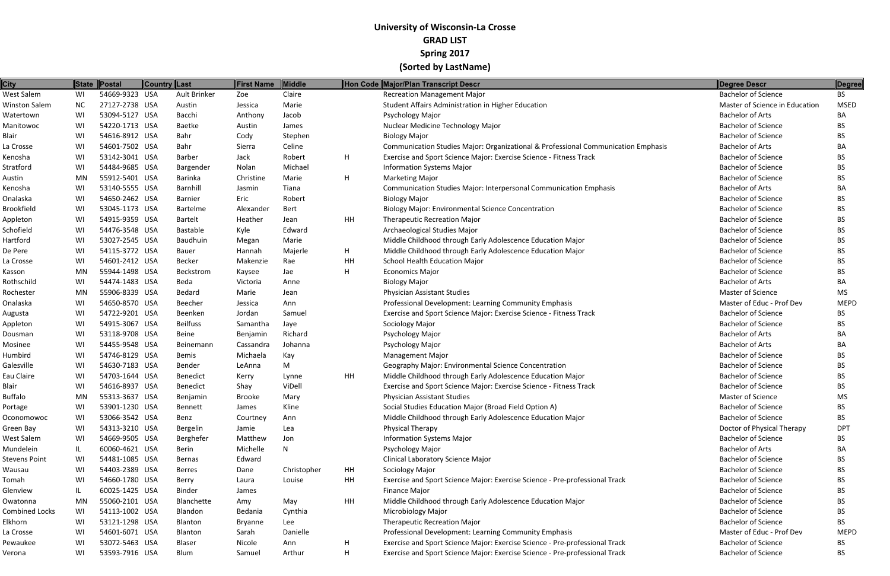| <b>City</b>           |           | State Postal   | Country Last |                 | <b>First Name</b> | <b>Middle</b> |    | Hon Code Major/Plan Transcript Descr                                              | Degree Descr                   | Degree      |
|-----------------------|-----------|----------------|--------------|-----------------|-------------------|---------------|----|-----------------------------------------------------------------------------------|--------------------------------|-------------|
| West Salem            | WI        | 54669-9323 USA |              | Ault Brinker    | Zoe               | Claire        |    | Recreation Management Major                                                       | <b>Bachelor of Science</b>     | <b>BS</b>   |
| <b>Winston Salem</b>  | <b>NC</b> | 27127-2738 USA |              | Austin          | Jessica           | Marie         |    | Student Affairs Administration in Higher Education                                | Master of Science in Education | <b>MSED</b> |
| Watertown             | WI        | 53094-5127 USA |              | Bacchi          | Anthony           | Jacob         |    | Psychology Major                                                                  | <b>Bachelor of Arts</b>        | BA          |
| Manitowoc             | WI        | 54220-1713 USA |              | Baetke          | Austin            | James         |    | Nuclear Medicine Technology Major                                                 | <b>Bachelor of Science</b>     | BS.         |
| Blair                 | WI        | 54616-8912 USA |              | Bahr            | Cody              | Stephen       |    | <b>Biology Major</b>                                                              | <b>Bachelor of Science</b>     | <b>BS</b>   |
| La Crosse             | WI        | 54601-7502 USA |              | Bahr            | Sierra            | Celine        |    | Communication Studies Major: Organizational & Professional Communication Emphasis | <b>Bachelor of Arts</b>        | BA          |
| Kenosha               | WI        | 53142-3041 USA |              | Barber          | Jack              | Robert        | H  | Exercise and Sport Science Major: Exercise Science - Fitness Track                | <b>Bachelor of Science</b>     | <b>BS</b>   |
| Stratford             | WI        | 54484-9685 USA |              | Bargender       | Nolan             | Michael       |    | <b>Information Systems Major</b>                                                  | <b>Bachelor of Science</b>     | BS.         |
| Austin                | <b>MN</b> | 55912-5401 USA |              | <b>Barinka</b>  | Christine         | Marie         | H  | <b>Marketing Major</b>                                                            | <b>Bachelor of Science</b>     | BS.         |
| Kenosha               | WI        | 53140-5555 USA |              | Barnhill        | Jasmin            | Tiana         |    | <b>Communication Studies Major: Interpersonal Communication Emphasis</b>          | <b>Bachelor of Arts</b>        | <b>BA</b>   |
| Onalaska              | WI        | 54650-2462 USA |              | <b>Barnier</b>  | Eric              | Robert        |    | <b>Biology Major</b>                                                              | <b>Bachelor of Science</b>     | BS.         |
| <b>Brookfield</b>     | WI        | 53045-1173 USA |              | <b>Bartelme</b> | Alexander         | <b>Bert</b>   |    | <b>Biology Major: Environmental Science Concentration</b>                         | <b>Bachelor of Science</b>     | <b>BS</b>   |
| Appleton              | WI        | 54915-9359 USA |              | <b>Bartelt</b>  | Heather           | Jean          | HH | <b>Therapeutic Recreation Major</b>                                               | <b>Bachelor of Science</b>     | BS.         |
| Schofield             | WI        | 54476-3548 USA |              | Bastable        | Kyle              | Edward        |    | Archaeological Studies Major                                                      | <b>Bachelor of Science</b>     | <b>BS</b>   |
| Hartford              | WI        | 53027-2545 USA |              | Baudhuin        | Megan             | Marie         |    | Middle Childhood through Early Adolescence Education Major                        | <b>Bachelor of Science</b>     | <b>BS</b>   |
| De Pere               | WI        | 54115-3772 USA |              | <b>Bauer</b>    | Hannah            | Majerle       | H  | Middle Childhood through Early Adolescence Education Major                        | <b>Bachelor of Science</b>     | BS.         |
| La Crosse             | WI        | 54601-2412 USA |              | <b>Becker</b>   | Makenzie          | Rae           | HH | <b>School Health Education Major</b>                                              | <b>Bachelor of Science</b>     | <b>BS</b>   |
| Kasson                | <b>MN</b> | 55944-1498 USA |              | Beckstrom       | Kaysee            | Jae           | H  | <b>Economics Major</b>                                                            | <b>Bachelor of Science</b>     | BS.         |
| Rothschild            | WI        | 54474-1483 USA |              | Beda            | Victoria          | Anne          |    | <b>Biology Major</b>                                                              | <b>Bachelor of Arts</b>        | BA          |
| Rochester             | MN        | 55906-8339 USA |              | Bedard          | Marie             | Jean          |    | <b>Physician Assistant Studies</b>                                                | Master of Science              | MS          |
| Onalaska              | WI        | 54650-8570 USA |              | Beecher         | Jessica           | Ann           |    | Professional Development: Learning Community Emphasis                             | Master of Educ - Prof Dev      | <b>MEPD</b> |
| Augusta               | WI        | 54722-9201 USA |              | Beenken         | Jordan            | Samuel        |    | Exercise and Sport Science Major: Exercise Science - Fitness Track                | <b>Bachelor of Science</b>     | BS.         |
| Appleton              | WI        | 54915-3067 USA |              | <b>Beilfuss</b> | Samantha          | Jaye          |    | Sociology Major                                                                   | <b>Bachelor of Science</b>     | <b>BS</b>   |
| Dousman               | WI        | 53118-9708 USA |              | <b>Beine</b>    | Benjamin          | Richard       |    | Psychology Major                                                                  | <b>Bachelor of Arts</b>        | BA          |
| Mosinee               | WI        | 54455-9548 USA |              | Beinemann       | Cassandra         | Johanna       |    | Psychology Major                                                                  | <b>Bachelor of Arts</b>        | BA          |
| Humbird               | WI        | 54746-8129 USA |              | Bemis           | Michaela          | Kay           |    | <b>Management Major</b>                                                           | <b>Bachelor of Science</b>     | BS.         |
| Galesville            | WI        | 54630-7183 USA |              | Bender          | LeAnna            | M             |    | Geography Major: Environmental Science Concentration                              | <b>Bachelor of Science</b>     | BS.         |
| Eau Claire            | WI        | 54703-1644 USA |              | <b>Benedict</b> | Kerry             | Lynne         | HH | Middle Childhood through Early Adolescence Education Major                        | <b>Bachelor of Science</b>     | <b>BS</b>   |
| <b>Blair</b>          | WI        | 54616-8937 USA |              | Benedict        | Shay              | ViDell        |    | Exercise and Sport Science Major: Exercise Science - Fitness Track                | <b>Bachelor of Science</b>     | BS.         |
| <b>Buffalo</b>        | MN        | 55313-3637 USA |              | Benjamin        | Brooke            | Mary          |    | <b>Physician Assistant Studies</b>                                                | Master of Science              | <b>MS</b>   |
| Portage               | WI        | 53901-1230 USA |              | Bennett         | James             | Kline         |    | Social Studies Education Major (Broad Field Option A)                             | <b>Bachelor of Science</b>     | <b>BS</b>   |
| Oconomowoc            | WI        | 53066-3542 USA |              | Benz            | Courtney          | Ann           |    | Middle Childhood through Early Adolescence Education Major                        | <b>Bachelor of Science</b>     | BS.         |
| Green Bay             | WI        | 54313-3210 USA |              | Bergelin        | Jamie             | Lea           |    | <b>Physical Therapy</b>                                                           | Doctor of Physical Therapy     | <b>DPT</b>  |
| West Salem            | WI        | 54669-9505 USA |              | Berghefer       | Matthew           | Jon           |    | <b>Information Systems Major</b>                                                  | <b>Bachelor of Science</b>     | BS.         |
| Mundelein             | IL        | 60060-4621 USA |              | Berin           | Michelle          | N             |    | Psychology Major                                                                  | <b>Bachelor of Arts</b>        | BA          |
| <b>Stevens Point</b>  | WI        | 54481-1085 USA |              | Bernas          | Edward            |               |    | Clinical Laboratory Science Major                                                 | <b>Bachelor of Science</b>     | BS.         |
| Wausau                | WI        | 54403-2389 USA |              | <b>Berres</b>   | Dane              | Christopher   | HH | Sociology Major                                                                   | <b>Bachelor of Science</b>     | BS.         |
| Tomah                 | WI        | 54660-1780 USA |              | Berry           | Laura             | Louise        | HH | Exercise and Sport Science Major: Exercise Science - Pre-professional Track       | <b>Bachelor of Science</b>     | <b>BS</b>   |
| Glenview              | IL.       | 60025-1425 USA |              | <b>Binder</b>   | James             |               |    | <b>Finance Major</b>                                                              | <b>Bachelor of Science</b>     | BS.         |
| Owatonna              | MN        | 55060-2101 USA |              | Blanchette      | Amy               | May           | HH | Middle Childhood through Early Adolescence Education Major                        | <b>Bachelor of Science</b>     | BS.         |
| <b>Combined Locks</b> | WI        | 54113-1002 USA |              | Blandon         | Bedania           | Cynthia       |    | Microbiology Major                                                                | <b>Bachelor of Science</b>     | BS.         |
| Elkhorn               | WI        | 53121-1298 USA |              | Blanton         | <b>Bryanne</b>    | Lee           |    | <b>Therapeutic Recreation Major</b>                                               | <b>Bachelor of Science</b>     | <b>BS</b>   |
| La Crosse             | WI        | 54601-6071 USA |              | Blanton         | Sarah             | Danielle      |    | Professional Development: Learning Community Emphasis                             | Master of Educ - Prof Dev      | <b>MEPD</b> |
| Pewaukee              | WI        | 53072-5463 USA |              | Blaser          | Nicole            | Ann           | H  | Exercise and Sport Science Major: Exercise Science - Pre-professional Track       | <b>Bachelor of Science</b>     | BS          |
| Verona                | WI        | 53593-7916 USA |              | Blum            | Samuel            | Arthur        | H  | Exercise and Sport Science Major: Exercise Science - Pre-professional Track       | <b>Bachelor of Science</b>     | <b>BS</b>   |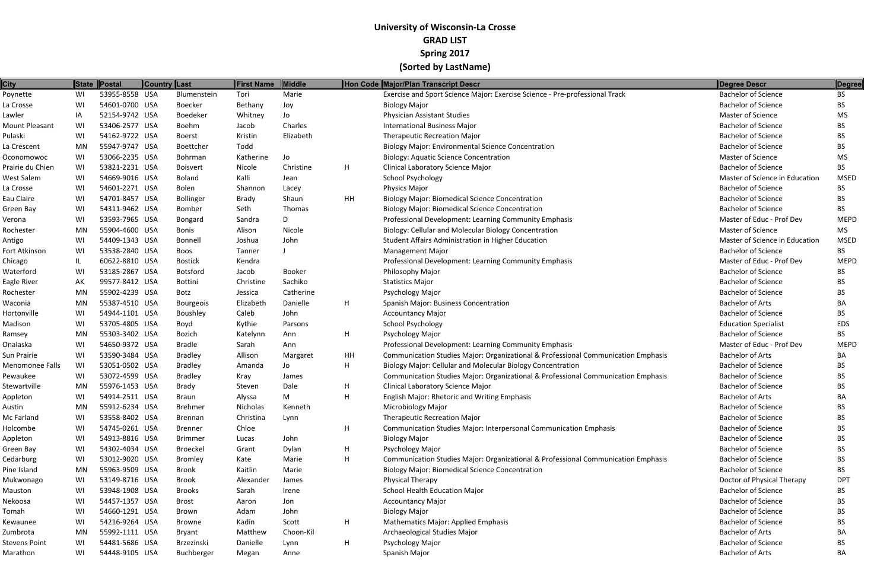| <b>City</b>      |    | State Postal   | <b>Country Last</b> | First Name | <b>Middle</b> |    | Hon Code Major/Plan Transcript Descr                                              | Degree Descr                   | Degree      |
|------------------|----|----------------|---------------------|------------|---------------|----|-----------------------------------------------------------------------------------|--------------------------------|-------------|
| Poynette         | WI | 53955-8558 USA | Blumenstein         | Tori       | Marie         |    | Exercise and Sport Science Major: Exercise Science - Pre-professional Track       | <b>Bachelor of Science</b>     | <b>BS</b>   |
| La Crosse        | WI | 54601-0700 USA | <b>Boecker</b>      | Bethany    | Joy           |    | <b>Biology Major</b>                                                              | <b>Bachelor of Science</b>     | BS.         |
| Lawler           | IA | 52154-9742 USA | Boedeker            | Whitney    | Jo            |    | <b>Physician Assistant Studies</b>                                                | <b>Master of Science</b>       | MS          |
| Mount Pleasant   | WI | 53406-2577 USA | Boehm               | Jacob      | Charles       |    | <b>International Business Major</b>                                               | <b>Bachelor of Science</b>     | BS.         |
| Pulaski          | WI | 54162-9722 USA | Boerst              | Kristin    | Elizabeth     |    | <b>Therapeutic Recreation Major</b>                                               | <b>Bachelor of Science</b>     | BS.         |
| La Crescent      | MN | 55947-9747 USA | Boettcher           | Todd       |               |    | <b>Biology Major: Environmental Science Concentration</b>                         | <b>Bachelor of Science</b>     | BS.         |
| Oconomowoc       | WI | 53066-2235 USA | Bohrman             | Katherine  | Jo            |    | <b>Biology: Aquatic Science Concentration</b>                                     | <b>Master of Science</b>       | MS          |
| Prairie du Chien | WI | 53821-2231 USA | <b>Boisvert</b>     | Nicole     | Christine     | H  | Clinical Laboratory Science Major                                                 | <b>Bachelor of Science</b>     | BS.         |
| West Salem       | WI | 54669-9016 USA | <b>Boland</b>       | Kalli      | Jean          |    | <b>School Psychology</b>                                                          | Master of Science in Education | <b>MSED</b> |
| La Crosse        | WI | 54601-2271 USA | Bolen               | Shannon    | Lacey         |    | <b>Physics Major</b>                                                              | <b>Bachelor of Science</b>     | BS.         |
| Eau Claire       | WI | 54701-8457 USA | Bollinger           | Brady      | Shaun         | HH | <b>Biology Major: Biomedical Science Concentration</b>                            | <b>Bachelor of Science</b>     | BS.         |
| Green Bay        | WI | 54311-9462 USA | Bomber              | Seth       | <b>Thomas</b> |    | <b>Biology Major: Biomedical Science Concentration</b>                            | <b>Bachelor of Science</b>     | BS.         |
| Verona           | WI | 53593-7965 USA | Bongard             | Sandra     | D             |    | Professional Development: Learning Community Emphasis                             | Master of Educ - Prof Dev      | <b>MEPD</b> |
| Rochester        | MN | 55904-4600 USA | <b>Bonis</b>        | Alison     | Nicole        |    | Biology: Cellular and Molecular Biology Concentration                             | Master of Science              | <b>MS</b>   |
| Antigo           | WI | 54409-1343 USA | Bonnell             | Joshua     | John          |    | Student Affairs Administration in Higher Education                                | Master of Science in Education | <b>MSED</b> |
| Fort Atkinson    | WI | 53538-2840 USA | Boos                | Tanner     |               |    | <b>Management Major</b>                                                           | <b>Bachelor of Science</b>     | BS.         |
| Chicago          | IL | 60622-8810 USA | <b>Bostick</b>      | Kendra     |               |    | Professional Development: Learning Community Emphasis                             | Master of Educ - Prof Dev      | <b>MEPD</b> |
| Waterford        | WI | 53185-2867 USA | <b>Botsford</b>     | Jacob      | Booker        |    | Philosophy Major                                                                  | <b>Bachelor of Science</b>     | BS.         |
| Eagle River      | AK | 99577-8412 USA | <b>Bottini</b>      | Christine  | Sachiko       |    | <b>Statistics Major</b>                                                           | <b>Bachelor of Science</b>     | BS.         |
| Rochester        | MN | 55902-4239 USA | Botz                | Jessica    | Catherine     |    | Psychology Major                                                                  | <b>Bachelor of Science</b>     | BS.         |
| Waconia          | MN | 55387-4510 USA | Bourgeois           | Elizabeth  | Danielle      | H  | Spanish Major: Business Concentration                                             | <b>Bachelor of Arts</b>        | BА          |
| Hortonville      | WI | 54944-1101 USA | Boushley            | Caleb      | John          |    | <b>Accountancy Major</b>                                                          | <b>Bachelor of Science</b>     | BS.         |
| Madison          | WI | 53705-4805 USA | Boyd                | Kythie     | Parsons       |    | <b>School Psychology</b>                                                          | <b>Education Specialist</b>    | EDS         |
| Ramsey           | MN | 55303-3402 USA | Bozich              | Katelynn   | Ann           | H  | Psychology Major                                                                  | <b>Bachelor of Science</b>     | BS.         |
| Onalaska         | WI | 54650-9372 USA | <b>Bradle</b>       | Sarah      | Ann           |    | Professional Development: Learning Community Emphasis                             | Master of Educ - Prof Dev      | <b>MEPD</b> |
| Sun Prairie      | WI | 53590-3484 USA | <b>Bradley</b>      | Allison    | Margaret      | HH | Communication Studies Major: Organizational & Professional Communication Emphasis | <b>Bachelor of Arts</b>        | BA          |
| Menomonee Falls  | WI | 53051-0502 USA | <b>Bradley</b>      | Amanda     | Jo            | H  | Biology Major: Cellular and Molecular Biology Concentration                       | <b>Bachelor of Science</b>     | BS.         |
| Pewaukee         | WI | 53072-4599 USA | <b>Bradley</b>      | Kray       | James         |    | Communication Studies Major: Organizational & Professional Communication Emphasis | <b>Bachelor of Science</b>     | BS.         |
| Stewartville     | MN | 55976-1453 USA | Brady               | Steven     | Dale          | H  | Clinical Laboratory Science Major                                                 | <b>Bachelor of Science</b>     | BS.         |
| Appleton         | WI | 54914-2511 USA | <b>Braun</b>        | Alyssa     | M             | H  | <b>English Major: Rhetoric and Writing Emphasis</b>                               | <b>Bachelor of Arts</b>        | BA          |
| Austin           | MN | 55912-6234 USA | <b>Brehmer</b>      | Nicholas   | Kenneth       |    | Microbiology Major                                                                | <b>Bachelor of Science</b>     | BS.         |
| Mc Farland       | WI | 53558-8402 USA | <b>Brennan</b>      | Christina  | Lynn          |    | <b>Therapeutic Recreation Major</b>                                               | <b>Bachelor of Science</b>     | BS          |
| Holcombe         | WI | 54745-0261 USA | Brenner             | Chloe      |               | H  | <b>Communication Studies Major: Interpersonal Communication Emphasis</b>          | <b>Bachelor of Science</b>     | BS.         |
| Appleton         | WI | 54913-8816 USA | <b>Brimmer</b>      | Lucas      | John          |    | <b>Biology Major</b>                                                              | <b>Bachelor of Science</b>     | BS.         |
| Green Bay        | WI | 54302-4034 USA | <b>Broeckel</b>     | Grant      | Dylan         | H  | Psychology Major                                                                  | <b>Bachelor of Science</b>     | BS          |
| Cedarburg        | WI | 53012-9020 USA | Bromley             | Kate       | Marie         | H  | Communication Studies Major: Organizational & Professional Communication Emphasis | <b>Bachelor of Science</b>     | BS.         |
| Pine Island      | MN | 55963-9509 USA | Bronk               | Kaitlin    | Marie         |    | <b>Biology Major: Biomedical Science Concentration</b>                            | <b>Bachelor of Science</b>     | BS.         |
| Mukwonago        | WI | 53149-8716 USA | <b>Brook</b>        | Alexander  | James         |    | Physical Therapy                                                                  | Doctor of Physical Therapy     | <b>DPT</b>  |
| Mauston          | WI | 53948-1908 USA | <b>Brooks</b>       | Sarah      | Irene         |    | School Health Education Major                                                     | <b>Bachelor of Science</b>     | BS.         |
| Nekoosa          | WI | 54457-1357 USA | <b>Brost</b>        | Aaron      | Jon           |    | <b>Accountancy Major</b>                                                          | <b>Bachelor of Science</b>     | BS          |
| Tomah            | WI | 54660-1291 USA | Brown               | Adam       | John          |    | <b>Biology Major</b>                                                              | <b>Bachelor of Science</b>     | BS.         |
| Kewaunee         | WI | 54216-9264 USA | <b>Browne</b>       | Kadin      | Scott         | H  | <b>Mathematics Major: Applied Emphasis</b>                                        | <b>Bachelor of Science</b>     | BS.         |
| Zumbrota         | MN | 55992-1111 USA | Bryant              | Matthew    | Choon-Kil     |    | Archaeological Studies Major                                                      | <b>Bachelor of Arts</b>        | ВA          |
| Stevens Point    | WI | 54481-5686 USA | Brzezinski          | Danielle   | Lynn          | H  | Psychology Major                                                                  | <b>Bachelor of Science</b>     | BS.         |
| Marathon         | WI | 54448-9105 USA | Buchberger          | Megan      | Anne          |    | Spanish Major                                                                     | <b>Bachelor of Arts</b>        | BA          |
|                  |    |                |                     |            |               |    |                                                                                   |                                |             |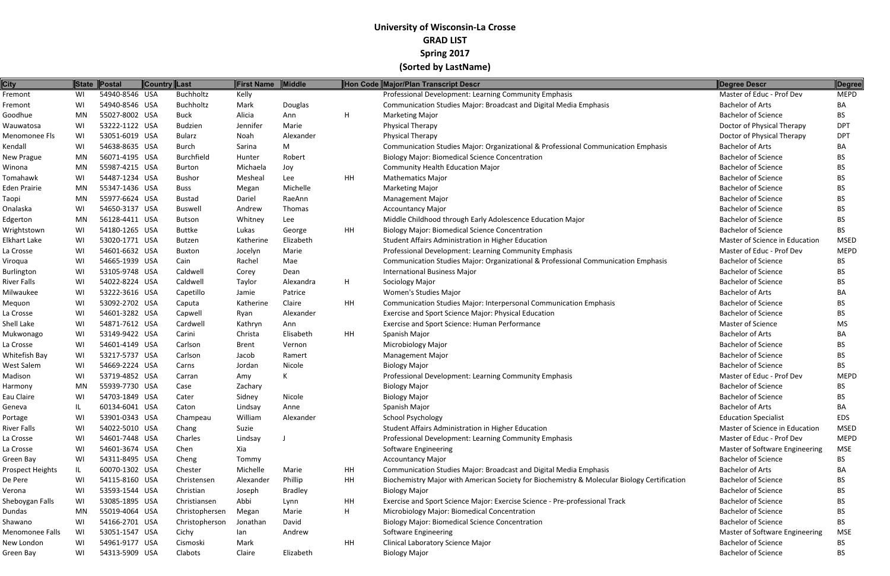| <b>City</b>       | <b>State</b> | Postal         | <b>Country Last</b> |                | <b>First Name</b> | Middle         |    | Hon Code Major/Plan Transcript Descr                                                        | Degree Descr                   | Degree      |
|-------------------|--------------|----------------|---------------------|----------------|-------------------|----------------|----|---------------------------------------------------------------------------------------------|--------------------------------|-------------|
| Fremont           | WI           | 54940-8546 USA |                     | Buchholtz      | Kelly             |                |    | Professional Development: Learning Community Emphasis                                       | Master of Educ - Prof Dev      | <b>MEPD</b> |
| Fremont           | WI           | 54940-8546 USA |                     | Buchholtz      | Mark              | Douglas        |    | <b>Communication Studies Major: Broadcast and Digital Media Emphasis</b>                    | <b>Bachelor of Arts</b>        | BA          |
| Goodhue           | MN           | 55027-8002 USA |                     | <b>Buck</b>    | Alicia            | Ann            | H  | <b>Marketing Major</b>                                                                      | <b>Bachelor of Science</b>     | <b>BS</b>   |
| Wauwatosa         | WI           | 53222-1122 USA |                     | <b>Budzien</b> | Jennifer          | Marie          |    | Physical Therapy                                                                            | Doctor of Physical Therapy     | <b>DPT</b>  |
| Menomonee Fls     | WI           | 53051-6019 USA |                     | Bularz         | Noah              | Alexander      |    | <b>Physical Therapy</b>                                                                     | Doctor of Physical Therapy     | <b>DPT</b>  |
| Kendall           | WI           | 54638-8635 USA |                     | <b>Burch</b>   | Sarina            | M              |    | Communication Studies Major: Organizational & Professional Communication Emphasis           | <b>Bachelor of Arts</b>        | BA          |
| <b>New Prague</b> | MN           | 56071-4195 USA |                     | Burchfield     | Hunter            | Robert         |    | <b>Biology Major: Biomedical Science Concentration</b>                                      | <b>Bachelor of Science</b>     | BS.         |
| Winona            | MN           | 55987-4215 USA |                     | <b>Burton</b>  | Michaela          | Joy            |    | <b>Community Health Education Major</b>                                                     | <b>Bachelor of Science</b>     | BS.         |
| Tomahawk          | WI           | 54487-1234 USA |                     | <b>Bushor</b>  | Mesheal           | Lee            | HH | <b>Mathematics Major</b>                                                                    | <b>Bachelor of Science</b>     | <b>BS</b>   |
| Eden Prairie      | MN           | 55347-1436 USA |                     | Buss           | Megan             | Michelle       |    | <b>Marketing Major</b>                                                                      | <b>Bachelor of Science</b>     | <b>BS</b>   |
| Taopi             | MN           | 55977-6624 USA |                     | <b>Bustad</b>  | Dariel            | RaeAnn         |    | <b>Management Major</b>                                                                     | <b>Bachelor of Science</b>     | <b>BS</b>   |
| Onalaska          | WI           | 54650-3137 USA |                     | Buswell        | Andrew            | Thomas         |    | <b>Accountancy Major</b>                                                                    | <b>Bachelor of Science</b>     | <b>BS</b>   |
| Edgerton          | MN           | 56128-4411 USA |                     | <b>Butson</b>  | Whitney           | Lee            |    | Middle Childhood through Early Adolescence Education Major                                  | <b>Bachelor of Science</b>     | <b>BS</b>   |
| Wrightstown       | WI           | 54180-1265 USA |                     | Buttke         | Lukas             | George         | HH | <b>Biology Major: Biomedical Science Concentration</b>                                      | <b>Bachelor of Science</b>     | <b>BS</b>   |
| Elkhart Lake      | WI           | 53020-1771 USA |                     | Butzen         | Katherine         | Elizabeth      |    | Student Affairs Administration in Higher Education                                          | Master of Science in Education | <b>MSED</b> |
| La Crosse         | WI           | 54601-6632 USA |                     | <b>Buxton</b>  | Jocelyn           | Marie          |    | Professional Development: Learning Community Emphasis                                       | Master of Educ - Prof Dev      | <b>MEPD</b> |
| Viroqua           | WI           | 54665-1939 USA |                     | Cain           | Rachel            | Mae            |    | Communication Studies Major: Organizational & Professional Communication Emphasis           | <b>Bachelor of Science</b>     | <b>BS</b>   |
| <b>Burlington</b> | WI           | 53105-9748 USA |                     | Caldwell       | Corey             | Dean           |    | <b>International Business Major</b>                                                         | <b>Bachelor of Science</b>     | BS.         |
| River Falls       | WI           | 54022-8224 USA |                     | Caldwell       | Taylor            | Alexandra      | H  | Sociology Major                                                                             | <b>Bachelor of Science</b>     | BS          |
| Milwaukee         | WI           | 53222-3616 USA |                     | Capetillo      | Jamie             | Patrice        |    | Women's Studies Major                                                                       | <b>Bachelor of Arts</b>        | BA          |
| Mequon            | WI           | 53092-2702 USA |                     | Caputa         | Katherine         | Claire         | HH | Communication Studies Major: Interpersonal Communication Emphasis                           | <b>Bachelor of Science</b>     | BS.         |
| La Crosse         | WI           | 54601-3282 USA |                     | Capwell        | Ryan              | Alexander      |    | Exercise and Sport Science Major: Physical Education                                        | <b>Bachelor of Science</b>     | BS.         |
| Shell Lake        | WI           | 54871-7612 USA |                     | Cardwell       | Kathryn           | Ann            |    | Exercise and Sport Science: Human Performance                                               | Master of Science              | MS          |
| Mukwonago         | WI           | 53149-9422 USA |                     | Carini         | Christa           | Elisabeth      | HH | Spanish Major                                                                               | <b>Bachelor of Arts</b>        | BA          |
| La Crosse         | WI           | 54601-4149 USA |                     | Carlson        | Brent             | Vernon         |    | <b>Microbiology Major</b>                                                                   | <b>Bachelor of Science</b>     | <b>BS</b>   |
| Whitefish Bay     | WI           | 53217-5737 USA |                     | Carlson        | Jacob             | Ramert         |    | <b>Management Major</b>                                                                     | <b>Bachelor of Science</b>     | BS          |
| West Salem        | WI           | 54669-2224 USA |                     | Carns          | Jordan            | Nicole         |    | <b>Biology Major</b>                                                                        | <b>Bachelor of Science</b>     | BS.         |
| Madison           | WI           | 53719-4852 USA |                     | Carran         | Amy               | K              |    | Professional Development: Learning Community Emphasis                                       | Master of Educ - Prof Dev      | <b>MEPD</b> |
| Harmony           | MN           | 55939-7730 USA |                     | Case           | Zachary           |                |    | <b>Biology Major</b>                                                                        | <b>Bachelor of Science</b>     | <b>BS</b>   |
| Eau Claire        | WI           | 54703-1849 USA |                     | Cater          | Sidney            | Nicole         |    | <b>Biology Major</b>                                                                        | <b>Bachelor of Science</b>     | BS.         |
| Geneva            | IL.          | 60134-6041 USA |                     | Caton          | Lindsay           | Anne           |    | Spanish Major                                                                               | <b>Bachelor of Arts</b>        | BA          |
| Portage           | WI           | 53901-0343 USA |                     | Champeau       | William           | Alexander      |    | <b>School Psychology</b>                                                                    | <b>Education Specialist</b>    | EDS         |
| River Falls       | WI           | 54022-5010 USA |                     | Chang          | Suzie             |                |    | Student Affairs Administration in Higher Education                                          | Master of Science in Education | <b>MSED</b> |
| La Crosse         | WI           | 54601-7448 USA |                     | Charles        | Lindsay           |                |    | Professional Development: Learning Community Emphasis                                       | Master of Educ - Prof Dev      | <b>MEPD</b> |
| La Crosse         | WI           | 54601-3674 USA |                     | Chen           | Xia               |                |    | Software Engineering                                                                        | Master of Software Engineering | MSE         |
| Green Bay         | WI           | 54311-8495 USA |                     | Cheng          | Tommy             |                |    | <b>Accountancy Major</b>                                                                    | <b>Bachelor of Science</b>     | BS.         |
| Prospect Heights  | IL.          | 60070-1302 USA |                     | Chester        | Michelle          | Marie          | HH | Communication Studies Major: Broadcast and Digital Media Emphasis                           | <b>Bachelor of Arts</b>        | BA          |
| De Pere           | WI           | 54115-8160 USA |                     | Christensen    | Alexander         | Phillip        | HH | Biochemistry Major with American Society for Biochemistry & Molecular Biology Certification | <b>Bachelor of Science</b>     | BS.         |
| Verona            | WI           | 53593-1544 USA |                     | Christian      | Joseph            | <b>Bradley</b> |    | <b>Biology Major</b>                                                                        | <b>Bachelor of Science</b>     | BS.         |
| Sheboygan Falls   | WI           | 53085-1895 USA |                     | Christiansen   | Abbi              | Lynn           | HH | Exercise and Sport Science Major: Exercise Science - Pre-professional Track                 | <b>Bachelor of Science</b>     | BS.         |
| Dundas            | MN           | 55019-4064 USA |                     | Christophersen | Megan             | Marie          | H  | Microbiology Major: Biomedical Concentration                                                | <b>Bachelor of Science</b>     | BS.         |
| Shawano           | WI           | 54166-2701 USA |                     | Christopherson | Jonathan          | David          |    | <b>Biology Major: Biomedical Science Concentration</b>                                      | <b>Bachelor of Science</b>     | BS.         |
| Menomonee Falls   | WI           | 53051-1547 USA |                     | Cichy          | lan               | Andrew         |    | Software Engineering                                                                        | Master of Software Engineering | <b>MSE</b>  |
| New London        | WI           | 54961-9177 USA |                     | Cismoski       | Mark              |                | HH | Clinical Laboratory Science Major                                                           | <b>Bachelor of Science</b>     | <b>BS</b>   |
| Green Bay         | WI           | 54313-5909 USA |                     | Clabots        | Claire            | Elizabeth      |    | <b>Biology Major</b>                                                                        | <b>Bachelor of Science</b>     | <b>BS</b>   |
|                   |              |                |                     |                |                   |                |    |                                                                                             |                                |             |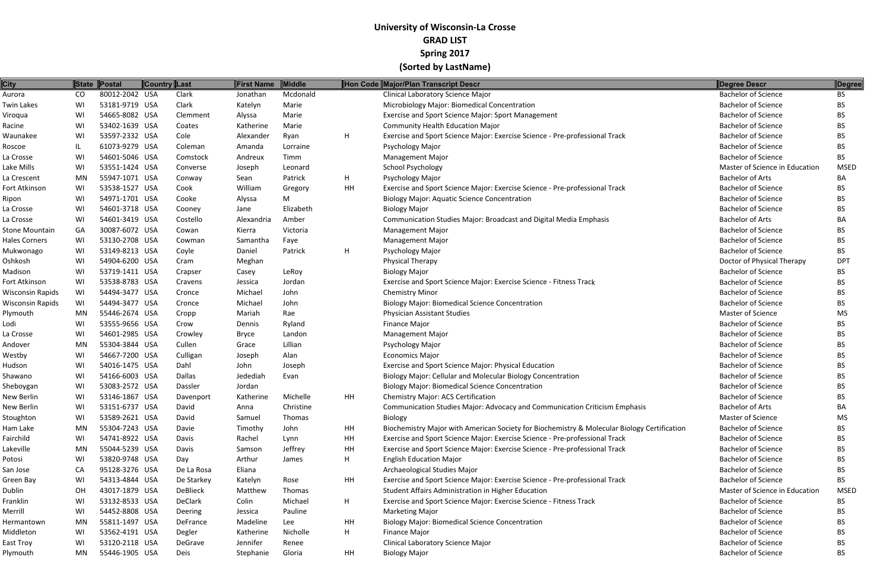| <b>City</b>           |     | State Postal   | <b>Country Last</b> | First Name | Middle    |    | Hon Code Major/Plan Transcript Descr                                                        | Degree Descr                   | <b>Degree</b> |
|-----------------------|-----|----------------|---------------------|------------|-----------|----|---------------------------------------------------------------------------------------------|--------------------------------|---------------|
| Aurora                | CO  | 80012-2042 USA | Clark               | Jonathan   | Mcdonald  |    | Clinical Laboratory Science Major                                                           | <b>Bachelor of Science</b>     | <b>BS</b>     |
| Twin Lakes            | WI  | 53181-9719 USA | Clark               | Katelyn    | Marie     |    | Microbiology Major: Biomedical Concentration                                                | <b>Bachelor of Science</b>     | ВS            |
| Viroqua               | WI  | 54665-8082 USA | Clemment            | Alyssa     | Marie     |    | Exercise and Sport Science Major: Sport Management                                          | <b>Bachelor of Science</b>     | BS.           |
| Racine                | WI  | 53402-1639 USA | Coates              | Katherine  | Marie     |    | <b>Community Health Education Major</b>                                                     | <b>Bachelor of Science</b>     | BS.           |
| Waunakee              | WI  | 53597-2332 USA | Cole                | Alexander  | Ryan      | H  | Exercise and Sport Science Major: Exercise Science - Pre-professional Track                 | <b>Bachelor of Science</b>     | BS.           |
| Roscoe                | IL. | 61073-9279 USA | Coleman             | Amanda     | Lorraine  |    | Psychology Major                                                                            | <b>Bachelor of Science</b>     | BS.           |
| La Crosse             | WI  | 54601-5046 USA | Comstock            | Andreux    | Timm      |    | <b>Management Major</b>                                                                     | <b>Bachelor of Science</b>     | BS.           |
| Lake Mills            | WI  | 53551-1424 USA | Converse            | Joseph     | Leonard   |    | <b>School Psychology</b>                                                                    | Master of Science in Education | <b>MSED</b>   |
| La Crescent           | MN  | 55947-1071 USA | Conway              | Sean       | Patrick   | H  | Psychology Major                                                                            | <b>Bachelor of Arts</b>        | BА            |
| Fort Atkinson         | WI  | 53538-1527 USA | Cook                | William    | Gregory   | HH | Exercise and Sport Science Major: Exercise Science - Pre-professional Track                 | <b>Bachelor of Science</b>     | BS            |
| Ripon                 | WI  | 54971-1701 USA | Cooke               | Alyssa     | M         |    | <b>Biology Major: Aquatic Science Concentration</b>                                         | <b>Bachelor of Science</b>     | BS.           |
| La Crosse             | WI  | 54601-3718 USA | Cooney              | Jane       | Elizabeth |    | <b>Biology Major</b>                                                                        | <b>Bachelor of Science</b>     | BS.           |
| La Crosse             | WI  | 54601-3419 USA | Costello            | Alexandria | Amber     |    | Communication Studies Major: Broadcast and Digital Media Emphasis                           | <b>Bachelor of Arts</b>        | BА            |
| <b>Stone Mountain</b> | GA  | 30087-6072 USA | Cowan               | Kierra     | Victoria  |    | <b>Management Major</b>                                                                     | <b>Bachelor of Science</b>     | BS.           |
| Hales Corners         | WI  | 53130-2708 USA | Cowman              | Samantha   | Faye      |    | <b>Management Major</b>                                                                     | <b>Bachelor of Science</b>     | ВS            |
| Mukwonago             | WI  | 53149-8213 USA | Coyle               | Daniel     | Patrick   | H  | <b>Psychology Major</b>                                                                     | <b>Bachelor of Science</b>     | BS.           |
| Oshkosh               | WI  | 54904-6200 USA | Cram                | Meghan     |           |    | <b>Physical Therapy</b>                                                                     | Doctor of Physical Therapy     | <b>DPT</b>    |
| Madison               | WI  | 53719-1411 USA | Crapser             | Casey      | LeRoy     |    | <b>Biology Major</b>                                                                        | <b>Bachelor of Science</b>     | BS.           |
| Fort Atkinson         | WI  | 53538-8783 USA | Cravens             | Jessica    | Jordan    |    | Exercise and Sport Science Major: Exercise Science - Fitness Track                          | <b>Bachelor of Science</b>     | BS.           |
| Wisconsin Rapids      | WI  | 54494-3477 USA | Cronce              | Michael    | John      |    | <b>Chemistry Minor</b>                                                                      | <b>Bachelor of Science</b>     | BS            |
| Wisconsin Rapids      | WI  | 54494-3477 USA | Cronce              | Michael    | John      |    | <b>Biology Major: Biomedical Science Concentration</b>                                      | <b>Bachelor of Science</b>     | BS.           |
| Plymouth              | MN  | 55446-2674 USA | Cropp               | Mariah     | Rae       |    | <b>Physician Assistant Studies</b>                                                          | Master of Science              | МS            |
| Lodi                  | WI  | 53555-9656 USA | Crow                | Dennis     | Ryland    |    | Finance Major                                                                               | <b>Bachelor of Science</b>     | BS.           |
| La Crosse             | WI  | 54601-2985 USA | Crowley             | Bryce      | Landon    |    | <b>Management Major</b>                                                                     | <b>Bachelor of Science</b>     | BS.           |
| Andover               | MN  | 55304-3844 USA | Cullen              | Grace      | Lillian   |    | Psychology Major                                                                            | <b>Bachelor of Science</b>     | ВS            |
| Westby                | WI  | 54667-7200 USA | Culligan            | Joseph     | Alan      |    | <b>Economics Major</b>                                                                      | <b>Bachelor of Science</b>     | BS.           |
| Hudson                | WI  | 54016-1475 USA | Dahl                | John       | Joseph    |    | Exercise and Sport Science Major: Physical Education                                        | <b>Bachelor of Science</b>     | BS            |
| Shawano               | WI  | 54166-6003 USA | Dallas              | Jedediah   | Evan      |    | Biology Major: Cellular and Molecular Biology Concentration                                 | <b>Bachelor of Science</b>     | BS.           |
| Sheboygan             | WI  | 53083-2572 USA | Dassler             | Jordan     |           |    | <b>Biology Major: Biomedical Science Concentration</b>                                      | <b>Bachelor of Science</b>     | ВS            |
| New Berlin            | WI  | 53146-1867 USA | Davenport           | Katherine  | Michelle  | HH | <b>Chemistry Major: ACS Certification</b>                                                   | <b>Bachelor of Science</b>     | <b>BS</b>     |
| New Berlin            | WI  | 53151-6737 USA | David               | Anna       | Christine |    | Communication Studies Major: Advocacy and Communication Criticism Emphasis                  | <b>Bachelor of Arts</b>        | ВA            |
| Stoughton             | WI  | 53589-2621 USA | David               | Samuel     | Thomas    |    | Biology                                                                                     | Master of Science              | МS            |
| Ham Lake              | MN  | 55304-7243 USA | Davie               | Timothy    | John      | HH | Biochemistry Major with American Society for Biochemistry & Molecular Biology Certification | <b>Bachelor of Science</b>     | BS            |
| Fairchild             | WI  | 54741-8922 USA | Davis               | Rachel     | Lynn      | HH | Exercise and Sport Science Major: Exercise Science - Pre-professional Track                 | <b>Bachelor of Science</b>     | BS.           |
| Lakeville             | MN  | 55044-5239 USA | Davis               | Samson     | Jeffrey   | HH | Exercise and Sport Science Major: Exercise Science - Pre-professional Track                 | <b>Bachelor of Science</b>     | BS.           |
| Potosi                | WI  | 53820-9748 USA | Day                 | Arthur     | James     | H. | <b>English Education Major</b>                                                              | <b>Bachelor of Science</b>     | BS.           |
| San Jose              | CA  | 95128-3276 USA | De La Rosa          | Eliana     |           |    | Archaeological Studies Major                                                                | <b>Bachelor of Science</b>     | BS.           |
| Green Bay             | WI  | 54313-4844 USA | De Starkey          | Katelyn    | Rose      | HH | Exercise and Sport Science Major: Exercise Science - Pre-professional Track                 | <b>Bachelor of Science</b>     | BS.           |
| Dublin                | OH  | 43017-1879 USA | <b>DeBlieck</b>     | Matthew    | Thomas    |    | Student Affairs Administration in Higher Education                                          | Master of Science in Education | <b>MSED</b>   |
| Franklin              | WI  | 53132-8533 USA | <b>DeClark</b>      | Colin      | Michael   | H. | Exercise and Sport Science Major: Exercise Science - Fitness Track                          | <b>Bachelor of Science</b>     | BS.           |
| Merrill               | WI  | 54452-8808 USA | Deering             | Jessica    | Pauline   |    | <b>Marketing Major</b>                                                                      | <b>Bachelor of Science</b>     | BS.           |
| Hermantown            | MN  | 55811-1497 USA | DeFrance            | Madeline   | Lee       | HH | <b>Biology Major: Biomedical Science Concentration</b>                                      | <b>Bachelor of Science</b>     | ВS            |
| Middleton             | WI  | 53562-4191 USA | Degler              | Katherine  | Nicholle  | H  | <b>Finance Major</b>                                                                        | <b>Bachelor of Science</b>     | BS            |
| East Troy             | WI  | 53120-2118 USA | DeGrave             | Jennifer   | Renee     |    | Clinical Laboratory Science Major                                                           | <b>Bachelor of Science</b>     | BS            |
| Plymouth              | MN  | 55446-1905 USA | Deis                | Stephanie  | Gloria    | HH | <b>Biology Major</b>                                                                        | <b>Bachelor of Science</b>     | BS.           |
|                       |     |                |                     |            |           |    |                                                                                             |                                |               |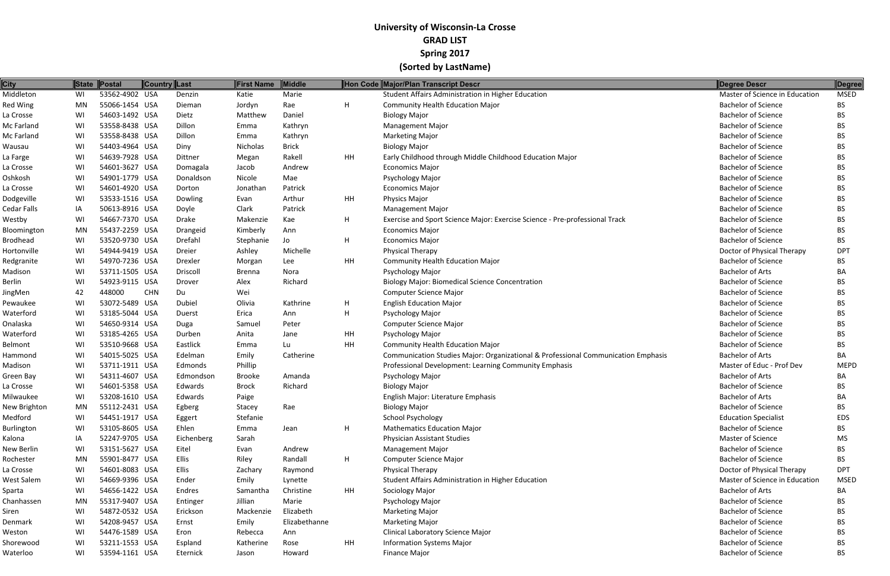| 53562-4902 USA<br>Student Affairs Administration in Higher Education<br>Marie<br>Master of Science in Education<br><b>MSED</b><br>Denzin<br>WI<br>Katie<br>55066-1454 USA<br>H<br><b>Community Health Education Major</b><br><b>Bachelor of Science</b><br>MN<br>Rae<br>BS.<br>Dieman<br>Jordyn<br>54603-1492 USA<br>Daniel<br><b>Bachelor of Science</b><br>WI<br>Dietz<br>Matthew<br><b>Biology Major</b><br>BS.<br>53558-8438 USA<br>Dillon<br><b>Bachelor of Science</b><br>WI<br>Kathryn<br><b>Management Major</b><br>Emma<br>BS<br>53558-8438 USA<br>Dillon<br><b>Bachelor of Science</b><br>WI<br><b>Marketing Major</b><br>BS<br>Kathryn<br>Emma<br>54403-4964 USA<br>Nicholas<br><b>Brick</b><br><b>Bachelor of Science</b><br>WI<br>Diny<br><b>Biology Major</b><br>BS.<br>WI<br>54639-7928 USA<br>Rakell<br>HH<br>Early Childhood through Middle Childhood Education Major<br><b>Bachelor of Science</b><br>BS<br>Dittner<br>Megan<br><b>Bachelor of Science</b><br>WI<br>54601-3627 USA<br>Andrew<br>Domagala<br>Jacob<br><b>Economics Major</b><br>BS.<br>54901-1779 USA<br><b>Bachelor of Science</b><br>WI<br>Donaldson<br>Psychology Major<br>Nicole<br>Mae<br>BS.<br>54601-4920 USA<br><b>Bachelor of Science</b><br>WI<br>Patrick<br><b>Economics Major</b><br>BS<br>Dorton<br>Jonathan<br>WI<br>53533-1516 USA<br>Arthur<br>HH<br>Physics Major<br><b>Bachelor of Science</b><br>Dowling<br>BS.<br>Evan<br>50613-8916 USA<br>Patrick<br><b>Bachelor of Science</b><br>IA<br>Doyle<br>Clark<br><b>Management Major</b><br>BS<br>54667-7370 USA<br>WI<br>Drake<br>Makenzie<br>Kae<br>H<br>Exercise and Sport Science Major: Exercise Science - Pre-professional Track<br><b>Bachelor of Science</b><br>BS.<br>55437-2259 USA<br><b>Bachelor of Science</b><br>MN<br>Kimberly<br>BS.<br>Drangeid<br>Ann<br><b>Economics Major</b><br>H.<br>53520-9730 USA<br>Drefahl<br><b>Bachelor of Science</b><br>BS<br>WI<br>Stephanie<br>Jo<br><b>Economics Major</b><br>WI<br>54944-9419 USA<br>Doctor of Physical Therapy<br>Dreier<br>Ashley<br>Michelle<br><b>Physical Therapy</b><br><b>DPT</b><br>HH<br>54970-7236 USA<br><b>Bachelor of Science</b><br>WI<br><b>Community Health Education Major</b><br>BS.<br>Drexler<br>Morgan<br>Lee<br>53711-1505 USA<br><b>Bachelor of Arts</b><br>WI<br>Driscoll<br>Psychology Major<br><b>Brenna</b><br>Nora<br>ВA<br><b>Bachelor of Science</b><br>WI<br>54923-9115 USA<br>Richard<br><b>Biology Major: Biomedical Science Concentration</b><br>Drover<br>Alex<br>BS.<br><b>Bachelor of Science</b><br>42<br>448000<br><b>CHN</b><br>Du<br>Wei<br>Computer Science Major<br>BS<br>53072-5489 USA<br><b>Bachelor of Science</b><br>WI<br>Dubiel<br>Olivia<br>Kathrine<br>H.<br><b>English Education Major</b><br>BS.<br>WI<br>53185-5044 USA<br>H<br><b>Bachelor of Science</b><br>Erica<br>Psychology Major<br>Ann<br>BS<br>Duerst<br>54650-9314 USA<br><b>Bachelor of Science</b><br>WI<br>Peter<br><b>Computer Science Major</b><br>BS.<br>Duga<br>Samuel<br>53185-4265 USA<br>HH<br><b>Bachelor of Science</b><br>WI<br>Anita<br>Psychology Major<br>BS.<br>Durben<br>Jane<br>HH<br>WI<br>53510-9668 USA<br>Eastlick<br><b>Community Health Education Major</b><br><b>Bachelor of Science</b><br>BS.<br>Emma<br>Lu<br>WI<br>54015-5025 USA<br>Communication Studies Major: Organizational & Professional Communication Emphasis<br><b>Bachelor of Arts</b><br>Edelman<br>Emily<br>Catherine<br>BA<br>53711-1911 USA<br>Master of Educ - Prof Dev<br>WI<br>Phillip<br>Professional Development: Learning Community Emphasis<br><b>MEPD</b><br>Edmonds<br>54311-4607 USA<br><b>Bachelor of Arts</b><br>WI<br>Psychology Major<br>Edmondson<br>Brooke<br>Amanda<br>ВA<br>54601-5358 USA<br>Richard<br><b>Bachelor of Science</b><br>WI<br>Edwards<br><b>Brock</b><br><b>Biology Major</b><br>BS.<br><b>Bachelor of Arts</b><br>WI<br>53208-1610 USA<br>English Major: Literature Emphasis<br>ВA<br>Edwards<br>Paige<br>55112-2431 USA<br>Rae<br><b>Bachelor of Science</b><br><b>BS</b><br><b>Biology Major</b><br>MN<br>Egberg<br>Stacey<br>54451-1917 USA<br><b>School Psychology</b><br><b>Education Specialist</b><br>Stefanie<br>WI<br><b>EDS</b><br>Eggert<br>Ehlen<br>H<br><b>Mathematics Education Major</b><br><b>Bachelor of Science</b><br>53105-8605 USA<br>BS.<br>WI<br>Emma<br>Jean<br>52247-9705 USA<br>Master of Science<br>IA<br>Eichenberg<br>Sarah<br><b>Physician Assistant Studies</b><br>МS<br>53151-5627 USA<br><b>Bachelor of Science</b><br>WI<br>Eitel<br>Andrew<br><b>Management Major</b><br>BS<br>Evan<br><b>Ellis</b><br>H<br><b>Bachelor of Science</b><br>MN<br>55901-8477 USA<br>Randall<br><b>Computer Science Major</b><br>BS.<br>Riley<br>54601-8083 USA<br>Ellis<br><b>Physical Therapy</b><br>Doctor of Physical Therapy<br>WI<br>Raymond<br><b>DPT</b><br>Zachary<br>WI<br>54669-9396 USA<br>Student Affairs Administration in Higher Education<br>Master of Science in Education<br>Ender<br>Emily<br><b>MSED</b><br>Lynette<br>54656-1422 USA<br>Christine<br><b>HH</b><br><b>Bachelor of Arts</b><br>WI<br>Endres<br>Sociology Major<br>BA<br>Samantha<br><b>Bachelor of Science</b><br>55317-9407 USA<br>MN<br>Jillian<br>Marie<br><b>Psychology Major</b><br>Entinger<br>BS<br>Elizabeth<br><b>Bachelor of Science</b><br>WI<br>54872-0532 USA<br>Erickson<br>Mackenzie<br><b>Marketing Major</b><br>BS<br>54208-9457 USA<br>Elizabethanne<br><b>Bachelor of Science</b><br>Emily<br><b>Marketing Major</b><br>WI<br>Ernst<br>BS<br><b>Bachelor of Science</b><br>WI<br>54476-1589 USA<br><b>Clinical Laboratory Science Major</b><br>Ann<br>BS<br>Eron<br>Rebecca<br>53211-1553 USA<br><b>Bachelor of Science</b><br>WI<br>Katherine<br>Rose<br>HH<br><b>Information Systems Major</b><br>Espland<br>ВS<br>53594-1161 USA<br><b>Bachelor of Science</b><br>BS<br>WI<br>Finance Major<br>Eternick<br>Howard<br>Jason | <b>City</b>        | State Postal | <b>Country Last</b> | First Name | Middle | Hon Code Major/Plan Transcript Descr | <b>Degree Descr</b> | Degree |
|------------------------------------------------------------------------------------------------------------------------------------------------------------------------------------------------------------------------------------------------------------------------------------------------------------------------------------------------------------------------------------------------------------------------------------------------------------------------------------------------------------------------------------------------------------------------------------------------------------------------------------------------------------------------------------------------------------------------------------------------------------------------------------------------------------------------------------------------------------------------------------------------------------------------------------------------------------------------------------------------------------------------------------------------------------------------------------------------------------------------------------------------------------------------------------------------------------------------------------------------------------------------------------------------------------------------------------------------------------------------------------------------------------------------------------------------------------------------------------------------------------------------------------------------------------------------------------------------------------------------------------------------------------------------------------------------------------------------------------------------------------------------------------------------------------------------------------------------------------------------------------------------------------------------------------------------------------------------------------------------------------------------------------------------------------------------------------------------------------------------------------------------------------------------------------------------------------------------------------------------------------------------------------------------------------------------------------------------------------------------------------------------------------------------------------------------------------------------------------------------------------------------------------------------------------------------------------------------------------------------------------------------------------------------------------------------------------------------------------------------------------------------------------------------------------------------------------------------------------------------------------------------------------------------------------------------------------------------------------------------------------------------------------------------------------------------------------------------------------------------------------------------------------------------------------------------------------------------------------------------------------------------------------------------------------------------------------------------------------------------------------------------------------------------------------------------------------------------------------------------------------------------------------------------------------------------------------------------------------------------------------------------------------------------------------------------------------------------------------------------------------------------------------------------------------------------------------------------------------------------------------------------------------------------------------------------------------------------------------------------------------------------------------------------------------------------------------------------------------------------------------------------------------------------------------------------------------------------------------------------------------------------------------------------------------------------------------------------------------------------------------------------------------------------------------------------------------------------------------------------------------------------------------------------------------------------------------------------------------------------------------------------------------------------------------------------------------------------------------------------------------------------------------------------------------------------------------------------------------------------------------------------------------------------------------------------------------------------------------------------------------------------------------------------------------------------------------------------------------------------------------------------------------------------------------------------------------------------------------------------------------------------------------------------------------------------------------------------------------------------------------------------------------------------------------------------------------------------------------------------------------------------------------------------------------------------------------------------------------------------------------------------------------------------------------------------------------------------------------------------------------------------------------------------------------------------------------------------------------------------------------------------------------------------|--------------------|--------------|---------------------|------------|--------|--------------------------------------|---------------------|--------|
|                                                                                                                                                                                                                                                                                                                                                                                                                                                                                                                                                                                                                                                                                                                                                                                                                                                                                                                                                                                                                                                                                                                                                                                                                                                                                                                                                                                                                                                                                                                                                                                                                                                                                                                                                                                                                                                                                                                                                                                                                                                                                                                                                                                                                                                                                                                                                                                                                                                                                                                                                                                                                                                                                                                                                                                                                                                                                                                                                                                                                                                                                                                                                                                                                                                                                                                                                                                                                                                                                                                                                                                                                                                                                                                                                                                                                                                                                                                                                                                                                                                                                                                                                                                                                                                                                                                                                                                                                                                                                                                                                                                                                                                                                                                                                                                                                                                                                                                                                                                                                                                                                                                                                                                                                                                                                                                                                                                                                                                                                                                                                                                                                                                                                                                                                                                                                                                                                                                        | Middleton          |              |                     |            |        |                                      |                     |        |
|                                                                                                                                                                                                                                                                                                                                                                                                                                                                                                                                                                                                                                                                                                                                                                                                                                                                                                                                                                                                                                                                                                                                                                                                                                                                                                                                                                                                                                                                                                                                                                                                                                                                                                                                                                                                                                                                                                                                                                                                                                                                                                                                                                                                                                                                                                                                                                                                                                                                                                                                                                                                                                                                                                                                                                                                                                                                                                                                                                                                                                                                                                                                                                                                                                                                                                                                                                                                                                                                                                                                                                                                                                                                                                                                                                                                                                                                                                                                                                                                                                                                                                                                                                                                                                                                                                                                                                                                                                                                                                                                                                                                                                                                                                                                                                                                                                                                                                                                                                                                                                                                                                                                                                                                                                                                                                                                                                                                                                                                                                                                                                                                                                                                                                                                                                                                                                                                                                                        | <b>Red Wing</b>    |              |                     |            |        |                                      |                     |        |
|                                                                                                                                                                                                                                                                                                                                                                                                                                                                                                                                                                                                                                                                                                                                                                                                                                                                                                                                                                                                                                                                                                                                                                                                                                                                                                                                                                                                                                                                                                                                                                                                                                                                                                                                                                                                                                                                                                                                                                                                                                                                                                                                                                                                                                                                                                                                                                                                                                                                                                                                                                                                                                                                                                                                                                                                                                                                                                                                                                                                                                                                                                                                                                                                                                                                                                                                                                                                                                                                                                                                                                                                                                                                                                                                                                                                                                                                                                                                                                                                                                                                                                                                                                                                                                                                                                                                                                                                                                                                                                                                                                                                                                                                                                                                                                                                                                                                                                                                                                                                                                                                                                                                                                                                                                                                                                                                                                                                                                                                                                                                                                                                                                                                                                                                                                                                                                                                                                                        | La Crosse          |              |                     |            |        |                                      |                     |        |
|                                                                                                                                                                                                                                                                                                                                                                                                                                                                                                                                                                                                                                                                                                                                                                                                                                                                                                                                                                                                                                                                                                                                                                                                                                                                                                                                                                                                                                                                                                                                                                                                                                                                                                                                                                                                                                                                                                                                                                                                                                                                                                                                                                                                                                                                                                                                                                                                                                                                                                                                                                                                                                                                                                                                                                                                                                                                                                                                                                                                                                                                                                                                                                                                                                                                                                                                                                                                                                                                                                                                                                                                                                                                                                                                                                                                                                                                                                                                                                                                                                                                                                                                                                                                                                                                                                                                                                                                                                                                                                                                                                                                                                                                                                                                                                                                                                                                                                                                                                                                                                                                                                                                                                                                                                                                                                                                                                                                                                                                                                                                                                                                                                                                                                                                                                                                                                                                                                                        | Mc Farland         |              |                     |            |        |                                      |                     |        |
|                                                                                                                                                                                                                                                                                                                                                                                                                                                                                                                                                                                                                                                                                                                                                                                                                                                                                                                                                                                                                                                                                                                                                                                                                                                                                                                                                                                                                                                                                                                                                                                                                                                                                                                                                                                                                                                                                                                                                                                                                                                                                                                                                                                                                                                                                                                                                                                                                                                                                                                                                                                                                                                                                                                                                                                                                                                                                                                                                                                                                                                                                                                                                                                                                                                                                                                                                                                                                                                                                                                                                                                                                                                                                                                                                                                                                                                                                                                                                                                                                                                                                                                                                                                                                                                                                                                                                                                                                                                                                                                                                                                                                                                                                                                                                                                                                                                                                                                                                                                                                                                                                                                                                                                                                                                                                                                                                                                                                                                                                                                                                                                                                                                                                                                                                                                                                                                                                                                        | Mc Farland         |              |                     |            |        |                                      |                     |        |
|                                                                                                                                                                                                                                                                                                                                                                                                                                                                                                                                                                                                                                                                                                                                                                                                                                                                                                                                                                                                                                                                                                                                                                                                                                                                                                                                                                                                                                                                                                                                                                                                                                                                                                                                                                                                                                                                                                                                                                                                                                                                                                                                                                                                                                                                                                                                                                                                                                                                                                                                                                                                                                                                                                                                                                                                                                                                                                                                                                                                                                                                                                                                                                                                                                                                                                                                                                                                                                                                                                                                                                                                                                                                                                                                                                                                                                                                                                                                                                                                                                                                                                                                                                                                                                                                                                                                                                                                                                                                                                                                                                                                                                                                                                                                                                                                                                                                                                                                                                                                                                                                                                                                                                                                                                                                                                                                                                                                                                                                                                                                                                                                                                                                                                                                                                                                                                                                                                                        | Wausau             |              |                     |            |        |                                      |                     |        |
|                                                                                                                                                                                                                                                                                                                                                                                                                                                                                                                                                                                                                                                                                                                                                                                                                                                                                                                                                                                                                                                                                                                                                                                                                                                                                                                                                                                                                                                                                                                                                                                                                                                                                                                                                                                                                                                                                                                                                                                                                                                                                                                                                                                                                                                                                                                                                                                                                                                                                                                                                                                                                                                                                                                                                                                                                                                                                                                                                                                                                                                                                                                                                                                                                                                                                                                                                                                                                                                                                                                                                                                                                                                                                                                                                                                                                                                                                                                                                                                                                                                                                                                                                                                                                                                                                                                                                                                                                                                                                                                                                                                                                                                                                                                                                                                                                                                                                                                                                                                                                                                                                                                                                                                                                                                                                                                                                                                                                                                                                                                                                                                                                                                                                                                                                                                                                                                                                                                        | La Farge           |              |                     |            |        |                                      |                     |        |
|                                                                                                                                                                                                                                                                                                                                                                                                                                                                                                                                                                                                                                                                                                                                                                                                                                                                                                                                                                                                                                                                                                                                                                                                                                                                                                                                                                                                                                                                                                                                                                                                                                                                                                                                                                                                                                                                                                                                                                                                                                                                                                                                                                                                                                                                                                                                                                                                                                                                                                                                                                                                                                                                                                                                                                                                                                                                                                                                                                                                                                                                                                                                                                                                                                                                                                                                                                                                                                                                                                                                                                                                                                                                                                                                                                                                                                                                                                                                                                                                                                                                                                                                                                                                                                                                                                                                                                                                                                                                                                                                                                                                                                                                                                                                                                                                                                                                                                                                                                                                                                                                                                                                                                                                                                                                                                                                                                                                                                                                                                                                                                                                                                                                                                                                                                                                                                                                                                                        | La Crosse          |              |                     |            |        |                                      |                     |        |
|                                                                                                                                                                                                                                                                                                                                                                                                                                                                                                                                                                                                                                                                                                                                                                                                                                                                                                                                                                                                                                                                                                                                                                                                                                                                                                                                                                                                                                                                                                                                                                                                                                                                                                                                                                                                                                                                                                                                                                                                                                                                                                                                                                                                                                                                                                                                                                                                                                                                                                                                                                                                                                                                                                                                                                                                                                                                                                                                                                                                                                                                                                                                                                                                                                                                                                                                                                                                                                                                                                                                                                                                                                                                                                                                                                                                                                                                                                                                                                                                                                                                                                                                                                                                                                                                                                                                                                                                                                                                                                                                                                                                                                                                                                                                                                                                                                                                                                                                                                                                                                                                                                                                                                                                                                                                                                                                                                                                                                                                                                                                                                                                                                                                                                                                                                                                                                                                                                                        | Oshkosh            |              |                     |            |        |                                      |                     |        |
|                                                                                                                                                                                                                                                                                                                                                                                                                                                                                                                                                                                                                                                                                                                                                                                                                                                                                                                                                                                                                                                                                                                                                                                                                                                                                                                                                                                                                                                                                                                                                                                                                                                                                                                                                                                                                                                                                                                                                                                                                                                                                                                                                                                                                                                                                                                                                                                                                                                                                                                                                                                                                                                                                                                                                                                                                                                                                                                                                                                                                                                                                                                                                                                                                                                                                                                                                                                                                                                                                                                                                                                                                                                                                                                                                                                                                                                                                                                                                                                                                                                                                                                                                                                                                                                                                                                                                                                                                                                                                                                                                                                                                                                                                                                                                                                                                                                                                                                                                                                                                                                                                                                                                                                                                                                                                                                                                                                                                                                                                                                                                                                                                                                                                                                                                                                                                                                                                                                        | La Crosse          |              |                     |            |        |                                      |                     |        |
|                                                                                                                                                                                                                                                                                                                                                                                                                                                                                                                                                                                                                                                                                                                                                                                                                                                                                                                                                                                                                                                                                                                                                                                                                                                                                                                                                                                                                                                                                                                                                                                                                                                                                                                                                                                                                                                                                                                                                                                                                                                                                                                                                                                                                                                                                                                                                                                                                                                                                                                                                                                                                                                                                                                                                                                                                                                                                                                                                                                                                                                                                                                                                                                                                                                                                                                                                                                                                                                                                                                                                                                                                                                                                                                                                                                                                                                                                                                                                                                                                                                                                                                                                                                                                                                                                                                                                                                                                                                                                                                                                                                                                                                                                                                                                                                                                                                                                                                                                                                                                                                                                                                                                                                                                                                                                                                                                                                                                                                                                                                                                                                                                                                                                                                                                                                                                                                                                                                        | Dodgeville         |              |                     |            |        |                                      |                     |        |
|                                                                                                                                                                                                                                                                                                                                                                                                                                                                                                                                                                                                                                                                                                                                                                                                                                                                                                                                                                                                                                                                                                                                                                                                                                                                                                                                                                                                                                                                                                                                                                                                                                                                                                                                                                                                                                                                                                                                                                                                                                                                                                                                                                                                                                                                                                                                                                                                                                                                                                                                                                                                                                                                                                                                                                                                                                                                                                                                                                                                                                                                                                                                                                                                                                                                                                                                                                                                                                                                                                                                                                                                                                                                                                                                                                                                                                                                                                                                                                                                                                                                                                                                                                                                                                                                                                                                                                                                                                                                                                                                                                                                                                                                                                                                                                                                                                                                                                                                                                                                                                                                                                                                                                                                                                                                                                                                                                                                                                                                                                                                                                                                                                                                                                                                                                                                                                                                                                                        | <b>Cedar Falls</b> |              |                     |            |        |                                      |                     |        |
|                                                                                                                                                                                                                                                                                                                                                                                                                                                                                                                                                                                                                                                                                                                                                                                                                                                                                                                                                                                                                                                                                                                                                                                                                                                                                                                                                                                                                                                                                                                                                                                                                                                                                                                                                                                                                                                                                                                                                                                                                                                                                                                                                                                                                                                                                                                                                                                                                                                                                                                                                                                                                                                                                                                                                                                                                                                                                                                                                                                                                                                                                                                                                                                                                                                                                                                                                                                                                                                                                                                                                                                                                                                                                                                                                                                                                                                                                                                                                                                                                                                                                                                                                                                                                                                                                                                                                                                                                                                                                                                                                                                                                                                                                                                                                                                                                                                                                                                                                                                                                                                                                                                                                                                                                                                                                                                                                                                                                                                                                                                                                                                                                                                                                                                                                                                                                                                                                                                        | Westby             |              |                     |            |        |                                      |                     |        |
|                                                                                                                                                                                                                                                                                                                                                                                                                                                                                                                                                                                                                                                                                                                                                                                                                                                                                                                                                                                                                                                                                                                                                                                                                                                                                                                                                                                                                                                                                                                                                                                                                                                                                                                                                                                                                                                                                                                                                                                                                                                                                                                                                                                                                                                                                                                                                                                                                                                                                                                                                                                                                                                                                                                                                                                                                                                                                                                                                                                                                                                                                                                                                                                                                                                                                                                                                                                                                                                                                                                                                                                                                                                                                                                                                                                                                                                                                                                                                                                                                                                                                                                                                                                                                                                                                                                                                                                                                                                                                                                                                                                                                                                                                                                                                                                                                                                                                                                                                                                                                                                                                                                                                                                                                                                                                                                                                                                                                                                                                                                                                                                                                                                                                                                                                                                                                                                                                                                        | Bloomington        |              |                     |            |        |                                      |                     |        |
|                                                                                                                                                                                                                                                                                                                                                                                                                                                                                                                                                                                                                                                                                                                                                                                                                                                                                                                                                                                                                                                                                                                                                                                                                                                                                                                                                                                                                                                                                                                                                                                                                                                                                                                                                                                                                                                                                                                                                                                                                                                                                                                                                                                                                                                                                                                                                                                                                                                                                                                                                                                                                                                                                                                                                                                                                                                                                                                                                                                                                                                                                                                                                                                                                                                                                                                                                                                                                                                                                                                                                                                                                                                                                                                                                                                                                                                                                                                                                                                                                                                                                                                                                                                                                                                                                                                                                                                                                                                                                                                                                                                                                                                                                                                                                                                                                                                                                                                                                                                                                                                                                                                                                                                                                                                                                                                                                                                                                                                                                                                                                                                                                                                                                                                                                                                                                                                                                                                        | <b>Brodhead</b>    |              |                     |            |        |                                      |                     |        |
|                                                                                                                                                                                                                                                                                                                                                                                                                                                                                                                                                                                                                                                                                                                                                                                                                                                                                                                                                                                                                                                                                                                                                                                                                                                                                                                                                                                                                                                                                                                                                                                                                                                                                                                                                                                                                                                                                                                                                                                                                                                                                                                                                                                                                                                                                                                                                                                                                                                                                                                                                                                                                                                                                                                                                                                                                                                                                                                                                                                                                                                                                                                                                                                                                                                                                                                                                                                                                                                                                                                                                                                                                                                                                                                                                                                                                                                                                                                                                                                                                                                                                                                                                                                                                                                                                                                                                                                                                                                                                                                                                                                                                                                                                                                                                                                                                                                                                                                                                                                                                                                                                                                                                                                                                                                                                                                                                                                                                                                                                                                                                                                                                                                                                                                                                                                                                                                                                                                        | Hortonville        |              |                     |            |        |                                      |                     |        |
|                                                                                                                                                                                                                                                                                                                                                                                                                                                                                                                                                                                                                                                                                                                                                                                                                                                                                                                                                                                                                                                                                                                                                                                                                                                                                                                                                                                                                                                                                                                                                                                                                                                                                                                                                                                                                                                                                                                                                                                                                                                                                                                                                                                                                                                                                                                                                                                                                                                                                                                                                                                                                                                                                                                                                                                                                                                                                                                                                                                                                                                                                                                                                                                                                                                                                                                                                                                                                                                                                                                                                                                                                                                                                                                                                                                                                                                                                                                                                                                                                                                                                                                                                                                                                                                                                                                                                                                                                                                                                                                                                                                                                                                                                                                                                                                                                                                                                                                                                                                                                                                                                                                                                                                                                                                                                                                                                                                                                                                                                                                                                                                                                                                                                                                                                                                                                                                                                                                        | Redgranite         |              |                     |            |        |                                      |                     |        |
|                                                                                                                                                                                                                                                                                                                                                                                                                                                                                                                                                                                                                                                                                                                                                                                                                                                                                                                                                                                                                                                                                                                                                                                                                                                                                                                                                                                                                                                                                                                                                                                                                                                                                                                                                                                                                                                                                                                                                                                                                                                                                                                                                                                                                                                                                                                                                                                                                                                                                                                                                                                                                                                                                                                                                                                                                                                                                                                                                                                                                                                                                                                                                                                                                                                                                                                                                                                                                                                                                                                                                                                                                                                                                                                                                                                                                                                                                                                                                                                                                                                                                                                                                                                                                                                                                                                                                                                                                                                                                                                                                                                                                                                                                                                                                                                                                                                                                                                                                                                                                                                                                                                                                                                                                                                                                                                                                                                                                                                                                                                                                                                                                                                                                                                                                                                                                                                                                                                        | Madison            |              |                     |            |        |                                      |                     |        |
|                                                                                                                                                                                                                                                                                                                                                                                                                                                                                                                                                                                                                                                                                                                                                                                                                                                                                                                                                                                                                                                                                                                                                                                                                                                                                                                                                                                                                                                                                                                                                                                                                                                                                                                                                                                                                                                                                                                                                                                                                                                                                                                                                                                                                                                                                                                                                                                                                                                                                                                                                                                                                                                                                                                                                                                                                                                                                                                                                                                                                                                                                                                                                                                                                                                                                                                                                                                                                                                                                                                                                                                                                                                                                                                                                                                                                                                                                                                                                                                                                                                                                                                                                                                                                                                                                                                                                                                                                                                                                                                                                                                                                                                                                                                                                                                                                                                                                                                                                                                                                                                                                                                                                                                                                                                                                                                                                                                                                                                                                                                                                                                                                                                                                                                                                                                                                                                                                                                        | Berlin             |              |                     |            |        |                                      |                     |        |
|                                                                                                                                                                                                                                                                                                                                                                                                                                                                                                                                                                                                                                                                                                                                                                                                                                                                                                                                                                                                                                                                                                                                                                                                                                                                                                                                                                                                                                                                                                                                                                                                                                                                                                                                                                                                                                                                                                                                                                                                                                                                                                                                                                                                                                                                                                                                                                                                                                                                                                                                                                                                                                                                                                                                                                                                                                                                                                                                                                                                                                                                                                                                                                                                                                                                                                                                                                                                                                                                                                                                                                                                                                                                                                                                                                                                                                                                                                                                                                                                                                                                                                                                                                                                                                                                                                                                                                                                                                                                                                                                                                                                                                                                                                                                                                                                                                                                                                                                                                                                                                                                                                                                                                                                                                                                                                                                                                                                                                                                                                                                                                                                                                                                                                                                                                                                                                                                                                                        | JingMen            |              |                     |            |        |                                      |                     |        |
|                                                                                                                                                                                                                                                                                                                                                                                                                                                                                                                                                                                                                                                                                                                                                                                                                                                                                                                                                                                                                                                                                                                                                                                                                                                                                                                                                                                                                                                                                                                                                                                                                                                                                                                                                                                                                                                                                                                                                                                                                                                                                                                                                                                                                                                                                                                                                                                                                                                                                                                                                                                                                                                                                                                                                                                                                                                                                                                                                                                                                                                                                                                                                                                                                                                                                                                                                                                                                                                                                                                                                                                                                                                                                                                                                                                                                                                                                                                                                                                                                                                                                                                                                                                                                                                                                                                                                                                                                                                                                                                                                                                                                                                                                                                                                                                                                                                                                                                                                                                                                                                                                                                                                                                                                                                                                                                                                                                                                                                                                                                                                                                                                                                                                                                                                                                                                                                                                                                        | Pewaukee           |              |                     |            |        |                                      |                     |        |
|                                                                                                                                                                                                                                                                                                                                                                                                                                                                                                                                                                                                                                                                                                                                                                                                                                                                                                                                                                                                                                                                                                                                                                                                                                                                                                                                                                                                                                                                                                                                                                                                                                                                                                                                                                                                                                                                                                                                                                                                                                                                                                                                                                                                                                                                                                                                                                                                                                                                                                                                                                                                                                                                                                                                                                                                                                                                                                                                                                                                                                                                                                                                                                                                                                                                                                                                                                                                                                                                                                                                                                                                                                                                                                                                                                                                                                                                                                                                                                                                                                                                                                                                                                                                                                                                                                                                                                                                                                                                                                                                                                                                                                                                                                                                                                                                                                                                                                                                                                                                                                                                                                                                                                                                                                                                                                                                                                                                                                                                                                                                                                                                                                                                                                                                                                                                                                                                                                                        | Waterford          |              |                     |            |        |                                      |                     |        |
|                                                                                                                                                                                                                                                                                                                                                                                                                                                                                                                                                                                                                                                                                                                                                                                                                                                                                                                                                                                                                                                                                                                                                                                                                                                                                                                                                                                                                                                                                                                                                                                                                                                                                                                                                                                                                                                                                                                                                                                                                                                                                                                                                                                                                                                                                                                                                                                                                                                                                                                                                                                                                                                                                                                                                                                                                                                                                                                                                                                                                                                                                                                                                                                                                                                                                                                                                                                                                                                                                                                                                                                                                                                                                                                                                                                                                                                                                                                                                                                                                                                                                                                                                                                                                                                                                                                                                                                                                                                                                                                                                                                                                                                                                                                                                                                                                                                                                                                                                                                                                                                                                                                                                                                                                                                                                                                                                                                                                                                                                                                                                                                                                                                                                                                                                                                                                                                                                                                        | Onalaska           |              |                     |            |        |                                      |                     |        |
|                                                                                                                                                                                                                                                                                                                                                                                                                                                                                                                                                                                                                                                                                                                                                                                                                                                                                                                                                                                                                                                                                                                                                                                                                                                                                                                                                                                                                                                                                                                                                                                                                                                                                                                                                                                                                                                                                                                                                                                                                                                                                                                                                                                                                                                                                                                                                                                                                                                                                                                                                                                                                                                                                                                                                                                                                                                                                                                                                                                                                                                                                                                                                                                                                                                                                                                                                                                                                                                                                                                                                                                                                                                                                                                                                                                                                                                                                                                                                                                                                                                                                                                                                                                                                                                                                                                                                                                                                                                                                                                                                                                                                                                                                                                                                                                                                                                                                                                                                                                                                                                                                                                                                                                                                                                                                                                                                                                                                                                                                                                                                                                                                                                                                                                                                                                                                                                                                                                        | Waterford          |              |                     |            |        |                                      |                     |        |
|                                                                                                                                                                                                                                                                                                                                                                                                                                                                                                                                                                                                                                                                                                                                                                                                                                                                                                                                                                                                                                                                                                                                                                                                                                                                                                                                                                                                                                                                                                                                                                                                                                                                                                                                                                                                                                                                                                                                                                                                                                                                                                                                                                                                                                                                                                                                                                                                                                                                                                                                                                                                                                                                                                                                                                                                                                                                                                                                                                                                                                                                                                                                                                                                                                                                                                                                                                                                                                                                                                                                                                                                                                                                                                                                                                                                                                                                                                                                                                                                                                                                                                                                                                                                                                                                                                                                                                                                                                                                                                                                                                                                                                                                                                                                                                                                                                                                                                                                                                                                                                                                                                                                                                                                                                                                                                                                                                                                                                                                                                                                                                                                                                                                                                                                                                                                                                                                                                                        | Belmont            |              |                     |            |        |                                      |                     |        |
|                                                                                                                                                                                                                                                                                                                                                                                                                                                                                                                                                                                                                                                                                                                                                                                                                                                                                                                                                                                                                                                                                                                                                                                                                                                                                                                                                                                                                                                                                                                                                                                                                                                                                                                                                                                                                                                                                                                                                                                                                                                                                                                                                                                                                                                                                                                                                                                                                                                                                                                                                                                                                                                                                                                                                                                                                                                                                                                                                                                                                                                                                                                                                                                                                                                                                                                                                                                                                                                                                                                                                                                                                                                                                                                                                                                                                                                                                                                                                                                                                                                                                                                                                                                                                                                                                                                                                                                                                                                                                                                                                                                                                                                                                                                                                                                                                                                                                                                                                                                                                                                                                                                                                                                                                                                                                                                                                                                                                                                                                                                                                                                                                                                                                                                                                                                                                                                                                                                        | Hammond            |              |                     |            |        |                                      |                     |        |
|                                                                                                                                                                                                                                                                                                                                                                                                                                                                                                                                                                                                                                                                                                                                                                                                                                                                                                                                                                                                                                                                                                                                                                                                                                                                                                                                                                                                                                                                                                                                                                                                                                                                                                                                                                                                                                                                                                                                                                                                                                                                                                                                                                                                                                                                                                                                                                                                                                                                                                                                                                                                                                                                                                                                                                                                                                                                                                                                                                                                                                                                                                                                                                                                                                                                                                                                                                                                                                                                                                                                                                                                                                                                                                                                                                                                                                                                                                                                                                                                                                                                                                                                                                                                                                                                                                                                                                                                                                                                                                                                                                                                                                                                                                                                                                                                                                                                                                                                                                                                                                                                                                                                                                                                                                                                                                                                                                                                                                                                                                                                                                                                                                                                                                                                                                                                                                                                                                                        | Madison            |              |                     |            |        |                                      |                     |        |
|                                                                                                                                                                                                                                                                                                                                                                                                                                                                                                                                                                                                                                                                                                                                                                                                                                                                                                                                                                                                                                                                                                                                                                                                                                                                                                                                                                                                                                                                                                                                                                                                                                                                                                                                                                                                                                                                                                                                                                                                                                                                                                                                                                                                                                                                                                                                                                                                                                                                                                                                                                                                                                                                                                                                                                                                                                                                                                                                                                                                                                                                                                                                                                                                                                                                                                                                                                                                                                                                                                                                                                                                                                                                                                                                                                                                                                                                                                                                                                                                                                                                                                                                                                                                                                                                                                                                                                                                                                                                                                                                                                                                                                                                                                                                                                                                                                                                                                                                                                                                                                                                                                                                                                                                                                                                                                                                                                                                                                                                                                                                                                                                                                                                                                                                                                                                                                                                                                                        | Green Bay          |              |                     |            |        |                                      |                     |        |
|                                                                                                                                                                                                                                                                                                                                                                                                                                                                                                                                                                                                                                                                                                                                                                                                                                                                                                                                                                                                                                                                                                                                                                                                                                                                                                                                                                                                                                                                                                                                                                                                                                                                                                                                                                                                                                                                                                                                                                                                                                                                                                                                                                                                                                                                                                                                                                                                                                                                                                                                                                                                                                                                                                                                                                                                                                                                                                                                                                                                                                                                                                                                                                                                                                                                                                                                                                                                                                                                                                                                                                                                                                                                                                                                                                                                                                                                                                                                                                                                                                                                                                                                                                                                                                                                                                                                                                                                                                                                                                                                                                                                                                                                                                                                                                                                                                                                                                                                                                                                                                                                                                                                                                                                                                                                                                                                                                                                                                                                                                                                                                                                                                                                                                                                                                                                                                                                                                                        | La Crosse          |              |                     |            |        |                                      |                     |        |
|                                                                                                                                                                                                                                                                                                                                                                                                                                                                                                                                                                                                                                                                                                                                                                                                                                                                                                                                                                                                                                                                                                                                                                                                                                                                                                                                                                                                                                                                                                                                                                                                                                                                                                                                                                                                                                                                                                                                                                                                                                                                                                                                                                                                                                                                                                                                                                                                                                                                                                                                                                                                                                                                                                                                                                                                                                                                                                                                                                                                                                                                                                                                                                                                                                                                                                                                                                                                                                                                                                                                                                                                                                                                                                                                                                                                                                                                                                                                                                                                                                                                                                                                                                                                                                                                                                                                                                                                                                                                                                                                                                                                                                                                                                                                                                                                                                                                                                                                                                                                                                                                                                                                                                                                                                                                                                                                                                                                                                                                                                                                                                                                                                                                                                                                                                                                                                                                                                                        | Milwaukee          |              |                     |            |        |                                      |                     |        |
|                                                                                                                                                                                                                                                                                                                                                                                                                                                                                                                                                                                                                                                                                                                                                                                                                                                                                                                                                                                                                                                                                                                                                                                                                                                                                                                                                                                                                                                                                                                                                                                                                                                                                                                                                                                                                                                                                                                                                                                                                                                                                                                                                                                                                                                                                                                                                                                                                                                                                                                                                                                                                                                                                                                                                                                                                                                                                                                                                                                                                                                                                                                                                                                                                                                                                                                                                                                                                                                                                                                                                                                                                                                                                                                                                                                                                                                                                                                                                                                                                                                                                                                                                                                                                                                                                                                                                                                                                                                                                                                                                                                                                                                                                                                                                                                                                                                                                                                                                                                                                                                                                                                                                                                                                                                                                                                                                                                                                                                                                                                                                                                                                                                                                                                                                                                                                                                                                                                        | New Brighton       |              |                     |            |        |                                      |                     |        |
|                                                                                                                                                                                                                                                                                                                                                                                                                                                                                                                                                                                                                                                                                                                                                                                                                                                                                                                                                                                                                                                                                                                                                                                                                                                                                                                                                                                                                                                                                                                                                                                                                                                                                                                                                                                                                                                                                                                                                                                                                                                                                                                                                                                                                                                                                                                                                                                                                                                                                                                                                                                                                                                                                                                                                                                                                                                                                                                                                                                                                                                                                                                                                                                                                                                                                                                                                                                                                                                                                                                                                                                                                                                                                                                                                                                                                                                                                                                                                                                                                                                                                                                                                                                                                                                                                                                                                                                                                                                                                                                                                                                                                                                                                                                                                                                                                                                                                                                                                                                                                                                                                                                                                                                                                                                                                                                                                                                                                                                                                                                                                                                                                                                                                                                                                                                                                                                                                                                        | Medford            |              |                     |            |        |                                      |                     |        |
|                                                                                                                                                                                                                                                                                                                                                                                                                                                                                                                                                                                                                                                                                                                                                                                                                                                                                                                                                                                                                                                                                                                                                                                                                                                                                                                                                                                                                                                                                                                                                                                                                                                                                                                                                                                                                                                                                                                                                                                                                                                                                                                                                                                                                                                                                                                                                                                                                                                                                                                                                                                                                                                                                                                                                                                                                                                                                                                                                                                                                                                                                                                                                                                                                                                                                                                                                                                                                                                                                                                                                                                                                                                                                                                                                                                                                                                                                                                                                                                                                                                                                                                                                                                                                                                                                                                                                                                                                                                                                                                                                                                                                                                                                                                                                                                                                                                                                                                                                                                                                                                                                                                                                                                                                                                                                                                                                                                                                                                                                                                                                                                                                                                                                                                                                                                                                                                                                                                        | <b>Burlington</b>  |              |                     |            |        |                                      |                     |        |
|                                                                                                                                                                                                                                                                                                                                                                                                                                                                                                                                                                                                                                                                                                                                                                                                                                                                                                                                                                                                                                                                                                                                                                                                                                                                                                                                                                                                                                                                                                                                                                                                                                                                                                                                                                                                                                                                                                                                                                                                                                                                                                                                                                                                                                                                                                                                                                                                                                                                                                                                                                                                                                                                                                                                                                                                                                                                                                                                                                                                                                                                                                                                                                                                                                                                                                                                                                                                                                                                                                                                                                                                                                                                                                                                                                                                                                                                                                                                                                                                                                                                                                                                                                                                                                                                                                                                                                                                                                                                                                                                                                                                                                                                                                                                                                                                                                                                                                                                                                                                                                                                                                                                                                                                                                                                                                                                                                                                                                                                                                                                                                                                                                                                                                                                                                                                                                                                                                                        | Kalona             |              |                     |            |        |                                      |                     |        |
|                                                                                                                                                                                                                                                                                                                                                                                                                                                                                                                                                                                                                                                                                                                                                                                                                                                                                                                                                                                                                                                                                                                                                                                                                                                                                                                                                                                                                                                                                                                                                                                                                                                                                                                                                                                                                                                                                                                                                                                                                                                                                                                                                                                                                                                                                                                                                                                                                                                                                                                                                                                                                                                                                                                                                                                                                                                                                                                                                                                                                                                                                                                                                                                                                                                                                                                                                                                                                                                                                                                                                                                                                                                                                                                                                                                                                                                                                                                                                                                                                                                                                                                                                                                                                                                                                                                                                                                                                                                                                                                                                                                                                                                                                                                                                                                                                                                                                                                                                                                                                                                                                                                                                                                                                                                                                                                                                                                                                                                                                                                                                                                                                                                                                                                                                                                                                                                                                                                        | New Berlin         |              |                     |            |        |                                      |                     |        |
|                                                                                                                                                                                                                                                                                                                                                                                                                                                                                                                                                                                                                                                                                                                                                                                                                                                                                                                                                                                                                                                                                                                                                                                                                                                                                                                                                                                                                                                                                                                                                                                                                                                                                                                                                                                                                                                                                                                                                                                                                                                                                                                                                                                                                                                                                                                                                                                                                                                                                                                                                                                                                                                                                                                                                                                                                                                                                                                                                                                                                                                                                                                                                                                                                                                                                                                                                                                                                                                                                                                                                                                                                                                                                                                                                                                                                                                                                                                                                                                                                                                                                                                                                                                                                                                                                                                                                                                                                                                                                                                                                                                                                                                                                                                                                                                                                                                                                                                                                                                                                                                                                                                                                                                                                                                                                                                                                                                                                                                                                                                                                                                                                                                                                                                                                                                                                                                                                                                        | Rochester          |              |                     |            |        |                                      |                     |        |
|                                                                                                                                                                                                                                                                                                                                                                                                                                                                                                                                                                                                                                                                                                                                                                                                                                                                                                                                                                                                                                                                                                                                                                                                                                                                                                                                                                                                                                                                                                                                                                                                                                                                                                                                                                                                                                                                                                                                                                                                                                                                                                                                                                                                                                                                                                                                                                                                                                                                                                                                                                                                                                                                                                                                                                                                                                                                                                                                                                                                                                                                                                                                                                                                                                                                                                                                                                                                                                                                                                                                                                                                                                                                                                                                                                                                                                                                                                                                                                                                                                                                                                                                                                                                                                                                                                                                                                                                                                                                                                                                                                                                                                                                                                                                                                                                                                                                                                                                                                                                                                                                                                                                                                                                                                                                                                                                                                                                                                                                                                                                                                                                                                                                                                                                                                                                                                                                                                                        | La Crosse          |              |                     |            |        |                                      |                     |        |
|                                                                                                                                                                                                                                                                                                                                                                                                                                                                                                                                                                                                                                                                                                                                                                                                                                                                                                                                                                                                                                                                                                                                                                                                                                                                                                                                                                                                                                                                                                                                                                                                                                                                                                                                                                                                                                                                                                                                                                                                                                                                                                                                                                                                                                                                                                                                                                                                                                                                                                                                                                                                                                                                                                                                                                                                                                                                                                                                                                                                                                                                                                                                                                                                                                                                                                                                                                                                                                                                                                                                                                                                                                                                                                                                                                                                                                                                                                                                                                                                                                                                                                                                                                                                                                                                                                                                                                                                                                                                                                                                                                                                                                                                                                                                                                                                                                                                                                                                                                                                                                                                                                                                                                                                                                                                                                                                                                                                                                                                                                                                                                                                                                                                                                                                                                                                                                                                                                                        | West Salem         |              |                     |            |        |                                      |                     |        |
|                                                                                                                                                                                                                                                                                                                                                                                                                                                                                                                                                                                                                                                                                                                                                                                                                                                                                                                                                                                                                                                                                                                                                                                                                                                                                                                                                                                                                                                                                                                                                                                                                                                                                                                                                                                                                                                                                                                                                                                                                                                                                                                                                                                                                                                                                                                                                                                                                                                                                                                                                                                                                                                                                                                                                                                                                                                                                                                                                                                                                                                                                                                                                                                                                                                                                                                                                                                                                                                                                                                                                                                                                                                                                                                                                                                                                                                                                                                                                                                                                                                                                                                                                                                                                                                                                                                                                                                                                                                                                                                                                                                                                                                                                                                                                                                                                                                                                                                                                                                                                                                                                                                                                                                                                                                                                                                                                                                                                                                                                                                                                                                                                                                                                                                                                                                                                                                                                                                        | Sparta             |              |                     |            |        |                                      |                     |        |
|                                                                                                                                                                                                                                                                                                                                                                                                                                                                                                                                                                                                                                                                                                                                                                                                                                                                                                                                                                                                                                                                                                                                                                                                                                                                                                                                                                                                                                                                                                                                                                                                                                                                                                                                                                                                                                                                                                                                                                                                                                                                                                                                                                                                                                                                                                                                                                                                                                                                                                                                                                                                                                                                                                                                                                                                                                                                                                                                                                                                                                                                                                                                                                                                                                                                                                                                                                                                                                                                                                                                                                                                                                                                                                                                                                                                                                                                                                                                                                                                                                                                                                                                                                                                                                                                                                                                                                                                                                                                                                                                                                                                                                                                                                                                                                                                                                                                                                                                                                                                                                                                                                                                                                                                                                                                                                                                                                                                                                                                                                                                                                                                                                                                                                                                                                                                                                                                                                                        | Chanhassen         |              |                     |            |        |                                      |                     |        |
|                                                                                                                                                                                                                                                                                                                                                                                                                                                                                                                                                                                                                                                                                                                                                                                                                                                                                                                                                                                                                                                                                                                                                                                                                                                                                                                                                                                                                                                                                                                                                                                                                                                                                                                                                                                                                                                                                                                                                                                                                                                                                                                                                                                                                                                                                                                                                                                                                                                                                                                                                                                                                                                                                                                                                                                                                                                                                                                                                                                                                                                                                                                                                                                                                                                                                                                                                                                                                                                                                                                                                                                                                                                                                                                                                                                                                                                                                                                                                                                                                                                                                                                                                                                                                                                                                                                                                                                                                                                                                                                                                                                                                                                                                                                                                                                                                                                                                                                                                                                                                                                                                                                                                                                                                                                                                                                                                                                                                                                                                                                                                                                                                                                                                                                                                                                                                                                                                                                        | Siren              |              |                     |            |        |                                      |                     |        |
|                                                                                                                                                                                                                                                                                                                                                                                                                                                                                                                                                                                                                                                                                                                                                                                                                                                                                                                                                                                                                                                                                                                                                                                                                                                                                                                                                                                                                                                                                                                                                                                                                                                                                                                                                                                                                                                                                                                                                                                                                                                                                                                                                                                                                                                                                                                                                                                                                                                                                                                                                                                                                                                                                                                                                                                                                                                                                                                                                                                                                                                                                                                                                                                                                                                                                                                                                                                                                                                                                                                                                                                                                                                                                                                                                                                                                                                                                                                                                                                                                                                                                                                                                                                                                                                                                                                                                                                                                                                                                                                                                                                                                                                                                                                                                                                                                                                                                                                                                                                                                                                                                                                                                                                                                                                                                                                                                                                                                                                                                                                                                                                                                                                                                                                                                                                                                                                                                                                        | Denmark            |              |                     |            |        |                                      |                     |        |
|                                                                                                                                                                                                                                                                                                                                                                                                                                                                                                                                                                                                                                                                                                                                                                                                                                                                                                                                                                                                                                                                                                                                                                                                                                                                                                                                                                                                                                                                                                                                                                                                                                                                                                                                                                                                                                                                                                                                                                                                                                                                                                                                                                                                                                                                                                                                                                                                                                                                                                                                                                                                                                                                                                                                                                                                                                                                                                                                                                                                                                                                                                                                                                                                                                                                                                                                                                                                                                                                                                                                                                                                                                                                                                                                                                                                                                                                                                                                                                                                                                                                                                                                                                                                                                                                                                                                                                                                                                                                                                                                                                                                                                                                                                                                                                                                                                                                                                                                                                                                                                                                                                                                                                                                                                                                                                                                                                                                                                                                                                                                                                                                                                                                                                                                                                                                                                                                                                                        | Weston             |              |                     |            |        |                                      |                     |        |
|                                                                                                                                                                                                                                                                                                                                                                                                                                                                                                                                                                                                                                                                                                                                                                                                                                                                                                                                                                                                                                                                                                                                                                                                                                                                                                                                                                                                                                                                                                                                                                                                                                                                                                                                                                                                                                                                                                                                                                                                                                                                                                                                                                                                                                                                                                                                                                                                                                                                                                                                                                                                                                                                                                                                                                                                                                                                                                                                                                                                                                                                                                                                                                                                                                                                                                                                                                                                                                                                                                                                                                                                                                                                                                                                                                                                                                                                                                                                                                                                                                                                                                                                                                                                                                                                                                                                                                                                                                                                                                                                                                                                                                                                                                                                                                                                                                                                                                                                                                                                                                                                                                                                                                                                                                                                                                                                                                                                                                                                                                                                                                                                                                                                                                                                                                                                                                                                                                                        | Shorewood          |              |                     |            |        |                                      |                     |        |
|                                                                                                                                                                                                                                                                                                                                                                                                                                                                                                                                                                                                                                                                                                                                                                                                                                                                                                                                                                                                                                                                                                                                                                                                                                                                                                                                                                                                                                                                                                                                                                                                                                                                                                                                                                                                                                                                                                                                                                                                                                                                                                                                                                                                                                                                                                                                                                                                                                                                                                                                                                                                                                                                                                                                                                                                                                                                                                                                                                                                                                                                                                                                                                                                                                                                                                                                                                                                                                                                                                                                                                                                                                                                                                                                                                                                                                                                                                                                                                                                                                                                                                                                                                                                                                                                                                                                                                                                                                                                                                                                                                                                                                                                                                                                                                                                                                                                                                                                                                                                                                                                                                                                                                                                                                                                                                                                                                                                                                                                                                                                                                                                                                                                                                                                                                                                                                                                                                                        | Waterloo           |              |                     |            |        |                                      |                     |        |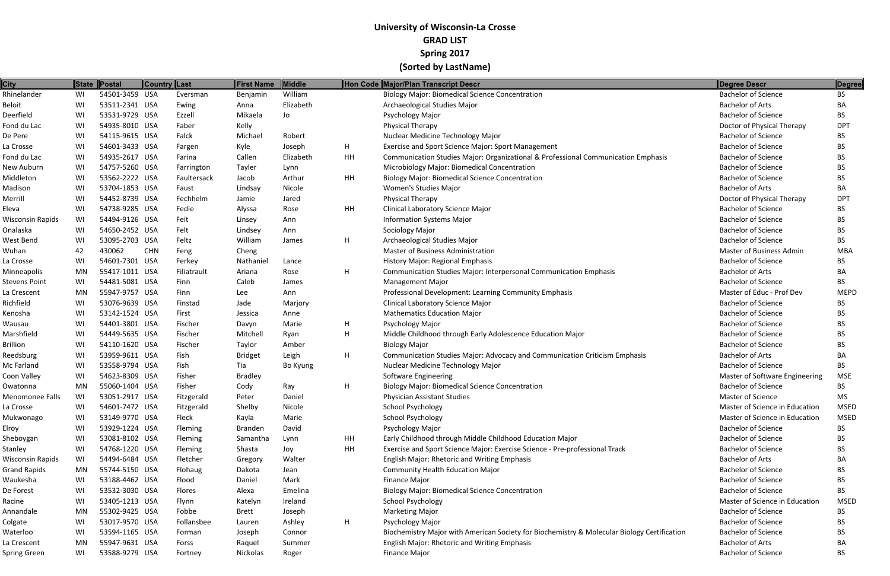| <b>City</b>          |           | State Postal   | Country Last |                | First Name     | Middle    |    | Hon Code Major/Plan Transcript Descr                                                        | Degree Descr                   | Degree          |
|----------------------|-----------|----------------|--------------|----------------|----------------|-----------|----|---------------------------------------------------------------------------------------------|--------------------------------|-----------------|
| Rhinelander          | WI        | 54501-3459 USA |              | Eversman       | Benjamin       | William   |    | <b>Biology Major: Biomedical Science Concentration</b>                                      | <b>Bachelor of Science</b>     | <b>BS</b>       |
| Beloit               | WI        | 53511-2341 USA |              | Ewing          | Anna           | Elizabeth |    | Archaeological Studies Major                                                                | <b>Bachelor of Arts</b>        | BA              |
| Deerfield            | WI        | 53531-9729 USA |              | Ezzell         | Mikaela        | Jo        |    | Psychology Major                                                                            | <b>Bachelor of Science</b>     | BS.             |
| Fond du Lac          | WI        | 54935-8010 USA |              | Faber          | Kelly          |           |    | <b>Physical Therapy</b>                                                                     | Doctor of Physical Therapy     | DP <sub>1</sub> |
| De Pere              | WI        | 54115-9615 USA |              | Falck          | Michael        | Robert    |    | Nuclear Medicine Technology Major                                                           | <b>Bachelor of Science</b>     | BS.             |
| La Crosse            | WI        | 54601-3433 USA |              | Fargen         | Kyle           | Joseph    | H. | Exercise and Sport Science Major: Sport Management                                          | <b>Bachelor of Science</b>     | BS.             |
| Fond du Lac          | WI        | 54935-2617 USA |              | Farina         | Callen         | Elizabeth | HH | Communication Studies Major: Organizational & Professional Communication Emphasis           | <b>Bachelor of Science</b>     | BS.             |
| New Auburn           | WI        | 54757-5260 USA |              | Farrington     | Tayler         | Lynn      |    | Microbiology Major: Biomedical Concentration                                                | <b>Bachelor of Science</b>     | BS.             |
| Middleton            | WI        | 53562-2222 USA |              | Faultersack    | Jacob          | Arthur    | HH | <b>Biology Major: Biomedical Science Concentration</b>                                      | <b>Bachelor of Science</b>     | <b>BS</b>       |
| Madison              | WI        | 53704-1853 USA |              | Faust          | Lindsay        | Nicole    |    | Women's Studies Major                                                                       | <b>Bachelor of Arts</b>        | BA              |
| Merrill              | WI        | 54452-8739 USA |              | Fechhelm       | Jamie          | Jared     |    | Physical Therapy                                                                            | Doctor of Physical Therapy     | DP <sub>1</sub> |
| Eleva                | WI        | 54738-9285 USA |              | Fedie          | Alyssa         | Rose      | HH | Clinical Laboratory Science Major                                                           | <b>Bachelor of Science</b>     | BS.             |
| Wisconsin Rapids     | WI        | 54494-9126 USA |              | Feit           | Linsey         | Ann       |    | <b>Information Systems Major</b>                                                            | <b>Bachelor of Science</b>     | BS.             |
| Onalaska             | WI        | 54650-2452 USA |              | Felt           | Lindsey        | Ann       |    | Sociology Major                                                                             | <b>Bachelor of Science</b>     | <b>BS</b>       |
| West Bend            | WI        | 53095-2703 USA |              | Feltz          | William        | James     | H  | Archaeological Studies Major                                                                | <b>Bachelor of Science</b>     | <b>BS</b>       |
| Wuhan                | 42        | 430062         | <b>CHN</b>   | Feng           | Cheng          |           |    | <b>Master of Business Administration</b>                                                    | Master of Business Admin       | MBA             |
| La Crosse            | WI        | 54601-7301 USA |              | Ferkey         | Nathaniel      | Lance     |    | History Major: Regional Emphasis                                                            | <b>Bachelor of Science</b>     | BS.             |
| <b>Minneapolis</b>   | MN        | 55417-1011 USA |              | Filiatrault    | Ariana         | Rose      | H. | <b>Communication Studies Major: Interpersonal Communication Emphasis</b>                    | <b>Bachelor of Arts</b>        | BA              |
| <b>Stevens Point</b> | WI        | 54481-5081 USA |              | Finn           | Caleb          | James     |    | <b>Management Major</b>                                                                     | <b>Bachelor of Science</b>     | <b>BS</b>       |
| La Crescent          | <b>MN</b> | 55947-9757 USA |              | Finn           | Lee            | Ann       |    | Professional Development: Learning Community Emphasis                                       | Master of Educ - Prof Dev      | <b>MEPD</b>     |
| Richfield            | WI        | 53076-9639 USA |              | Finstad        | Jade           | Marjory   |    | <b>Clinical Laboratory Science Major</b>                                                    | <b>Bachelor of Science</b>     | BS.             |
| Kenosha              | WI        | 53142-1524 USA |              | First          | Jessica        | Anne      |    | <b>Mathematics Education Major</b>                                                          | <b>Bachelor of Science</b>     | BS.             |
| Wausau               | WI        | 54401-3801 USA |              | Fischer        | Davyn          | Marie     | H  | Psychology Major                                                                            | <b>Bachelor of Science</b>     | BS.             |
| Marshfield           | WI        | 54449-5635 USA |              | Fischer        | Mitchell       | Ryan      | H  | Middle Childhood through Early Adolescence Education Major                                  | <b>Bachelor of Science</b>     | BS.             |
| <b>Brillion</b>      | WI        | 54110-1620 USA |              | Fischer        | Taylor         | Amber     |    | <b>Biology Major</b>                                                                        | <b>Bachelor of Science</b>     | BS.             |
| Reedsburg            | WI        | 53959-9611 USA |              | Fish           | <b>Bridget</b> | Leigh     | H. | Communication Studies Major: Advocacy and Communication Criticism Emphasis                  | <b>Bachelor of Arts</b>        | BA              |
| Mc Farland           | WI        | 53558-9794 USA |              | Fish           | Tia            | Bo Kyung  |    | Nuclear Medicine Technology Major                                                           | <b>Bachelor of Science</b>     | <b>BS</b>       |
| Coon Valley          | WI        | 54623-8309 USA |              | Fisher         | <b>Bradley</b> |           |    | Software Engineering                                                                        | Master of Software Engineering | <b>MSE</b>      |
| Owatonna             | MN        | 55060-1404 USA |              | Fisher         | Cody           | Ray       | H  | <b>Biology Major: Biomedical Science Concentration</b>                                      | <b>Bachelor of Science</b>     | <b>BS</b>       |
| Menomonee Falls      | WI        | 53051-2917 USA |              | Fitzgerald     | Peter          | Daniel    |    | <b>Physician Assistant Studies</b>                                                          | <b>Master of Science</b>       | MS.             |
| La Crosse            | WI        | 54601-7472 USA |              | Fitzgerald     | Shelby         | Nicole    |    | <b>School Psychology</b>                                                                    | Master of Science in Education | <b>MSED</b>     |
| Mukwonago            | WI        | 53149-9770 USA |              | Fleck          | Kayla          | Marie     |    | <b>School Psychology</b>                                                                    | Master of Science in Education | <b>MSED</b>     |
| Elroy                | WI        | 53929-1224 USA |              | Fleming        | <b>Branden</b> | David     |    | Psychology Major                                                                            | <b>Bachelor of Science</b>     | BS.             |
| Sheboygan            | WI        | 53081-8102 USA |              | <b>Fleming</b> | Samantha       | Lynn      | HH | Early Childhood through Middle Childhood Education Major                                    | <b>Bachelor of Science</b>     | BS.             |
| Stanley              | WI        | 54768-1220 USA |              | Fleming        | Shasta         | Joy       | HH | Exercise and Sport Science Major: Exercise Science - Pre-professional Track                 | <b>Bachelor of Science</b>     | BS.             |
| Wisconsin Rapids     | WI        | 54494-6484 USA |              | Fletcher       | Gregory        | Walter    |    | English Major: Rhetoric and Writing Emphasis                                                | <b>Bachelor of Arts</b>        | BA              |
| <b>Grand Rapids</b>  | MN        | 55744-5150 USA |              | Flohaug        | Dakota         | Jean      |    | <b>Community Health Education Major</b>                                                     | <b>Bachelor of Science</b>     | BS.             |
| Waukesha             | WI        | 53188-4462 USA |              | Flood          | Daniel         | Mark      |    | <b>Finance Major</b>                                                                        | <b>Bachelor of Science</b>     | BS.             |
| De Forest            | WI        | 53532-3030 USA |              | Flores         | Alexa          | Emelina   |    | <b>Biology Major: Biomedical Science Concentration</b>                                      | <b>Bachelor of Science</b>     | <b>BS</b>       |
| Racine               | WI        | 53405-1213 USA |              | Flynn          | Katelyn        | Ireland   |    | <b>School Psychology</b>                                                                    | Master of Science in Education | MSED            |
| Annandale            | MN        | 55302-9425 USA |              | Fobbe          | Brett          | Joseph    |    | <b>Marketing Major</b>                                                                      | <b>Bachelor of Science</b>     | BS.             |
| Colgate              | WI        | 53017-9570 USA |              | Follansbee     | Lauren         | Ashley    | H. | Psychology Major                                                                            | <b>Bachelor of Science</b>     | BS.             |
| Waterloo             | WI        | 53594-1165 USA |              | Forman         | Joseph         | Connor    |    | Biochemistry Major with American Society for Biochemistry & Molecular Biology Certification | <b>Bachelor of Science</b>     | BS.             |
| La Crescent          | MN        | 55947-9631 USA |              | Forss          | Raquel         | Summer    |    | English Major: Rhetoric and Writing Emphasis                                                | <b>Bachelor of Arts</b>        | BA              |
| Spring Green         | WI        | 53588-9279 USA |              | Fortney        | Nickolas       | Roger     |    | <b>Finance Major</b>                                                                        | <b>Bachelor of Science</b>     | <b>BS</b>       |
|                      |           |                |              |                |                |           |    |                                                                                             |                                |                 |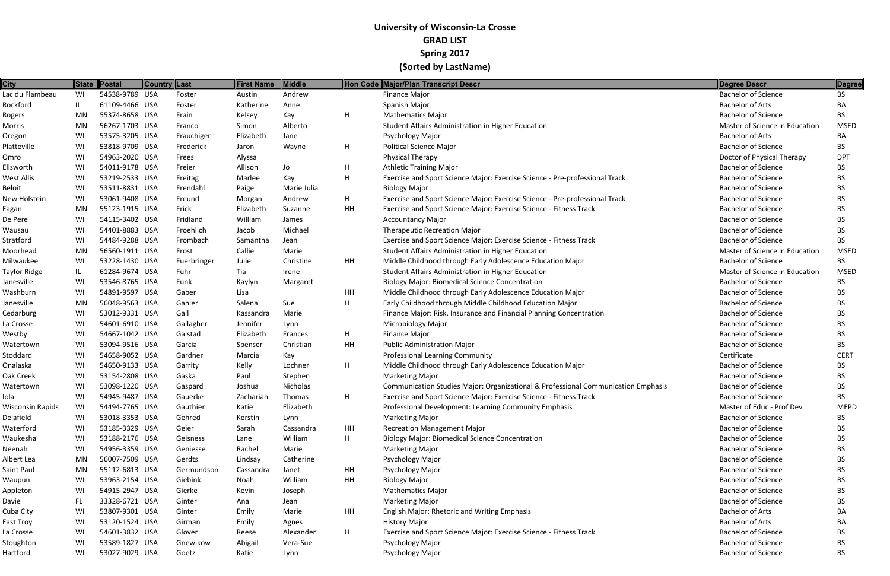| <b>City</b>      |     | State Postal   | <b>Country Last</b> |             | First Name | Middle        |    | Hon Code Major/Plan Transcript Descr                                              | Degree Descr                   | Degree      |
|------------------|-----|----------------|---------------------|-------------|------------|---------------|----|-----------------------------------------------------------------------------------|--------------------------------|-------------|
| Lac du Flambeau  | WI  | 54538-9789 USA |                     | Foster      | Austin     | Andrew        |    | <b>Finance Major</b>                                                              | <b>Bachelor of Science</b>     | BS.         |
| Rockford         | IL  | 61109-4466 USA |                     | Foster      | Katherine  | Anne          |    | Spanish Major                                                                     | <b>Bachelor of Arts</b>        | BA          |
| Rogers           | MN  | 55374-8658 USA |                     | Frain       | Kelsey     | Kay           | H  | <b>Mathematics Major</b>                                                          | <b>Bachelor of Science</b>     | BS.         |
| Morris           | MN  | 56267-1703 USA |                     | Franco      | Simon      | Alberto       |    | Student Affairs Administration in Higher Education                                | Master of Science in Education | MSED        |
| Oregon           | WI  | 53575-3205 USA |                     | Frauchiger  | Elizabeth  | Jane          |    | Psychology Major                                                                  | <b>Bachelor of Arts</b>        | ВA          |
| Platteville      | WI  | 53818-9709 USA |                     | Frederick   | Jaron      | Wayne         | H  | <b>Political Science Major</b>                                                    | <b>Bachelor of Science</b>     | BS          |
| Omro             | WI  | 54963-2020 USA |                     | Frees       | Alyssa     |               |    | Physical Therapy                                                                  | Doctor of Physical Therapy     | <b>DPT</b>  |
| Ellsworth        | WI  | 54011-9178 USA |                     | Freier      | Allison    | Jo            | H  | <b>Athletic Training Major</b>                                                    | <b>Bachelor of Science</b>     | BS.         |
| West Allis       | WI  | 53219-2533 USA |                     | Freitag     | Marlee     | Kay           | H  | Exercise and Sport Science Major: Exercise Science - Pre-professional Track       | <b>Bachelor of Science</b>     | BS.         |
| Beloit           | WI  | 53511-8831 USA |                     | Frendahl    | Paige      | Marie Julia   |    | <b>Biology Major</b>                                                              | <b>Bachelor of Science</b>     | ВS          |
| New Holstein     | WI  | 53061-9408 USA |                     | Freund      | Morgan     | Andrew        | H  | Exercise and Sport Science Major: Exercise Science - Pre-professional Track       | <b>Bachelor of Science</b>     | ВS          |
| Eagan            | MN  | 55123-1915 USA |                     | Frick       | Elizabeth  | Suzanne       | HH | Exercise and Sport Science Major: Exercise Science - Fitness Track                | <b>Bachelor of Science</b>     | ВS          |
| De Pere          | WI  | 54115-3402 USA |                     | Fridland    | William    | James         |    | <b>Accountancy Major</b>                                                          | <b>Bachelor of Science</b>     | BS.         |
| Wausau           | WI  | 54401-8883 USA |                     | Froehlich   | Jacob      | Michael       |    | <b>Therapeutic Recreation Major</b>                                               | <b>Bachelor of Science</b>     | BS          |
| Stratford        | WI  | 54484-9288 USA |                     | Frombach    | Samantha   | Jean          |    | Exercise and Sport Science Major: Exercise Science - Fitness Track                | <b>Bachelor of Science</b>     | BS          |
| Moorhead         | MN  | 56560-1911 USA |                     | Frost       | Callie     | Marie         |    | Student Affairs Administration in Higher Education                                | Master of Science in Education | <b>MSED</b> |
| Milwaukee        | WI  | 53228-1430 USA |                     | Fuerbringer | Julie      | Christine     | HH | Middle Childhood through Early Adolescence Education Major                        | <b>Bachelor of Science</b>     | BS          |
| Taylor Ridge     | IL  | 61284-9674 USA |                     | Fuhr        | Tia        | Irene         |    | Student Affairs Administration in Higher Education                                | Master of Science in Education | <b>MSED</b> |
| Janesville       | WI  | 53546-8765 USA |                     | Funk        | Kaylyn     | Margaret      |    | <b>Biology Major: Biomedical Science Concentration</b>                            | <b>Bachelor of Science</b>     | BS          |
| Washburn         | WI  | 54891-9597 USA |                     | Gaber       | Lisa       |               | HH | Middle Childhood through Early Adolescence Education Major                        | <b>Bachelor of Science</b>     | ВS          |
| Janesville       | MN  | 56048-9563 USA |                     | Gahler      | Salena     | Sue           | H  | Early Childhood through Middle Childhood Education Major                          | <b>Bachelor of Science</b>     | BS          |
| Cedarburg        | WI  | 53012-9331 USA |                     | Gall        | Kassandra  | Marie         |    | Finance Major: Risk, Insurance and Financial Planning Concentration               | <b>Bachelor of Science</b>     | BS.         |
| La Crosse        | WI  | 54601-6910 USA |                     | Gallagher   | Jennifer   | Lynn          |    | <b>Microbiology Major</b>                                                         | <b>Bachelor of Science</b>     | ВS          |
| Westby           | WI  | 54667-1042 USA |                     | Galstad     | Elizabeth  | Frances       | H  | <b>Finance Major</b>                                                              | <b>Bachelor of Science</b>     | BS.         |
| Watertown        | WI  | 53094-9516 USA |                     | Garcia      | Spenser    | Christian     | HH | <b>Public Administration Major</b>                                                | <b>Bachelor of Science</b>     | BS.         |
| Stoddard         | WI  | 54658-9052 USA |                     | Gardner     | Marcia     | Kay           |    | <b>Professional Learning Community</b>                                            | Certificate                    | <b>CERT</b> |
| Onalaska         | WI  | 54650-9133 USA |                     | Garrity     | Kelly      | Lochner       | H  | Middle Childhood through Early Adolescence Education Major                        | <b>Bachelor of Science</b>     | BS          |
| Oak Creek        | WI  | 53154-2808 USA |                     | Gaska       | Paul       | Stephen       |    | <b>Marketing Major</b>                                                            | <b>Bachelor of Science</b>     | ВS          |
| Watertown        | WI  | 53098-1220 USA |                     | Gaspard     | Joshua     | Nicholas      |    | Communication Studies Major: Organizational & Professional Communication Emphasis | <b>Bachelor of Science</b>     | ВS          |
| Iola             | WI  | 54945-9487 USA |                     | Gauerke     | Zachariah  | <b>Thomas</b> | H  | Exercise and Sport Science Major: Exercise Science - Fitness Track                | <b>Bachelor of Science</b>     | BS          |
| Wisconsin Rapids | WI  | 54494-7765 USA |                     | Gauthier    | Katie      | Elizabeth     |    | Professional Development: Learning Community Emphasis                             | Master of Educ - Prof Dev      | <b>MEPD</b> |
| Delafield        | WI  | 53018-3353 USA |                     | Gehred      | Kerstin    | Lynn          |    | <b>Marketing Major</b>                                                            | <b>Bachelor of Science</b>     | BS.         |
| Waterford        | WI  | 53185-3329 USA |                     | Geier       | Sarah      | Cassandra     | HH | <b>Recreation Management Major</b>                                                | <b>Bachelor of Science</b>     | ВS          |
| Waukesha         | WI  | 53188-2176 USA |                     | Geisness    | Lane       | William       | H  | <b>Biology Major: Biomedical Science Concentration</b>                            | <b>Bachelor of Science</b>     | ВS          |
| Neenah           | WI  | 54956-3359 USA |                     | Geniesse    | Rachel     | Marie         |    | <b>Marketing Major</b>                                                            | <b>Bachelor of Science</b>     | ВS          |
| Albert Lea       | MN  | 56007-7509 USA |                     | Gerdts      | Lindsay    | Catherine     |    | Psychology Major                                                                  | <b>Bachelor of Science</b>     | ВS          |
| Saint Paul       | MN  | 55112-6813 USA |                     | Germundson  | Cassandra  | Janet         | HH | Psychology Major                                                                  | <b>Bachelor of Science</b>     | ВS          |
| Waupun           | WI  | 53963-2154 USA |                     | Giebink     | Noah       | William       | HH | <b>Biology Major</b>                                                              | <b>Bachelor of Science</b>     | BS          |
| Appleton         | WI  | 54915-2947 USA |                     | Gierke      | Kevin      | Joseph        |    | <b>Mathematics Major</b>                                                          | <b>Bachelor of Science</b>     | ВS          |
| Davie            | FL. | 33328-6721 USA |                     | Ginter      | Ana        | Jean          |    | <b>Marketing Major</b>                                                            | <b>Bachelor of Science</b>     | ВS          |
| Cuba City        | WI  | 53807-9301 USA |                     | Ginter      | Emily      | Marie         | HH | <b>English Major: Rhetoric and Writing Emphasis</b>                               | <b>Bachelor of Arts</b>        | ВA          |
| East Troy        | WI  | 53120-1524 USA |                     | Girman      | Emily      | Agnes         |    | <b>History Major</b>                                                              | <b>Bachelor of Arts</b>        | BА          |
| La Crosse        | WI  | 54601-3832 USA |                     | Glover      | Reese      | Alexander     | H  | Exercise and Sport Science Major: Exercise Science - Fitness Track                | <b>Bachelor of Science</b>     | BS          |
| Stoughton        | WI  | 53589-1827 USA |                     | Gnewikow    | Abigail    | Vera-Sue      |    | Psychology Major                                                                  | <b>Bachelor of Science</b>     | ВS          |
| Hartford         | WI  | 53027-9029 USA |                     | Goetz       | Katie      | Lynn          |    | Psychology Major                                                                  | <b>Bachelor of Science</b>     | <b>BS</b>   |
|                  |     |                |                     |             |            |               |    |                                                                                   |                                |             |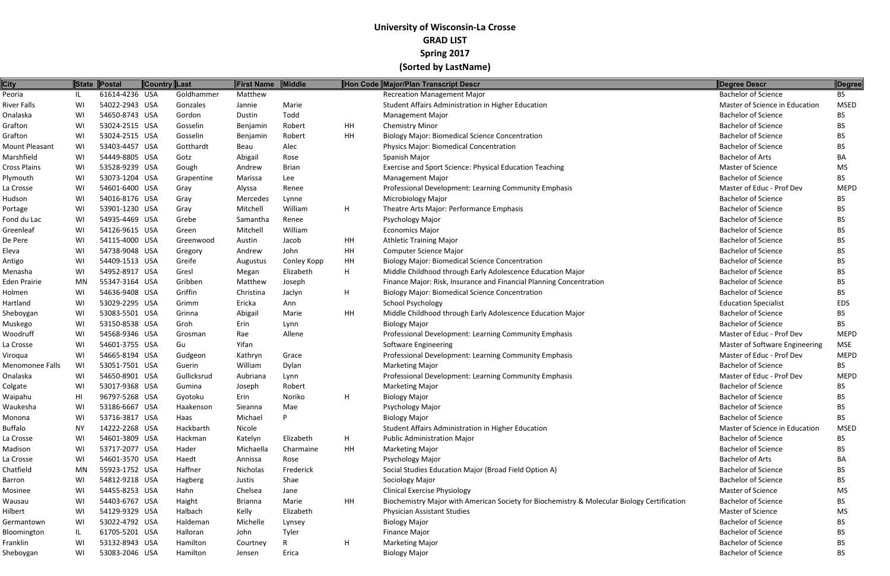| <b>City</b>            |    | State Postal   | <b>Country Last</b> |             | First Name     | Middle       |           | Hon Code Major/Plan Transcript Descr                                                        | Degree Descr                   | Degree      |
|------------------------|----|----------------|---------------------|-------------|----------------|--------------|-----------|---------------------------------------------------------------------------------------------|--------------------------------|-------------|
| Peoria                 | IL | 61614-4236 USA |                     | Goldhammer  | Matthew        |              |           | <b>Recreation Management Major</b>                                                          | <b>Bachelor</b> of Science     | BS          |
| <b>River Falls</b>     | WI | 54022-2943 USA |                     | Gonzales    | Jannie         | Marie        |           | Student Affairs Administration in Higher Education                                          | Master of Science in Education | <b>MSED</b> |
| Onalaska               | WI | 54650-8743 USA |                     | Gordon      | Dustin         | Todd         |           | <b>Management Major</b>                                                                     | <b>Bachelor of Science</b>     | BS.         |
| Grafton                | WI | 53024-2515 USA |                     | Gosselin    | Benjamin       | Robert       | HH        | <b>Chemistry Minor</b>                                                                      | <b>Bachelor of Science</b>     | BS          |
| Grafton                | WI | 53024-2515 USA |                     | Gosselin    | Benjamin       | Robert       | HH        | <b>Biology Major: Biomedical Science Concentration</b>                                      | <b>Bachelor of Science</b>     | BS          |
| <b>Mount Pleasant</b>  | WI | 53403-4457 USA |                     | Gotthardt   | Beau           | Alec         |           | Physics Major: Biomedical Concentration                                                     | <b>Bachelor of Science</b>     | BS.         |
| Marshfield             | WI | 54449-8805 USA |                     | Gotz        | Abigail        | Rose         |           | Spanish Major                                                                               | <b>Bachelor of Arts</b>        | BA          |
| <b>Cross Plains</b>    | WI | 53528-9239 USA |                     | Gough       | Andrew         | <b>Brian</b> |           | Exercise and Sport Science: Physical Education Teaching                                     | Master of Science              | MS          |
| Plymouth               | WI | 53073-1204 USA |                     | Grapentine  | Marissa        | Lee          |           | <b>Management Major</b>                                                                     | <b>Bachelor of Science</b>     | BS.         |
| La Crosse              | WI | 54601-6400 USA |                     | Gray        | Alyssa         | Renee        |           | Professional Development: Learning Community Emphasis                                       | Master of Educ - Prof Dev      | <b>MEPD</b> |
| Hudson                 | WI | 54016-8176 USA |                     | Gray        | Mercedes       | Lynne        |           | Microbiology Major                                                                          | <b>Bachelor of Science</b>     | BS.         |
| Portage                | WI | 53901-1230 USA |                     | Gray        | Mitchell       | William      | H         | Theatre Arts Major: Performance Emphasis                                                    | <b>Bachelor of Science</b>     | BS.         |
| Fond du Lac            | WI | 54935-4469 USA |                     | Grebe       | Samantha       | Renee        |           | Psychology Major                                                                            | <b>Bachelor of Science</b>     | BS.         |
| Greenleaf              | WI | 54126-9615 USA |                     | Green       | Mitchell       | William      |           | <b>Economics Major</b>                                                                      | <b>Bachelor of Science</b>     | BS.         |
| De Pere                | WI | 54115-4000 USA |                     | Greenwood   | Austin         | Jacob        | HH        | <b>Athletic Training Major</b>                                                              | <b>Bachelor of Science</b>     | BS          |
| Eleva                  | WI | 54738-9048 USA |                     | Gregory     | Andrew         | John         | HH        | <b>Computer Science Major</b>                                                               | <b>Bachelor of Science</b>     | BS.         |
| Antigo                 | WI | 54409-1513 USA |                     | Greife      | Augustus       | Conley Kopp  | HH        | <b>Biology Major: Biomedical Science Concentration</b>                                      | <b>Bachelor of Science</b>     | BS          |
| Menasha                | WI | 54952-8917 USA |                     | Gresl       | Megan          | Elizabeth    | H         | Middle Childhood through Early Adolescence Education Major                                  | <b>Bachelor of Science</b>     | BS.         |
| <b>Eden Prairie</b>    | MN | 55347-3164 USA |                     | Gribben     | Matthew        | Joseph       |           | Finance Major: Risk, Insurance and Financial Planning Concentration                         | <b>Bachelor of Science</b>     | BS.         |
| Holmen                 | WI | 54636-9408 USA |                     | Griffin     | Christina      | Jaclyn       | H         | <b>Biology Major: Biomedical Science Concentration</b>                                      | <b>Bachelor of Science</b>     | BS          |
| Hartland               | WI | 53029-2295 USA |                     | Grimm       | Ericka         | Ann          |           | <b>School Psychology</b>                                                                    | <b>Education Specialist</b>    | <b>EDS</b>  |
| Sheboygan              | WI | 53083-5501 USA |                     | Grinna      | Abigail        | Marie        | HH        | Middle Childhood through Early Adolescence Education Major                                  | <b>Bachelor of Science</b>     | BS.         |
| Muskego                | WI | 53150-8538 USA |                     | Groh        | Erin           | Lynn         |           | <b>Biology Major</b>                                                                        | <b>Bachelor of Science</b>     | <b>BS</b>   |
| Woodruff               | WI | 54568-9346 USA |                     | Grosman     | Rae            | Allene       |           | Professional Development: Learning Community Emphasis                                       | Master of Educ - Prof Dev      | <b>MEPD</b> |
| La Crosse              | WI | 54601-3755 USA |                     | Gu          | Yifan          |              |           | Software Engineering                                                                        | Master of Software Engineering | <b>MSE</b>  |
| Viroqua                | WI | 54665-8194 USA |                     | Gudgeon     | Kathryn        | Grace        |           | Professional Development: Learning Community Emphasis                                       | Master of Educ - Prof Dev      | <b>MEPD</b> |
| <b>Menomonee Falls</b> | WI | 53051-7501 USA |                     | Guerin      | William        | Dylan        |           | <b>Marketing Major</b>                                                                      | <b>Bachelor of Science</b>     | <b>BS</b>   |
| Onalaska               | WI | 54650-8901 USA |                     | Gullicksrud | Aubriana       | Lynn         |           | Professional Development: Learning Community Emphasis                                       | Master of Educ - Prof Dev      | <b>MEPD</b> |
| Colgate                | WI | 53017-9368 USA |                     | Gumina      | Joseph         | Robert       |           | <b>Marketing Major</b>                                                                      | <b>Bachelor of Science</b>     | BS.         |
| Waipahu                | HI | 96797-5268 USA |                     | Gyotoku     | Erin           | Noriko       | H         | <b>Biology Major</b>                                                                        | <b>Bachelor of Science</b>     | <b>BS</b>   |
| Waukesha               | WI | 53186-6667 USA |                     | Haakenson   | Sieanna        | Mae          |           | <b>Psychology Major</b>                                                                     | <b>Bachelor of Science</b>     | <b>BS</b>   |
| Monona                 | WI | 53716-3817 USA |                     | Haas        | Michael        |              |           | <b>Biology Major</b>                                                                        | <b>Bachelor of Science</b>     | BS.         |
| <b>Buffalo</b>         | ΝY | 14222-2268 USA |                     | Hackbarth   | Nicole         |              |           | Student Affairs Administration in Higher Education                                          | Master of Science in Education | <b>MSED</b> |
| La Crosse              | WI | 54601-3809 USA |                     | Hackman     | Katelyn        | Elizabeth    | H.        | <b>Public Administration Major</b>                                                          | <b>Bachelor of Science</b>     | BS.         |
| Madison                | WI | 53717-2077 USA |                     | Hader       | Michaella      | Charmaine    | HH        | <b>Marketing Major</b>                                                                      | <b>Bachelor of Science</b>     | BS.         |
| La Crosse              | WI | 54601-3570 USA |                     | Haedt       | Annissa        | Rose         |           | Psychology Major                                                                            | <b>Bachelor of Arts</b>        | BА          |
| Chatfield              | MN | 55923-1752 USA |                     | Haffner     | Nicholas       | Frederick    |           | Social Studies Education Major (Broad Field Option A)                                       | <b>Bachelor of Science</b>     | BS.         |
| Barron                 | WI | 54812-9218 USA |                     | Hagberg     | Justis         | Shae         |           | Sociology Major                                                                             | <b>Bachelor of Science</b>     | BS.         |
| Mosinee                | WI | 54455-8253 USA |                     | Hahn        | Chelsea        | Jane         |           | <b>Clinical Exercise Physiology</b>                                                         | Master of Science              | MS          |
| Wausau                 | WI | 54403-6767 USA |                     | Haight      | <b>Brianna</b> | Marie        | <b>HH</b> | Biochemistry Major with American Society for Biochemistry & Molecular Biology Certification | <b>Bachelor of Science</b>     | BS.         |
| Hilbert                | WI | 54129-9329 USA |                     | Halbach     | Kelly          | Elizabeth    |           | <b>Physician Assistant Studies</b>                                                          | Master of Science              | МS          |
| Germantown             | WI | 53022-4792 USA |                     | Haldeman    | Michelle       | Lynsey       |           | <b>Biology Major</b>                                                                        | <b>Bachelor of Science</b>     | BS.         |
| Bloomington            | IL | 61705-5201 USA |                     | Halloran    | John           | Tyler        |           | Finance Major                                                                               | <b>Bachelor of Science</b>     | ВS          |
| Franklin               | WI | 53132-8943 USA |                     | Hamilton    | Courtney       | R            | H.        | <b>Marketing Major</b>                                                                      | <b>Bachelor of Science</b>     | BS.         |
| Sheboygan              | WI | 53083-2046 USA |                     | Hamilton    | Jensen         | Erica        |           | <b>Biology Major</b>                                                                        | <b>Bachelor of Science</b>     | BS          |
|                        |    |                |                     |             |                |              |           |                                                                                             |                                |             |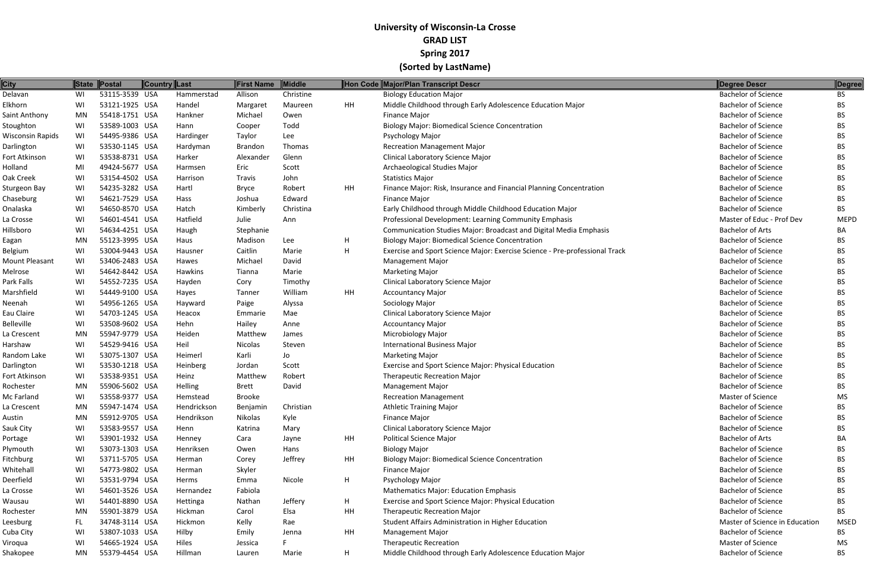| <b>City</b>           | State     | $\ $ Postal    | <b>Country Last</b> |                  | <b>First Name</b> | <b>Middle</b> |    | Hon Code Major/Plan Transcript Descr                                        | <b>Degree Descr</b>            | Degree      |
|-----------------------|-----------|----------------|---------------------|------------------|-------------------|---------------|----|-----------------------------------------------------------------------------|--------------------------------|-------------|
| Delavan               | WI        | 53115-3539 USA |                     | Hammerstad       | Allison           | Christine     |    | <b>Biology Education Major</b>                                              | <b>Bachelor of Science</b>     | <b>BS</b>   |
| Elkhorn               | WI        | 53121-1925 USA |                     | Handel           | Margaret          | Maureen       | HH | Middle Childhood through Early Adolescence Education Major                  | <b>Bachelor of Science</b>     | <b>BS</b>   |
| Saint Anthony         | <b>MN</b> | 55418-1751 USA |                     | Hankner          | Michael           | Owen          |    | <b>Finance Major</b>                                                        | <b>Bachelor of Science</b>     | <b>BS</b>   |
| Stoughton             | WI        | 53589-1003 USA |                     | Hann             | Cooper            | Todd          |    | <b>Biology Major: Biomedical Science Concentration</b>                      | <b>Bachelor of Science</b>     | BS          |
| Wisconsin Rapids      | WI        | 54495-9386 USA |                     | Hardinger        | Taylor            | Lee           |    | Psychology Major                                                            | <b>Bachelor of Science</b>     | BS.         |
| Darlington            | WI        | 53530-1145 USA |                     | Hardyman         | <b>Brandon</b>    | Thomas        |    | <b>Recreation Management Major</b>                                          | <b>Bachelor of Science</b>     | <b>BS</b>   |
| Fort Atkinson         | WI        | 53538-8731 USA |                     | Harker           | Alexander         | Glenn         |    | Clinical Laboratory Science Major                                           | <b>Bachelor of Science</b>     | <b>BS</b>   |
| Holland               | MI        | 49424-5677 USA |                     | Harmsen          | Eric              | Scott         |    | Archaeological Studies Major                                                | <b>Bachelor of Science</b>     | <b>BS</b>   |
| Oak Creek             | WI        | 53154-4502 USA |                     | Harrison         | Travis            | John          |    | <b>Statistics Major</b>                                                     | <b>Bachelor of Science</b>     | <b>BS</b>   |
| Sturgeon Bay          | WI        | 54235-3282 USA |                     | Hartl            | <b>Bryce</b>      | Robert        | HH | Finance Major: Risk, Insurance and Financial Planning Concentration         | <b>Bachelor of Science</b>     | <b>BS</b>   |
| Chaseburg             | WI        | 54621-7529 USA |                     | Hass             | Joshua            | Edward        |    | <b>Finance Major</b>                                                        | <b>Bachelor of Science</b>     | <b>BS</b>   |
| Onalaska              | WI        | 54650-8570 USA |                     | Hatch            | Kimberly          | Christina     |    | Early Childhood through Middle Childhood Education Major                    | <b>Bachelor of Science</b>     | <b>BS</b>   |
| La Crosse             | WI        | 54601-4541 USA |                     | Hatfield         | Julie             | Ann           |    | Professional Development: Learning Community Emphasis                       | Master of Educ - Prof Dev      | <b>MEPD</b> |
| Hillsboro             | WI        | 54634-4251 USA |                     | Haugh            | Stephanie         |               |    | Communication Studies Major: Broadcast and Digital Media Emphasis           | <b>Bachelor of Arts</b>        | BA          |
| Eagan                 | MN        | 55123-3995 USA |                     | Haus             | Madison           | Lee           | H  | <b>Biology Major: Biomedical Science Concentration</b>                      | <b>Bachelor of Science</b>     | BS.         |
| Belgium               | WI        | 53004-9443 USA |                     | Hausner          | Caitlin           | Marie         | H  | Exercise and Sport Science Major: Exercise Science - Pre-professional Track | <b>Bachelor of Science</b>     | BS.         |
| <b>Mount Pleasant</b> | WI        | 53406-2483 USA |                     | Hawes            | Michael           | David         |    | <b>Management Major</b>                                                     | <b>Bachelor of Science</b>     | BS          |
| Melrose               | WI        | 54642-8442 USA |                     | Hawkins          | Tianna            | Marie         |    | <b>Marketing Major</b>                                                      | <b>Bachelor of Science</b>     | BS.         |
| Park Falls            | WI        | 54552-7235 USA |                     | Hayden           | Cory              | Timothy       |    | Clinical Laboratory Science Major                                           | <b>Bachelor of Science</b>     | <b>BS</b>   |
| Marshfield            | WI        | 54449-9100 USA |                     | Hayes            | Tanner            | William       | HH | <b>Accountancy Major</b>                                                    | <b>Bachelor of Science</b>     | <b>BS</b>   |
| Neenah                | WI        | 54956-1265 USA |                     | Hayward          | Paige             | Alyssa        |    | Sociology Major                                                             | <b>Bachelor of Science</b>     | BS.         |
| Eau Claire            | WI        | 54703-1245 USA |                     | Heacox           | Emmarie           | Mae           |    | Clinical Laboratory Science Major                                           | <b>Bachelor of Science</b>     | BS          |
| Belleville            | WI        | 53508-9602 USA |                     | Hehn             | Hailey            | Anne          |    | <b>Accountancy Major</b>                                                    | <b>Bachelor of Science</b>     | BS.         |
| La Crescent           | MN        | 55947-9779 USA |                     | Heiden           | Matthew           | James         |    | Microbiology Major                                                          | <b>Bachelor of Science</b>     | BS.         |
| Harshaw               | WI        | 54529-9416 USA |                     | Heil             | Nicolas           | Steven        |    | <b>International Business Major</b>                                         | <b>Bachelor of Science</b>     | <b>BS</b>   |
| Random Lake           | WI        | 53075-1307 USA |                     | Heimerl          | Karli             | Jo            |    | <b>Marketing Major</b>                                                      | <b>Bachelor of Science</b>     | <b>BS</b>   |
| Darlington            | WI        | 53530-1218 USA |                     | Heinberg         | Jordan            | Scott         |    | Exercise and Sport Science Major: Physical Education                        | <b>Bachelor of Science</b>     | <b>BS</b>   |
| Fort Atkinson         | WI        | 53538-9351 USA |                     | Heinz            | Matthew           | Robert        |    | <b>Therapeutic Recreation Major</b>                                         | <b>Bachelor of Science</b>     | BS.         |
| Rochester             | MN        | 55906-5602 USA |                     | <b>Helling</b>   | <b>Brett</b>      | David         |    | <b>Management Major</b>                                                     | <b>Bachelor of Science</b>     | <b>BS</b>   |
| Mc Farland            | WI        | 53558-9377 USA |                     | Hemstead         | <b>Brooke</b>     |               |    | <b>Recreation Management</b>                                                | <b>Master of Science</b>       | MS          |
| La Crescent           | MN        | 55947-1474 USA |                     | Hendrickson      | Benjamin          | Christian     |    | <b>Athletic Training Major</b>                                              | <b>Bachelor of Science</b>     | <b>BS</b>   |
| Austin                | MN        | 55912-9705 USA |                     | Hendrikson       | Nikolas           | Kyle          |    | Finance Major                                                               | <b>Bachelor of Science</b>     | <b>BS</b>   |
| Sauk City             | WI        | 53583-9557 USA |                     | Henn             | Katrina           | Mary          |    | Clinical Laboratory Science Major                                           | <b>Bachelor of Science</b>     | <b>BS</b>   |
| Portage               | WI        | 53901-1932 USA |                     | Henney           | Cara              | Jayne         | HH | <b>Political Science Major</b>                                              | <b>Bachelor of Arts</b>        | BA          |
| Plymouth              | WI        | 53073-1303 USA |                     | Henriksen        | Owen              | Hans          |    | <b>Biology Major</b>                                                        | <b>Bachelor of Science</b>     | BS.         |
| Fitchburg             | WI        | 53711-5705 USA |                     | Herman           | Corey             | Jeffrey       | HH | <b>Biology Major: Biomedical Science Concentration</b>                      | <b>Bachelor of Science</b>     | BS.         |
| Whitehall             | WI        | 54773-9802 USA |                     | Herman           | Skyler            |               |    | Finance Major                                                               | <b>Bachelor of Science</b>     | BS.         |
| Deerfield             | WI        | 53531-9794 USA |                     | Herms            | Emma              | Nicole        | H  | Psychology Major                                                            | <b>Bachelor of Science</b>     | <b>BS</b>   |
| La Crosse             | WI        | 54601-3526 USA |                     | Hernandez        | Fabiola           |               |    | <b>Mathematics Major: Education Emphasis</b>                                | <b>Bachelor of Science</b>     | BS.         |
| Wausau                | WI        | 54401-8890 USA |                     | Hettinga         | Nathan            | Jeffery       | H  | Exercise and Sport Science Major: Physical Education                        | <b>Bachelor of Science</b>     | BS.         |
| Rochester             | MN        | 55901-3879 USA |                     | Hickman          | Carol             | Elsa          | HH | <b>Therapeutic Recreation Major</b>                                         | <b>Bachelor of Science</b>     | BS.         |
|                       |           | 34748-3114 USA |                     |                  |                   |               |    | Student Affairs Administration in Higher Education                          | Master of Science in Education | <b>MSED</b> |
| Leesburg              | FL.       | 53807-1033 USA |                     | Hickmon<br>Hilby | Kelly             | Rae<br>Jenna  | HH |                                                                             | <b>Bachelor of Science</b>     |             |
| Cuba City             | WI        | 54665-1924 USA |                     | Hiles            | Emily             |               |    | <b>Management Major</b>                                                     | Master of Science              | BS          |
| Viroqua               | WI        |                |                     |                  | Jessica           |               |    | <b>Therapeutic Recreation</b>                                               |                                | MS          |
| Shakopee              | MN        | 55379-4454 USA |                     | Hillman          | Lauren            | Marie         | H  | Middle Childhood through Early Adolescence Education Major                  | <b>Bachelor of Science</b>     | <b>BS</b>   |

| <b>Degree Descr</b>            | <b>Degree</b> |
|--------------------------------|---------------|
| <b>Bachelor of Science</b>     | BS            |
| <b>Bachelor of Science</b>     | BS            |
| <b>Bachelor of Science</b>     | <b>BS</b>     |
| <b>Bachelor of Science</b>     | <b>BS</b>     |
| <b>Bachelor of Science</b>     | <b>BS</b>     |
| <b>Bachelor of Science</b>     | <b>BS</b>     |
| <b>Bachelor of Science</b>     | <b>BS</b>     |
| <b>Bachelor of Science</b>     | <b>BS</b>     |
| <b>Bachelor of Science</b>     | <b>BS</b>     |
| <b>Bachelor of Science</b>     | <b>BS</b>     |
| <b>Bachelor of Science</b>     | <b>BS</b>     |
| <b>Bachelor of Science</b>     | <b>BS</b>     |
| Master of Educ - Prof Dev      | <b>MEPD</b>   |
| <b>Bachelor of Arts</b>        | BA            |
| <b>Bachelor of Science</b>     | <b>BS</b>     |
| <b>Bachelor of Science</b>     | <b>BS</b>     |
| <b>Bachelor of Science</b>     | <b>BS</b>     |
| <b>Bachelor of Science</b>     | <b>BS</b>     |
| <b>Bachelor of Science</b>     | <b>BS</b>     |
| <b>Bachelor of Science</b>     | <b>BS</b>     |
| <b>Bachelor of Science</b>     | <b>BS</b>     |
| <b>Bachelor of Science</b>     | <b>BS</b>     |
| <b>Bachelor of Science</b>     | <b>BS</b>     |
| <b>Bachelor of Science</b>     | <b>BS</b>     |
| <b>Bachelor of Science</b>     | <b>BS</b>     |
| <b>Bachelor of Science</b>     | <b>BS</b>     |
| <b>Bachelor of Science</b>     | <b>BS</b>     |
| <b>Bachelor of Science</b>     | <b>BS</b>     |
| <b>Bachelor of Science</b>     | <b>BS</b>     |
| <b>Master of Science</b>       | MS            |
| <b>Bachelor of Science</b>     | BS            |
| <b>Bachelor of Science</b>     | <b>BS</b>     |
| <b>Bachelor of Science</b>     | <b>BS</b>     |
| <b>Bachelor of Arts</b>        | BA            |
| <b>Bachelor of Science</b>     | <b>BS</b>     |
| <b>Bachelor of Science</b>     | <b>BS</b>     |
| Bachelor of Science            | <b>BS</b>     |
| <b>Bachelor of Science</b>     | <b>BS</b>     |
| <b>Bachelor of Science</b>     | <b>BS</b>     |
| <b>Bachelor of Science</b>     | <b>BS</b>     |
| <b>Bachelor of Science</b>     | <b>BS</b>     |
| Master of Science in Education | <b>MSED</b>   |
| <b>Bachelor of Science</b>     | <b>BS</b>     |
| <b>Master of Science</b>       | <b>MS</b>     |
| <b>Bachelor of Science</b>     | <b>BS</b>     |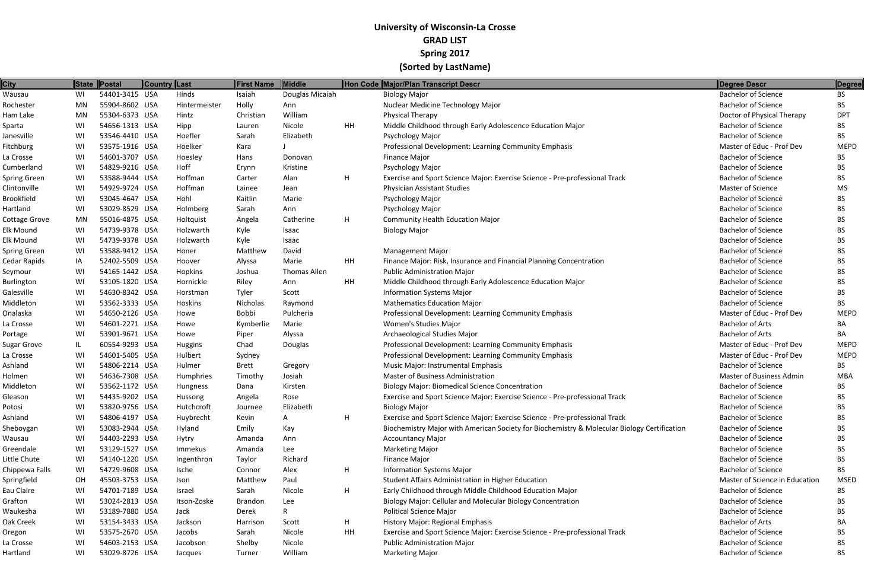| <b>City</b>          |    | State Postal   | <b>Country Last</b> |               | First Name     | Middle          |    | Hon Code Major/Plan Transcript Descr                                                        | Degree Descr                    | <b>Degree</b> |
|----------------------|----|----------------|---------------------|---------------|----------------|-----------------|----|---------------------------------------------------------------------------------------------|---------------------------------|---------------|
| Wausau               | WI | 54401-3415 USA |                     | Hinds         | Isaiah         | Douglas Micaiah |    | <b>Biology Major</b>                                                                        | <b>Bachelor of Science</b>      | BS.           |
| Rochester            | MN | 55904-8602 USA |                     | Hintermeister | Holly          | Ann             |    | Nuclear Medicine Technology Major                                                           | <b>Bachelor of Science</b>      | BS.           |
| Ham Lake             | MN | 55304-6373 USA |                     | Hintz         | Christian      | William         |    | Physical Therapy                                                                            | Doctor of Physical Therapy      | <b>DPT</b>    |
| Sparta               | WI | 54656-1313 USA |                     | Hipp          | Lauren         | Nicole          | HH | Middle Childhood through Early Adolescence Education Major                                  | <b>Bachelor of Science</b>      | ВS            |
| Janesville           | WI | 53546-4410 USA |                     | Hoefler       | Sarah          | Elizabeth       |    | Psychology Major                                                                            | <b>Bachelor of Science</b>      | BS.           |
| Fitchburg            | WI | 53575-1916 USA |                     | Hoelker       | Kara           |                 |    | Professional Development: Learning Community Emphasis                                       | Master of Educ - Prof Dev       | <b>MEPD</b>   |
| La Crosse            | WI | 54601-3707 USA |                     | Hoesley       | Hans           | Donovan         |    | <b>Finance Major</b>                                                                        | <b>Bachelor of Science</b>      | BS.           |
| Cumberland           | WI | 54829-9216 USA |                     | Hoff          | Erynn          | Kristine        |    | Psychology Major                                                                            | <b>Bachelor of Science</b>      | BS.           |
| Spring Green         | WI | 53588-9444 USA |                     | Hoffman       | Carter         | Alan            | H  | Exercise and Sport Science Major: Exercise Science - Pre-professional Track                 | <b>Bachelor of Science</b>      | BS.           |
| Clintonville         | WI | 54929-9724 USA |                     | Hoffman       | Lainee         | Jean            |    | <b>Physician Assistant Studies</b>                                                          | Master of Science               | MS            |
| Brookfield           | WI | 53045-4647 USA |                     | Hohl          | Kaitlin        | Marie           |    | Psychology Major                                                                            | <b>Bachelor of Science</b>      | BS.           |
| Hartland             | WI | 53029-8529 USA |                     | Holmberg      | Sarah          | Ann             |    | Psychology Major                                                                            | <b>Bachelor of Science</b>      | ВS            |
| <b>Cottage Grove</b> | MN | 55016-4875 USA |                     | Holtquist     | Angela         | Catherine       | H  | <b>Community Health Education Major</b>                                                     | <b>Bachelor of Science</b>      | BS.           |
| <b>Elk Mound</b>     | WI | 54739-9378 USA |                     | Holzwarth     | Kyle           | Isaac           |    | <b>Biology Major</b>                                                                        | <b>Bachelor of Science</b>      | BS.           |
| Elk Mound            | WI | 54739-9378 USA |                     | Holzwarth     | Kyle           | Isaac           |    |                                                                                             | <b>Bachelor of Science</b>      | ВS            |
| Spring Green         | WI | 53588-9412 USA |                     | Honer         | Matthew        | David           |    | <b>Management Major</b>                                                                     | <b>Bachelor of Science</b>      | BS.           |
| Cedar Rapids         | IA | 52402-5509 USA |                     | Hoover        | Alyssa         | Marie           | HH | Finance Major: Risk, Insurance and Financial Planning Concentration                         | <b>Bachelor of Science</b>      | ВS            |
| Seymour              | WI | 54165-1442 USA |                     | Hopkins       | Joshua         | Thomas Allen    |    | Public Administration Major                                                                 | <b>Bachelor of Science</b>      | BS.           |
| <b>Burlington</b>    | WI | 53105-1820 USA |                     | Hornickle     | Riley          | Ann             | HH | Middle Childhood through Early Adolescence Education Major                                  | <b>Bachelor of Science</b>      | BS.           |
| Galesville           | WI | 54630-8342 USA |                     | Horstman      | Tyler          | Scott           |    | <b>Information Systems Major</b>                                                            | <b>Bachelor of Science</b>      | BS.           |
| Middleton            | WI | 53562-3333 USA |                     | Hoskins       | Nicholas       | Raymond         |    | <b>Mathematics Education Major</b>                                                          | <b>Bachelor of Science</b>      | BS            |
| Onalaska             | WI | 54650-2126 USA |                     | Howe          | Bobbi          | Pulcheria       |    | Professional Development: Learning Community Emphasis                                       | Master of Educ - Prof Dev       | <b>MEPD</b>   |
| La Crosse            | WI | 54601-2271 USA |                     | Howe          | Kymberlie      | Marie           |    | Women's Studies Major                                                                       | <b>Bachelor of Arts</b>         | BA            |
| Portage              | WI | 53901-9671 USA |                     | Howe          | Piper          | Alyssa          |    | Archaeological Studies Major                                                                | <b>Bachelor of Arts</b>         | BA            |
| <b>Sugar Grove</b>   | IL | 60554-9293 USA |                     | Huggins       | Chad           | Douglas         |    | Professional Development: Learning Community Emphasis                                       | Master of Educ - Prof Dev       | <b>MEPD</b>   |
| La Crosse            | WI | 54601-5405 USA |                     | Hulbert       | Sydney         |                 |    | Professional Development: Learning Community Emphasis                                       | Master of Educ - Prof Dev       | <b>MEPD</b>   |
| Ashland              | WI | 54806-2214 USA |                     | Hulmer        | Brett          | Gregory         |    | Music Major: Instrumental Emphasis                                                          | <b>Bachelor of Science</b>      | BS.           |
| Holmen               | WI | 54636-7308 USA |                     | Humphries     | Timothy        | Josiah          |    | <b>Master of Business Administration</b>                                                    | <b>Master of Business Admin</b> | MBA           |
| Middleton            | WI | 53562-1172 USA |                     | Hungness      | Dana           | Kirsten         |    | <b>Biology Major: Biomedical Science Concentration</b>                                      | <b>Bachelor of Science</b>      | BS.           |
| Gleason              | WI | 54435-9202 USA |                     | Hussong       | Angela         | Rose            |    | Exercise and Sport Science Major: Exercise Science - Pre-professional Track                 | <b>Bachelor of Science</b>      | ВS            |
| Potosi               | WI | 53820-9756 USA |                     | Hutchcroft    | Journee        | Elizabeth       |    | <b>Biology Major</b>                                                                        | <b>Bachelor of Science</b>      | BS.           |
| Ashland              | WI | 54806-4197 USA |                     | Huybrecht     | Kevin          |                 | H  | Exercise and Sport Science Major: Exercise Science - Pre-professional Track                 | <b>Bachelor of Science</b>      |               |
| Sheboygan            | WI | 53083-2944 USA |                     | Hyland        | Emily          | Kay             |    | Biochemistry Major with American Society for Biochemistry & Molecular Biology Certification | <b>Bachelor of Science</b>      | BS.           |
| Wausau               | WI | 54403-2293 USA |                     | Hytry         | Amanda         | Ann             |    | <b>Accountancy Major</b>                                                                    | <b>Bachelor of Science</b>      | BS.           |
| Greendale            | WI | 53129-1527 USA |                     | Immekus       | Amanda         | Lee             |    | <b>Marketing Major</b>                                                                      | <b>Bachelor of Science</b>      |               |
| Little Chute         | WI | 54140-1220 USA |                     | Ingenthron    | Taylor         | Richard         |    | <b>Finance Major</b>                                                                        | <b>Bachelor of Science</b>      | BS.           |
| Chippewa Falls       | WI | 54729-9608 USA |                     | Ische         | Connor         | Alex            | H  | <b>Information Systems Major</b>                                                            | <b>Bachelor of Science</b>      | BS            |
| Springfield          | OH | 45503-3753 USA |                     | Ison          | Matthew        | Paul            |    | Student Affairs Administration in Higher Education                                          | Master of Science in Education  | <b>MSED</b>   |
| Eau Claire           | WI | 54701-7189 USA |                     | Israel        | Sarah          | Nicole          | H  | Early Childhood through Middle Childhood Education Major                                    | <b>Bachelor of Science</b>      | BS.           |
| Grafton              | WI | 53024-2813 USA |                     | Itson-Zoske   | <b>Brandon</b> | Lee             |    | Biology Major: Cellular and Molecular Biology Concentration                                 | <b>Bachelor of Science</b>      | ВS            |
| Waukesha             | WI | 53189-7880 USA |                     | Jack          | Derek          | $\mathsf{R}$    |    | <b>Political Science Major</b>                                                              | <b>Bachelor of Science</b>      | BS.           |
| Oak Creek            | WI | 53154-3433 USA |                     | Jackson       | Harrison       | Scott           | H  | History Major: Regional Emphasis                                                            | <b>Bachelor of Arts</b>         | BA            |
| Oregon               | WI | 53575-2670 USA |                     | Jacobs        | Sarah          | Nicole          | HH | Exercise and Sport Science Major: Exercise Science - Pre-professional Track                 | <b>Bachelor of Science</b>      | ВS            |
| La Crosse            | WI | 54603-2153 USA |                     | Jacobson      | Shelby         | Nicole          |    | <b>Public Administration Major</b>                                                          | <b>Bachelor of Science</b>      | BS.           |
| Hartland             | WI | 53029-8726 USA |                     | Jacques       | Turner         | William         |    | <b>Marketing Major</b>                                                                      | <b>Bachelor of Science</b>      | <b>BS</b>     |
|                      |    |                |                     |               |                |                 |    |                                                                                             |                                 |               |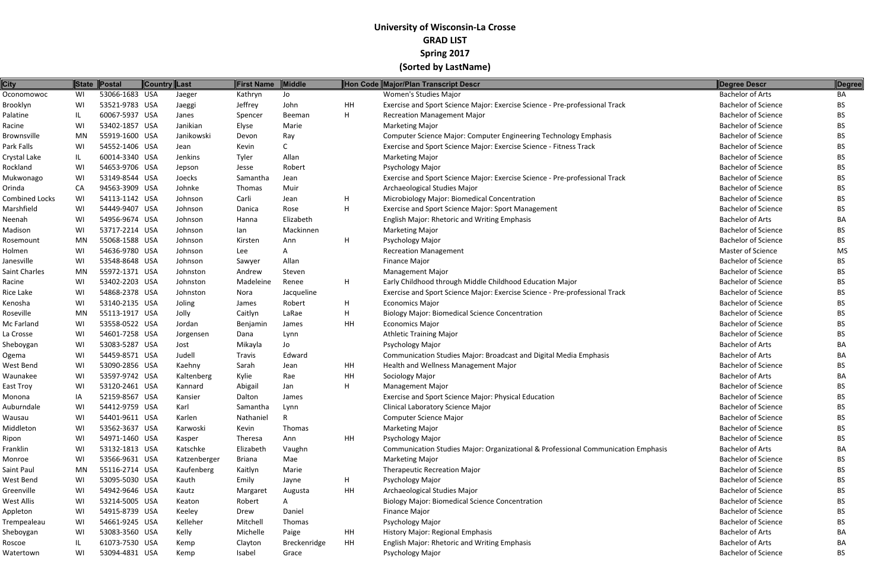| <b>City</b>    | <b>State</b> | Postal         | Country Last |              | First Name    | Middle       |    | Hon Code Major/Plan Transcript Descr                                              | Degree Descr               | Degree    |
|----------------|--------------|----------------|--------------|--------------|---------------|--------------|----|-----------------------------------------------------------------------------------|----------------------------|-----------|
| Oconomowoc     | WI           | 53066-1683 USA |              | Jaeger       | Kathryn       | Jo           |    | Women's Studies Major                                                             | <b>Bachelor of Arts</b>    | BA        |
| Brooklyn       | WI           | 53521-9783 USA |              | Jaeggi       | Jeffrey       | John         | HH | Exercise and Sport Science Major: Exercise Science - Pre-professional Track       | <b>Bachelor of Science</b> | ВS        |
| Palatine       | IL.          | 60067-5937 USA |              | Janes        | Spencer       | Beeman       | H  | <b>Recreation Management Major</b>                                                | <b>Bachelor of Science</b> | ВS        |
| Racine         | WI           | 53402-1857 USA |              | Janikian     | Elyse         | Marie        |    | <b>Marketing Major</b>                                                            | <b>Bachelor of Science</b> | ВS        |
| Brownsville    | MN           | 55919-1600 USA |              | Janikowski   | Devon         | Ray          |    | Computer Science Major: Computer Engineering Technology Emphasis                  | <b>Bachelor of Science</b> | BS        |
| Park Falls     | WI           | 54552-1406 USA |              | Jean         | Kevin         |              |    | Exercise and Sport Science Major: Exercise Science - Fitness Track                | <b>Bachelor of Science</b> | ВS        |
| Crystal Lake   | IL           | 60014-3340 USA |              | Jenkins      | Tyler         | Allan        |    | <b>Marketing Major</b>                                                            | <b>Bachelor of Science</b> | BS        |
| Rockland       | WI           | 54653-9706 USA |              | Jepson       | Jesse         | Robert       |    | Psychology Major                                                                  | <b>Bachelor of Science</b> | ВS        |
| Mukwonago      | WI           | 53149-8544 USA |              | Joecks       | Samantha      | Jean         |    | Exercise and Sport Science Major: Exercise Science - Pre-professional Track       | <b>Bachelor of Science</b> | ВS        |
| Orinda         | CA           | 94563-3909 USA |              | Johnke       | Thomas        | Muir         |    | Archaeological Studies Major                                                      | <b>Bachelor of Science</b> | ВS        |
| Combined Locks | WI           | 54113-1142 USA |              | Johnson      | Carli         | Jean         | H  | Microbiology Major: Biomedical Concentration                                      | <b>Bachelor of Science</b> | ВS        |
| Marshfield     | WI           | 54449-9407 USA |              | Johnson      | Danica        | Rose         | H  | Exercise and Sport Science Major: Sport Management                                | <b>Bachelor of Science</b> | BS        |
| Neenah         | WI           | 54956-9674 USA |              | Johnson      | Hanna         | Elizabeth    |    | English Major: Rhetoric and Writing Emphasis                                      | <b>Bachelor of Arts</b>    | ВA        |
| Madison        | WI           | 53717-2214 USA |              | Johnson      | lan           | Mackinnen    |    | <b>Marketing Major</b>                                                            | <b>Bachelor of Science</b> | ВS        |
| Rosemount      | MN           | 55068-1588 USA |              | Johnson      | Kirsten       | Ann          | H  | Psychology Major                                                                  | <b>Bachelor of Science</b> | ВS        |
| Holmen         | WI           | 54636-9780 USA |              | Johnson      | Lee           | A            |    | <b>Recreation Management</b>                                                      | Master of Science          | <b>MS</b> |
| Janesville     | WI           | 53548-8648 USA |              | Johnson      | Sawyer        | Allan        |    | <b>Finance Major</b>                                                              | <b>Bachelor of Science</b> | ВS        |
| Saint Charles  | MN           | 55972-1371 USA |              | Johnston     | Andrew        | Steven       |    | <b>Management Major</b>                                                           | <b>Bachelor of Science</b> | ВS        |
| Racine         | WI           | 53402-2203 USA |              | Johnston     | Madeleine     | Renee        | H  | Early Childhood through Middle Childhood Education Major                          | <b>Bachelor of Science</b> | ВS        |
| Rice Lake      | WI           | 54868-2378 USA |              | Johnston     | Nora          | Jacqueline   |    | Exercise and Sport Science Major: Exercise Science - Pre-professional Track       | <b>Bachelor of Science</b> | ВS        |
| Kenosha        | WI           | 53140-2135 USA |              | Joling       | James         | Robert       | H  | <b>Economics Major</b>                                                            | <b>Bachelor of Science</b> | ВS        |
| Roseville      | MN           | 55113-1917 USA |              | Jolly        | Caitlyn       | LaRae        | H  | <b>Biology Major: Biomedical Science Concentration</b>                            | <b>Bachelor of Science</b> | ВS        |
| Mc Farland     | WI           | 53558-0522 USA |              | Jordan       | Benjamin      | James        | HH | <b>Economics Major</b>                                                            | <b>Bachelor of Science</b> | ВS        |
| La Crosse      | WI           | 54601-7258 USA |              | Jorgensen    | Dana          | Lynn         |    | <b>Athletic Training Major</b>                                                    | <b>Bachelor of Science</b> | BS.       |
| Sheboygan      | WI           | 53083-5287 USA |              | Jost         | Mikayla       | Jo           |    | Psychology Major                                                                  | <b>Bachelor of Arts</b>    | ΒA        |
| Ogema          | WI           | 54459-8571 USA |              | Judell       | <b>Travis</b> | Edward       |    | Communication Studies Major: Broadcast and Digital Media Emphasis                 | <b>Bachelor of Arts</b>    | BА        |
| West Bend      | WI           | 53090-2856 USA |              | Kaehny       | Sarah         | Jean         | HH | Health and Wellness Management Major                                              | <b>Bachelor of Science</b> | ВS        |
| Waunakee       | WI           | 53597-9742 USA |              | Kaltenberg   | Kylie         | Rae          | HH | Sociology Major                                                                   | <b>Bachelor of Arts</b>    | BА        |
| East Troy      | WI           | 53120-2461 USA |              | Kannard      | Abigail       | Jan          | H  | <b>Management Major</b>                                                           | <b>Bachelor of Science</b> | ВS        |
| Monona         | IA           | 52159-8567 USA |              | Kansier      | Dalton        | James        |    | Exercise and Sport Science Major: Physical Education                              | <b>Bachelor of Science</b> | BS        |
| Auburndale     | WI           | 54412-9759 USA |              | Karl         | Samantha      | Lynn         |    | Clinical Laboratory Science Major                                                 | <b>Bachelor of Science</b> | <b>BS</b> |
| Wausau         | WI           | 54401-9611 USA |              | Karlen       | Nathaniel     |              |    | <b>Computer Science Major</b>                                                     | <b>Bachelor of Science</b> | ВS        |
| Middleton      | WI           | 53562-3637 USA |              | Karwoski     | Kevin         | Thomas       |    | <b>Marketing Major</b>                                                            | <b>Bachelor of Science</b> | ВS        |
| Ripon          | WI           | 54971-1460 USA |              | Kasper       | Theresa       | Ann          | HH | Psychology Major                                                                  | <b>Bachelor of Science</b> | ВS        |
| Franklin       | WI           | 53132-1813 USA |              | Katschke     | Elizabeth     | Vaughn       |    | Communication Studies Major: Organizational & Professional Communication Emphasis | <b>Bachelor of Arts</b>    | BA        |
| Monroe         | WI           | 53566-9631 USA |              | Katzenberger | <b>Briana</b> | Mae          |    | <b>Marketing Major</b>                                                            | <b>Bachelor of Science</b> | ВS        |
| Saint Paul     | MN           | 55116-2714 USA |              | Kaufenberg   | Kaitlyn       | Marie        |    | <b>Therapeutic Recreation Major</b>                                               | <b>Bachelor of Science</b> | ВS        |
| West Bend      | WI           | 53095-5030 USA |              | Kauth        | Emily         | Jayne        | H  | Psychology Major                                                                  | <b>Bachelor of Science</b> | ВS        |
| Greenville     | WI           | 54942-9646 USA |              | Kautz        | Margaret      | Augusta      | HH | Archaeological Studies Major                                                      | <b>Bachelor of Science</b> | ВS        |
| West Allis     | WI           | 53214-5005 USA |              | Keaton       | Robert        | A            |    | <b>Biology Major: Biomedical Science Concentration</b>                            | <b>Bachelor of Science</b> | <b>BS</b> |
| Appleton       | WI           | 54915-8739 USA |              | Keeley       | Drew          | Daniel       |    | <b>Finance Major</b>                                                              | <b>Bachelor of Science</b> | ВS        |
| Trempealeau    | WI           | 54661-9245 USA |              | Kelleher     | Mitchell      | Thomas       |    | Psychology Major                                                                  | <b>Bachelor of Science</b> | ВS        |
| Sheboygan      | WI           | 53083-3560 USA |              | Kelly        | Michelle      | Paige        | HH | History Major: Regional Emphasis                                                  | <b>Bachelor of Arts</b>    | ВA        |
| Roscoe         | IL           | 61073-7530 USA |              | Kemp         | Clayton       | Breckenridge | HH | English Major: Rhetoric and Writing Emphasis                                      | <b>Bachelor of Arts</b>    | BA        |
| Watertown      | WI           | 53094-4831 USA |              | Kemp         | Isabel        | Grace        |    | Psychology Major                                                                  | <b>Bachelor of Science</b> | <b>BS</b> |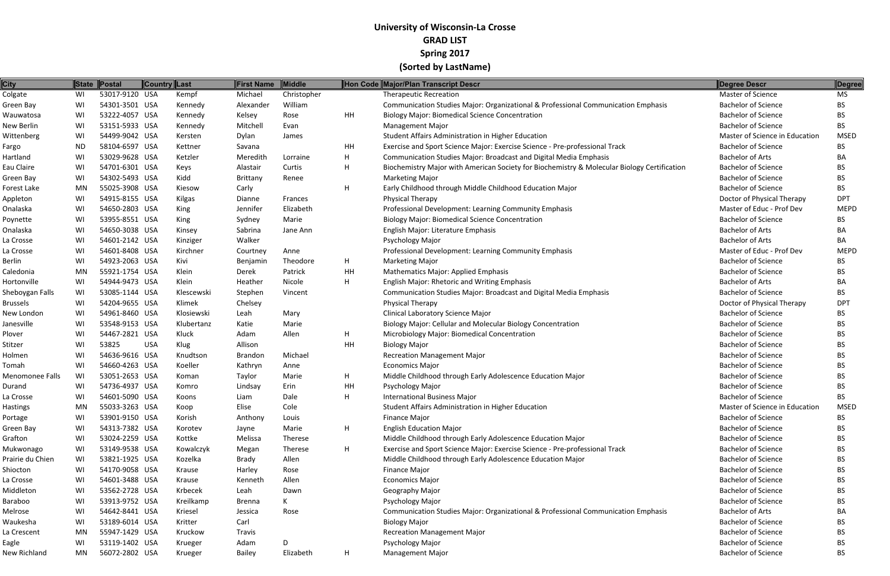| <b>City</b>      |           | State Postal   | Country Last |            | First Name    | Middle      |    | Hon Code Major/Plan Transcript Descr                                                        | Degree Descr                   | Degree      |
|------------------|-----------|----------------|--------------|------------|---------------|-------------|----|---------------------------------------------------------------------------------------------|--------------------------------|-------------|
| Colgate          | WI        | 53017-9120 USA |              | Kempf      | Michael       | Christopher |    | <b>Therapeutic Recreation</b>                                                               | Master of Science              | <b>MS</b>   |
| Green Bay        | WI        | 54301-3501 USA |              | Kennedy    | Alexander     | William     |    | Communication Studies Major: Organizational & Professional Communication Emphasis           | <b>Bachelor of Science</b>     | <b>BS</b>   |
| Wauwatosa        | WI        | 53222-4057 USA |              | Kennedy    | Kelsey        | Rose        | HH | <b>Biology Major: Biomedical Science Concentration</b>                                      | <b>Bachelor of Science</b>     | <b>BS</b>   |
| New Berlin       | WI        | 53151-5933 USA |              | Kennedy    | Mitchell      | Evan        |    | <b>Management Major</b>                                                                     | <b>Bachelor of Science</b>     | <b>BS</b>   |
| Wittenberg       | WI        | 54499-9042 USA |              | Kersten    | Dylan         | James       |    | Student Affairs Administration in Higher Education                                          | Master of Science in Education | <b>MSED</b> |
| Fargo            | <b>ND</b> | 58104-6597 USA |              | Kettner    | Savana        |             | HH | Exercise and Sport Science Major: Exercise Science - Pre-professional Track                 | <b>Bachelor of Science</b>     | <b>BS</b>   |
| Hartland         | WI        | 53029-9628 USA |              | Ketzler    | Meredith      | Lorraine    | H  | Communication Studies Major: Broadcast and Digital Media Emphasis                           | <b>Bachelor of Arts</b>        | BA          |
| Eau Claire       | WI        | 54701-6301 USA |              | Keys       | Alastair      | Curtis      | H  | Biochemistry Major with American Society for Biochemistry & Molecular Biology Certification | <b>Bachelor of Science</b>     | <b>BS</b>   |
| Green Bay        | WI        | 54302-5493 USA |              | Kidd       | Brittany      | Renee       |    | <b>Marketing Major</b>                                                                      | <b>Bachelor of Science</b>     | <b>BS</b>   |
| Forest Lake      | MN        | 55025-3908 USA |              | Kiesow     | Carly         |             | H  | Early Childhood through Middle Childhood Education Major                                    | <b>Bachelor of Science</b>     | <b>BS</b>   |
| Appleton         | WI        | 54915-8155 USA |              | Kilgas     | Dianne        | Frances     |    | Physical Therapy                                                                            | Doctor of Physical Therapy     | <b>DPT</b>  |
| Onalaska         | WI        | 54650-2803 USA |              | King       | Jennifer      | Elizabeth   |    | Professional Development: Learning Community Emphasis                                       | Master of Educ - Prof Dev      | <b>MEPD</b> |
| Poynette         | WI        | 53955-8551 USA |              | King       | Sydney        | Marie       |    | <b>Biology Major: Biomedical Science Concentration</b>                                      | <b>Bachelor of Science</b>     | BS.         |
| Onalaska         | WI        | 54650-3038 USA |              | Kinsey     | Sabrina       | Jane Ann    |    | English Major: Literature Emphasis                                                          | <b>Bachelor of Arts</b>        | BA          |
| La Crosse        | WI        | 54601-2142 USA |              | Kinziger   | Walker        |             |    | Psychology Major                                                                            | <b>Bachelor of Arts</b>        | BA          |
| La Crosse        | WI        | 54601-8408 USA |              | Kirchner   | Courtney      | Anne        |    | Professional Development: Learning Community Emphasis                                       | Master of Educ - Prof Dev      | <b>MEPD</b> |
| <b>Berlin</b>    | WI        | 54923-2063 USA |              | Kivi       | Benjamin      | Theodore    | H  | <b>Marketing Major</b>                                                                      | <b>Bachelor of Science</b>     | <b>BS</b>   |
| Caledonia        | MN        | 55921-1754 USA |              | Klein      | Derek         | Patrick     | HH | <b>Mathematics Major: Applied Emphasis</b>                                                  | <b>Bachelor of Science</b>     | <b>BS</b>   |
| Hortonville      | WI        | 54944-9473 USA |              | Klein      | Heather       | Nicole      | H  | English Major: Rhetoric and Writing Emphasis                                                | <b>Bachelor of Arts</b>        | BA          |
| Sheboygan Falls  | WI        | 53085-1144 USA |              | Klescewski | Stephen       | Vincent     |    | Communication Studies Major: Broadcast and Digital Media Emphasis                           | <b>Bachelor of Science</b>     | <b>BS</b>   |
| <b>Brussels</b>  | WI        | 54204-9655 USA |              | Klimek     | Chelsey       |             |    | Physical Therapy                                                                            | Doctor of Physical Therapy     | <b>DPT</b>  |
| New London       | WI        | 54961-8460 USA |              | Klosiewski | Leah          | Mary        |    | <b>Clinical Laboratory Science Major</b>                                                    | <b>Bachelor of Science</b>     | <b>BS</b>   |
| Janesville       | WI        | 53548-9153 USA |              | Klubertanz | Katie         | Marie       |    | Biology Major: Cellular and Molecular Biology Concentration                                 | <b>Bachelor of Science</b>     | <b>BS</b>   |
| Plover           | WI        | 54467-2821 USA |              | Kluck      | Adam          | Allen       | H  | Microbiology Major: Biomedical Concentration                                                | <b>Bachelor of Science</b>     | <b>BS</b>   |
| Stitzer          | WI        | 53825          | <b>USA</b>   | Klug       | Allison       |             | HH | <b>Biology Major</b>                                                                        | <b>Bachelor of Science</b>     | <b>BS</b>   |
| Holmen           | WI        | 54636-9616 USA |              | Knudtson   | Brandon       | Michael     |    | <b>Recreation Management Major</b>                                                          | <b>Bachelor of Science</b>     | <b>BS</b>   |
| Tomah            | WI        | 54660-4263 USA |              | Koeller    | Kathryn       | Anne        |    | <b>Economics Major</b>                                                                      | <b>Bachelor of Science</b>     | BS.         |
| Menomonee Falls  | WI        | 53051-2653 USA |              | Koman      | Taylor        | Marie       | H  | Middle Childhood through Early Adolescence Education Major                                  | <b>Bachelor of Science</b>     | <b>BS</b>   |
| Durand           | WI        | 54736-4937 USA |              | Komro      | Lindsay       | Erin        | HH | Psychology Major                                                                            | <b>Bachelor of Science</b>     | BS.         |
| La Crosse        | WI        | 54601-5090 USA |              | Koons      | Liam          | Dale        | H  | <b>International Business Major</b>                                                         | <b>Bachelor of Science</b>     | <b>BS</b>   |
| <b>Hastings</b>  | <b>MN</b> | 55033-3263 USA |              | Koop       | Elise         | Cole        |    | Student Affairs Administration in Higher Education                                          | Master of Science in Education | <b>MSED</b> |
| Portage          | WI        | 53901-9150 USA |              | Korish     | Anthony       | Louis       |    | Finance Major                                                                               | <b>Bachelor of Science</b>     | <b>BS</b>   |
| Green Bay        | WI        | 54313-7382 USA |              | Korotev    | Jayne         | Marie       | H  | <b>English Education Major</b>                                                              | <b>Bachelor of Science</b>     | BS          |
| Grafton          | WI        | 53024-2259 USA |              | Kottke     | Melissa       | Therese     |    | Middle Childhood through Early Adolescence Education Major                                  | <b>Bachelor of Science</b>     | <b>BS</b>   |
| Mukwonago        | WI        | 53149-9538 USA |              | Kowalczyk  | Megan         | Therese     | H  | Exercise and Sport Science Major: Exercise Science - Pre-professional Track                 | <b>Bachelor of Science</b>     | <b>BS</b>   |
| Prairie du Chien | WI        | 53821-1925 USA |              | Kozelka    | <b>Brady</b>  | Allen       |    | Middle Childhood through Early Adolescence Education Major                                  | <b>Bachelor of Science</b>     | <b>BS</b>   |
| Shiocton         | WI        | 54170-9058 USA |              | Krause     | Harley        | Rose        |    | <b>Finance Major</b>                                                                        | <b>Bachelor of Science</b>     | BS.         |
| La Crosse        | WI        | 54601-3488 USA |              | Krause     | Kenneth       | Allen       |    | <b>Economics Major</b>                                                                      | <b>Bachelor of Science</b>     | <b>BS</b>   |
| Middleton        | WI        | 53562-2728 USA |              | Krbecek    | Leah          | Dawn        |    | Geography Major                                                                             | <b>Bachelor of Science</b>     | <b>BS</b>   |
| Baraboo          | WI        | 53913-9752 USA |              | Kreilkamp  | Brenna        | K           |    | Psychology Major                                                                            | <b>Bachelor of Science</b>     | <b>BS</b>   |
| Melrose          | WI        | 54642-8441 USA |              | Kriesel    | Jessica       | Rose        |    | Communication Studies Major: Organizational & Professional Communication Emphasis           | <b>Bachelor of Arts</b>        | BA          |
| Waukesha         | WI        | 53189-6014 USA |              | Kritter    | Carl          |             |    | <b>Biology Major</b>                                                                        | <b>Bachelor of Science</b>     | <b>BS</b>   |
| La Crescent      | MN        | 55947-1429 USA |              | Kruckow    | <b>Travis</b> |             |    | <b>Recreation Management Major</b>                                                          | <b>Bachelor of Science</b>     | <b>BS</b>   |
| Eagle            | WI        | 53119-1402 USA |              | Krueger    | Adam          | D           |    | Psychology Major                                                                            | <b>Bachelor of Science</b>     | <b>BS</b>   |
| New Richland     | MN        | 56072-2802 USA |              | Krueger    | <b>Bailey</b> | Elizabeth   | H  | <b>Management Major</b>                                                                     | <b>Bachelor of Science</b>     | <b>BS</b>   |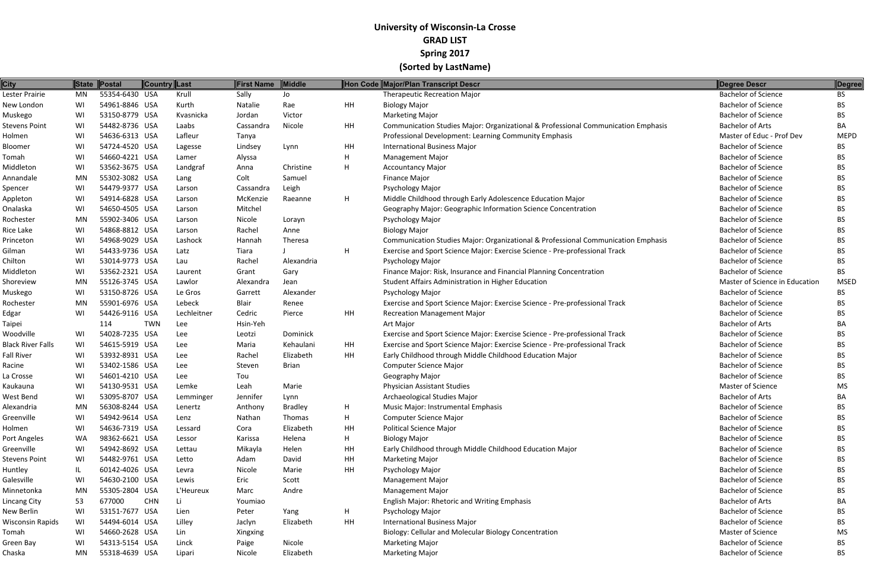| <b>City</b>              | <b>State</b> | Postal         | <b>Country Last</b> |             | First Name | <b>Middle</b>  |           | Hon Code Major/Plan Transcript Descr                                              | Degree Descr                   | Degree      |
|--------------------------|--------------|----------------|---------------------|-------------|------------|----------------|-----------|-----------------------------------------------------------------------------------|--------------------------------|-------------|
| Lester Prairie           | MN           | 55354-6430 USA |                     | Krull       | Sally      | Jo             |           | <b>Therapeutic Recreation Major</b>                                               | <b>Bachelor of Science</b>     | <b>BS</b>   |
| New London               | WI           | 54961-8846 USA |                     | Kurth       | Natalie    | Rae            | HH        | <b>Biology Major</b>                                                              | <b>Bachelor of Science</b>     | BS.         |
| Muskego                  | WI           | 53150-8779 USA |                     | Kvasnicka   | Jordan     | Victor         |           | <b>Marketing Major</b>                                                            | <b>Bachelor of Science</b>     | BS.         |
| Stevens Point            | WI           | 54482-8736 USA |                     | Laabs       | Cassandra  | Nicole         | HH        | Communication Studies Major: Organizational & Professional Communication Emphasis | <b>Bachelor of Arts</b>        | BA          |
| Holmen                   | WI           | 54636-6313 USA |                     | Lafleur     | Tanya      |                |           | Professional Development: Learning Community Emphasis                             | Master of Educ - Prof Dev      | <b>MEPD</b> |
| Bloomer                  | WI           | 54724-4520 USA |                     | Lagesse     | Lindsey    | Lynn           | HH        | <b>International Business Major</b>                                               | <b>Bachelor of Science</b>     | BS.         |
| Tomah                    | WI           | 54660-4221 USA |                     | Lamer       | Alyssa     |                | н         | <b>Management Major</b>                                                           | <b>Bachelor of Science</b>     | <b>BS</b>   |
| Middleton                | WI           | 53562-3675 USA |                     | Landgraf    | Anna       | Christine      | H.        | <b>Accountancy Major</b>                                                          | <b>Bachelor of Science</b>     | BS.         |
| Annandale                | MN           | 55302-3082 USA |                     | Lang        | Colt       | Samuel         |           | <b>Finance Major</b>                                                              | <b>Bachelor of Science</b>     | BS.         |
| Spencer                  | WI           | 54479-9377 USA |                     | Larson      | Cassandra  | Leigh          |           | Psychology Major                                                                  | <b>Bachelor of Science</b>     | BS.         |
| Appleton                 | WI           | 54914-6828 USA |                     | Larson      | McKenzie   | Raeanne        | H         | Middle Childhood through Early Adolescence Education Major                        | <b>Bachelor of Science</b>     | BS.         |
| Onalaska                 | WI           | 54650-4505 USA |                     | Larson      | Mitchel    |                |           | Geography Major: Geographic Information Science Concentration                     | <b>Bachelor of Science</b>     | <b>BS</b>   |
| Rochester                | MN           | 55902-3406 USA |                     | Larson      | Nicole     | Lorayn         |           | Psychology Major                                                                  | <b>Bachelor of Science</b>     | BS.         |
| Rice Lake                | WI           | 54868-8812 USA |                     | Larson      | Rachel     | Anne           |           | <b>Biology Major</b>                                                              | <b>Bachelor of Science</b>     | BS.         |
| Princeton                | WI           | 54968-9029 USA |                     | Lashock     | Hannah     | Theresa        |           | Communication Studies Major: Organizational & Professional Communication Emphasis | <b>Bachelor of Science</b>     | BS.         |
| Gilman                   | WI           | 54433-9736 USA |                     | Latz        | Tiara      |                | H.        | Exercise and Sport Science Major: Exercise Science - Pre-professional Track       | <b>Bachelor of Science</b>     | BS          |
| Chilton                  | WI           | 53014-9773 USA |                     | Lau         | Rachel     | Alexandria     |           | <b>Psychology Major</b>                                                           | <b>Bachelor of Science</b>     | <b>BS</b>   |
| Middleton                | WI           | 53562-2321 USA |                     | Laurent     | Grant      | Gary           |           | Finance Major: Risk, Insurance and Financial Planning Concentration               | <b>Bachelor of Science</b>     | BS.         |
| Shoreview                | MN           | 55126-3745 USA |                     | Lawlor      | Alexandra  | Jean           |           | Student Affairs Administration in Higher Education                                | Master of Science in Education | <b>MSED</b> |
| Muskego                  | WI           | 53150-8726 USA |                     | Le Gros     | Garrett    | Alexander      |           | Psychology Major                                                                  | <b>Bachelor of Science</b>     | <b>BS</b>   |
| Rochester                | MN           | 55901-6976 USA |                     | Lebeck      | Blair      | Renee          |           | Exercise and Sport Science Major: Exercise Science - Pre-professional Track       | <b>Bachelor of Science</b>     | BS.         |
| Edgar                    | WI           | 54426-9116 USA |                     | Lechleitner | Cedric     | Pierce         | <b>HH</b> | <b>Recreation Management Major</b>                                                | <b>Bachelor of Science</b>     | BS.         |
| Taipei                   |              | 114            | <b>TWN</b>          | Lee         | Hsin-Yeh   |                |           | Art Major                                                                         | <b>Bachelor of Arts</b>        | BA          |
| Woodville                | WI           | 54028-7235 USA |                     | Lee         | Leotzi     | Dominick       |           | Exercise and Sport Science Major: Exercise Science - Pre-professional Track       | <b>Bachelor of Science</b>     | BS.         |
| <b>Black River Falls</b> | WI           | 54615-5919 USA |                     | Lee         | Maria      | Kehaulani      | HH        | Exercise and Sport Science Major: Exercise Science - Pre-professional Track       | <b>Bachelor of Science</b>     | <b>BS</b>   |
| <b>Fall River</b>        | WI           | 53932-8931 USA |                     | Lee         | Rachel     | Elizabeth      | <b>HH</b> | Early Childhood through Middle Childhood Education Major                          | <b>Bachelor of Science</b>     | BS.         |
| Racine                   | WI           | 53402-1586 USA |                     | Lee         | Steven     | Brian          |           | <b>Computer Science Major</b>                                                     | <b>Bachelor of Science</b>     | BS.         |
| La Crosse                | WI           | 54601-4210 USA |                     | Lee         | Tou        |                |           | Geography Major                                                                   | <b>Bachelor of Science</b>     | BS.         |
| Kaukauna                 | WI           | 54130-9531 USA |                     | Lemke       | Leah       | Marie          |           | <b>Physician Assistant Studies</b>                                                | <b>Master of Science</b>       | <b>MS</b>   |
| West Bend                | WI           | 53095-8707 USA |                     | Lemminger   | Jennifer   | Lynn           |           | Archaeological Studies Major                                                      | <b>Bachelor of Arts</b>        | BA          |
| Alexandria               | MN           | 56308-8244 USA |                     | Lenertz     | Anthony    | <b>Bradley</b> | H         | Music Major: Instrumental Emphasis                                                | <b>Bachelor of Science</b>     | <b>BS</b>   |
| Greenville               | WI           | 54942-9614 USA |                     | Lenz        | Nathan     | Thomas         | H         | <b>Computer Science Major</b>                                                     | <b>Bachelor of Science</b>     | BS.         |
| Holmen                   | WI           | 54636-7319 USA |                     | Lessard     | Cora       | Elizabeth      | HH        | <b>Political Science Major</b>                                                    | <b>Bachelor of Science</b>     | BS.         |
| Port Angeles             | WA           | 98362-6621 USA |                     | Lessor      | Karissa    | Helena         | H.        | <b>Biology Major</b>                                                              | <b>Bachelor of Science</b>     | BS.         |
| Greenville               | WI           | 54942-8692 USA |                     | Lettau      | Mikayla    | Helen          | HH        | Early Childhood through Middle Childhood Education Major                          | <b>Bachelor of Science</b>     | <b>BS</b>   |
| Stevens Point            | WI           | 54482-9761 USA |                     | Letto       | Adam       | David          | HH        | <b>Marketing Major</b>                                                            | <b>Bachelor of Science</b>     | BS.         |
| Huntley                  | IL.          | 60142-4026 USA |                     | Levra       | Nicole     | Marie          | HH        | Psychology Major                                                                  | <b>Bachelor of Science</b>     | BS.         |
| Galesville               | WI           | 54630-2100 USA |                     | Lewis       | Eric       | Scott          |           | <b>Management Major</b>                                                           | <b>Bachelor of Science</b>     | <b>BS</b>   |
| Minnetonka               | MN           | 55305-2804 USA |                     | L'Heureux   | Marc       | Andre          |           | <b>Management Major</b>                                                           | <b>Bachelor of Science</b>     | BS.         |
| Lincang City             | 53           | 677000         | <b>CHN</b>          | Li          | Youmiao    |                |           | <b>English Major: Rhetoric and Writing Emphasis</b>                               | <b>Bachelor of Arts</b>        | BA          |
| New Berlin               | WI           | 53151-7677 USA |                     | Lien        | Peter      | Yang           | H         | Psychology Major                                                                  | <b>Bachelor of Science</b>     | BS.         |
| Wisconsin Rapids         | WI           | 54494-6014 USA |                     | Lilley      | Jaclyn     | Elizabeth      | HH        | <b>International Business Major</b>                                               | <b>Bachelor of Science</b>     | BS.         |
| Tomah                    | WI           | 54660-2628 USA |                     | Lin         | Xingxing   |                |           | Biology: Cellular and Molecular Biology Concentration                             | Master of Science              | MS          |
| Green Bay                | WI           | 54313-5154 USA |                     | Linck       | Paige      | Nicole         |           | <b>Marketing Major</b>                                                            | <b>Bachelor of Science</b>     | BS.         |
| Chaska                   | MN           | 55318-4639 USA |                     | Lipari      | Nicole     | Elizabeth      |           | <b>Marketing Major</b>                                                            | <b>Bachelor of Science</b>     | <b>BS</b>   |
|                          |              |                |                     |             |            |                |           |                                                                                   |                                |             |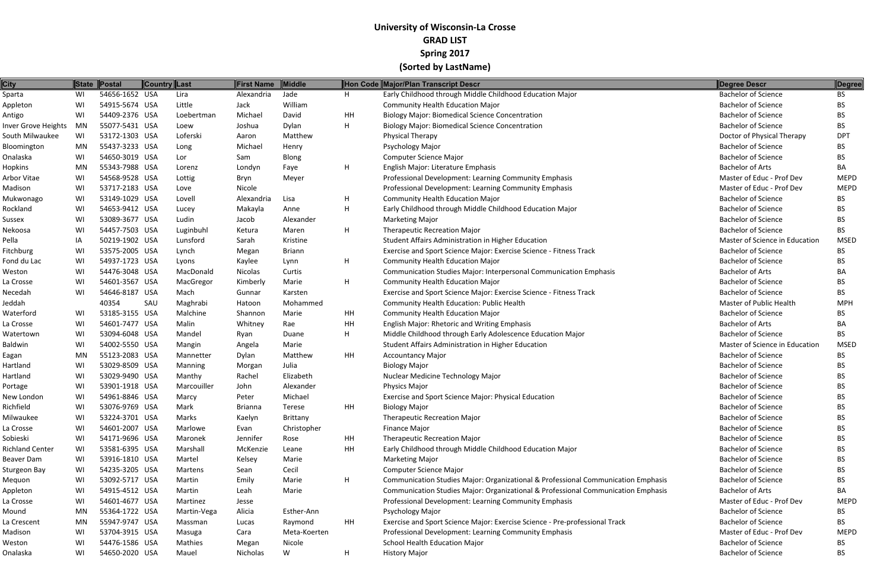| <b>City</b>                        |           | State Postal                     | <b>Country Last</b> |                       | <b>First Name</b> | Middle        |    | Hon Code Major/Plan Transcript Descr                                              | Degree Descr                                             | Degree      |
|------------------------------------|-----------|----------------------------------|---------------------|-----------------------|-------------------|---------------|----|-----------------------------------------------------------------------------------|----------------------------------------------------------|-------------|
| Sparta                             | WI        | 54656-1652 USA                   |                     | Lira                  | Alexandria        | Jade          | H  | Early Childhood through Middle Childhood Education Major                          | <b>Bachelor of Science</b>                               | <b>BS</b>   |
| Appleton                           | WI        | 54915-5674 USA                   |                     | Little                | Jack              | William       |    | <b>Community Health Education Major</b>                                           | <b>Bachelor of Science</b>                               | <b>BS</b>   |
| Antigo                             | WI        | 54409-2376 USA                   |                     | Loebertman            | Michael           | David         | HH | <b>Biology Major: Biomedical Science Concentration</b>                            | <b>Bachelor of Science</b>                               | <b>BS</b>   |
| Inver Grove Heights                | MN        | 55077-5431 USA                   |                     | Loew                  | Joshua            | Dylan         | H  | <b>Biology Major: Biomedical Science Concentration</b>                            | <b>Bachelor of Science</b>                               | BS.         |
| South Milwaukee                    | WI        | 53172-1303 USA                   |                     | Loferski              | Aaron             | Matthew       |    | <b>Physical Therapy</b>                                                           | Doctor of Physical Therapy                               | <b>DPT</b>  |
| Bloomington                        | MN        | 55437-3233 USA                   |                     | Long                  | Michael           | Henry         |    | Psychology Major                                                                  | <b>Bachelor of Science</b>                               | BS.         |
| Onalaska                           | WI        | 54650-3019 USA                   |                     | Lor                   | Sam               | Blong         |    | <b>Computer Science Major</b>                                                     | <b>Bachelor of Science</b>                               | <b>BS</b>   |
| Hopkins                            | <b>MN</b> | 55343-7988 USA                   |                     | Lorenz                | Londyn            | Faye          | H  | English Major: Literature Emphasis                                                | <b>Bachelor of Arts</b>                                  | BA          |
| Arbor Vitae                        | WI        | 54568-9528 USA                   |                     | Lottig                | Bryn              | Meyer         |    | Professional Development: Learning Community Emphasis                             | Master of Educ - Prof Dev                                | <b>MEPD</b> |
| Madison                            | WI        | 53717-2183 USA                   |                     | Love                  | Nicole            |               |    | Professional Development: Learning Community Emphasis                             | Master of Educ - Prof Dev                                | <b>MEPD</b> |
| Mukwonago                          | WI        | 53149-1029 USA                   |                     | Lovell                | Alexandria        | Lisa          | H  | <b>Community Health Education Major</b>                                           | <b>Bachelor of Science</b>                               | BS.         |
| Rockland                           | WI        | 54653-9412 USA                   |                     | Lucey                 | Makayla           | Anne          | H  | Early Childhood through Middle Childhood Education Major                          | <b>Bachelor of Science</b>                               | BS          |
| Sussex                             | WI        | 53089-3677 USA                   |                     | Ludin                 | Jacob             | Alexander     |    | <b>Marketing Major</b>                                                            | <b>Bachelor of Science</b>                               | BS.         |
| Nekoosa                            | WI        | 54457-7503 USA                   |                     | Luginbuhl             | Ketura            | Maren         | H  | <b>Therapeutic Recreation Major</b>                                               | <b>Bachelor of Science</b>                               | <b>BS</b>   |
| Pella                              | ΙA        | 50219-1902 USA                   |                     | Lunsford              | Sarah             | Kristine      |    | Student Affairs Administration in Higher Education                                | Master of Science in Education                           | <b>MSED</b> |
| Fitchburg                          | WI        | 53575-2005 USA                   |                     | Lynch                 | Megan             | <b>Briann</b> |    | Exercise and Sport Science Major: Exercise Science - Fitness Track                | <b>Bachelor of Science</b>                               | <b>BS</b>   |
| Fond du Lac                        | WI        | 54937-1723 USA                   |                     | Lyons                 | Kaylee            | Lynn          | H  | <b>Community Health Education Major</b>                                           | <b>Bachelor of Science</b>                               | BS.         |
| Weston                             | WI        | 54476-3048 USA                   |                     | MacDonald             | Nicolas           | Curtis        |    | Communication Studies Major: Interpersonal Communication Emphasis                 | <b>Bachelor of Arts</b>                                  | BA.         |
| La Crosse                          | WI        | 54601-3567 USA                   |                     | MacGregor             | Kimberly          | Marie         | H  | <b>Community Health Education Major</b>                                           | <b>Bachelor of Science</b>                               | BS          |
| Necedah                            | WI        | 54646-8187 USA                   |                     | Mach                  | Gunnar            | Karsten       |    | Exercise and Sport Science Major: Exercise Science - Fitness Track                | <b>Bachelor of Science</b>                               | BS          |
| Jeddah                             |           | 40354                            | SAU                 | Maghrabi              | Hatoon            | Mohammed      |    | Community Health Education: Public Health                                         | Master of Public Health                                  | <b>MPH</b>  |
| Waterford                          | WI        | 53185-3155 USA                   |                     | Malchine              | Shannon           | Marie         | HH | <b>Community Health Education Major</b>                                           | <b>Bachelor of Science</b>                               | <b>BS</b>   |
| La Crosse                          | WI        | 54601-7477 USA                   |                     | Malin                 | Whitney           | Rae           | HH | English Major: Rhetoric and Writing Emphasis                                      | <b>Bachelor of Arts</b>                                  | BA          |
| Watertown                          | WI        | 53094-6048 USA                   |                     | Mandel                | Ryan              | Duane         | H  | Middle Childhood through Early Adolescence Education Major                        | <b>Bachelor of Science</b>                               | <b>BS</b>   |
| <b>Baldwin</b>                     | WI        | 54002-5550 USA                   |                     | Mangin                | Angela            | Marie         |    | Student Affairs Administration in Higher Education                                | Master of Science in Education                           | <b>MSED</b> |
|                                    | MN        | 55123-2083 USA                   |                     | Mannetter             | Dylan             | Matthew       | HH | <b>Accountancy Major</b>                                                          | <b>Bachelor of Science</b>                               | <b>BS</b>   |
| Eagan<br>Hartland                  | WI        | 53029-8509 USA                   |                     |                       |                   | Julia         |    | <b>Biology Major</b>                                                              | <b>Bachelor of Science</b>                               | BS.         |
|                                    |           | 53029-9490 USA                   |                     | <b>Manning</b>        | Morgan<br>Rachel  | Elizabeth     |    |                                                                                   | <b>Bachelor of Science</b>                               |             |
| Hartland                           | WI        | 53901-1918 USA                   |                     | Manthy<br>Marcouiller |                   | Alexander     |    | Nuclear Medicine Technology Major<br><b>Physics Major</b>                         | <b>Bachelor of Science</b>                               | BS.         |
| Portage<br>New London              | WI<br>WI  | 54961-8846 USA                   |                     |                       | John              | Michael       |    |                                                                                   | <b>Bachelor of Science</b>                               | <b>BS</b>   |
| Richfield                          | WI        | 53076-9769 USA                   |                     | Marcy                 | Peter             |               | HH | Exercise and Sport Science Major: Physical Education<br><b>Biology Major</b>      | <b>Bachelor of Science</b>                               | BS          |
|                                    |           |                                  |                     | Mark                  | <b>Brianna</b>    | Terese        |    |                                                                                   | <b>Bachelor of Science</b>                               | BS.         |
| Milwaukee                          | WI        | 53224-3701 USA                   |                     | Marks                 | Kaelyn            | Brittany      |    | Therapeutic Recreation Major                                                      |                                                          | BS.         |
| La Crosse                          | WI        | 54601-2007 USA<br>54171-9696 USA |                     | Marlowe               | Evan              | Christopher   |    | Finance Major                                                                     | <b>Bachelor of Science</b><br><b>Bachelor of Science</b> | <b>BS</b>   |
| Sobieski<br><b>Richland Center</b> | WI        |                                  |                     | Maronek               | Jennifer          | Rose          | HH | <b>Therapeutic Recreation Major</b>                                               |                                                          | BS.         |
|                                    | WI        | 53581-6395 USA                   |                     | Marshall              | McKenzie          | Leane         | HH | Early Childhood through Middle Childhood Education Major                          | <b>Bachelor of Science</b>                               | BS.         |
| Beaver Dam                         | WI        | 53916-1810 USA                   |                     | Martel                | Kelsey            | Marie         |    | <b>Marketing Major</b>                                                            | <b>Bachelor of Science</b>                               | BS.         |
| Sturgeon Bay                       | WI        | 54235-3205 USA                   |                     | Martens               | Sean              | Cecil         |    | <b>Computer Science Major</b>                                                     | <b>Bachelor of Science</b>                               | BS.         |
| Mequon                             | WI        | 53092-5717 USA                   |                     | Martin                | Emily             | Marie         | H  | Communication Studies Major: Organizational & Professional Communication Emphasis | <b>Bachelor of Science</b>                               | BS.         |
| Appleton                           | WI        | 54915-4512 USA                   |                     | Martin                | Leah              | Marie         |    | Communication Studies Major: Organizational & Professional Communication Emphasis | <b>Bachelor of Arts</b>                                  | BA          |
| La Crosse                          | WI        | 54601-4677 USA                   |                     | Martinez              | Jesse             |               |    | Professional Development: Learning Community Emphasis                             | Master of Educ - Prof Dev                                | <b>MEPD</b> |
| Mound                              | MN        | 55364-1722 USA                   |                     | Martin-Vega           | Alicia            | Esther-Ann    |    | Psychology Major                                                                  | <b>Bachelor of Science</b>                               | BS.         |
| La Crescent                        | MN        | 55947-9747 USA                   |                     | Massman               | Lucas             | Raymond       | HH | Exercise and Sport Science Major: Exercise Science - Pre-professional Track       | <b>Bachelor of Science</b>                               | BS.         |
| Madison                            | WI        | 53704-3915 USA                   |                     | Masuga                | Cara              | Meta-Koerten  |    | Professional Development: Learning Community Emphasis                             | Master of Educ - Prof Dev                                | <b>MEPD</b> |
| Weston                             | WI        | 54476-1586 USA                   |                     | Mathies               | Megan             | Nicole        |    | School Health Education Major                                                     | <b>Bachelor of Science</b>                               | BS          |
| Onalaska                           | WI        | 54650-2020 USA                   |                     | Mauel                 | Nicholas          | W             | H  | <b>History Major</b>                                                              | <b>Bachelor of Science</b>                               | <b>BS</b>   |

|      | Degree Descr                   | Degree      |
|------|--------------------------------|-------------|
|      | <b>Bachelor of Science</b>     | <b>BS</b>   |
|      | <b>Bachelor of Science</b>     | <b>BS</b>   |
|      | <b>Bachelor of Science</b>     | <b>BS</b>   |
|      | <b>Bachelor of Science</b>     | <b>BS</b>   |
|      | Doctor of Physical Therapy     | <b>DPT</b>  |
|      | <b>Bachelor of Science</b>     | <b>BS</b>   |
|      | <b>Bachelor of Science</b>     | <b>BS</b>   |
|      | <b>Bachelor of Arts</b>        | BA          |
|      | Master of Educ - Prof Dev      | <b>MEPD</b> |
|      | Master of Educ - Prof Dev      | <b>MEPD</b> |
|      | <b>Bachelor of Science</b>     | BS          |
|      | <b>Bachelor of Science</b>     | <b>BS</b>   |
|      | <b>Bachelor of Science</b>     | <b>BS</b>   |
|      | <b>Bachelor of Science</b>     | BS          |
|      | Master of Science in Education | <b>MSED</b> |
|      | <b>Bachelor of Science</b>     | <b>BS</b>   |
|      | <b>Bachelor of Science</b>     | BS          |
|      | <b>Bachelor of Arts</b>        | BА          |
|      | Bachelor of Science            | BS          |
|      | <b>Bachelor of Science</b>     | BS.         |
|      | Master of Public Health        | <b>MPH</b>  |
|      | <b>Bachelor of Science</b>     | BS          |
|      | <b>Bachelor of Arts</b>        | BА          |
|      | <b>Bachelor of Science</b>     | BS          |
|      | Master of Science in Education | <b>MSED</b> |
|      | <b>Bachelor of Science</b>     | <b>BS</b>   |
|      | <b>Bachelor of Science</b>     | <b>BS</b>   |
|      | <b>Bachelor of Science</b>     | <b>BS</b>   |
|      | <b>Bachelor of Science</b>     | <b>BS</b>   |
|      | <b>Bachelor of Science</b>     | BS          |
|      | <b>Bachelor of Science</b>     | BS          |
|      | <b>Bachelor of Science</b>     | <b>BS</b>   |
|      | <b>Bachelor of Science</b>     | <b>BS</b>   |
|      | <b>Bachelor of Science</b>     | <b>BS</b>   |
|      | <b>Bachelor of Science</b>     | <b>BS</b>   |
|      | <b>Bachelor of Science</b>     | <b>BS</b>   |
|      | <b>Bachelor of Science</b>     | <b>BS</b>   |
| asis | <b>Bachelor of Science</b>     | <b>BS</b>   |
| asis | <b>Bachelor of Arts</b>        | BA          |
|      | Master of Educ - Prof Dev      | <b>MEPD</b> |
|      | <b>Bachelor of Science</b>     | <b>BS</b>   |
|      | <b>Bachelor of Science</b>     | <b>BS</b>   |
|      | Master of Educ - Prof Dev      | MEPD        |
|      | <b>Bachelor of Science</b>     | BS          |
|      | Bachelor of Science            | R۲          |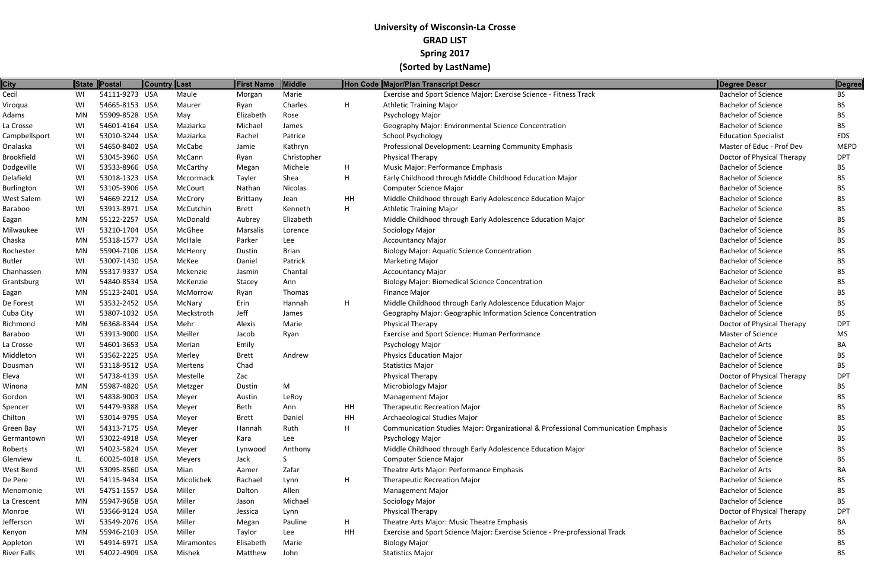| <b>City</b>       | State     | <b>Postal</b>  | <b>Country Last</b> |            | <b>First Name</b> | Middle       |    | Hon Code Major/Plan Transcript Descr                                              | Degree Descr                | Degree      |
|-------------------|-----------|----------------|---------------------|------------|-------------------|--------------|----|-----------------------------------------------------------------------------------|-----------------------------|-------------|
| Cecil             | WI        | 54111-9273 USA |                     | Maule      | Morgan            | Marie        |    | Exercise and Sport Science Major: Exercise Science - Fitness Track                | <b>Bachelor of Science</b>  | <b>BS</b>   |
| Viroqua           | WI        | 54665-8153 USA |                     | Maurer     | Ryan              | Charles      | H  | <b>Athletic Training Major</b>                                                    | <b>Bachelor of Science</b>  | BS.         |
| Adams             | MN        | 55909-8528 USA |                     | May        | Elizabeth         | Rose         |    | <b>Psychology Major</b>                                                           | <b>Bachelor of Science</b>  | BS.         |
| La Crosse         | WI        | 54601-4164 USA |                     | Maziarka   | Michael           | James        |    | Geography Major: Environmental Science Concentration                              | <b>Bachelor of Science</b>  | BS.         |
| Campbellsport     | WI        | 53010-3244 USA |                     | Maziarka   | Rachel            | Patrice      |    | School Psychology                                                                 | <b>Education Specialist</b> | <b>EDS</b>  |
| Onalaska          | WI        | 54650-8402 USA |                     | McCabe     | Jamie             | Kathryn      |    | Professional Development: Learning Community Emphasis                             | Master of Educ - Prof Dev   | <b>MEPD</b> |
| <b>Brookfield</b> | WI        | 53045-3960 USA |                     | McCann     | Ryan              | Christopher  |    | <b>Physical Therapy</b>                                                           | Doctor of Physical Therapy  | <b>DPT</b>  |
| Dodgeville        | WI        | 53533-8966 USA |                     | McCarthy   | Megan             | Michele      | H  | Music Major: Performance Emphasis                                                 | <b>Bachelor of Science</b>  | <b>BS</b>   |
| Delafield         | WI        | 53018-1323 USA |                     | Mccormack  | Tayler            | Shea         | H  | Early Childhood through Middle Childhood Education Major                          | <b>Bachelor of Science</b>  | <b>BS</b>   |
| <b>Burlington</b> | WI        | 53105-3906 USA |                     | McCourt    | Nathan            | Nicolas      |    | Computer Science Major                                                            | <b>Bachelor of Science</b>  | <b>BS</b>   |
| West Salem        | WI        | 54669-2212 USA |                     | McCrory    | Brittany          | Jean         | HH | Middle Childhood through Early Adolescence Education Major                        | <b>Bachelor of Science</b>  | <b>BS</b>   |
| Baraboo           | WI        | 53913-8971 USA |                     | McCutchin  | <b>Brett</b>      | Kenneth      | H  | <b>Athletic Training Major</b>                                                    | <b>Bachelor of Science</b>  | <b>BS</b>   |
| Eagan             | <b>MN</b> | 55122-2257 USA |                     | McDonald   | Aubrey            | Elizabeth    |    | Middle Childhood through Early Adolescence Education Major                        | <b>Bachelor of Science</b>  | BS          |
| Milwaukee         | WI        | 53210-1704 USA |                     | McGhee     | Marsalis          | Lorence      |    | Sociology Major                                                                   | <b>Bachelor of Science</b>  | BS.         |
| Chaska            | MN        | 55318-1577 USA |                     | McHale     | Parker            | Lee          |    | <b>Accountancy Major</b>                                                          | <b>Bachelor of Science</b>  | <b>BS</b>   |
| Rochester         | MN        | 55904-7106 USA |                     | McHenry    | Dustin            | <b>Brian</b> |    | <b>Biology Major: Aquatic Science Concentration</b>                               | <b>Bachelor of Science</b>  | <b>BS</b>   |
| <b>Butler</b>     | WI        | 53007-1430 USA |                     | McKee      | Daniel            | Patrick      |    | <b>Marketing Major</b>                                                            | <b>Bachelor of Science</b>  | BS          |
| Chanhassen        | <b>MN</b> | 55317-9337 USA |                     | Mckenzie   | Jasmin            | Chantal      |    | <b>Accountancy Major</b>                                                          | <b>Bachelor of Science</b>  | BS.         |
| Grantsburg        | WI        | 54840-8534 USA |                     | McKenzie   | Stacey            | Ann          |    | <b>Biology Major: Biomedical Science Concentration</b>                            | <b>Bachelor of Science</b>  | <b>BS</b>   |
| Eagan             | MN        | 55123-2401 USA |                     | McMorrow   | Ryan              | Thomas       |    | <b>Finance Major</b>                                                              | <b>Bachelor of Science</b>  | <b>BS</b>   |
| De Forest         | WI        | 53532-2452 USA |                     | McNary     | Erin              | Hannah       | H  | Middle Childhood through Early Adolescence Education Major                        | <b>Bachelor of Science</b>  | <b>BS</b>   |
| Cuba City         | WI        | 53807-1032 USA |                     | Meckstroth | Jeff              | James        |    | Geography Major: Geographic Information Science Concentration                     | <b>Bachelor of Science</b>  | BS          |
| Richmond          | MN        | 56368-8344 USA |                     | Mehr       | Alexis            | Marie        |    | Physical Therapy                                                                  | Doctor of Physical Therapy  | <b>DPT</b>  |
| Baraboo           | WI        | 53913-9000 USA |                     | Meiller    | Jacob             | Ryan         |    | Exercise and Sport Science: Human Performance                                     | <b>Master of Science</b>    | <b>MS</b>   |
| La Crosse         | WI        | 54601-3653 USA |                     | Merian     | Emily             |              |    | Psychology Major                                                                  | <b>Bachelor of Arts</b>     | BA          |
| Middleton         | WI        | 53562-2225 USA |                     | Merley     | <b>Brett</b>      | Andrew       |    | <b>Physics Education Major</b>                                                    | <b>Bachelor of Science</b>  | <b>BS</b>   |
| Dousman           | WI        | 53118-9512 USA |                     | Mertens    | Chad              |              |    | <b>Statistics Major</b>                                                           | <b>Bachelor of Science</b>  | BS.         |
| Eleva             | WI        | 54738-4139 USA |                     | Mestelle   | Zac               |              |    | <b>Physical Therapy</b>                                                           | Doctor of Physical Therapy  | <b>DPT</b>  |
| Winona            | MN        | 55987-4820 USA |                     | Metzger    | Dustin            | M            |    | Microbiology Major                                                                | <b>Bachelor of Science</b>  | BS.         |
| Gordon            | WI        | 54838-9003 USA |                     | Mever      | Austin            | LeRoy        |    | <b>Management Major</b>                                                           | <b>Bachelor of Science</b>  | BS.         |
| Spencer           | WI        | 54479-9388 USA |                     | Meyer      | <b>Beth</b>       | Ann          | HH | <b>Therapeutic Recreation Major</b>                                               | <b>Bachelor of Science</b>  | BS.         |
| Chilton           | WI        | 53014-9795 USA |                     | Meyer      | <b>Brett</b>      | Daniel       | HH | Archaeological Studies Major                                                      | <b>Bachelor of Science</b>  | BS.         |
| Green Bay         | WI        | 54313-7175 USA |                     | Meyer      | Hannah            | Ruth         | H  | Communication Studies Major: Organizational & Professional Communication Emphasis | <b>Bachelor of Science</b>  | BS.         |
| Germantown        | WI        | 53022-4918 USA |                     | Meyer      | Kara              | Lee          |    | Psychology Major                                                                  | <b>Bachelor of Science</b>  | BS.         |
| Roberts           | WI        | 54023-5824 USA |                     | Meyer      | Lynwood           | Anthony      |    | Middle Childhood through Early Adolescence Education Major                        | <b>Bachelor of Science</b>  | BS.         |
| Glenview          | IL        | 60025-4018 USA |                     | Meyers     | Jack              |              |    | Computer Science Major                                                            | <b>Bachelor of Science</b>  | BS.         |
| West Bend         | WI        | 53095-8560 USA |                     | Mian       | Aamer             | Zafar        |    | Theatre Arts Major: Performance Emphasis                                          | <b>Bachelor of Arts</b>     | BA.         |
| De Pere           | WI        | 54115-9434 USA |                     | Micolichek | Rachael           | Lynn         | H  | <b>Therapeutic Recreation Major</b>                                               | <b>Bachelor of Science</b>  | BS.         |
| Menomonie         | WI        | 54751-1557 USA |                     | Miller     | Dalton            | Allen        |    | <b>Management Major</b>                                                           | <b>Bachelor of Science</b>  | BS.         |
| La Crescent       | MN        | 55947-9658 USA |                     | Miller     | Jason             | Michael      |    | Sociology Major                                                                   | <b>Bachelor of Science</b>  | BS.         |
| Monroe            | WI        | 53566-9124 USA |                     | Miller     | Jessica           | Lynn         |    | <b>Physical Therapy</b>                                                           | Doctor of Physical Therapy  | DPT         |
| Jefferson         | WI        | 53549-2076 USA |                     | Miller     | Megan             | Pauline      | H  | Theatre Arts Major: Music Theatre Emphasis                                        | <b>Bachelor of Arts</b>     | BA.         |
| Kenyon            | MN        | 55946-2103 USA |                     | Miller     | Taylor            | Lee          | HH | Exercise and Sport Science Major: Exercise Science - Pre-professional Track       | <b>Bachelor of Science</b>  | BS.         |
| Appleton          | WI        | 54914-6971 USA |                     | Miramontes | Elisabeth         | Marie        |    | <b>Biology Major</b>                                                              | <b>Bachelor of Science</b>  | BS.         |
| River Falls       | WI        | 54022-4909 USA |                     | Mishek     | Matthew           | John         |    | <b>Statistics Major</b>                                                           | <b>Bachelor of Science</b>  | <b>BS</b>   |
|                   |           |                |                     |            |                   |              |    |                                                                                   |                             |             |

|      | Degree Descr                | Degree      |
|------|-----------------------------|-------------|
|      | Bachelor of Science         | <b>BS</b>   |
|      | <b>Bachelor of Science</b>  | <b>BS</b>   |
|      | <b>Bachelor of Science</b>  | <b>BS</b>   |
|      | <b>Bachelor of Science</b>  | <b>BS</b>   |
|      | <b>Education Specialist</b> | <b>EDS</b>  |
|      | Master of Educ - Prof Dev   | <b>MEPD</b> |
|      | Doctor of Physical Therapy  | <b>DPT</b>  |
|      | <b>Bachelor of Science</b>  | BS          |
|      | <b>Bachelor of Science</b>  | <b>BS</b>   |
|      | <b>Bachelor of Science</b>  | <b>BS</b>   |
|      | <b>Bachelor of Science</b>  | <b>BS</b>   |
|      | <b>Bachelor of Science</b>  | <b>BS</b>   |
|      | <b>Bachelor of Science</b>  | <b>BS</b>   |
|      | <b>Bachelor of Science</b>  | <b>BS</b>   |
|      | <b>Bachelor of Science</b>  | <b>BS</b>   |
|      | <b>Bachelor of Science</b>  | <b>BS</b>   |
|      | <b>Bachelor of Science</b>  | <b>BS</b>   |
|      | <b>Bachelor of Science</b>  | <b>BS</b>   |
|      | <b>Bachelor of Science</b>  | <b>BS</b>   |
|      | <b>Bachelor of Science</b>  | <b>BS</b>   |
|      | <b>Bachelor of Science</b>  | <b>BS</b>   |
|      | <b>Bachelor of Science</b>  | <b>BS</b>   |
|      | Doctor of Physical Therapy  | DPT         |
|      | <b>Master of Science</b>    | <b>MS</b>   |
|      | <b>Bachelor of Arts</b>     | BA          |
|      | <b>Bachelor of Science</b>  | <b>BS</b>   |
|      | <b>Bachelor of Science</b>  | <b>BS</b>   |
|      | Doctor of Physical Therapy  | DPT         |
|      | <b>Bachelor of Science</b>  | <b>BS</b>   |
|      | <b>Bachelor of Science</b>  | <b>BS</b>   |
|      | <b>Bachelor of Science</b>  | BS          |
|      | <b>Bachelor of Science</b>  | <b>BS</b>   |
| ısis | <b>Bachelor of Science</b>  | <b>BS</b>   |
|      | <b>Bachelor of Science</b>  | <b>BS</b>   |
|      | <b>Bachelor of Science</b>  | <b>BS</b>   |
|      | <b>Bachelor of Science</b>  | <b>BS</b>   |
|      | <b>Bachelor of Arts</b>     | BA          |
|      | <b>Bachelor of Science</b>  | <b>BS</b>   |
|      | <b>Bachelor of Science</b>  | <b>BS</b>   |
|      | <b>Bachelor of Science</b>  | <b>BS</b>   |
|      | Doctor of Physical Therapy  | <b>DPT</b>  |
|      | <b>Bachelor of Arts</b>     | BA          |
|      | <b>Bachelor of Science</b>  | <b>BS</b>   |
|      | <b>Bachelor of Science</b>  | <b>BS</b>   |
|      |                             |             |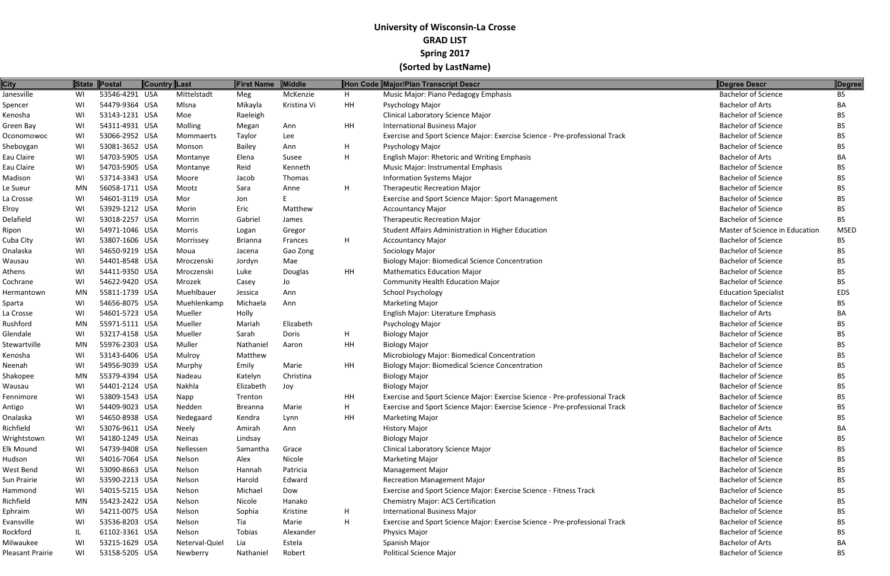| <b>City</b>      |           | State Postal   | <b>Country Last</b> | <b>First Name</b> | Middle      |           | Hon Code Major/Plan Transcript Descr                                        | <b>Degree Descr</b>            | Degree      |
|------------------|-----------|----------------|---------------------|-------------------|-------------|-----------|-----------------------------------------------------------------------------|--------------------------------|-------------|
| Janesville       | WI        | 53546-4291 USA | Mittelstadt         | Meg               | McKenzie    | H         | Music Major: Piano Pedagogy Emphasis                                        | <b>Bachelor of Science</b>     | BS.         |
| Spencer          | WI        | 54479-9364 USA | Mlsna               | Mikayla           | Kristina Vi | HH        | Psychology Major                                                            | <b>Bachelor of Arts</b>        | BA          |
| Kenosha          | WI        | 53143-1231 USA | Moe                 | Raeleigh          |             |           | <b>Clinical Laboratory Science Major</b>                                    | <b>Bachelor of Science</b>     | <b>BS</b>   |
| Green Bay        | WI        | 54311-4931 USA | Molling             | Megan             | Ann         | HH        | <b>International Business Major</b>                                         | <b>Bachelor of Science</b>     | BS          |
| Oconomowoc       | WI        | 53066-2952 USA | Mommaerts           | Taylor            | Lee         |           | Exercise and Sport Science Major: Exercise Science - Pre-professional Track | <b>Bachelor of Science</b>     | BS.         |
| Sheboygan        | WI        | 53081-3652 USA | Monson              | <b>Bailey</b>     | Ann         | H         | Psychology Major                                                            | <b>Bachelor of Science</b>     | BS.         |
| Eau Claire       | WI        | 54703-5905 USA | Montanye            | Elena             | Susee       | H         | English Major: Rhetoric and Writing Emphasis                                | <b>Bachelor of Arts</b>        | BA          |
| Eau Claire       | WI        | 54703-5905 USA | Montanye            | Reid              | Kenneth     |           | Music Major: Instrumental Emphasis                                          | <b>Bachelor of Science</b>     | <b>BS</b>   |
| Madison          | WI        | 53714-3343 USA | Moore               | Jacob             | Thomas      |           | <b>Information Systems Major</b>                                            | <b>Bachelor of Science</b>     | BS          |
| Le Sueur         | MN        | 56058-1711 USA | Mootz               | Sara              | Anne        | H         | <b>Therapeutic Recreation Major</b>                                         | <b>Bachelor of Science</b>     | BS.         |
| La Crosse        | WI        | 54601-3119 USA | Mor                 | Jon               |             |           | Exercise and Sport Science Major: Sport Management                          | <b>Bachelor of Science</b>     | BS.         |
| Elroy            | WI        | 53929-1212 USA | Morin               | Eric              | Matthew     |           | <b>Accountancy Major</b>                                                    | <b>Bachelor of Science</b>     | <b>BS</b>   |
| Delafield        | WI        | 53018-2257 USA | Morrin              | Gabriel           | James       |           | <b>Therapeutic Recreation Major</b>                                         | <b>Bachelor of Science</b>     | <b>BS</b>   |
| Ripon            | WI        | 54971-1046 USA | Morris              | Logan             | Gregor      |           | Student Affairs Administration in Higher Education                          | Master of Science in Education | <b>MSED</b> |
| Cuba City        | WI        | 53807-1606 USA | Morrissey           | <b>Brianna</b>    | Frances     | H         | <b>Accountancy Major</b>                                                    | <b>Bachelor of Science</b>     | BS.         |
| Onalaska         | WI        | 54650-9219 USA | Moua                | Jacena            | Gao Zong    |           | Sociology Major                                                             | <b>Bachelor of Science</b>     | <b>BS</b>   |
| Wausau           | WI        | 54401-8548 USA | Mroczenski          | Jordyn            | Mae         |           | <b>Biology Major: Biomedical Science Concentration</b>                      | <b>Bachelor of Science</b>     | <b>BS</b>   |
| Athens           | WI        | 54411-9350 USA | Mroczenski          | Luke              | Douglas     | HH        | <b>Mathematics Education Major</b>                                          | <b>Bachelor of Science</b>     | BS          |
| Cochrane         | WI        | 54622-9420 USA | Mrozek              | Casey             | Jo          |           | <b>Community Health Education Major</b>                                     | <b>Bachelor of Science</b>     | BS.         |
| Hermantown       | MN        | 55811-1739 USA | Muehlbauer          | Jessica           | Ann         |           | School Psychology                                                           | <b>Education Specialist</b>    | <b>EDS</b>  |
| Sparta           | WI        | 54656-8075 USA | Muehlenkamp         | Michaela          | Ann         |           | <b>Marketing Major</b>                                                      | <b>Bachelor of Science</b>     | BS.         |
| La Crosse        | WI        | 54601-5723 USA | Mueller             | Holly             |             |           | English Major: Literature Emphasis                                          | <b>Bachelor of Arts</b>        | BA          |
| Rushford         | <b>MN</b> | 55971-5111 USA | Mueller             | Mariah            | Elizabeth   |           | Psychology Major                                                            | <b>Bachelor of Science</b>     | BS.         |
| Glendale         | WI        | 53217-4158 USA | Mueller             | Sarah             | Doris       | H         | <b>Biology Major</b>                                                        | <b>Bachelor of Science</b>     | BS.         |
| Stewartville     | MN        | 55976-2303 USA | Muller              | Nathaniel         | Aaron       | HH        | <b>Biology Major</b>                                                        | <b>Bachelor of Science</b>     | <b>BS</b>   |
| Kenosha          | WI        | 53143-6406 USA | Mulroy              | Matthew           |             |           | Microbiology Major: Biomedical Concentration                                | <b>Bachelor of Science</b>     | <b>BS</b>   |
| Neenah           | WI        | 54956-9039 USA | Murphy              | Emily             | Marie       | <b>HH</b> | <b>Biology Major: Biomedical Science Concentration</b>                      | <b>Bachelor of Science</b>     | BS          |
| Shakopee         | MN        | 55379-4394 USA | Nadeau              | Katelyn           | Christina   |           | <b>Biology Major</b>                                                        | <b>Bachelor of Science</b>     | BS.         |
| Wausau           | WI        | 54401-2124 USA | Nakhla              | Elizabeth         | Joy         |           | <b>Biology Major</b>                                                        | <b>Bachelor of Science</b>     | BS.         |
| Fennimore        | WI        | 53809-1543 USA | Napp                | Trenton           |             | HH        | Exercise and Sport Science Major: Exercise Science - Pre-professional Track | <b>Bachelor of Science</b>     | ВS          |
| Antigo           | WI        | 54409-9023 USA | Nedden              | <b>Breanna</b>    | Marie       | н         | Exercise and Sport Science Major: Exercise Science - Pre-professional Track | <b>Bachelor of Science</b>     | BS.         |
| Onalaska         | WI        | 54650-8938 USA | Nedegaard           | Kendra            | Lynn        | HH        | <b>Marketing Major</b>                                                      | <b>Bachelor of Science</b>     | BS          |
| Richfield        | WI        | 53076-9611 USA | Neely               | Amirah            | Ann         |           | <b>History Major</b>                                                        | <b>Bachelor of Arts</b>        | BA          |
| Wrightstown      | WI        | 54180-1249 USA | Neinas              | Lindsay           |             |           | <b>Biology Major</b>                                                        | <b>Bachelor of Science</b>     | BS.         |
| Elk Mound        | WI        | 54739-9408 USA | Nellessen           | Samantha          | Grace       |           | <b>Clinical Laboratory Science Major</b>                                    | <b>Bachelor of Science</b>     | BS.         |
| Hudson           | WI        | 54016-7064 USA | Nelson              | Alex              | Nicole      |           | <b>Marketing Major</b>                                                      | <b>Bachelor of Science</b>     | BS.         |
| West Bend        | WI        | 53090-8663 USA | Nelson              | Hannah            | Patricia    |           | Management Major                                                            | <b>Bachelor of Science</b>     | BS.         |
| Sun Prairie      | WI        | 53590-2213 USA | Nelson              | Harold            | Edward      |           | <b>Recreation Management Major</b>                                          | <b>Bachelor of Science</b>     | BS.         |
| Hammond          | WI        | 54015-5215 USA | Nelson              | Michael           | Dow         |           | Exercise and Sport Science Major: Exercise Science - Fitness Track          | <b>Bachelor of Science</b>     | BS.         |
| Richfield        | MN        | 55423-2422 USA | Nelson              | Nicole            | Hanako      |           | <b>Chemistry Major: ACS Certification</b>                                   | <b>Bachelor of Science</b>     | BS.         |
| Ephraim          | WI        | 54211-0075 USA | Nelson              | Sophia            | Kristine    | H         | <b>International Business Major</b>                                         | <b>Bachelor of Science</b>     | BS.         |
| Evansville       | WI        | 53536-8203 USA | Nelson              | Tia               | Marie       | H         | Exercise and Sport Science Major: Exercise Science - Pre-professional Track | <b>Bachelor of Science</b>     | BS.         |
| Rockford         | IL        | 61102-3361 USA | Nelson              | Tobias            | Alexander   |           | <b>Physics Major</b>                                                        | <b>Bachelor of Science</b>     | <b>BS</b>   |
| Milwaukee        | WI        | 53215-1629 USA | Neterval-Quiel      | Lia               | Estela      |           | Spanish Major                                                               | <b>Bachelor of Arts</b>        | BA          |
| Pleasant Prairie | WI        | 53158-5205 USA | Newberry            | Nathaniel         | Robert      |           | <b>Political Science Major</b>                                              | <b>Bachelor of Science</b>     | <b>BS</b>   |
|                  |           |                |                     |                   |             |           |                                                                             |                                |             |

| <b>Degree Descr</b>            | <b>Degree</b> |
|--------------------------------|---------------|
| <b>Bachelor of Science</b>     | <b>BS</b>     |
| <b>Bachelor of Arts</b>        | BA            |
| <b>Bachelor of Science</b>     | <b>BS</b>     |
| <b>Bachelor of Science</b>     | <b>BS</b>     |
| <b>Bachelor of Science</b>     | <b>BS</b>     |
| <b>Bachelor of Science</b>     | <b>BS</b>     |
| <b>Bachelor of Arts</b>        | BА            |
| <b>Bachelor of Science</b>     | <b>BS</b>     |
| <b>Bachelor of Science</b>     | <b>BS</b>     |
| <b>Bachelor of Science</b>     | <b>BS</b>     |
| <b>Bachelor of Science</b>     | <b>BS</b>     |
| <b>Bachelor of Science</b>     | <b>BS</b>     |
| <b>Bachelor of Science</b>     | <b>BS</b>     |
| Master of Science in Education | <b>MSED</b>   |
| <b>Bachelor of Science</b>     | <b>BS</b>     |
| <b>Bachelor of Science</b>     | <b>BS</b>     |
| <b>Bachelor of Science</b>     | <b>BS</b>     |
| <b>Bachelor of Science</b>     | <b>BS</b>     |
| <b>Bachelor of Science</b>     | <b>BS</b>     |
| <b>Education Specialist</b>    | <b>EDS</b>    |
| <b>Bachelor of Science</b>     | <b>BS</b>     |
| <b>Bachelor of Arts</b>        | BА            |
| <b>Bachelor of Science</b>     | <b>BS</b>     |
| <b>Bachelor of Science</b>     | <b>BS</b>     |
| <b>Bachelor of Science</b>     | <b>BS</b>     |
| <b>Bachelor of Science</b>     | <b>BS</b>     |
| <b>Bachelor of Science</b>     | <b>BS</b>     |
| <b>Bachelor of Science</b>     | <b>BS</b>     |
| <b>Bachelor of Science</b>     | BS            |
| <b>Bachelor of Science</b>     | <b>BS</b>     |
| <b>Bachelor of Science</b>     | BS            |
| <b>Bachelor of Science</b>     | <b>BS</b>     |
| <b>Bachelor of Arts</b>        | BA            |
| <b>Bachelor of Science</b>     | <b>BS</b>     |
| <b>Bachelor of Science</b>     | <b>BS</b>     |
| <b>Bachelor of Science</b>     | <b>BS</b>     |
| <b>Bachelor of Science</b>     | <b>BS</b>     |
| <b>Bachelor of Science</b>     | <b>BS</b>     |
| <b>Bachelor of Science</b>     | <b>BS</b>     |
| <b>Bachelor of Science</b>     | <b>BS</b>     |
| <b>Bachelor of Science</b>     | <b>BS</b>     |
| <b>Bachelor of Science</b>     | <b>BS</b>     |
| <b>Bachelor of Science</b>     | <b>BS</b>     |
| <b>Bachelor of Arts</b>        | BA            |
| <b>Bachelor of Science</b>     | <b>BS</b>     |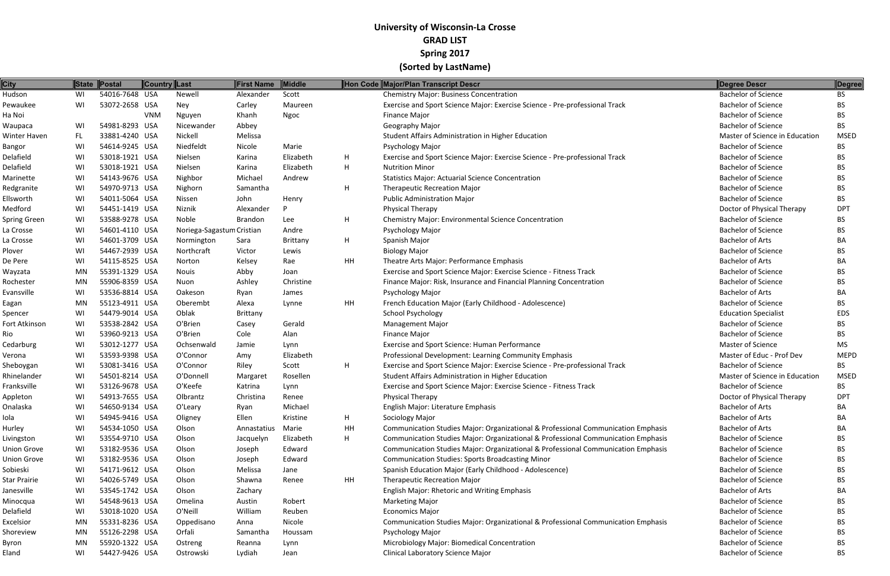| <b>City</b>        |     | State Postal   | Country Last |                           | First Name     | Middle          |    | Hon Code Major/Plan Transcript Descr                                              | Degree Descr                   | Degree      |
|--------------------|-----|----------------|--------------|---------------------------|----------------|-----------------|----|-----------------------------------------------------------------------------------|--------------------------------|-------------|
| Hudson             | WI  | 54016-7648 USA |              | Newell                    | Alexander      | Scott           |    | <b>Chemistry Major: Business Concentration</b>                                    | <b>Bachelor of Science</b>     | BS.         |
| Pewaukee           | WI  | 53072-2658 USA |              | Ney                       | Carley         | Maureen         |    | Exercise and Sport Science Major: Exercise Science - Pre-professional Track       | <b>Bachelor of Science</b>     | BS.         |
| Ha Noi             |     |                | <b>VNM</b>   | Nguyen                    | Khanh          | <b>Ngoc</b>     |    | <b>Finance Major</b>                                                              | <b>Bachelor of Science</b>     | <b>BS</b>   |
| Waupaca            | WI  | 54981-8293 USA |              | Nicewander                | Abbey          |                 |    | Geography Major                                                                   | <b>Bachelor of Science</b>     | <b>BS</b>   |
| Winter Haven       | FL. | 33881-4240 USA |              | Nickell                   | Melissa        |                 |    | Student Affairs Administration in Higher Education                                | Master of Science in Education | <b>MSED</b> |
| Bangor             | WI  | 54614-9245 USA |              | Niedfeldt                 | Nicole         | Marie           |    | Psychology Major                                                                  | <b>Bachelor of Science</b>     | BS          |
| Delafield          | WI  | 53018-1921 USA |              | Nielsen                   | Karina         | Elizabeth       | H  | Exercise and Sport Science Major: Exercise Science - Pre-professional Track       | <b>Bachelor of Science</b>     | ВS          |
| Delafield          | WI  | 53018-1921 USA |              | Nielsen                   | Karina         | Elizabeth       | H  | <b>Nutrition Minor</b>                                                            | <b>Bachelor of Science</b>     | ВS          |
| Marinette          | WI  | 54143-9676 USA |              | Nighbor                   | Michael        | Andrew          |    | <b>Statistics Major: Actuarial Science Concentration</b>                          | <b>Bachelor of Science</b>     | ВS          |
| Redgranite         | WI  | 54970-9713 USA |              | Nighorn                   | Samantha       |                 | H  | <b>Therapeutic Recreation Major</b>                                               | <b>Bachelor of Science</b>     | BS.         |
| Ellsworth          | WI  | 54011-5064 USA |              | Nissen                    | John           | Henry           |    | Public Administration Major                                                       | <b>Bachelor of Science</b>     | BS          |
| Medford            | WI  | 54451-1419 USA |              | Niznik                    | Alexander      |                 |    | Physical Therapy                                                                  | Doctor of Physical Therapy     | <b>DPT</b>  |
| Spring Green       | WI  | 53588-9278 USA |              | Noble                     | <b>Brandon</b> | Lee             | H  | <b>Chemistry Major: Environmental Science Concentration</b>                       | <b>Bachelor of Science</b>     | BS.         |
| La Crosse          | WI  | 54601-4110 USA |              | Noriega-Sagastum Cristian |                | Andre           |    | Psychology Major                                                                  | <b>Bachelor of Science</b>     | ВS          |
| La Crosse          | WI  | 54601-3709 USA |              | Normington                | Sara           | <b>Brittany</b> | H  | Spanish Major                                                                     | <b>Bachelor of Arts</b>        | BA          |
| Plover             | WI  | 54467-2939 USA |              | Northcraft                | Victor         | Lewis           |    | <b>Biology Major</b>                                                              | <b>Bachelor of Science</b>     | BS          |
| De Pere            | WI  | 54115-8525 USA |              | Norton                    | Kelsey         | Rae             | HH | Theatre Arts Major: Performance Emphasis                                          | <b>Bachelor of Arts</b>        | ВA          |
| Wayzata            | MN  | 55391-1329 USA |              | <b>Nouis</b>              | Abby           | Joan            |    | Exercise and Sport Science Major: Exercise Science - Fitness Track                | <b>Bachelor of Science</b>     | BS.         |
| Rochester          | MN  | 55906-8359 USA |              | Nuon                      | Ashley         | Christine       |    | Finance Major: Risk, Insurance and Financial Planning Concentration               | <b>Bachelor of Science</b>     | BS.         |
| Evansville         | WI  | 53536-8814 USA |              | Oakeson                   | Ryan           | James           |    | Psychology Major                                                                  | <b>Bachelor of Arts</b>        | ВA          |
| Eagan              | MN  | 55123-4911 USA |              | Oberembt                  | Alexa          | Lynne           | HH | French Education Major (Early Childhood - Adolescence)                            | <b>Bachelor of Science</b>     | BS.         |
| Spencer            | WI  | 54479-9014 USA |              | Oblak                     | Brittany       |                 |    | <b>School Psychology</b>                                                          | <b>Education Specialist</b>    | <b>EDS</b>  |
| Fort Atkinson      | WI  | 53538-2842 USA |              | O'Brien                   | Casey          | Gerald          |    | <b>Management Major</b>                                                           | <b>Bachelor of Science</b>     | BS          |
| Rio                | WI  | 53960-9213 USA |              | O'Brien                   | Cole           | Alan            |    | <b>Finance Major</b>                                                              | <b>Bachelor of Science</b>     | BS.         |
| Cedarburg          | WI  | 53012-1277 USA |              | Ochsenwald                | Jamie          | Lynn            |    | Exercise and Sport Science: Human Performance                                     | Master of Science              | MS          |
| Verona             | WI  | 53593-9398 USA |              | O'Connor                  | Amy            | Elizabeth       |    | Professional Development: Learning Community Emphasis                             | Master of Educ - Prof Dev      | <b>MEPD</b> |
| Sheboygan          | WI  | 53081-3416 USA |              | O'Connor                  | Riley          | Scott           | H  | Exercise and Sport Science Major: Exercise Science - Pre-professional Track       | <b>Bachelor of Science</b>     | <b>BS</b>   |
| Rhinelander        | WI  | 54501-8214 USA |              | O'Donnell                 | Margaret       | Rosellen        |    | Student Affairs Administration in Higher Education                                | Master of Science in Education | <b>MSED</b> |
| Franksville        | WI  | 53126-9678 USA |              | O'Keefe                   | Katrina        | Lynn            |    | Exercise and Sport Science Major: Exercise Science - Fitness Track                | <b>Bachelor of Science</b>     | BS.         |
| Appleton           | WI  | 54913-7655 USA |              | Olbrantz                  | Christina      | Renee           |    | <b>Physical Therapy</b>                                                           | Doctor of Physical Therapy     | <b>DPT</b>  |
| Onalaska           | WI  | 54650-9134 USA |              | O'Leary                   | Ryan           | Michael         |    | English Major: Literature Emphasis                                                | <b>Bachelor of Arts</b>        | BA          |
| Iola               | WI  | 54945-9416 USA |              | Oligney                   | Ellen          | Kristine        | H  | Sociology Major                                                                   | <b>Bachelor of Arts</b>        | ВA          |
| Hurley             | WI  | 54534-1050 USA |              | Olson                     | Annastatius    | Marie           | HH | Communication Studies Major: Organizational & Professional Communication Emphasis | <b>Bachelor of Arts</b>        | BA          |
| Livingston         | WI  | 53554-9710 USA |              | Olson                     | Jacquelyn      | Elizabeth       | H  | Communication Studies Major: Organizational & Professional Communication Emphasis | <b>Bachelor of Science</b>     | BS.         |
| <b>Union Grove</b> | WI  | 53182-9536 USA |              | Olson                     | Joseph         | Edward          |    | Communication Studies Major: Organizational & Professional Communication Emphasis | <b>Bachelor of Science</b>     | BS          |
| <b>Union Grove</b> | WI  | 53182-9536 USA |              | Olson                     | Joseph         | Edward          |    | <b>Communication Studies: Sports Broadcasting Minor</b>                           | <b>Bachelor of Science</b>     | ВS          |
| Sobieski           | WI  | 54171-9612 USA |              | Olson                     | Melissa        | Jane            |    | Spanish Education Major (Early Childhood - Adolescence)                           | <b>Bachelor of Science</b>     | ВS          |
| Star Prairie       | WI  | 54026-5749 USA |              | Olson                     | Shawna         | Renee           | HH | <b>Therapeutic Recreation Major</b>                                               | <b>Bachelor of Science</b>     | ВS          |
| Janesville         | WI  | 53545-1742 USA |              | Olson                     | Zachary        |                 |    | English Major: Rhetoric and Writing Emphasis                                      | <b>Bachelor of Arts</b>        | ВA          |
| Minocqua           | WI  | 54548-9613 USA |              | Omelina                   | Austin         | Robert          |    | <b>Marketing Major</b>                                                            | <b>Bachelor of Science</b>     | ВS          |
| Delafield          | WI  | 53018-1020 USA |              | O'Neill                   | William        | Reuben          |    | <b>Economics Major</b>                                                            | <b>Bachelor of Science</b>     | ВS          |
| Excelsior          | MN  | 55331-8236 USA |              | Oppedisano                | Anna           | Nicole          |    | Communication Studies Major: Organizational & Professional Communication Emphasis | <b>Bachelor of Science</b>     | BS          |
| Shoreview          | MN  | 55126-2298 USA |              | Orfali                    | Samantha       | Houssam         |    | Psychology Major                                                                  | <b>Bachelor of Science</b>     | ВS          |
| Byron              | MN  | 55920-1322 USA |              | Ostreng                   | Reanna         | Lynn            |    | Microbiology Major: Biomedical Concentration                                      | <b>Bachelor of Science</b>     | BS.         |
| Eland              | WI  | 54427-9426 USA |              | Ostrowski                 | Lydiah         | Jean            |    | Clinical Laboratory Science Major                                                 | <b>Bachelor of Science</b>     | <b>BS</b>   |
|                    |     |                |              |                           |                |                 |    |                                                                                   |                                |             |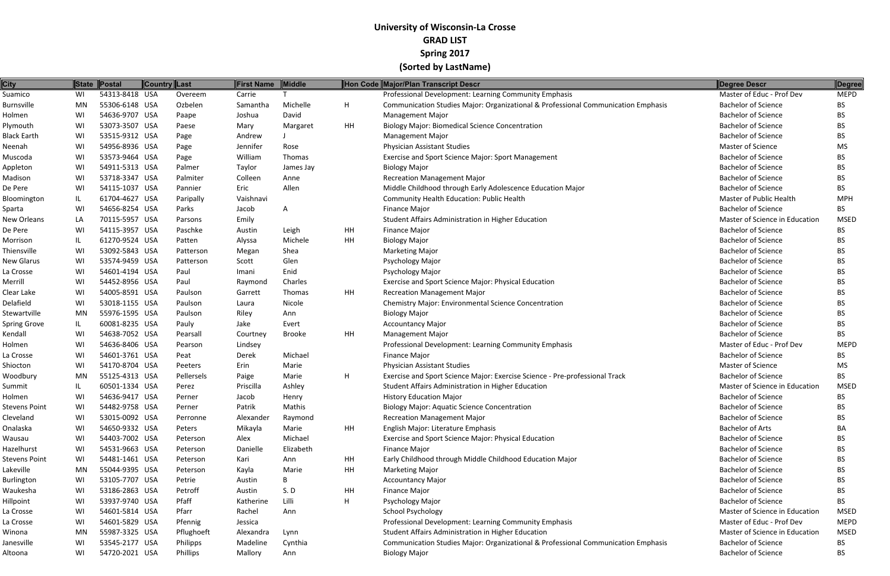| <b>City</b>          |    | State Postal   | <b>Country Last</b> |            | <b>First Name</b> | Middle    |           | Hon Code Major/Plan Transcript Descr                                              | Degree Descr                   | Degree      |
|----------------------|----|----------------|---------------------|------------|-------------------|-----------|-----------|-----------------------------------------------------------------------------------|--------------------------------|-------------|
| Suamico              | WI | 54313-8418 USA |                     | Overeem    | Carrie            |           |           | Professional Development: Learning Community Emphasis                             | Master of Educ - Prof Dev      | <b>MEPD</b> |
| Burnsville           | MN | 55306-6148 USA |                     | Ozbelen    | Samantha          | Michelle  | H.        | Communication Studies Major: Organizational & Professional Communication Emphasis | <b>Bachelor of Science</b>     | BS.         |
| Holmen               | WI | 54636-9707 USA |                     | Paape      | Joshua            | David     |           | <b>Management Major</b>                                                           | <b>Bachelor of Science</b>     | BS.         |
| Plymouth             | WI | 53073-3507 USA |                     | Paese      | Mary              | Margaret  | HH        | <b>Biology Major: Biomedical Science Concentration</b>                            | <b>Bachelor of Science</b>     | BS.         |
| <b>Black Earth</b>   | WI | 53515-9312 USA |                     | Page       | Andrew            |           |           | <b>Management Major</b>                                                           | <b>Bachelor of Science</b>     | <b>BS</b>   |
| Neenah               | WI | 54956-8936 USA |                     | Page       | Jennifer          | Rose      |           | <b>Physician Assistant Studies</b>                                                | Master of Science              | MS          |
| Muscoda              | WI | 53573-9464 USA |                     | Page       | William           | Thomas    |           | Exercise and Sport Science Major: Sport Management                                | <b>Bachelor of Science</b>     | BS.         |
| Appleton             | WI | 54911-5313 USA |                     | Palmer     | Taylor            | James Jay |           | <b>Biology Major</b>                                                              | <b>Bachelor of Science</b>     | BS.         |
| Madison              | WI | 53718-3347 USA |                     | Palmiter   | Colleen           | Anne      |           | <b>Recreation Management Major</b>                                                | <b>Bachelor of Science</b>     | BS.         |
| De Pere              | WI | 54115-1037 USA |                     | Pannier    | Eric              | Allen     |           | Middle Childhood through Early Adolescence Education Major                        | <b>Bachelor of Science</b>     | <b>BS</b>   |
| Bloomington          | IL | 61704-4627 USA |                     | Paripally  | Vaishnavi         |           |           | Community Health Education: Public Health                                         | Master of Public Health        | <b>MPH</b>  |
| Sparta               | WI | 54656-8254 USA |                     | Parks      | Jacob             | A         |           | <b>Finance Major</b>                                                              | <b>Bachelor of Science</b>     | <b>BS</b>   |
| New Orleans          | LA | 70115-5957 USA |                     | Parsons    | Emily             |           |           | Student Affairs Administration in Higher Education                                | Master of Science in Education | <b>MSED</b> |
| De Pere              | WI | 54115-3957 USA |                     | Paschke    | Austin            | Leigh     | HH        | <b>Finance Major</b>                                                              | <b>Bachelor of Science</b>     | BS.         |
| Morrison             | IL | 61270-9524 USA |                     | Patten     | Alyssa            | Michele   | HH        | <b>Biology Major</b>                                                              | <b>Bachelor of Science</b>     | <b>BS</b>   |
| Thiensville          | WI | 53092-5843 USA |                     | Patterson  | Megan             | Shea      |           | <b>Marketing Major</b>                                                            | <b>Bachelor of Science</b>     | BS.         |
| <b>New Glarus</b>    | WI | 53574-9459 USA |                     | Patterson  | Scott             | Glen      |           | Psychology Major                                                                  | <b>Bachelor of Science</b>     | BS.         |
| La Crosse            | WI | 54601-4194 USA |                     | Paul       | Imani             | Enid      |           | Psychology Major                                                                  | <b>Bachelor of Science</b>     | BS.         |
| Merrill              | WI | 54452-8956 USA |                     | Paul       | Raymond           | Charles   |           | Exercise and Sport Science Major: Physical Education                              | <b>Bachelor of Science</b>     | BS.         |
| Clear Lake           | WI | 54005-8591 USA |                     | Paulson    | Garrett           | Thomas    | <b>HH</b> | <b>Recreation Management Major</b>                                                | <b>Bachelor of Science</b>     | BS.         |
| Delafield            | WI | 53018-1155 USA |                     | Paulson    | Laura             | Nicole    |           | <b>Chemistry Major: Environmental Science Concentration</b>                       | <b>Bachelor of Science</b>     | BS.         |
| Stewartville         | MN | 55976-1595 USA |                     | Paulson    | Riley             | Ann       |           | <b>Biology Major</b>                                                              | <b>Bachelor of Science</b>     | BS.         |
| Spring Grove         | IL | 60081-8235 USA |                     | Pauly      | Jake              | Evert     |           | <b>Accountancy Major</b>                                                          | <b>Bachelor of Science</b>     | <b>BS</b>   |
| Kendall              | WI | 54638-7052 USA |                     | Pearsall   | Courtney          | Brooke    | HH        | <b>Management Major</b>                                                           | <b>Bachelor of Science</b>     | BS.         |
| Holmen               | WI | 54636-8406 USA |                     | Pearson    | Lindsey           |           |           | Professional Development: Learning Community Emphasis                             | Master of Educ - Prof Dev      | <b>MEPD</b> |
| La Crosse            | WI | 54601-3761 USA |                     | Peat       | Derek             | Michael   |           | <b>Finance Major</b>                                                              | <b>Bachelor of Science</b>     | BS.         |
| Shiocton             | WI | 54170-8704 USA |                     | Peeters    | Erin              | Marie     |           | <b>Physician Assistant Studies</b>                                                | Master of Science              | MS.         |
| Woodbury             | MN | 55125-4313 USA |                     | Pellersels | Paige             | Marie     | H.        | Exercise and Sport Science Major: Exercise Science - Pre-professional Track       | <b>Bachelor of Science</b>     | <b>BS</b>   |
| Summit               | IL | 60501-1334 USA |                     | Perez      | Priscilla         | Ashley    |           | Student Affairs Administration in Higher Education                                | Master of Science in Education | <b>MSED</b> |
| Holmen               | WI | 54636-9417 USA |                     | Perner     | Jacob             | Henry     |           | <b>History Education Major</b>                                                    | <b>Bachelor of Science</b>     | <b>BS</b>   |
| <b>Stevens Point</b> | WI | 54482-9758 USA |                     | Perner     | Patrik            | Mathis    |           | <b>Biology Major: Aquatic Science Concentration</b>                               | <b>Bachelor of Science</b>     | <b>BS</b>   |
| Cleveland            | WI | 53015-0092 USA |                     | Perronne   | Alexander         | Raymond   |           | <b>Recreation Management Major</b>                                                | <b>Bachelor of Science</b>     | BS.         |
| Onalaska             | WI | 54650-9332 USA |                     | Peters     | Mikayla           | Marie     | HH        | English Major: Literature Emphasis                                                | <b>Bachelor of Arts</b>        | BA          |
| Wausau               | WI | 54403-7002 USA |                     | Peterson   | Alex              | Michael   |           | Exercise and Sport Science Major: Physical Education                              | <b>Bachelor of Science</b>     | BS.         |
| Hazelhurst           | WI | 54531-9663 USA |                     | Peterson   | Danielle          | Elizabeth |           | <b>Finance Major</b>                                                              | <b>Bachelor of Science</b>     | BS.         |
| Stevens Point        | WI | 54481-1461 USA |                     | Peterson   | Kari              | Ann       | HH        | Early Childhood through Middle Childhood Education Major                          | <b>Bachelor of Science</b>     | BS.         |
| Lakeville            | MN | 55044-9395 USA |                     | Peterson   | Kayla             | Marie     | HH        | <b>Marketing Major</b>                                                            | <b>Bachelor of Science</b>     | BS.         |
| <b>Burlington</b>    | WI | 53105-7707 USA |                     | Petrie     | Austin            | B         |           | <b>Accountancy Major</b>                                                          | <b>Bachelor of Science</b>     | BS.         |
| Waukesha             | WI | 53186-2863 USA |                     | Petroff    | Austin            | S.D       | HH        | <b>Finance Major</b>                                                              | <b>Bachelor of Science</b>     | BS.         |
| <b>Hillpoint</b>     | WI | 53937-9740 USA |                     | Pfaff      | Katherine         | Lilli     | H.        | Psychology Major                                                                  | <b>Bachelor of Science</b>     | BS.         |
| La Crosse            | WI | 54601-5814 USA |                     | Pfarr      | Rachel            | Ann       |           | School Psychology                                                                 | Master of Science in Education | <b>MSED</b> |
| La Crosse            | WI | 54601-5829 USA |                     | Pfennig    | Jessica           |           |           | Professional Development: Learning Community Emphasis                             | Master of Educ - Prof Dev      | <b>MEPD</b> |
| Winona               | MN | 55987-3325 USA |                     | Pflughoeft | Alexandra         | Lynn      |           | Student Affairs Administration in Higher Education                                | Master of Science in Education | <b>MSED</b> |
| Janesville           | WI | 53545-2177 USA |                     | Philipps   | Madeline          | Cynthia   |           | Communication Studies Major: Organizational & Professional Communication Emphasis | <b>Bachelor of Science</b>     | BS.         |
| Altoona              | WI | 54720-2021 USA |                     | Phillips   | Mallory           | Ann       |           | <b>Biology Major</b>                                                              | <b>Bachelor of Science</b>     | BS.         |
|                      |    |                |                     |            |                   |           |           |                                                                                   |                                |             |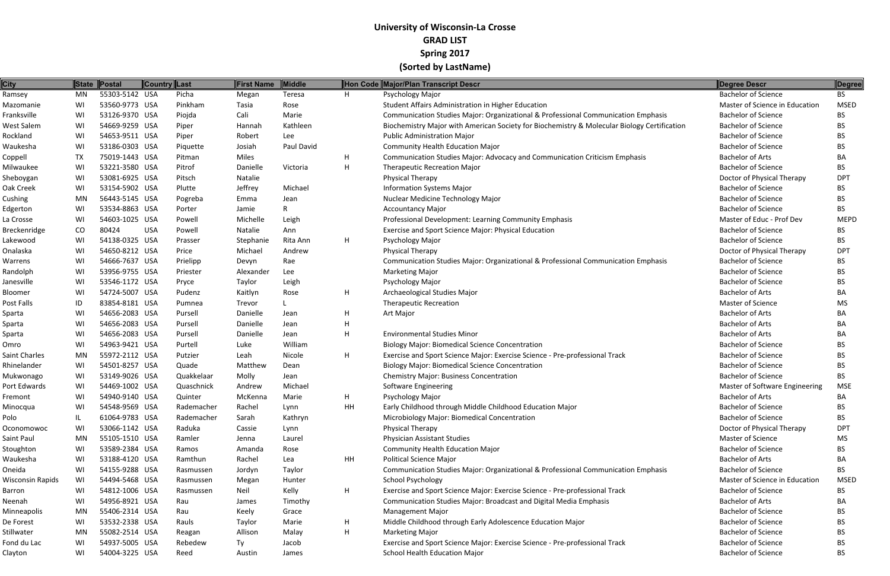| <b>City</b>         | <b>State</b> | Postal         | Country Last |            | First Name | Middle       |           | Hon Code Major/Plan Transcript Descr                                                        | Degree Descr                   | Degree      |
|---------------------|--------------|----------------|--------------|------------|------------|--------------|-----------|---------------------------------------------------------------------------------------------|--------------------------------|-------------|
| Ramsey              | MN           | 55303-5142 USA |              | Picha      | Megan      | Teresa       | H         | Psychology Major                                                                            | <b>Bachelor of Science</b>     | <b>BS</b>   |
| Mazomanie           | WI           | 53560-9773 USA |              | Pinkham    | Tasia      | Rose         |           | Student Affairs Administration in Higher Education                                          | Master of Science in Education | <b>MSED</b> |
| Franksville         | WI           | 53126-9370 USA |              | Piojda     | Cali       | Marie        |           | Communication Studies Major: Organizational & Professional Communication Emphasis           | <b>Bachelor of Science</b>     | BS.         |
| West Salem          | WI           | 54669-9259 USA |              | Piper      | Hannah     | Kathleen     |           | Biochemistry Major with American Society for Biochemistry & Molecular Biology Certification | <b>Bachelor of Science</b>     | <b>BS</b>   |
| Rockland            | WI           | 54653-9511 USA |              | Piper      | Robert     | Lee          |           | <b>Public Administration Major</b>                                                          | <b>Bachelor of Science</b>     | BS.         |
| Waukesha            | WI           | 53186-0303 USA |              | Piquette   | Josiah     | Paul David   |           | <b>Community Health Education Major</b>                                                     | <b>Bachelor of Science</b>     | BS.         |
| Coppell             | <b>TX</b>    | 75019-1443 USA |              | Pitman     | Miles      |              | H         | Communication Studies Major: Advocacy and Communication Criticism Emphasis                  | <b>Bachelor of Arts</b>        | ВA          |
| Milwaukee           | WI           | 53221-3580 USA |              | Pitrof     | Danielle   | Victoria     | H         | <b>Therapeutic Recreation Major</b>                                                         | <b>Bachelor of Science</b>     | BS.         |
| Sheboygan           | WI           | 53081-6925 USA |              | Pitsch     | Natalie    |              |           | Physical Therapy                                                                            | Doctor of Physical Therapy     | <b>DPT</b>  |
| Oak Creek           | WI           | 53154-5902 USA |              | Plutte     | Jeffrey    | Michael      |           | <b>Information Systems Major</b>                                                            | <b>Bachelor of Science</b>     | BS.         |
| Cushing             | MN           | 56443-5145 USA |              | Pogreba    | Emma       | Jean         |           | Nuclear Medicine Technology Major                                                           | <b>Bachelor of Science</b>     | BS.         |
| Edgerton            | WI           | 53534-8863 USA |              | Porter     | Jamie      | $\mathsf{R}$ |           | <b>Accountancy Major</b>                                                                    | <b>Bachelor of Science</b>     | <b>BS</b>   |
| La Crosse           | WI           | 54603-1025 USA |              | Powell     | Michelle   | Leigh        |           | Professional Development: Learning Community Emphasis                                       | Master of Educ - Prof Dev      | <b>MEPD</b> |
| <b>Breckenridge</b> | CO           | 80424          | <b>USA</b>   | Powell     | Natalie    | Ann          |           | Exercise and Sport Science Major: Physical Education                                        | <b>Bachelor of Science</b>     | BS.         |
| Lakewood            | WI           | 54138-0325 USA |              | Prasser    | Stephanie  | Rita Ann     | H         | <b>Psychology Major</b>                                                                     | <b>Bachelor of Science</b>     | BS.         |
| Onalaska            | WI           | 54650-8212 USA |              | Price      | Michael    | Andrew       |           | <b>Physical Therapy</b>                                                                     | Doctor of Physical Therapy     | <b>DPT</b>  |
| Warrens             | WI           | 54666-7637 USA |              | Prielipp   | Devyn      | Rae          |           | Communication Studies Major: Organizational & Professional Communication Emphasis           | <b>Bachelor of Science</b>     | BS          |
| Randolph            | WI           | 53956-9755 USA |              | Priester   | Alexander  | Lee          |           | <b>Marketing Major</b>                                                                      | <b>Bachelor of Science</b>     | BS.         |
| Janesville          | WI           | 53546-1172 USA |              | Pryce      | Taylor     | Leigh        |           | Psychology Major                                                                            | <b>Bachelor of Science</b>     | BS.         |
| Bloomer             | WI           | 54724-5007 USA |              | Pudenz     | Kaitlyn    | Rose         | H         | Archaeological Studies Major                                                                | <b>Bachelor of Arts</b>        | BA          |
| Post Falls          | ID           | 83854-8181 USA |              | Pumnea     | Trevor     |              |           | <b>Therapeutic Recreation</b>                                                               | <b>Master of Science</b>       | MS          |
| Sparta              | WI           | 54656-2083 USA |              | Pursell    | Danielle   | Jean         | H         | Art Major                                                                                   | <b>Bachelor of Arts</b>        | BA          |
| Sparta              | WI           | 54656-2083 USA |              | Pursell    | Danielle   | Jean         | H         |                                                                                             | <b>Bachelor of Arts</b>        | BA          |
| Sparta              | WI           | 54656-2083 USA |              | Pursell    | Danielle   | Jean         | H         | <b>Environmental Studies Minor</b>                                                          | <b>Bachelor of Arts</b>        | BA          |
| Omro                | WI           | 54963-9421 USA |              | Purtell    | Luke       | William      |           | <b>Biology Major: Biomedical Science Concentration</b>                                      | <b>Bachelor of Science</b>     | <b>BS</b>   |
| Saint Charles       | MN           | 55972-2112 USA |              | Putzier    | Leah       | Nicole       | H         | Exercise and Sport Science Major: Exercise Science - Pre-professional Track                 | <b>Bachelor of Science</b>     | BS.         |
| Rhinelander         | WI           | 54501-8257 USA |              | Quade      | Matthew    | Dean         |           | <b>Biology Major: Biomedical Science Concentration</b>                                      | <b>Bachelor of Science</b>     | BS          |
| Mukwonago           | WI           | 53149-9026 USA |              | Quakkelaar | Molly      | Jean         |           | <b>Chemistry Major: Business Concentration</b>                                              | <b>Bachelor of Science</b>     | BS.         |
| Port Edwards        | WI           | 54469-1002 USA |              | Quaschnick | Andrew     | Michael      |           | Software Engineering                                                                        | Master of Software Engineering | <b>MSE</b>  |
| Fremont             | WI           | 54940-9140 USA |              | Quinter    | McKenna    | Marie        | H         | Psychology Major                                                                            | <b>Bachelor of Arts</b>        | BA          |
| Minocqua            | WI           | 54548-9569 USA |              | Rademacher | Rachel     | Lynn         | <b>HH</b> | Early Childhood through Middle Childhood Education Major                                    | <b>Bachelor of Science</b>     | <b>BS</b>   |
| Polo                | IL           | 61064-9783 USA |              | Rademacher | Sarah      | Kathryn      |           | Microbiology Major: Biomedical Concentration                                                | <b>Bachelor of Science</b>     | BS.         |
| Oconomowoc          | WI           | 53066-1142 USA |              | Raduka     | Cassie     | Lynn         |           | Physical Therapy                                                                            | Doctor of Physical Therapy     | <b>DPT</b>  |
| Saint Paul          | MN           | 55105-1510 USA |              | Ramler     | Jenna      | Laurel       |           | <b>Physician Assistant Studies</b>                                                          | Master of Science              | MS          |
| Stoughton           | WI           | 53589-2384 USA |              | Ramos      | Amanda     | Rose         |           | <b>Community Health Education Major</b>                                                     | <b>Bachelor of Science</b>     | BS.         |
| Waukesha            | WI           | 53188-4120 USA |              | Ramthun    | Rachel     | Lea          | HH        | <b>Political Science Major</b>                                                              | <b>Bachelor of Arts</b>        | BA          |
| Oneida              | WI           | 54155-9288 USA |              | Rasmussen  | Jordyn     | Taylor       |           | Communication Studies Major: Organizational & Professional Communication Emphasis           | <b>Bachelor of Science</b>     | BS.         |
| Wisconsin Rapids    | WI           | 54494-5468 USA |              | Rasmussen  | Megan      | Hunter       |           | <b>School Psychology</b>                                                                    | Master of Science in Education | <b>MSED</b> |
| Barron              | WI           | 54812-1006 USA |              | Rasmussen  | Neil       | Kelly        | H         | Exercise and Sport Science Major: Exercise Science - Pre-professional Track                 | <b>Bachelor of Science</b>     | BS.         |
| Neenah              | WI           | 54956-8921 USA |              | Rau        | James      | Timothy      |           | Communication Studies Major: Broadcast and Digital Media Emphasis                           | <b>Bachelor of Arts</b>        | BA          |
| Minneapolis         | MN           | 55406-2314 USA |              | Rau        | Keely      | Grace        |           | <b>Management Major</b>                                                                     | <b>Bachelor of Science</b>     | BS.         |
| De Forest           | WI           | 53532-2338 USA |              | Rauls      | Taylor     | Marie        | H         | Middle Childhood through Early Adolescence Education Major                                  | <b>Bachelor of Science</b>     | BS.         |
| Stillwater          | MN           | 55082-2514 USA |              | Reagan     | Allison    | Malay        | H         | <b>Marketing Major</b>                                                                      | <b>Bachelor of Science</b>     | BS          |
| Fond du Lac         | WI           | 54937-5005 USA |              | Rebedew    | Ту         | Jacob        |           | Exercise and Sport Science Major: Exercise Science - Pre-professional Track                 | <b>Bachelor of Science</b>     | BS.         |
| Clayton             | WI           | 54004-3225 USA |              | Reed       | Austin     | James        |           | School Health Education Major                                                               | <b>Bachelor of Science</b>     | <b>BS</b>   |
|                     |              |                |              |            |            |              |           |                                                                                             |                                |             |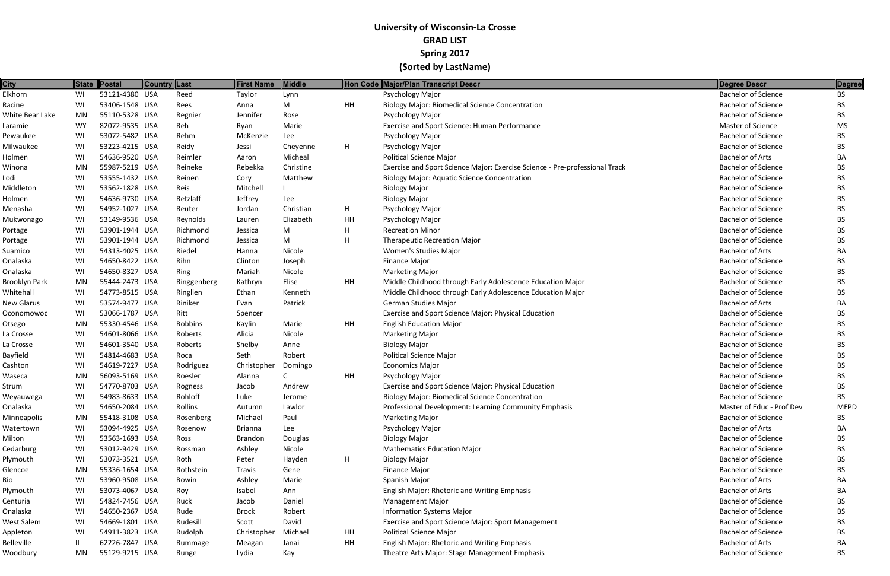| <b>City</b>          |           | State Postal   | <b>Country Last</b> |             | <b>First Name</b> | <b>Middle</b> |    | Hon Code Major/Plan Transcript Descr                                        | <b>Degree Descr</b>        | Degree      |
|----------------------|-----------|----------------|---------------------|-------------|-------------------|---------------|----|-----------------------------------------------------------------------------|----------------------------|-------------|
| Elkhorn              | WI        | 53121-4380 USA |                     | Reed        | Taylor            | Lynn          |    | Psychology Major                                                            | <b>Bachelor of Science</b> | BS          |
| Racine               | WI        | 53406-1548 USA |                     | Rees        | Anna              | M             | HH | <b>Biology Major: Biomedical Science Concentration</b>                      | <b>Bachelor of Science</b> | <b>BS</b>   |
| White Bear Lake      | <b>MN</b> | 55110-5328 USA |                     | Regnier     | Jennifer          | Rose          |    | Psychology Major                                                            | <b>Bachelor of Science</b> | <b>BS</b>   |
| Laramie              | <b>WY</b> | 82072-9535 USA |                     | Reh         | Ryan              | Marie         |    | Exercise and Sport Science: Human Performance                               | Master of Science          | MS          |
| Pewaukee             | WI        | 53072-5482 USA |                     | Rehm        | McKenzie          | Lee           |    | Psychology Major                                                            | <b>Bachelor of Science</b> | <b>BS</b>   |
| Milwaukee            | WI        | 53223-4215 USA |                     | Reidy       | Jessi             | Cheyenne      | Н. | <b>Psychology Major</b>                                                     | <b>Bachelor of Science</b> | BS.         |
| Holmen               | WI        | 54636-9520 USA |                     | Reimler     | Aaron             | Micheal       |    | <b>Political Science Major</b>                                              | <b>Bachelor of Arts</b>    | BA          |
| Winona               | MN        | 55987-5219 USA |                     | Reineke     | Rebekka           | Christine     |    | Exercise and Sport Science Major: Exercise Science - Pre-professional Track | <b>Bachelor of Science</b> | BS.         |
| Lodi                 | WI        | 53555-1432 USA |                     | Reinen      | Cory              | Matthew       |    | <b>Biology Major: Aquatic Science Concentration</b>                         | <b>Bachelor of Science</b> | BS.         |
| Middleton            | WI        | 53562-1828 USA |                     | Reis        | Mitchell          |               |    | <b>Biology Major</b>                                                        | <b>Bachelor of Science</b> | BS.         |
| Holmen               | WI        | 54636-9730 USA |                     | Retzlaff    | Jeffrey           | Lee           |    | <b>Biology Major</b>                                                        | <b>Bachelor of Science</b> | BS.         |
| Menasha              | WI        | 54952-1027 USA |                     | Reuter      | Jordan            | Christian     | H  | Psychology Major                                                            | <b>Bachelor of Science</b> | <b>BS</b>   |
| Mukwonago            | WI        | 53149-9536 USA |                     | Reynolds    | Lauren            | Elizabeth     | HH | <b>Psychology Major</b>                                                     | <b>Bachelor of Science</b> | BS.         |
| Portage              | WI        | 53901-1944 USA |                     | Richmond    | Jessica           | M             | н  | <b>Recreation Minor</b>                                                     | <b>Bachelor of Science</b> | BS.         |
| Portage              | WI        | 53901-1944 USA |                     | Richmond    | Jessica           | M             | н  | <b>Therapeutic Recreation Major</b>                                         | <b>Bachelor of Science</b> | BS.         |
| Suamico              | WI        | 54313-4025 USA |                     | Riedel      | Hanna             | Nicole        |    | Women's Studies Major                                                       | <b>Bachelor of Arts</b>    | BA          |
| Onalaska             | WI        | 54650-8422 USA |                     | Rihn        | Clinton           | Joseph        |    | Finance Major                                                               | <b>Bachelor of Science</b> | BS.         |
| Onalaska             | WI        | 54650-8327 USA |                     | Ring        | Mariah            | Nicole        |    | <b>Marketing Major</b>                                                      | <b>Bachelor of Science</b> | <b>BS</b>   |
| <b>Brooklyn Park</b> | MN        | 55444-2473 USA |                     | Ringgenberg | Kathryn           | Elise         | HH | Middle Childhood through Early Adolescence Education Major                  | <b>Bachelor of Science</b> | BS.         |
| Whitehall            | WI        | 54773-8515 USA |                     | Ringlien    | Ethan             | Kenneth       |    | Middle Childhood through Early Adolescence Education Major                  | <b>Bachelor of Science</b> | <b>BS</b>   |
| New Glarus           | WI        | 53574-9477 USA |                     | Riniker     | Evan              | Patrick       |    | German Studies Major                                                        | <b>Bachelor of Arts</b>    | BA          |
| Oconomowoc           | WI        | 53066-1787 USA |                     | Ritt        | Spencer           |               |    | Exercise and Sport Science Major: Physical Education                        | <b>Bachelor of Science</b> | <b>BS</b>   |
| Otsego               | MN        | 55330-4546 USA |                     | Robbins     | Kaylin            | Marie         | HH | <b>English Education Major</b>                                              | <b>Bachelor of Science</b> | BS.         |
| La Crosse            | WI        | 54601-8066 USA |                     | Roberts     | Alicia            | Nicole        |    | <b>Marketing Major</b>                                                      | <b>Bachelor of Science</b> | BS.         |
| La Crosse            | WI        | 54601-3540 USA |                     | Roberts     | Shelby            | Anne          |    | <b>Biology Major</b>                                                        | <b>Bachelor of Science</b> | <b>BS</b>   |
| Bayfield             | WI        | 54814-4683 USA |                     | Roca        | Seth              | Robert        |    | <b>Political Science Major</b>                                              | <b>Bachelor of Science</b> | BS.         |
| Cashton              | WI        | 54619-7227 USA |                     | Rodriguez   | Christopher       | Domingo       |    | <b>Economics Major</b>                                                      | <b>Bachelor of Science</b> | BS.         |
| Waseca               | MN        | 56093-5169 USA |                     | Roesler     | Alanna            |               | HH | <b>Psychology Major</b>                                                     | <b>Bachelor of Science</b> | BS.         |
| Strum                | WI        | 54770-8703 USA |                     | Rogness     | Jacob             | Andrew        |    | Exercise and Sport Science Major: Physical Education                        | <b>Bachelor of Science</b> | <b>BS</b>   |
| Weyauwega            | WI        | 54983-8633 USA |                     | Rohloff     | Luke              | Jerome        |    | <b>Biology Major: Biomedical Science Concentration</b>                      | <b>Bachelor of Science</b> | <b>BS</b>   |
| Onalaska             | WI        | 54650-2084 USA |                     | Rollins     | Autumn            | Lawlor        |    | Professional Development: Learning Community Emphasis                       | Master of Educ - Prof Dev  | <b>MEPD</b> |
| Minneapolis          | MN        | 55418-3108 USA |                     | Rosenberg   | Michael           | Paul          |    | <b>Marketing Major</b>                                                      | <b>Bachelor of Science</b> | BS          |
| Watertown            | WI        | 53094-4925 USA |                     | Rosenow     | <b>Brianna</b>    | Lee           |    | Psychology Major                                                            | <b>Bachelor of Arts</b>    | BA          |
| Milton               | WI        | 53563-1693 USA |                     | Ross        | <b>Brandon</b>    | Douglas       |    | <b>Biology Major</b>                                                        | <b>Bachelor of Science</b> | BS.         |
| Cedarburg            | WI        | 53012-9429 USA |                     | Rossman     | Ashley            | Nicole        |    | <b>Mathematics Education Major</b>                                          | <b>Bachelor of Science</b> | BS.         |
| Plymouth             | WI        | 53073-3521 USA |                     | Roth        | Peter             | Hayden        | Н. | <b>Biology Major</b>                                                        | <b>Bachelor of Science</b> | BS.         |
| Glencoe              | MN        | 55336-1654 USA |                     | Rothstein   | Travis            | Gene          |    | <b>Finance Major</b>                                                        | <b>Bachelor of Science</b> | BS.         |
| Rio                  | WI        | 53960-9508 USA |                     | Rowin       | Ashley            | Marie         |    | Spanish Major                                                               | <b>Bachelor of Arts</b>    | BA          |
| Plymouth             | WI        | 53073-4067 USA |                     | Roy         | Isabel            | Ann           |    | English Major: Rhetoric and Writing Emphasis                                | <b>Bachelor of Arts</b>    | BA          |
| Centuria             | WI        | 54824-7456 USA |                     | Ruck        | Jacob             | Daniel        |    | <b>Management Major</b>                                                     | <b>Bachelor of Science</b> | BS.         |
| Onalaska             | WI        | 54650-2367 USA |                     | Rude        | <b>Brock</b>      | Robert        |    | <b>Information Systems Major</b>                                            | <b>Bachelor of Science</b> | BS.         |
| West Salem           | WI        | 54669-1801 USA |                     | Rudesill    | Scott             | David         |    | Exercise and Sport Science Major: Sport Management                          | <b>Bachelor of Science</b> | <b>BS</b>   |
| Appleton             | WI        | 54911-3823 USA |                     | Rudolph     | Christopher       | Michael       | HH | <b>Political Science Major</b>                                              | <b>Bachelor of Science</b> | BS.         |
| Belleville           | IL.       | 62226-7847 USA |                     | Rummage     | Meagan            | Janai         | HH | English Major: Rhetoric and Writing Emphasis                                | <b>Bachelor of Arts</b>    | BA          |
| Woodbury             | MN        | 55129-9215 USA |                     | Runge       | Lydia             | Kay           |    | Theatre Arts Major: Stage Management Emphasis                               | <b>Bachelor of Science</b> | BS          |
|                      |           |                |                     |             |                   |               |    |                                                                             |                            |             |

| <b>Degree Descr</b>                                   | <b>Degree</b>          |
|-------------------------------------------------------|------------------------|
| <b>Bachelor of Science</b>                            | <b>BS</b>              |
| <b>Bachelor of Science</b>                            | BS                     |
| <b>Bachelor of Science</b>                            | <b>BS</b>              |
| <b>Master of Science</b>                              | <b>MS</b>              |
| <b>Bachelor of Science</b>                            | <b>BS</b>              |
| <b>Bachelor of Science</b>                            | <b>BS</b>              |
| <b>Bachelor of Arts</b>                               | BА                     |
| <b>Bachelor of Science</b>                            | <b>BS</b>              |
| <b>Bachelor of Science</b>                            | <b>BS</b>              |
| <b>Bachelor of Science</b>                            | <b>BS</b>              |
| <b>Bachelor of Science</b>                            | <b>BS</b>              |
| <b>Bachelor of Science</b>                            | <b>BS</b>              |
| <b>Bachelor of Science</b>                            | <b>BS</b>              |
| <b>Bachelor of Science</b>                            |                        |
|                                                       | <b>BS</b>              |
| <b>Bachelor of Science</b>                            | <b>BS</b>              |
| <b>Bachelor of Arts</b><br><b>Bachelor of Science</b> | BA                     |
| <b>Bachelor of Science</b>                            | <b>BS</b><br><b>BS</b> |
| <b>Bachelor of Science</b>                            |                        |
|                                                       | BS                     |
| <b>Bachelor of Science</b>                            | <b>BS</b>              |
| <b>Bachelor of Arts</b>                               | BA                     |
| <b>Bachelor of Science</b>                            | <b>BS</b>              |
| <b>Bachelor of Science</b>                            | <b>BS</b>              |
| <b>Bachelor of Science</b>                            | <b>BS</b>              |
| <b>Bachelor of Science</b>                            | <b>BS</b>              |
| <b>Bachelor of Science</b>                            | <b>BS</b>              |
| <b>Bachelor of Science</b>                            | <b>BS</b>              |
| <b>Bachelor of Science</b>                            | <b>BS</b>              |
| <b>Bachelor of Science</b>                            | BS                     |
| <b>Bachelor of Science</b>                            | <b>BS</b>              |
| Master of Educ - Prof Dev                             | MEPD                   |
| Bachelor of Science                                   | <b>BS</b>              |
| <b>Bachelor of Arts</b>                               | BA                     |
| <b>Bachelor of Science</b>                            | <b>BS</b>              |
| Bachelor of Science                                   | <b>BS</b>              |
| Bachelor of Science                                   | <b>BS</b>              |
| <b>Bachelor of Science</b>                            | <b>BS</b>              |
| <b>Bachelor of Arts</b>                               | BА                     |
| <b>Bachelor of Arts</b>                               | BA                     |
| <b>Bachelor of Science</b>                            | <b>BS</b>              |
| <b>Bachelor of Science</b>                            | <b>BS</b>              |
| <b>Bachelor of Science</b>                            | <b>BS</b>              |
| <b>Bachelor of Science</b>                            | <b>BS</b>              |
| <b>Bachelor of Arts</b>                               | BA                     |
| Bachelor of Science                                   | <b>BS</b>              |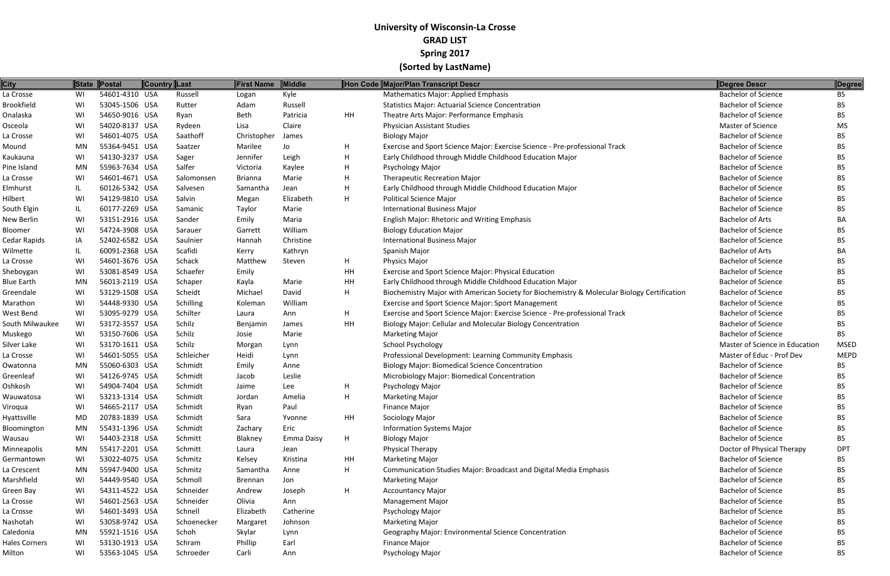| <b>City</b>       |     | State Postal   | Country Last |                  | First Name     | Middle     |    | Hon Code Major/Plan Transcript Descr                                                        | Degree Descr                   | Degree      |
|-------------------|-----|----------------|--------------|------------------|----------------|------------|----|---------------------------------------------------------------------------------------------|--------------------------------|-------------|
| La Crosse         | WI  | 54601-4310 USA |              | Russell          | Logan          | Kyle       |    | <b>Mathematics Major: Applied Emphasis</b>                                                  | <b>Bachelor of Science</b>     | <b>BS</b>   |
| Brookfield        | WI  | 53045-1506 USA |              | Rutter           | Adam           | Russell    |    | <b>Statistics Major: Actuarial Science Concentration</b>                                    | <b>Bachelor of Science</b>     | <b>BS</b>   |
| Onalaska          | WI  | 54650-9016 USA |              | Ryan             | Beth           | Patricia   | HH | Theatre Arts Major: Performance Emphasis                                                    | <b>Bachelor of Science</b>     | BS.         |
| Osceola           | WI  | 54020-8137 USA |              | Rydeen           | Lisa           | Claire     |    | <b>Physician Assistant Studies</b>                                                          | <b>Master of Science</b>       | MS.         |
| La Crosse         | WI  | 54601-4075 USA |              | Saathoff         | Christopher    | James      |    | <b>Biology Major</b>                                                                        | <b>Bachelor of Science</b>     | BS.         |
| Mound             | MN  | 55364-9451 USA |              | Saatzer          | Marilee        | Jo         | H  | Exercise and Sport Science Major: Exercise Science - Pre-professional Track                 | <b>Bachelor of Science</b>     | BS.         |
| Kaukauna          | WI  | 54130-3237 USA |              | Sager            | Jennifer       | Leigh      | H  | Early Childhood through Middle Childhood Education Major                                    | <b>Bachelor of Science</b>     | <b>BS</b>   |
| Pine Island       | MN  | 55963-7634 USA |              | Salfer           | Victoria       | Kaylee     | H  | Psychology Major                                                                            | <b>Bachelor of Science</b>     | BS.         |
| La Crosse         | WI  | 54601-4671 USA |              | Salomonsen       | <b>Brianna</b> | Marie      | н  | <b>Therapeutic Recreation Major</b>                                                         | <b>Bachelor of Science</b>     | BS.         |
| Elmhurst          | IL  | 60126-5342 USA |              | Salvesen         | Samantha       | Jean       | н  | Early Childhood through Middle Childhood Education Major                                    | <b>Bachelor of Science</b>     | BS.         |
| Hilbert           | WI  | 54129-9810 USA |              | Salvin           | Megan          | Elizabeth  | H  | Political Science Major                                                                     | <b>Bachelor of Science</b>     | BS.         |
| South Elgin       | IL  | 60177-2269 USA |              | Samanic          | Taylor         | Marie      |    | <b>International Business Major</b>                                                         | <b>Bachelor of Science</b>     | <b>BS</b>   |
| New Berlin        | WI  | 53151-2916 USA |              | Sander           | Emily          | Maria      |    | English Major: Rhetoric and Writing Emphasis                                                | <b>Bachelor of Arts</b>        | BA          |
| Bloomer           | WI  | 54724-3908 USA |              | Sarauer          | Garrett        | William    |    | <b>Biology Education Major</b>                                                              | <b>Bachelor of Science</b>     | BS.         |
| Cedar Rapids      | IA  | 52402-6582 USA |              | Saulnier         | Hannah         | Christine  |    | International Business Major                                                                | <b>Bachelor of Science</b>     | BS.         |
| Wilmette          | IL. | 60091-2368 USA |              | Scafidi          | Kerry          | Kathryn    |    | Spanish Major                                                                               | <b>Bachelor of Arts</b>        | BA          |
| La Crosse         | WI  | 54601-3676 USA |              | Schack           | Matthew        | Steven     | H  | Physics Major                                                                               | <b>Bachelor of Science</b>     | BS.         |
| Sheboygan         | WI  | 53081-8549 USA |              | Schaefer         | Emily          |            | HH | Exercise and Sport Science Major: Physical Education                                        | <b>Bachelor of Science</b>     | BS.         |
| <b>Blue Earth</b> | MN  | 56013-2119 USA |              | Schaper          | Kayla          | Marie      | HH | Early Childhood through Middle Childhood Education Major                                    | <b>Bachelor of Science</b>     | BS.         |
| Greendale         | WI  | 53129-1508 USA |              | Scheidt          | Michael        | David      | H  | Biochemistry Major with American Society for Biochemistry & Molecular Biology Certification | <b>Bachelor of Science</b>     | BS.         |
| Marathon          | WI  | 54448-9330 USA |              | <b>Schilling</b> | Koleman        | William    |    | Exercise and Sport Science Major: Sport Management                                          | <b>Bachelor of Science</b>     | BS.         |
| West Bend         | WI  | 53095-9279 USA |              | Schilter         | Laura          | Ann        | H  | Exercise and Sport Science Major: Exercise Science - Pre-professional Track                 | <b>Bachelor of Science</b>     | BS.         |
| South Milwaukee   | WI  | 53172-3557 USA |              | Schilz           | Benjamin       | James      | HH | Biology Major: Cellular and Molecular Biology Concentration                                 | <b>Bachelor of Science</b>     | BS.         |
| Muskego           | WI  | 53150-7606 USA |              | Schilz           | Josie          | Marie      |    | <b>Marketing Major</b>                                                                      | <b>Bachelor of Science</b>     | BS.         |
| Silver Lake       | WI  | 53170-1611 USA |              | Schilz           | Morgan         | Lynn       |    | <b>School Psychology</b>                                                                    | Master of Science in Education | <b>MSED</b> |
| La Crosse         | WI  | 54601-5055 USA |              | Schleicher       | Heidi          | Lynn       |    | Professional Development: Learning Community Emphasis                                       | Master of Educ - Prof Dev      | <b>MEPD</b> |
| Owatonna          | MN  | 55060-6303 USA |              | Schmidt          | Emily          | Anne       |    | <b>Biology Major: Biomedical Science Concentration</b>                                      | <b>Bachelor of Science</b>     | BS.         |
| Greenleaf         | WI  | 54126-9745 USA |              | Schmidt          | Jacob          | Leslie     |    | Microbiology Major: Biomedical Concentration                                                | <b>Bachelor of Science</b>     | BS.         |
| Oshkosh           | WI  | 54904-7404 USA |              | Schmidt          | Jaime          | Lee        | H  | Psychology Major                                                                            | <b>Bachelor of Science</b>     | BS.         |
| Wauwatosa         | WI  | 53213-1314 USA |              | Schmidt          | Jordan         | Amelia     | H  | <b>Marketing Major</b>                                                                      | <b>Bachelor of Science</b>     | <b>BS</b>   |
| Viroqua           | WI  | 54665-2117 USA |              | Schmidt          | Ryan           | Paul       |    | <b>Finance Major</b>                                                                        | <b>Bachelor of Science</b>     | <b>BS</b>   |
| Hyattsville       | MD  | 20783-1839 USA |              | Schmidt          | Sara           | Yvonne     | HH | Sociology Major                                                                             | <b>Bachelor of Science</b>     | BS.         |
| Bloomington       | MN  | 55431-1396 USA |              | Schmidt          | Zachary        | Eric       |    | <b>Information Systems Major</b>                                                            | <b>Bachelor of Science</b>     | BS.         |
| Wausau            | WI  | 54403-2318 USA |              | Schmitt          | Blakney        | Emma Daisy | H  | <b>Biology Major</b>                                                                        | <b>Bachelor of Science</b>     | <b>BS</b>   |
| Minneapolis       | MN  | 55417-2201 USA |              | Schmitt          | Laura          | Jean       |    | <b>Physical Therapy</b>                                                                     | Doctor of Physical Therapy     | <b>DPT</b>  |
| Germantown        | WI  | 53022-4075 USA |              | Schmitz          | Kelsey         | Kristina   | HH | <b>Marketing Major</b>                                                                      | <b>Bachelor of Science</b>     | BS.         |
| La Crescent       | MN  | 55947-9400 USA |              | Schmitz          | Samantha       | Anne       | H. | Communication Studies Major: Broadcast and Digital Media Emphasis                           | <b>Bachelor of Science</b>     | BS.         |
| Marshfield        | WI  | 54449-9540 USA |              | Schmoll          | Brennan        | Jon        |    | <b>Marketing Major</b>                                                                      | <b>Bachelor of Science</b>     | BS          |
| Green Bay         | WI  | 54311-4522 USA |              | Schneider        | Andrew         | Joseph     | H  | <b>Accountancy Major</b>                                                                    | <b>Bachelor of Science</b>     | BS.         |
| La Crosse         | WI  | 54601-2563 USA |              | Schneider        | Olivia         | Ann        |    | <b>Management Major</b>                                                                     | <b>Bachelor of Science</b>     | <b>BS</b>   |
| La Crosse         | WI  | 54601-3493 USA |              | Schnell          | Elizabeth      | Catherine  |    | Psychology Major                                                                            | <b>Bachelor of Science</b>     | BS.         |
| Nashotah          | WI  | 53058-9742 USA |              | Schoenecker      | Margaret       | Johnson    |    | <b>Marketing Major</b>                                                                      | <b>Bachelor of Science</b>     | BS.         |
| Caledonia         | MN  | 55921-1516 USA |              | Schoh            | Skylar         | Lynn       |    | Geography Major: Environmental Science Concentration                                        | <b>Bachelor of Science</b>     | <b>BS</b>   |
| Hales Corners     | WI  | 53130-1913 USA |              | Schram           | Phillip        | Earl       |    | Finance Major                                                                               | <b>Bachelor of Science</b>     | BS.         |
| Milton            | WI  | 53563-1045 USA |              | Schroeder        | Carli          | Ann        |    | Psychology Major                                                                            | <b>Bachelor of Science</b>     | <b>BS</b>   |
|                   |     |                |              |                  |                |            |    |                                                                                             |                                |             |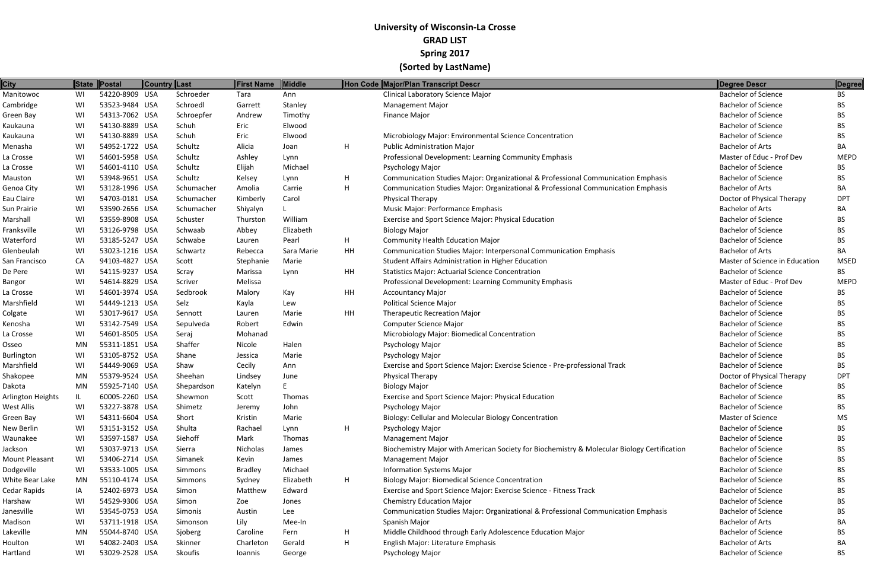| <b>City</b>           |           | State Postal   | Country Last |            | First Name     | Middle     |    | Hon Code Major/Plan Transcript Descr                                                        | Degree Descr                   | Degree          |
|-----------------------|-----------|----------------|--------------|------------|----------------|------------|----|---------------------------------------------------------------------------------------------|--------------------------------|-----------------|
| Manitowoc             | WI        | 54220-8909 USA |              | Schroeder  | Tara           | Ann        |    | Clinical Laboratory Science Major                                                           | <b>Bachelor of Science</b>     | <b>BS</b>       |
| Cambridge             | WI        | 53523-9484 USA |              | Schroedl   | Garrett        | Stanley    |    | <b>Management Major</b>                                                                     | <b>Bachelor of Science</b>     | <b>BS</b>       |
| Green Bay             | WI        | 54313-7062 USA |              | Schroepfer | Andrew         | Timothy    |    | Finance Major                                                                               | <b>Bachelor of Science</b>     | BS.             |
| Kaukauna              | WI        | 54130-8889 USA |              | Schuh      | Eric           | Elwood     |    |                                                                                             | <b>Bachelor of Science</b>     | BS.             |
| Kaukauna              | WI        | 54130-8889 USA |              | Schuh      | Eric           | Elwood     |    | Microbiology Major: Environmental Science Concentration                                     | <b>Bachelor of Science</b>     | BS.             |
| Menasha               | WI        | 54952-1722 USA |              | Schultz    | Alicia         | Joan       | H. | <b>Public Administration Major</b>                                                          | <b>Bachelor of Arts</b>        | BA              |
| La Crosse             | WI        | 54601-5958 USA |              | Schultz    | Ashley         | Lynn       |    | Professional Development: Learning Community Emphasis                                       | Master of Educ - Prof Dev      | <b>MEPD</b>     |
| La Crosse             | WI        | 54601-4110 USA |              | Schultz    | Elijah         | Michael    |    | Psychology Major                                                                            | <b>Bachelor of Science</b>     | BS.             |
| Mauston               | WI        | 53948-9651 USA |              | Schultz    | Kelsey         | Lynn       | H. | Communication Studies Major: Organizational & Professional Communication Emphasis           | <b>Bachelor of Science</b>     | BS.             |
| Genoa City            | WI        | 53128-1996 USA |              | Schumacher | Amolia         | Carrie     | H  | Communication Studies Major: Organizational & Professional Communication Emphasis           | <b>Bachelor of Arts</b>        | BA              |
| Eau Claire            | WI        | 54703-0181 USA |              | Schumacher | Kimberly       | Carol      |    | <b>Physical Therapy</b>                                                                     | Doctor of Physical Therapy     | DP1             |
| Sun Prairie           | WI        | 53590-2656 USA |              | Schumacher | Shiyalyn       |            |    | Music Major: Performance Emphasis                                                           | <b>Bachelor of Arts</b>        | BA              |
| Marshall              | WI        | 53559-8908 USA |              | Schuster   | Thurston       | William    |    | Exercise and Sport Science Major: Physical Education                                        | <b>Bachelor of Science</b>     | BS.             |
| Franksville           | WI        | 53126-9798 USA |              | Schwaab    | Abbey          | Elizabeth  |    | <b>Biology Major</b>                                                                        | <b>Bachelor of Science</b>     | BS.             |
| Waterford             | WI        | 53185-5247 USA |              | Schwabe    | Lauren         | Pearl      | H. | <b>Community Health Education Major</b>                                                     | <b>Bachelor of Science</b>     | <b>BS</b>       |
| Glenbeulah            | WI        | 53023-1216 USA |              | Schwartz   | Rebecca        | Sara Marie | HH | Communication Studies Major: Interpersonal Communication Emphasis                           | <b>Bachelor of Arts</b>        | BA              |
| San Francisco         | CA        | 94103-4827 USA |              | Scott      | Stephanie      | Marie      |    | Student Affairs Administration in Higher Education                                          | Master of Science in Education | <b>MSED</b>     |
| De Pere               | WI        | 54115-9237 USA |              | Scray      | Marissa        | Lynn       | HH | <b>Statistics Major: Actuarial Science Concentration</b>                                    | <b>Bachelor of Science</b>     | <b>BS</b>       |
| Bangor                | WI        | 54614-8829 USA |              | Scriver    | Melissa        |            |    | Professional Development: Learning Community Emphasis                                       | Master of Educ - Prof Dev      | <b>MEPD</b>     |
| La Crosse             | WI        | 54601-3974 USA |              | Sedbrook   | Malory         | Kay        | HH | <b>Accountancy Major</b>                                                                    | <b>Bachelor of Science</b>     | BS.             |
| Marshfield            | WI        | 54449-1213 USA |              | Selz       | Kayla          | Lew        |    | <b>Political Science Major</b>                                                              | <b>Bachelor of Science</b>     | BS.             |
| Colgate               | WI        | 53017-9617 USA |              | Sennott    | Lauren         | Marie      | HH | <b>Therapeutic Recreation Major</b>                                                         | <b>Bachelor of Science</b>     | BS.             |
| Kenosha               | WI        | 53142-7549 USA |              | Sepulveda  | Robert         | Edwin      |    | <b>Computer Science Major</b>                                                               | <b>Bachelor of Science</b>     | BS.             |
| La Crosse             | WI        | 54601-8505 USA |              | Seraj      | Mohanad        |            |    | Microbiology Major: Biomedical Concentration                                                | <b>Bachelor of Science</b>     | BS.             |
| Osseo                 | MN        | 55311-1851 USA |              | Shaffer    | Nicole         | Halen      |    | Psychology Major                                                                            | <b>Bachelor of Science</b>     | <b>BS</b>       |
| <b>Burlington</b>     | WI        | 53105-8752 USA |              | Shane      | Jessica        | Marie      |    | <b>Psychology Major</b>                                                                     | <b>Bachelor of Science</b>     | BS.             |
| Marshfield            | WI        | 54449-9069 USA |              | Shaw       | Cecily         | Ann        |    | Exercise and Sport Science Major: Exercise Science - Pre-professional Track                 | <b>Bachelor of Science</b>     | BS.             |
| Shakopee              | <b>MN</b> | 55379-9524 USA |              | Sheehan    | Lindsey        | June       |    | <b>Physical Therapy</b>                                                                     | Doctor of Physical Therapy     | DP <sub>1</sub> |
| Dakota                | MN        | 55925-7140 USA |              | Shepardson | Katelyn        |            |    | <b>Biology Major</b>                                                                        | <b>Bachelor of Science</b>     | BS.             |
| Arlington Heights     | IL        | 60005-2260 USA |              | Shewmon    | Scott          | Thomas     |    | Exercise and Sport Science Major: Physical Education                                        | <b>Bachelor of Science</b>     | <b>BS</b>       |
| West Allis            | WI        | 53227-3878 USA |              | Shimetz    | Jeremy         | John       |    | Psychology Major                                                                            | <b>Bachelor of Science</b>     | <b>BS</b>       |
| Green Bay             | WI        | 54311-6604 USA |              | Short      | Kristin        | Marie      |    | Biology: Cellular and Molecular Biology Concentration                                       | <b>Master of Science</b>       | <b>MS</b>       |
| New Berlin            | WI        | 53151-3152 USA |              | Shulta     | Rachael        | Lynn       | H. | Psychology Major                                                                            | <b>Bachelor of Science</b>     | BS.             |
| Waunakee              | WI        | 53597-1587 USA |              | Siehoff    | Mark           | Thomas     |    | <b>Management Major</b>                                                                     | <b>Bachelor of Science</b>     | BS.             |
| Jackson               | WI        | 53037-9713 USA |              | Sierra     | Nicholas       | James      |    | Biochemistry Major with American Society for Biochemistry & Molecular Biology Certification | <b>Bachelor of Science</b>     | BS              |
| <b>Mount Pleasant</b> | WI        | 53406-2714 USA |              | Simanek    | Kevin          | James      |    | <b>Management Major</b>                                                                     | <b>Bachelor of Science</b>     | BS.             |
| Dodgeville            | WI        | 53533-1005 USA |              | Simmons    | <b>Bradley</b> | Michael    |    | <b>Information Systems Major</b>                                                            | <b>Bachelor of Science</b>     | BS.             |
| White Bear Lake       | MN        | 55110-4174 USA |              | Simmons    | Sydney         | Elizabeth  | H. | <b>Biology Major: Biomedical Science Concentration</b>                                      | <b>Bachelor of Science</b>     | <b>BS</b>       |
| Cedar Rapids          | IA        | 52402-6973 USA |              | Simon      | Matthew        | Edward     |    | Exercise and Sport Science Major: Exercise Science - Fitness Track                          | <b>Bachelor of Science</b>     | BS.             |
| Harshaw               | WI        | 54529-9306 USA |              | Simon      | Zoe            | Jones      |    | <b>Chemistry Education Major</b>                                                            | <b>Bachelor of Science</b>     | <b>BS</b>       |
| Janesville            | WI        | 53545-0753 USA |              | Simonis    | Austin         | Lee        |    | Communication Studies Major: Organizational & Professional Communication Emphasis           | <b>Bachelor of Science</b>     | BS.             |
| Madison               | WI        | 53711-1918 USA |              | Simonson   | Lily           | Mee-In     |    | Spanish Major                                                                               | <b>Bachelor of Arts</b>        | ВA              |
| Lakeville             | MN        | 55044-8740 USA |              | Sjoberg    | Caroline       | Fern       | H  | Middle Childhood through Early Adolescence Education Major                                  | <b>Bachelor of Science</b>     | BS.             |
| Houlton               | WI        | 54082-2403 USA |              | Skinner    | Charleton      | Gerald     | H  | English Major: Literature Emphasis                                                          | <b>Bachelor of Arts</b>        | BA              |
| Hartland              | WI        | 53029-2528 USA |              | Skoufis    | Ioannis        | George     |    | Psychology Major                                                                            | <b>Bachelor of Science</b>     | <b>BS</b>       |
|                       |           |                |              |            |                |            |    |                                                                                             |                                |                 |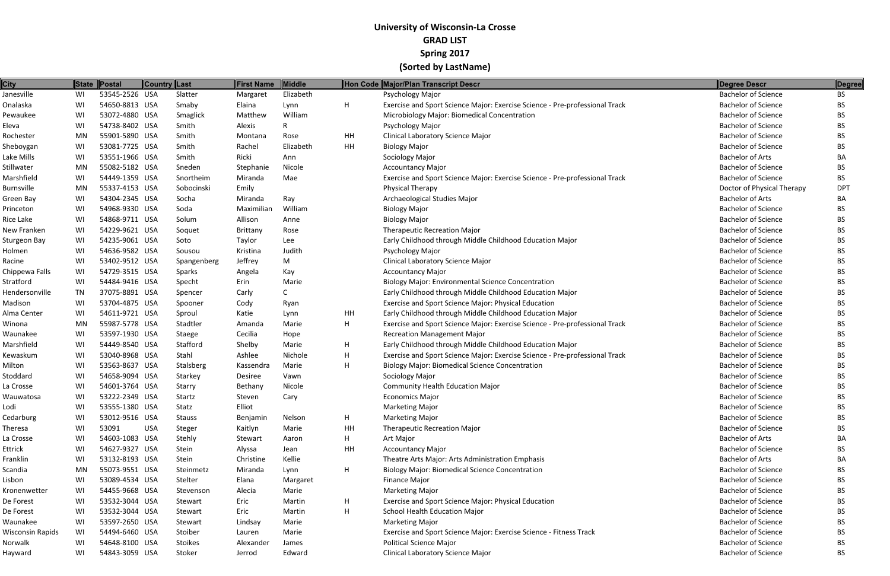| <b>City</b>      |           | State Postal   | <b>Country Last</b> |               | <b>First Name</b> | <b>Middle</b> |           | Hon Code Major/Plan Transcript Descr                                        | Degree Descr               | Degree     |
|------------------|-----------|----------------|---------------------|---------------|-------------------|---------------|-----------|-----------------------------------------------------------------------------|----------------------------|------------|
| Janesville       | WI        | 53545-2526 USA |                     | Slatter       | Margaret          | Elizabeth     |           | Psychology Major                                                            | <b>Bachelor of Science</b> | <b>BS</b>  |
| Onalaska         | WI        | 54650-8813 USA |                     | Smaby         | Elaina            | Lynn          | H         | Exercise and Sport Science Major: Exercise Science - Pre-professional Track | <b>Bachelor of Science</b> | BS.        |
| Pewaukee         | WI        | 53072-4880 USA |                     | Smaglick      | Matthew           | William       |           | Microbiology Major: Biomedical Concentration                                | <b>Bachelor of Science</b> | BS.        |
| Eleva            | WI        | 54738-8402 USA |                     | Smith         | Alexis            |               |           | Psychology Major                                                            | <b>Bachelor of Science</b> | BS.        |
| Rochester        | MN        | 55901-5890 USA |                     | Smith         | Montana           | Rose          | HH        | Clinical Laboratory Science Major                                           | <b>Bachelor of Science</b> | <b>BS</b>  |
| Sheboygan        | WI        | 53081-7725 USA |                     | Smith         | Rachel            | Elizabeth     | <b>HH</b> | <b>Biology Major</b>                                                        | <b>Bachelor of Science</b> | BS.        |
| Lake Mills       | WI        | 53551-1966 USA |                     | Smith         | Ricki             | Ann           |           | Sociology Major                                                             | <b>Bachelor of Arts</b>    | BA         |
| Stillwater       | MN        | 55082-5182 USA |                     | Sneden        | Stephanie         | Nicole        |           | <b>Accountancy Major</b>                                                    | <b>Bachelor of Science</b> | BS.        |
| Marshfield       | WI        | 54449-1359 USA |                     | Snortheim     | Miranda           | Mae           |           | Exercise and Sport Science Major: Exercise Science - Pre-professional Track | <b>Bachelor of Science</b> | BS.        |
| Burnsville       | MN        | 55337-4153 USA |                     | Sobocinski    | Emily             |               |           | Physical Therapy                                                            | Doctor of Physical Therapy | <b>DPT</b> |
| Green Bay        | WI        | 54304-2345 USA |                     | Socha         | Miranda           | Ray           |           | Archaeological Studies Major                                                | <b>Bachelor of Arts</b>    | BA         |
| Princeton        | WI        | 54968-9330 USA |                     | Soda          | Maximiliar        | William       |           | <b>Biology Major</b>                                                        | <b>Bachelor of Science</b> | BS.        |
| Rice Lake        | WI        | 54868-9711 USA |                     | Solum         | Allison           | Anne          |           | <b>Biology Major</b>                                                        | <b>Bachelor of Science</b> | BS.        |
| New Franken      | WI        | 54229-9621 USA |                     | Soquet        | Brittany          | Rose          |           | <b>Therapeutic Recreation Major</b>                                         | <b>Bachelor of Science</b> | <b>BS</b>  |
| Sturgeon Bay     | WI        | 54235-9061 USA |                     | Soto          | Taylor            | Lee           |           | Early Childhood through Middle Childhood Education Major                    | <b>Bachelor of Science</b> | <b>BS</b>  |
| Holmen           | WI        | 54636-9582 USA |                     | Sousou        | Kristina          | Judith        |           | Psychology Major                                                            | <b>Bachelor of Science</b> | <b>BS</b>  |
| Racine           | WI        | 53402-9512 USA |                     | Spangenberg   | Jeffrey           | M             |           | Clinical Laboratory Science Major                                           | <b>Bachelor of Science</b> | BS.        |
| Chippewa Falls   | WI        | 54729-3515 USA |                     | Sparks        | Angela            | Kay           |           | <b>Accountancy Major</b>                                                    | <b>Bachelor of Science</b> | BS         |
| Stratford        | WI        | 54484-9416 USA |                     | Specht        | Erin              | Marie         |           | <b>Biology Major: Environmental Science Concentration</b>                   | <b>Bachelor of Science</b> | BS.        |
| Hendersonville   | <b>TN</b> | 37075-8891 USA |                     | Spencer       | Carly             |               |           | Early Childhood through Middle Childhood Education Major                    | <b>Bachelor of Science</b> | <b>BS</b>  |
| Madison          | WI        | 53704-4875 USA |                     | Spooner       | Cody              | Ryan          |           | Exercise and Sport Science Major: Physical Education                        | <b>Bachelor of Science</b> | BS.        |
| Alma Center      | WI        | 54611-9721 USA |                     | Sproul        | Katie             | Lynn          | HH        | Early Childhood through Middle Childhood Education Major                    | <b>Bachelor of Science</b> | BS.        |
| Winona           | MN        | 55987-5778 USA |                     | Stadtler      | Amanda            | Marie         | H         | Exercise and Sport Science Major: Exercise Science - Pre-professional Track | <b>Bachelor of Science</b> | <b>BS</b>  |
| Waunakee         | WI        | 53597-1930 USA |                     | Staege        | Cecilia           | Hope          |           | <b>Recreation Management Major</b>                                          | <b>Bachelor of Science</b> | BS.        |
| Marshfield       | WI        | 54449-8540 USA |                     | Stafford      | Shelby            | Marie         | H         | Early Childhood through Middle Childhood Education Major                    | <b>Bachelor of Science</b> | <b>BS</b>  |
| Kewaskum         | WI        | 53040-8968 USA |                     | Stahl         | Ashlee            | Nichole       | H         | Exercise and Sport Science Major: Exercise Science - Pre-professional Track | <b>Bachelor of Science</b> | BS.        |
| Milton           | WI        | 53563-8637 USA |                     | Stalsberg     | Kassendra         | Marie         | H         | <b>Biology Major: Biomedical Science Concentration</b>                      | <b>Bachelor of Science</b> | <b>BS</b>  |
| Stoddard         | WI        | 54658-9094 USA |                     | Starkey       | Desiree           | Vawn          |           | Sociology Major                                                             | <b>Bachelor of Science</b> | BS         |
| La Crosse        | WI        | 54601-3764 USA |                     | Starry        | Bethany           | Nicole        |           | <b>Community Health Education Major</b>                                     | <b>Bachelor of Science</b> | BS.        |
| Wauwatosa        | WI        | 53222-2349 USA |                     | Startz        | Steven            | Cary          |           | <b>Economics Major</b>                                                      | <b>Bachelor of Science</b> | BS         |
| Lodi             | WI        | 53555-1380 USA |                     | Statz         | Elliot            |               |           | <b>Marketing Major</b>                                                      | <b>Bachelor of Science</b> | BS.        |
| Cedarburg        | WI        | 53012-9516 USA |                     | <b>Stauss</b> | Benjamin          | Nelson        | H         | <b>Marketing Major</b>                                                      | <b>Bachelor of Science</b> | BS.        |
| Theresa          | WI        | 53091          | <b>USA</b>          | Steger        | Kaitlyn           | Marie         | HH        | <b>Therapeutic Recreation Major</b>                                         | <b>Bachelor of Science</b> | BS.        |
| La Crosse        | WI        | 54603-1083 USA |                     | Stehly        | Stewart           | Aaron         | H         | Art Major                                                                   | <b>Bachelor of Arts</b>    | BA         |
| Ettrick          | WI        | 54627-9327 USA |                     | Stein         | Alyssa            | Jean          | HH        | <b>Accountancy Major</b>                                                    | <b>Bachelor of Science</b> | BS.        |
| Franklin         | WI        | 53132-8193 USA |                     | Stein         | Christine         | Kellie        |           | Theatre Arts Major: Arts Administration Emphasis                            | <b>Bachelor of Arts</b>    | BA         |
| Scandia          | MN        | 55073-9551 USA |                     | Steinmetz     | Miranda           | Lynn          | H         | <b>Biology Major: Biomedical Science Concentration</b>                      | <b>Bachelor of Science</b> | BS.        |
| Lisbon           | WI        | 53089-4534 USA |                     | Stelter       | Elana             | Margaret      |           | Finance Major                                                               | <b>Bachelor of Science</b> | BS.        |
| Kronenwetter     | WI        | 54455-9668 USA |                     | Stevenson     | Alecia            | Marie         |           | <b>Marketing Major</b>                                                      | <b>Bachelor of Science</b> | BS.        |
| De Forest        | WI        | 53532-3044 USA |                     | Stewart       | Eric              | Martin        | H         | Exercise and Sport Science Major: Physical Education                        | <b>Bachelor of Science</b> | BS.        |
| De Forest        | WI        | 53532-3044 USA |                     | Stewart       | Eric              | Martin        | H         | School Health Education Major                                               | <b>Bachelor of Science</b> | BS.        |
| Waunakee         | WI        | 53597-2650 USA |                     | Stewart       | Lindsay           | Marie         |           | <b>Marketing Major</b>                                                      | <b>Bachelor of Science</b> | BS.        |
| Wisconsin Rapids | WI        | 54494-6460 USA |                     | Stoiber       | Lauren            | Marie         |           | Exercise and Sport Science Major: Exercise Science - Fitness Track          | <b>Bachelor of Science</b> | BS.        |
| Norwalk          | WI        | 54648-8100 USA |                     | Stoikes       | Alexander         | James         |           | <b>Political Science Major</b>                                              | <b>Bachelor of Science</b> | BS.        |
| Hayward          | WI        | 54843-3059 USA |                     | Stoker        | Jerrod            | Edward        |           | Clinical Laboratory Science Major                                           | <b>Bachelor of Science</b> | BS         |
|                  |           |                |                     |               |                   |               |           |                                                                             |                            |            |

| <b>Degree Descr</b>        | <b>Degree</b> |
|----------------------------|---------------|
| <b>Bachelor of Science</b> | <b>BS</b>     |
| <b>Bachelor of Science</b> | BS            |
| <b>Bachelor of Science</b> | <b>BS</b>     |
| <b>Bachelor of Science</b> | <b>BS</b>     |
| <b>Bachelor of Science</b> | <b>BS</b>     |
| <b>Bachelor of Science</b> | <b>BS</b>     |
| <b>Bachelor of Arts</b>    | BА            |
| <b>Bachelor of Science</b> | <b>BS</b>     |
| <b>Bachelor of Science</b> | BS            |
| Doctor of Physical Therapy | <b>DPT</b>    |
| <b>Bachelor of Arts</b>    | BA            |
| <b>Bachelor of Science</b> | <b>BS</b>     |
| <b>Bachelor of Science</b> | <b>BS</b>     |
| <b>Bachelor of Science</b> | <b>BS</b>     |
| <b>Bachelor of Science</b> | <b>BS</b>     |
| <b>Bachelor of Science</b> | <b>BS</b>     |
| <b>Bachelor of Science</b> | <b>BS</b>     |
| <b>Bachelor of Science</b> | <b>BS</b>     |
| <b>Bachelor of Science</b> | <b>BS</b>     |
| <b>Bachelor of Science</b> | <b>BS</b>     |
| <b>Bachelor of Science</b> | <b>BS</b>     |
| <b>Bachelor of Science</b> | <b>BS</b>     |
| <b>Bachelor of Science</b> | <b>BS</b>     |
| <b>Bachelor of Science</b> | <b>BS</b>     |
| <b>Bachelor of Science</b> | <b>BS</b>     |
| <b>Bachelor of Science</b> | <b>BS</b>     |
| <b>Bachelor of Science</b> | BS            |
| <b>Bachelor of Science</b> | <b>BS</b>     |
| <b>Bachelor of Science</b> | BS            |
| <b>Bachelor of Science</b> | <b>BS</b>     |
| <b>Bachelor of Science</b> | BS            |
| <b>Bachelor of Science</b> | <b>BS</b>     |
| <b>Bachelor of Science</b> | <b>BS</b>     |
| <b>Bachelor of Arts</b>    | BA            |
| <b>Bachelor of Science</b> | <b>BS</b>     |
| <b>Bachelor of Arts</b>    | BA            |
| <b>Bachelor of Science</b> | <b>BS</b>     |
| <b>Bachelor of Science</b> | <b>BS</b>     |
| <b>Bachelor of Science</b> | <b>BS</b>     |
| <b>Bachelor of Science</b> | <b>BS</b>     |
| <b>Bachelor of Science</b> | <b>BS</b>     |
| <b>Bachelor of Science</b> | <b>BS</b>     |
| <b>Bachelor of Science</b> | <b>BS</b>     |
| <b>Bachelor of Science</b> | <b>BS</b>     |
| Bachelor of Science        | R۲            |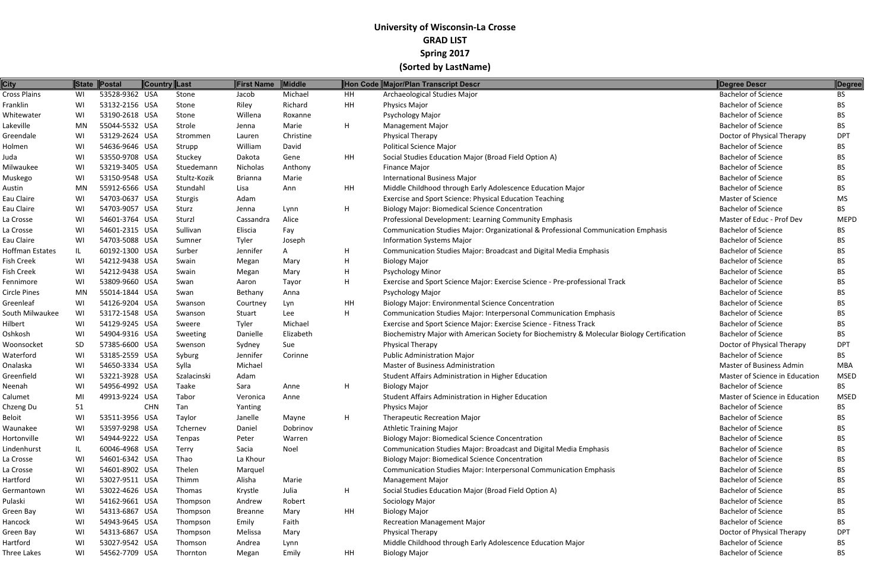| <b>City</b>     |           | State Postal   | <b>Country Last</b> |              | First Name     | Middle    |           | Hon Code Major/Plan Transcript Descr                                                        | Degree Descr                   | Degree      |
|-----------------|-----------|----------------|---------------------|--------------|----------------|-----------|-----------|---------------------------------------------------------------------------------------------|--------------------------------|-------------|
| Cross Plains    | WI        | 53528-9362 USA |                     | Stone        | Jacob          | Michael   | HH        | Archaeological Studies Major                                                                | <b>Bachelor of Science</b>     | <b>BS</b>   |
| Franklin        | WI        | 53132-2156 USA |                     | Stone        | Riley          | Richard   | <b>HH</b> | <b>Physics Major</b>                                                                        | <b>Bachelor of Science</b>     | BS.         |
| Whitewater      | WI        | 53190-2618 USA |                     | Stone        | Willena        | Roxanne   |           | Psychology Major                                                                            | <b>Bachelor of Science</b>     | BS.         |
| Lakeville       | MN        | 55044-5532 USA |                     | Strole       | Jenna          | Marie     | H         | <b>Management Major</b>                                                                     | <b>Bachelor of Science</b>     | <b>BS</b>   |
| Greendale       | WI        | 53129-2624 USA |                     | Strommen     | Lauren         | Christine |           | <b>Physical Therapy</b>                                                                     | Doctor of Physical Therapy     | <b>DPT</b>  |
| Holmen          | WI        | 54636-9646 USA |                     | Strupp       | William        | David     |           | <b>Political Science Major</b>                                                              | <b>Bachelor of Science</b>     | <b>BS</b>   |
| Juda            | WI        | 53550-9708 USA |                     | Stuckey      | Dakota         | Gene      | HH        | Social Studies Education Major (Broad Field Option A)                                       | <b>Bachelor of Science</b>     | BS.         |
| Milwaukee       | WI        | 53219-3405 USA |                     | Stuedemann   | Nicholas       | Anthony   |           | <b>Finance Major</b>                                                                        | <b>Bachelor of Science</b>     | BS.         |
| Muskego         | WI        | 53150-9548 USA |                     | Stultz-Kozik | <b>Brianna</b> | Marie     |           | <b>International Business Major</b>                                                         | <b>Bachelor of Science</b>     | BS.         |
| Austin          | MN        | 55912-6566 USA |                     | Stundahl     | Lisa           | Ann       | HH        | Middle Childhood through Early Adolescence Education Major                                  | <b>Bachelor of Science</b>     | <b>BS</b>   |
| Eau Claire      | WI        | 54703-0637 USA |                     | Sturgis      | Adam           |           |           | Exercise and Sport Science: Physical Education Teaching                                     | <b>Master of Science</b>       | MS          |
| Eau Claire      | WI        | 54703-9057 USA |                     | Sturz        | Jenna          | Lynn      | H         | <b>Biology Major: Biomedical Science Concentration</b>                                      | <b>Bachelor of Science</b>     | <b>BS</b>   |
| La Crosse       | WI        | 54601-3764 USA |                     | Sturzl       | Cassandra      | Alice     |           | Professional Development: Learning Community Emphasis                                       | Master of Educ - Prof Dev      | <b>MEPD</b> |
| La Crosse       | WI        | 54601-2315 USA |                     | Sullivan     | Eliscia        | Fay       |           | Communication Studies Major: Organizational & Professional Communication Emphasis           | <b>Bachelor of Science</b>     | BS.         |
| Eau Claire      | WI        | 54703-5088 USA |                     | Sumner       | Tyler          | Joseph    |           | <b>Information Systems Major</b>                                                            | <b>Bachelor of Science</b>     | <b>BS</b>   |
| Hoffman Estates | IL        | 60192-1300 USA |                     | Surber       | Jennifer       | A         | H         | Communication Studies Major: Broadcast and Digital Media Emphasis                           | <b>Bachelor of Science</b>     | BS.         |
| Fish Creek      | WI        | 54212-9438 USA |                     | Swain        | Megan          | Mary      | H         | <b>Biology Major</b>                                                                        | <b>Bachelor of Science</b>     | BS.         |
| Fish Creek      | WI        | 54212-9438 USA |                     | Swain        | Megan          | Mary      | H         | <b>Psychology Minor</b>                                                                     | <b>Bachelor of Science</b>     | BS.         |
| Fennimore       | WI        | 53809-9660 USA |                     | Swan         | Aaron          | Tayor     | H         | Exercise and Sport Science Major: Exercise Science - Pre-professional Track                 | <b>Bachelor of Science</b>     | <b>BS</b>   |
| Circle Pines    | MN        | 55014-1844 USA |                     | Swan         | Bethany        | Anna      |           | Psychology Major                                                                            | <b>Bachelor of Science</b>     | <b>BS</b>   |
| Greenleaf       | WI        | 54126-9204 USA |                     | Swanson      | Courtney       | Lyn       | HH        | <b>Biology Major: Environmental Science Concentration</b>                                   | <b>Bachelor of Science</b>     | BS.         |
| South Milwaukee | WI        | 53172-1548 USA |                     | Swanson      | Stuart         | Lee       | H         | Communication Studies Major: Interpersonal Communication Emphasis                           | <b>Bachelor of Science</b>     | <b>BS</b>   |
| Hilbert         | WI        | 54129-9245 USA |                     | Sweere       | Tyler          | Michael   |           | Exercise and Sport Science Major: Exercise Science - Fitness Track                          | <b>Bachelor of Science</b>     | <b>BS</b>   |
| Oshkosh         | WI        | 54904-9316 USA |                     | Sweeting     | Danielle       | Elizabeth |           | Biochemistry Major with American Society for Biochemistry & Molecular Biology Certification | <b>Bachelor of Science</b>     | BS          |
| Woonsocket      | <b>SD</b> | 57385-6600 USA |                     | Swenson      | Sydney         | Sue       |           | Physical Therapy                                                                            | Doctor of Physical Therapy     | <b>DPT</b>  |
| Waterford       | WI        | 53185-2559 USA |                     | Syburg       | Jennifer       | Corinne   |           | <b>Public Administration Major</b>                                                          | <b>Bachelor of Science</b>     | BS.         |
| Onalaska        | WI        | 54650-3334 USA |                     | Sylla        | Michael        |           |           | <b>Master of Business Administration</b>                                                    | Master of Business Admin       | MBA         |
| Greenfield      | WI        | 53221-3928 USA |                     | Szalacinski  | Adam           |           |           | Student Affairs Administration in Higher Education                                          | Master of Science in Education | <b>MSED</b> |
| Neenah          | WI        | 54956-4992 USA |                     | Taake        | Sara           | Anne      | H         | <b>Biology Major</b>                                                                        | <b>Bachelor of Science</b>     | <b>BS</b>   |
| Calumet         | MI        | 49913-9224 USA |                     | Tabor        | Veronica       | Anne      |           | Student Affairs Administration in Higher Education                                          | Master of Science in Education | <b>MSED</b> |
| Chzeng Du       | 51        |                | <b>CHN</b>          | Tan          | Yanting        |           |           | <b>Physics Major</b>                                                                        | <b>Bachelor of Science</b>     | <b>BS</b>   |
| Beloit          | WI        | 53511-3956 USA |                     | Taylor       | Janelle        | Mayne     | Н.        | <b>Therapeutic Recreation Major</b>                                                         | <b>Bachelor of Science</b>     | BS.         |
| Waunakee        | WI        | 53597-9298 USA |                     | Tchernev     | Daniel         | Dobrinov  |           | <b>Athletic Training Major</b>                                                              | <b>Bachelor of Science</b>     | <b>BS</b>   |
| Hortonville     | WI        | 54944-9222 USA |                     | Tenpas       | Peter          | Warren    |           | <b>Biology Major: Biomedical Science Concentration</b>                                      | <b>Bachelor of Science</b>     | BS.         |
| Lindenhurst     | IL        | 60046-4968 USA |                     | Terry        | Sacia          | Noel      |           | Communication Studies Major: Broadcast and Digital Media Emphasis                           | <b>Bachelor of Science</b>     | <b>BS</b>   |
| La Crosse       | WI        | 54601-6342 USA |                     | Thao         | La Khour       |           |           | <b>Biology Major: Biomedical Science Concentration</b>                                      | <b>Bachelor of Science</b>     | BS.         |
| La Crosse       | WI        | 54601-8902 USA |                     | Thelen       | Marquel        |           |           | Communication Studies Major: Interpersonal Communication Emphasis                           | <b>Bachelor of Science</b>     | BS.         |
| Hartford        | WI        | 53027-9511 USA |                     | Thimm        | Alisha         | Marie     |           | <b>Management Major</b>                                                                     | <b>Bachelor of Science</b>     | <b>BS</b>   |
| Germantown      | WI        | 53022-4626 USA |                     | Thomas       | Krystle        | Julia     | Н.        | Social Studies Education Major (Broad Field Option A)                                       | <b>Bachelor of Science</b>     | BS.         |
| Pulaski         | WI        | 54162-9661 USA |                     | Thompson     | Andrew         | Robert    |           | Sociology Major                                                                             | <b>Bachelor of Science</b>     | BS.         |
| Green Bay       | WI        | 54313-6867 USA |                     | Thompson     | <b>Breanne</b> | Mary      | HH        | <b>Biology Major</b>                                                                        | <b>Bachelor of Science</b>     | BS.         |
| Hancock         | WI        | 54943-9645 USA |                     | Thompson     | Emily          | Faith     |           | <b>Recreation Management Major</b>                                                          | <b>Bachelor of Science</b>     | <b>BS</b>   |
| Green Bay       | WI        | 54313-6867 USA |                     | Thompson     | Melissa        | Mary      |           | Physical Therapy                                                                            | Doctor of Physical Therapy     | <b>DPT</b>  |
| Hartford        | WI        | 53027-9542 USA |                     | Thomson      | Andrea         | Lynn      |           | Middle Childhood through Early Adolescence Education Major                                  | <b>Bachelor of Science</b>     | BS.         |
| Three Lakes     | WI        | 54562-7709 USA |                     | Thornton     | Megan          | Emily     | HH        | <b>Biology Major</b>                                                                        | <b>Bachelor of Science</b>     | BS          |
|                 |           |                |                     |              |                |           |           |                                                                                             |                                |             |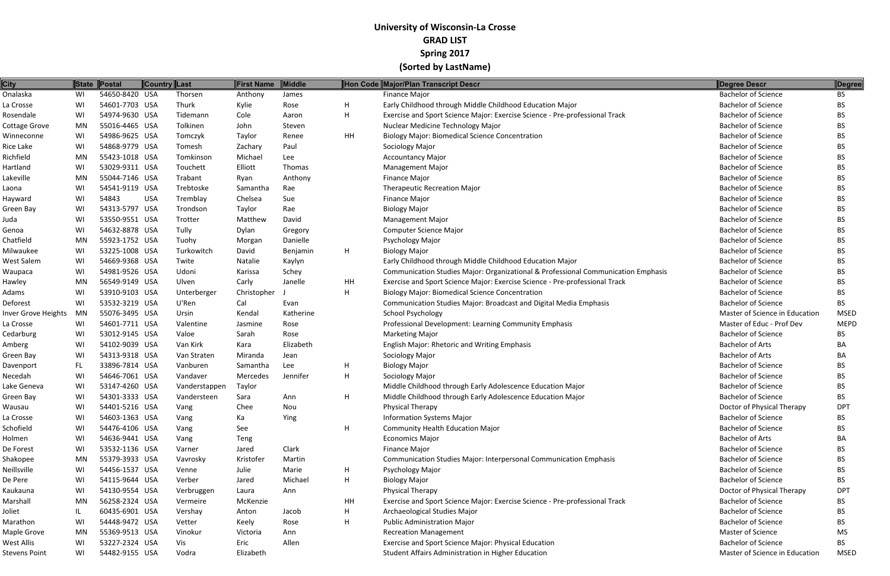| <b>City</b>                |     | State Postal   | Country Last |               | First Name  | <b>Middle</b> |    | Hon Code Major/Plan Transcript Descr                                              | Degree Descr                   | <b>Degree</b> |
|----------------------------|-----|----------------|--------------|---------------|-------------|---------------|----|-----------------------------------------------------------------------------------|--------------------------------|---------------|
| Onalaska                   | WI  | 54650-8420 USA |              | Thorsen       | Anthony     | James         |    | Finance Major                                                                     | <b>Bachelor of Science</b>     | BS            |
| La Crosse                  | WI  | 54601-7703 USA |              | Thurk         | Kylie       | Rose          | H  | Early Childhood through Middle Childhood Education Major                          | <b>Bachelor of Science</b>     | BS.           |
| Rosendale                  | WI  | 54974-9630 USA |              | Tidemann      | Cole        | Aaron         | H. | Exercise and Sport Science Major: Exercise Science - Pre-professional Track       | <b>Bachelor of Science</b>     | BS.           |
| <b>Cottage Grove</b>       | MN  | 55016-4465 USA |              | Tolkinen      | John        | Steven        |    | Nuclear Medicine Technology Major                                                 | <b>Bachelor of Science</b>     | BS.           |
| Winneconne                 | WI  | 54986-9625 USA |              | Tomczyk       | Taylor      | Renee         | HH | <b>Biology Major: Biomedical Science Concentration</b>                            | <b>Bachelor of Science</b>     | <b>BS</b>     |
| Rice Lake                  | WI  | 54868-9779 USA |              | Tomesh        | Zachary     | Paul          |    | Sociology Major                                                                   | <b>Bachelor of Science</b>     | BS.           |
| Richfield                  | MN  | 55423-1018 USA |              | Tomkinson     | Michael     | Lee           |    | <b>Accountancy Major</b>                                                          | <b>Bachelor of Science</b>     | BS.           |
| Hartland                   | WI  | 53029-9311 USA |              | Touchett      | Elliott     | Thomas        |    | <b>Management Major</b>                                                           | <b>Bachelor of Science</b>     | BS.           |
| Lakeville                  | MN  | 55044-7146 USA |              | Trabant       | Ryan        | Anthony       |    | <b>Finance Major</b>                                                              | <b>Bachelor of Science</b>     | BS.           |
| Laona                      | WI  | 54541-9119 USA |              | Trebtoske     | Samantha    | Rae           |    | <b>Therapeutic Recreation Major</b>                                               | <b>Bachelor of Science</b>     | <b>BS</b>     |
| Hayward                    | WI  | 54843          | <b>USA</b>   | Tremblay      | Chelsea     | Sue           |    | Finance Major                                                                     | <b>Bachelor of Science</b>     | BS.           |
| Green Bay                  | WI  | 54313-5797 USA |              | Trondson      | Taylor      | Rae           |    | <b>Biology Major</b>                                                              | <b>Bachelor of Science</b>     | BS.           |
| Juda                       | WI  | 53550-9551 USA |              | Trotter       | Matthew     | David         |    | <b>Management Major</b>                                                           | <b>Bachelor of Science</b>     | BS.           |
| Genoa                      | WI  | 54632-8878 USA |              | Tully         | Dylan       | Gregory       |    | <b>Computer Science Major</b>                                                     | <b>Bachelor of Science</b>     | BS.           |
| Chatfield                  | MN  | 55923-1752 USA |              | Tuohy         | Morgan      | Danielle      |    | <b>Psychology Major</b>                                                           | <b>Bachelor of Science</b>     | <b>BS</b>     |
| Milwaukee                  | WI  | 53225-1008 USA |              | Turkowitch    | David       | Benjamin      | H  | <b>Biology Major</b>                                                              | <b>Bachelor of Science</b>     | BS.           |
| West Salem                 | WI  | 54669-9368 USA |              | Twite         | Natalie     | Kaylyn        |    | Early Childhood through Middle Childhood Education Major                          | <b>Bachelor of Science</b>     | BS.           |
| Waupaca                    | WI  | 54981-9526 USA |              | Udoni         | Karissa     | Schey         |    | Communication Studies Major: Organizational & Professional Communication Emphasis | <b>Bachelor of Science</b>     | BS.           |
| Hawley                     | MN  | 56549-9149 USA |              | Ulven         | Carly       | Janelle       | HH | Exercise and Sport Science Major: Exercise Science - Pre-professional Track       | <b>Bachelor of Science</b>     | BS.           |
| Adams                      | WI  | 53910-9103 USA |              | Unterberger   | Christopher |               | H  | <b>Biology Major: Biomedical Science Concentration</b>                            | <b>Bachelor of Science</b>     | BS.           |
| Deforest                   | WI  | 53532-3219 USA |              | U'Ren         | Cal         | Evan          |    | Communication Studies Major: Broadcast and Digital Media Emphasis                 | <b>Bachelor of Science</b>     | <b>BS</b>     |
| <b>Inver Grove Heights</b> | MN  | 55076-3495 USA |              | Ursin         | Kendal      | Katherine     |    | <b>School Psychology</b>                                                          | Master of Science in Education | <b>MSED</b>   |
| La Crosse                  | WI  | 54601-7711 USA |              | Valentine     | Jasmine     | Rose          |    | Professional Development: Learning Community Emphasis                             | Master of Educ - Prof Dev      | <b>MEPD</b>   |
| Cedarburg                  | WI  | 53012-9145 USA |              | Valoe         | Sarah       | Rose          |    | <b>Marketing Major</b>                                                            | <b>Bachelor of Science</b>     | BS.           |
| Amberg                     | WI  | 54102-9039 USA |              | Van Kirk      | Kara        | Elizabeth     |    | English Major: Rhetoric and Writing Emphasis                                      | <b>Bachelor of Arts</b>        | BA            |
| Green Bay                  | WI  | 54313-9318 USA |              | Van Straten   | Miranda     | Jean          |    | Sociology Major                                                                   | <b>Bachelor of Arts</b>        | BA            |
| Davenport                  | FL. | 33896-7814 USA |              | Vanburen      | Samantha    | Lee           | H  | <b>Biology Major</b>                                                              | <b>Bachelor of Science</b>     | BS.           |
| Necedah                    | WI  | 54646-7061 USA |              | Vandaver      | Mercedes    | Jennifer      | H  | Sociology Major                                                                   | <b>Bachelor of Science</b>     | BS.           |
| Lake Geneva                | WI  | 53147-4260 USA |              | Vanderstappen | Taylor      |               |    | Middle Childhood through Early Adolescence Education Major                        | <b>Bachelor of Science</b>     | BS.           |
| Green Bay                  | WI  | 54301-3333 USA |              | Vandersteen   | Sara        | Ann           | H. | Middle Childhood through Early Adolescence Education Major                        | <b>Bachelor of Science</b>     | BS.           |
| Wausau                     | WI  | 54401-5216 USA |              | Vang          | Chee        | Nou           |    | <b>Physical Therapy</b>                                                           | Doctor of Physical Therapy     | <b>DPT</b>    |
| La Crosse                  | WI  | 54603-1363 USA |              | Vang          | Ka          | Ying          |    | <b>Information Systems Major</b>                                                  | <b>Bachelor of Science</b>     | BS.           |
| Schofield                  | WI  | 54476-4106 USA |              | Vang          | See         |               | H  | <b>Community Health Education Major</b>                                           | <b>Bachelor of Science</b>     | <b>BS</b>     |
| Holmen                     | WI  | 54636-9441 USA |              | Vang          | Teng        |               |    | <b>Economics Major</b>                                                            | <b>Bachelor of Arts</b>        | BA            |
| De Forest                  | WI  | 53532-1136 USA |              | Varner        | Jared       | Clark         |    | Finance Major                                                                     | <b>Bachelor of Science</b>     | BS.           |
| Shakopee                   | MN  | 55379-3933 USA |              | Vavrosky      | Kristofer   | Martin        |    | Communication Studies Major: Interpersonal Communication Emphasis                 | <b>Bachelor of Science</b>     | <b>BS</b>     |
| Neillsville                | WI  | 54456-1537 USA |              | Venne         | Julie       | Marie         | H  | Psychology Major                                                                  | <b>Bachelor of Science</b>     | BS.           |
| De Pere                    | WI  | 54115-9644 USA |              | Verber        | Jared       | Michael       | H  | <b>Biology Major</b>                                                              | <b>Bachelor of Science</b>     | BS.           |
| Kaukauna                   | WI  | 54130-9554 USA |              | Verbruggen    | Laura       | Ann           |    | <b>Physical Therapy</b>                                                           | Doctor of Physical Therapy     | <b>DPT</b>    |
| Marshall                   | MN  | 56258-2324 USA |              | Vermeire      | McKenzie    |               | HH | Exercise and Sport Science Major: Exercise Science - Pre-professional Track       | <b>Bachelor of Science</b>     | BS.           |
| Joliet                     | IL. | 60435-6901 USA |              | Vershay       | Anton       | Jacob         | H  | Archaeological Studies Major                                                      | <b>Bachelor of Science</b>     | <b>BS</b>     |
| Marathon                   | WI  | 54448-9472 USA |              | Vetter        | Keely       | Rose          | H  | <b>Public Administration Major</b>                                                | <b>Bachelor of Science</b>     | BS.           |
| Maple Grove                | MN  | 55369-9513 USA |              | Vinokur       | Victoria    | Ann           |    | <b>Recreation Management</b>                                                      | Master of Science              | MS            |
| West Allis                 | WI  | 53227-2324 USA |              | Vis           | Eric        | Allen         |    | Exercise and Sport Science Major: Physical Education                              | <b>Bachelor of Science</b>     | <b>BS</b>     |
| Stevens Point              | WI  | 54482-9155 USA |              | Vodra         | Elizabeth   |               |    | Student Affairs Administration in Higher Education                                | Master of Science in Education | <b>MSED</b>   |
|                            |     |                |              |               |             |               |    |                                                                                   |                                |               |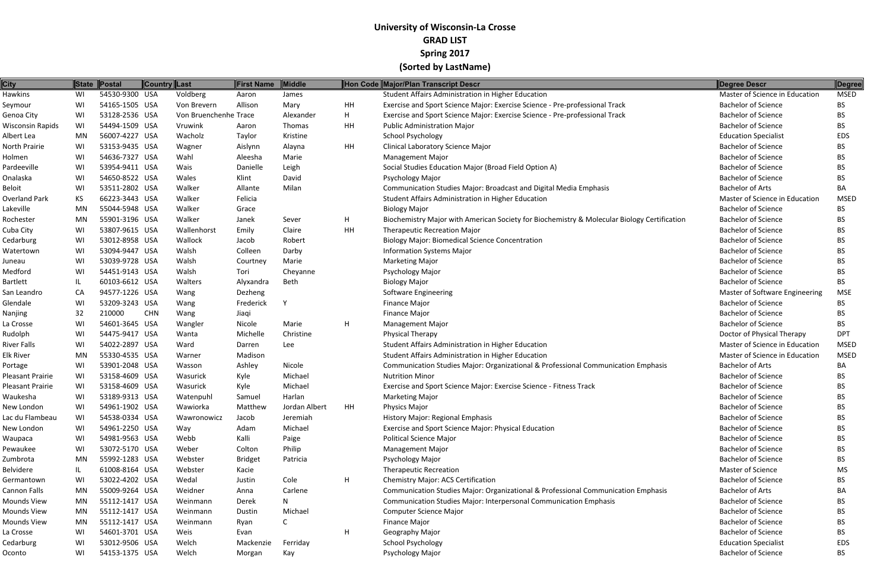| <b>City</b>          |    | State Postal   | Country Last |                       | First Name     | Middle        |    | Hon Code Major/Plan Transcript Descr                                                        | Degree Descr                   | Degree      |
|----------------------|----|----------------|--------------|-----------------------|----------------|---------------|----|---------------------------------------------------------------------------------------------|--------------------------------|-------------|
| <b>Hawkins</b>       | WI | 54530-9300 USA |              | Voldberg              | Aaron          | James         |    | Student Affairs Administration in Higher Education                                          | Master of Science in Education | <b>MSED</b> |
| Seymour              | WI | 54165-1505 USA |              | Von Brevern           | Allison        | Mary          | HH | Exercise and Sport Science Major: Exercise Science - Pre-professional Track                 | <b>Bachelor of Science</b>     | <b>BS</b>   |
| Genoa City           | WI | 53128-2536 USA |              | Von Bruenchenhe Trace |                | Alexander     | H  | Exercise and Sport Science Major: Exercise Science - Pre-professional Track                 | <b>Bachelor of Science</b>     | BS.         |
| Wisconsin Rapids     | WI | 54494-1509 USA |              | Vruwink               | Aaron          | Thomas        | HH | <b>Public Administration Major</b>                                                          | <b>Bachelor of Science</b>     | BS.         |
| Albert Lea           | MN | 56007-4227 USA |              | Wacholz               | Taylor         | Kristine      |    | <b>School Psychology</b>                                                                    | <b>Education Specialist</b>    | EDS         |
| North Prairie        | WI | 53153-9435 USA |              | Wagner                | Aislynn        | Alayna        | HH | Clinical Laboratory Science Major                                                           | <b>Bachelor of Science</b>     | BS.         |
| Holmen               | WI | 54636-7327 USA |              | Wahl                  | Aleesha        | Marie         |    | <b>Management Major</b>                                                                     | <b>Bachelor of Science</b>     | <b>BS</b>   |
| Pardeeville          | WI | 53954-9411 USA |              | Wais                  | Danielle       | Leigh         |    | Social Studies Education Major (Broad Field Option A)                                       | <b>Bachelor of Science</b>     | BS.         |
| Onalaska             | WI | 54650-8522 USA |              | Wales                 | Klint          | David         |    | Psychology Major                                                                            | <b>Bachelor of Science</b>     | BS.         |
| <b>Beloit</b>        | WI | 53511-2802 USA |              | Walker                | Allante        | Milan         |    | Communication Studies Major: Broadcast and Digital Media Emphasis                           | <b>Bachelor of Arts</b>        | BA          |
| <b>Overland Park</b> | KS | 66223-3443 USA |              | Walker                | Felicia        |               |    | Student Affairs Administration in Higher Education                                          | Master of Science in Education | <b>MSED</b> |
| Lakeville            | MN | 55044-5948 USA |              | Walker                | Grace          |               |    | <b>Biology Major</b>                                                                        | <b>Bachelor of Science</b>     | <b>BS</b>   |
| Rochester            | MN | 55901-3196 USA |              | Walker                | Janek          | Sever         | H  | Biochemistry Major with American Society for Biochemistry & Molecular Biology Certification | <b>Bachelor of Science</b>     | BS.         |
| Cuba City            | WI | 53807-9615 USA |              | Wallenhorst           | Emily          | Claire        | HH | <b>Therapeutic Recreation Major</b>                                                         | <b>Bachelor of Science</b>     | BS.         |
| Cedarburg            | WI | 53012-8958 USA |              | Wallock               | Jacob          | Robert        |    | <b>Biology Major: Biomedical Science Concentration</b>                                      | <b>Bachelor of Science</b>     | <b>BS</b>   |
| Watertown            | WI | 53094-9447 USA |              | Walsh                 | Colleen        | Darby         |    | <b>Information Systems Major</b>                                                            | <b>Bachelor of Science</b>     | BS.         |
| Juneau               | WI | 53039-9728 USA |              | Walsh                 | Courtney       | Marie         |    | <b>Marketing Major</b>                                                                      | <b>Bachelor of Science</b>     | BS          |
| Medford              | WI | 54451-9143 USA |              | Walsh                 | Tori           | Cheyanne      |    | <b>Psychology Major</b>                                                                     | <b>Bachelor of Science</b>     | BS.         |
| <b>Bartlett</b>      | IL | 60103-6612 USA |              | Walters               | Alyxandra      | Beth          |    | <b>Biology Major</b>                                                                        | <b>Bachelor of Science</b>     | <b>BS</b>   |
| San Leandro          | CA | 94577-1226 USA |              | Wang                  | Dezheng        |               |    | <b>Software Engineering</b>                                                                 | Master of Software Engineering | <b>MSE</b>  |
| Glendale             | WI | 53209-3243 USA |              | Wang                  | Frederick      | <b>V</b>      |    | Finance Major                                                                               | <b>Bachelor of Science</b>     | BS.         |
| Nanjing              | 32 | 210000         | <b>CHN</b>   | Wang                  | Jiaqi          |               |    | Finance Major                                                                               | <b>Bachelor of Science</b>     | BS.         |
| La Crosse            | WI | 54601-3645 USA |              | Wangler               | Nicole         | Marie         | H  | <b>Management Major</b>                                                                     | <b>Bachelor of Science</b>     | <b>BS</b>   |
| Rudolph              | WI | 54475-9417 USA |              | Wanta                 | Michelle       | Christine     |    | <b>Physical Therapy</b>                                                                     | Doctor of Physical Therapy     | <b>DPT</b>  |
| <b>River Falls</b>   | WI | 54022-2897 USA |              | Ward                  | Darren         | Lee           |    | Student Affairs Administration in Higher Education                                          | Master of Science in Education | <b>MSED</b> |
| Elk River            | MN | 55330-4535 USA |              | Warner                | Madison        |               |    | Student Affairs Administration in Higher Education                                          | Master of Science in Education | <b>MSED</b> |
| Portage              | WI | 53901-2048 USA |              | Wasson                | Ashley         | Nicole        |    | Communication Studies Major: Organizational & Professional Communication Emphasis           | <b>Bachelor of Arts</b>        | BA          |
| Pleasant Prairie     | WI | 53158-4609 USA |              | Wasurick              | Kyle           | Michael       |    | <b>Nutrition Minor</b>                                                                      | <b>Bachelor of Science</b>     | BS.         |
| Pleasant Prairie     | WI | 53158-4609 USA |              | Wasurick              | Kyle           | Michael       |    | Exercise and Sport Science Major: Exercise Science - Fitness Track                          | <b>Bachelor of Science</b>     | <b>BS</b>   |
| Waukesha             | WI | 53189-9313 USA |              | Watenpuhl             | Samuel         | Harlan        |    | <b>Marketing Major</b>                                                                      | <b>Bachelor of Science</b>     | <b>BS</b>   |
| New London           | WI | 54961-1902 USA |              | Wawiorka              | Matthew        | Jordan Albert | HH | <b>Physics Major</b>                                                                        | <b>Bachelor of Science</b>     | BS.         |
| Lac du Flambeau      | WI | 54538-0334 USA |              | Wawronowicz           | Jacob          | Jeremiah      |    | <b>History Major: Regional Emphasis</b>                                                     | <b>Bachelor of Science</b>     | BS          |
| New London           | WI | 54961-2250 USA |              | Way                   | Adam           | Michael       |    | Exercise and Sport Science Major: Physical Education                                        | <b>Bachelor of Science</b>     | BS          |
| Waupaca              | WI | 54981-9563 USA |              | Webb                  | Kalli          | Paige         |    | <b>Political Science Major</b>                                                              | <b>Bachelor of Science</b>     | BS.         |
| Pewaukee             | WI | 53072-5170 USA |              | Weber                 | Colton         | Philip        |    | <b>Management Major</b>                                                                     | <b>Bachelor of Science</b>     | BS.         |
| Zumbrota             | MN | 55992-1283 USA |              | Webster               | <b>Bridget</b> | Patricia      |    | Psychology Major                                                                            | <b>Bachelor of Science</b>     | BS.         |
| Belvidere            | IL | 61008-8164 USA |              | Webster               | Kacie          |               |    | <b>Therapeutic Recreation</b>                                                               | Master of Science              | MS          |
| Germantown           | WI | 53022-4202 USA |              | Wedal                 | Justin         | Cole          | H  | <b>Chemistry Major: ACS Certification</b>                                                   | <b>Bachelor of Science</b>     | BS.         |
| Cannon Falls         | MN | 55009-9264 USA |              | Weidner               | Anna           | Carlene       |    | Communication Studies Major: Organizational & Professional Communication Emphasis           | <b>Bachelor of Arts</b>        | BA          |
| Mounds View          | MN | 55112-1417 USA |              | Weinmann              | Derek          | N             |    | Communication Studies Major: Interpersonal Communication Emphasis                           | <b>Bachelor of Science</b>     | BS.         |
| Mounds View          | MN | 55112-1417 USA |              | Weinmann              | Dustin         | Michael       |    | <b>Computer Science Major</b>                                                               | <b>Bachelor of Science</b>     | BS.         |
| Mounds View          | MN | 55112-1417 USA |              | Weinmann              | Ryan           |               |    | Finance Major                                                                               | <b>Bachelor of Science</b>     | BS.         |
| La Crosse            | WI | 54601-3701 USA |              | Weis                  | Evan           |               | H  | Geography Major                                                                             | <b>Bachelor of Science</b>     | BS.         |
| Cedarburg            | WI | 53012-9506 USA |              | Welch                 | Mackenzie      | Ferriday      |    | <b>School Psychology</b>                                                                    | <b>Education Specialist</b>    | EDS         |
| Oconto               | WI | 54153-1375 USA |              | Welch                 | Morgan         | Kay           |    | Psychology Major                                                                            | <b>Bachelor of Science</b>     | <b>BS</b>   |
|                      |    |                |              |                       |                |               |    |                                                                                             |                                |             |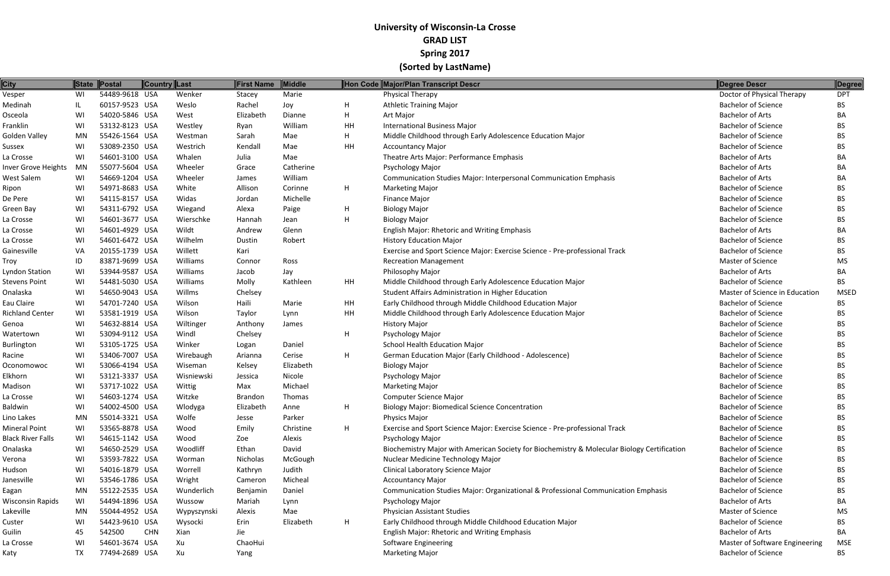| <b>City</b>                |    | State Postal   | <b>Country Last</b> |             | First Name | Middle    |    | Hon Code Major/Plan Transcript Descr                                                        | Degree Descr                   | Degree      |
|----------------------------|----|----------------|---------------------|-------------|------------|-----------|----|---------------------------------------------------------------------------------------------|--------------------------------|-------------|
| Vesper                     | WI | 54489-9618 USA |                     | Wenker      | Stacey     | Marie     |    | <b>Physical Therapy</b>                                                                     | Doctor of Physical Therapy     | <b>DPT</b>  |
| Medinah                    | IL | 60157-9523 USA |                     | Weslo       | Rachel     | Joy       | H  | <b>Athletic Training Major</b>                                                              | <b>Bachelor of Science</b>     | BS          |
| Osceola                    | WI | 54020-5846 USA |                     | West        | Elizabeth  | Dianne    | H  | Art Major                                                                                   | <b>Bachelor of Arts</b>        | BА          |
| Franklin                   | WI | 53132-8123 USA |                     | Westley     | Ryan       | William   | HH | <b>International Business Major</b>                                                         | <b>Bachelor of Science</b>     | BS.         |
| Golden Valley              | MN | 55426-1564 USA |                     | Westman     | Sarah      | Mae       | H  | Middle Childhood through Early Adolescence Education Major                                  | <b>Bachelor of Science</b>     | BS          |
| Sussex                     | WI | 53089-2350 USA |                     | Westrich    | Kendall    | Mae       | HH | <b>Accountancy Major</b>                                                                    | <b>Bachelor of Science</b>     | BS.         |
| La Crosse                  | WI | 54601-3100 USA |                     | Whalen      | Julia      | Mae       |    | Theatre Arts Major: Performance Emphasis                                                    | <b>Bachelor of Arts</b>        | BА          |
| <b>Inver Grove Heights</b> | MN | 55077-5604 USA |                     | Wheeler     | Grace      | Catherine |    | Psychology Major                                                                            | <b>Bachelor of Arts</b>        | BА          |
| West Salem                 | WI | 54669-1204 USA |                     | Wheeler     | James      | William   |    | <b>Communication Studies Major: Interpersonal Communication Emphasis</b>                    | <b>Bachelor of Arts</b>        | BА          |
| Ripon                      | WI | 54971-8683 USA |                     | White       | Allison    | Corinne   | H  | <b>Marketing Major</b>                                                                      | <b>Bachelor of Science</b>     | ВS          |
| De Pere                    | WI | 54115-8157 USA |                     | Widas       | Jordan     | Michelle  |    | <b>Finance Major</b>                                                                        | <b>Bachelor of Science</b>     | BS.         |
| Green Bay                  | WI | 54311-6792 USA |                     | Wiegand     | Alexa      | Paige     | H  | <b>Biology Major</b>                                                                        | <b>Bachelor of Science</b>     | BS.         |
| La Crosse                  | WI | 54601-3677 USA |                     | Wierschke   | Hannah     | Jean      | H  | <b>Biology Major</b>                                                                        | <b>Bachelor of Science</b>     | BS.         |
| La Crosse                  | WI | 54601-4929 USA |                     | Wildt       | Andrew     | Glenn     |    | English Major: Rhetoric and Writing Emphasis                                                | <b>Bachelor of Arts</b>        | BА          |
| La Crosse                  | WI | 54601-6472 USA |                     | Wilhelm     | Dustin     | Robert    |    | <b>History Education Major</b>                                                              | <b>Bachelor of Science</b>     | ВS          |
| Gainesville                | VA | 20155-1739 USA |                     | Willett     | Kari       |           |    | Exercise and Sport Science Major: Exercise Science - Pre-professional Track                 | <b>Bachelor of Science</b>     | BS.         |
| Troy                       | ID | 83871-9699 USA |                     | Williams    | Connor     | Ross      |    | <b>Recreation Management</b>                                                                | Master of Science              | MS          |
| Lyndon Station             | WI | 53944-9587 USA |                     | Williams    | Jacob      | Jay       |    | Philosophy Major                                                                            | <b>Bachelor of Arts</b>        | BА          |
| <b>Stevens Point</b>       | WI | 54481-5030 USA |                     | Williams    | Molly      | Kathleen  | HH | Middle Childhood through Early Adolescence Education Major                                  | <b>Bachelor of Science</b>     | BS.         |
| Onalaska                   | WI | 54650-9043 USA |                     | Willms      | Chelsey    |           |    | Student Affairs Administration in Higher Education                                          | Master of Science in Education | <b>MSED</b> |
| Eau Claire                 | WI | 54701-7240 USA |                     | Wilson      | Haili      | Marie     | HH | Early Childhood through Middle Childhood Education Major                                    | <b>Bachelor of Science</b>     | BS.         |
| <b>Richland Center</b>     | WI | 53581-1919 USA |                     | Wilson      | Taylor     | Lynn      | HH | Middle Childhood through Early Adolescence Education Major                                  | <b>Bachelor of Science</b>     | BS.         |
| Genoa                      | WI | 54632-8814 USA |                     | Wiltinger   | Anthony    | James     |    | <b>History Major</b>                                                                        | <b>Bachelor of Science</b>     | BS.         |
| Watertown                  | WI | 53094-9112 USA |                     | Windl       | Chelsey    |           | H  | Psychology Major                                                                            | <b>Bachelor of Science</b>     | BS.         |
| <b>Burlington</b>          | WI | 53105-1725 USA |                     | Winker      | Logan      | Daniel    |    | School Health Education Major                                                               | <b>Bachelor of Science</b>     | ВS          |
| Racine                     | WI | 53406-7007 USA |                     | Wirebaugh   | Arianna    | Cerise    | H  | German Education Major (Early Childhood - Adolescence)                                      | <b>Bachelor of Science</b>     | BS.         |
| Oconomowoc                 | WI | 53066-4194 USA |                     | Wiseman     | Kelsey     | Elizabeth |    | <b>Biology Major</b>                                                                        | <b>Bachelor of Science</b>     | BS.         |
| Elkhorn                    | WI | 53121-3337 USA |                     | Wisniewski  | Jessica    | Nicole    |    | Psychology Major                                                                            | <b>Bachelor of Science</b>     | BS.         |
| Madison                    | WI | 53717-1022 USA |                     | Wittig      | Max        | Michael   |    | <b>Marketing Major</b>                                                                      | <b>Bachelor of Science</b>     | ВS          |
| La Crosse                  | WI | 54603-1274 USA |                     | Witzke      | Brandon    | Thomas    |    | <b>Computer Science Major</b>                                                               | <b>Bachelor of Science</b>     | <b>BS</b>   |
| Baldwin                    | WI | 54002-4500 USA |                     | Wlodyga     | Elizabeth  | Anne      | Н  | <b>Biology Major: Biomedical Science Concentration</b>                                      | <b>Bachelor of Science</b>     | BS.         |
| Lino Lakes                 | MN | 55014-3321 USA |                     | Wolfe       | Jesse      | Parker    |    | <b>Physics Major</b>                                                                        | <b>Bachelor of Science</b>     | BS.         |
| Mineral Point              | WI | 53565-8878 USA |                     | Wood        | Emily      | Christine | H  | Exercise and Sport Science Major: Exercise Science - Pre-professional Track                 | <b>Bachelor of Science</b>     | ВS          |
| <b>Black River Falls</b>   | WI | 54615-1142 USA |                     | Wood        | Zoe        | Alexis    |    | Psychology Major                                                                            | <b>Bachelor of Science</b>     | BS.         |
| Onalaska                   | WI | 54650-2529 USA |                     | Woodliff    | Ethan      | David     |    | Biochemistry Major with American Society for Biochemistry & Molecular Biology Certification | <b>Bachelor of Science</b>     | BS          |
| Verona                     | WI | 53593-7822 USA |                     | Worman      | Nicholas   | McGough   |    | Nuclear Medicine Technology Major                                                           | <b>Bachelor of Science</b>     | BS.         |
| Hudson                     | WI | 54016-1879 USA |                     | Worrell     | Kathryn    | Judith    |    | Clinical Laboratory Science Major                                                           | <b>Bachelor of Science</b>     | BS.         |
| Janesville                 | WI | 53546-1786 USA |                     | Wright      | Cameron    | Micheal   |    | <b>Accountancy Major</b>                                                                    | <b>Bachelor of Science</b>     | ВS          |
| Eagan                      | MN | 55122-2535 USA |                     | Wunderlich  | Benjamin   | Daniel    |    | Communication Studies Major: Organizational & Professional Communication Emphasis           | <b>Bachelor of Science</b>     | BS.         |
| Wisconsin Rapids           | WI | 54494-1896 USA |                     | Wussow      | Mariah     | Lynn      |    | Psychology Major                                                                            | <b>Bachelor of Arts</b>        | BА          |
| Lakeville                  | MN | 55044-4952 USA |                     | Wypyszynski | Alexis     | Mae       |    | Physician Assistant Studies                                                                 | Master of Science              | MS.         |
| Custer                     | WI | 54423-9610 USA |                     | Wysocki     | Erin       | Elizabeth | H  | Early Childhood through Middle Childhood Education Major                                    | <b>Bachelor of Science</b>     | BS.         |
| Guilin                     | 45 | 542500         | <b>CHN</b>          | Xian        | Jie        |           |    | English Major: Rhetoric and Writing Emphasis                                                | <b>Bachelor of Arts</b>        | ВA          |
| La Crosse                  | WI | 54601-3674 USA |                     | Xu          | ChaoHui    |           |    | Software Engineering                                                                        | Master of Software Engineering | <b>MSE</b>  |
| Katy                       | TX | 77494-2689 USA |                     | Xu          | Yang       |           |    | <b>Marketing Major</b>                                                                      | <b>Bachelor of Science</b>     | <b>BS</b>   |
|                            |    |                |                     |             |            |           |    |                                                                                             |                                |             |